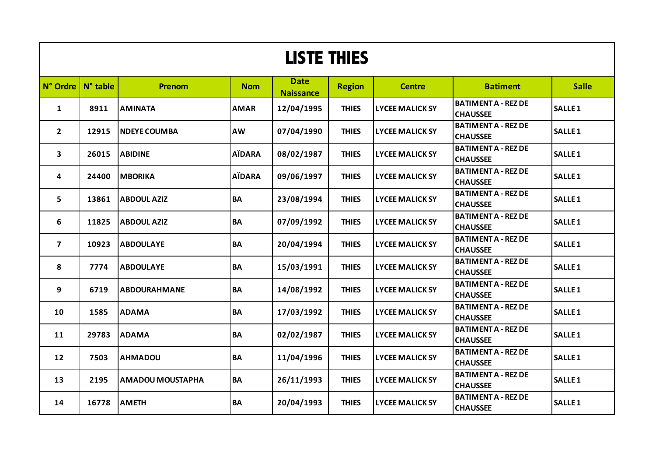| <b>LISTE THIES</b>           |       |                         |               |                                 |               |                        |                                               |                    |  |  |
|------------------------------|-------|-------------------------|---------------|---------------------------------|---------------|------------------------|-----------------------------------------------|--------------------|--|--|
| $N^{\circ}$ Ordre   N° table |       | <b>Prenom</b>           | <b>Nom</b>    | <b>Date</b><br><b>Naissance</b> | <b>Region</b> | <b>Centre</b>          | <b>Batiment</b>                               | <b>Salle</b>       |  |  |
| $\mathbf{1}$                 | 8911  | <b>AMINATA</b>          | <b>AMAR</b>   | 12/04/1995                      | <b>THIES</b>  | <b>LYCEE MALICK SY</b> | <b>BATIMENT A - REZ DE</b><br><b>CHAUSSEE</b> | SALLE <sub>1</sub> |  |  |
| $\overline{2}$               | 12915 | <b>NDEYE COUMBA</b>     | AW            | 07/04/1990                      | <b>THIES</b>  | <b>LYCEE MALICK SY</b> | <b>BATIMENT A - REZ DE</b><br><b>CHAUSSEE</b> | <b>SALLE 1</b>     |  |  |
| $\mathbf{3}$                 | 26015 | <b>ABIDINE</b>          | <b>AÏDARA</b> | 08/02/1987                      | <b>THIES</b>  | <b>LYCEE MALICK SY</b> | <b>BATIMENT A - REZ DE</b><br><b>CHAUSSEE</b> | <b>SALLE1</b>      |  |  |
| 4                            | 24400 | <b>MBORIKA</b>          | <b>AÏDARA</b> | 09/06/1997                      | <b>THIES</b>  | <b>LYCEE MALICK SY</b> | <b>BATIMENT A - REZ DE</b><br><b>CHAUSSEE</b> | <b>SALLE1</b>      |  |  |
| 5                            | 13861 | <b>ABDOUL AZIZ</b>      | <b>BA</b>     | 23/08/1994                      | <b>THIES</b>  | <b>LYCEE MALICK SY</b> | <b>BATIMENT A - REZ DE</b><br><b>CHAUSSEE</b> | <b>SALLE 1</b>     |  |  |
| 6                            | 11825 | <b>ABDOUL AZIZ</b>      | BA            | 07/09/1992                      | <b>THIES</b>  | <b>LYCEE MALICK SY</b> | <b>BATIMENT A - REZ DE</b><br><b>CHAUSSEE</b> | <b>SALLE1</b>      |  |  |
| $\overline{7}$               | 10923 | <b>ABDOULAYE</b>        | <b>BA</b>     | 20/04/1994                      | <b>THIES</b>  | <b>LYCEE MALICK SY</b> | <b>BATIMENT A - REZ DE</b><br><b>CHAUSSEE</b> | <b>SALLE1</b>      |  |  |
| 8                            | 7774  | <b>ABDOULAYE</b>        | BA            | 15/03/1991                      | <b>THIES</b>  | <b>LYCEE MALICK SY</b> | <b>BATIMENT A - REZ DE</b><br><b>CHAUSSEE</b> | <b>SALLE 1</b>     |  |  |
| 9                            | 6719  | <b>ABDOURAHMANE</b>     | <b>BA</b>     | 14/08/1992                      | <b>THIES</b>  | <b>LYCEE MALICK SY</b> | <b>BATIMENT A - REZ DE</b><br><b>CHAUSSEE</b> | <b>SALLE 1</b>     |  |  |
| 10                           | 1585  | <b>ADAMA</b>            | <b>BA</b>     | 17/03/1992                      | <b>THIES</b>  | <b>LYCEE MALICK SY</b> | <b>BATIMENT A - REZ DE</b><br><b>CHAUSSEE</b> | <b>SALLE1</b>      |  |  |
| 11                           | 29783 | <b>ADAMA</b>            | <b>BA</b>     | 02/02/1987                      | <b>THIES</b>  | <b>LYCEE MALICK SY</b> | <b>BATIMENT A - REZ DE</b><br><b>CHAUSSEE</b> | <b>SALLE1</b>      |  |  |
| 12                           | 7503  | <b>AHMADOU</b>          | BA            | 11/04/1996                      | <b>THIES</b>  | <b>LYCEE MALICK SY</b> | <b>BATIMENT A - REZ DE</b><br><b>CHAUSSEE</b> | <b>SALLE 1</b>     |  |  |
| 13                           | 2195  | <b>AMADOU MOUSTAPHA</b> | <b>BA</b>     | 26/11/1993                      | <b>THIES</b>  | <b>LYCEE MALICK SY</b> | <b>BATIMENT A - REZ DE</b><br><b>CHAUSSEE</b> | <b>SALLE1</b>      |  |  |
| 14                           | 16778 | <b>AMETH</b>            | <b>BA</b>     | 20/04/1993                      | <b>THIES</b>  | <b>LYCEE MALICK SY</b> | <b>BATIMENT A - REZ DE</b><br><b>CHAUSSEE</b> | <b>SALLE1</b>      |  |  |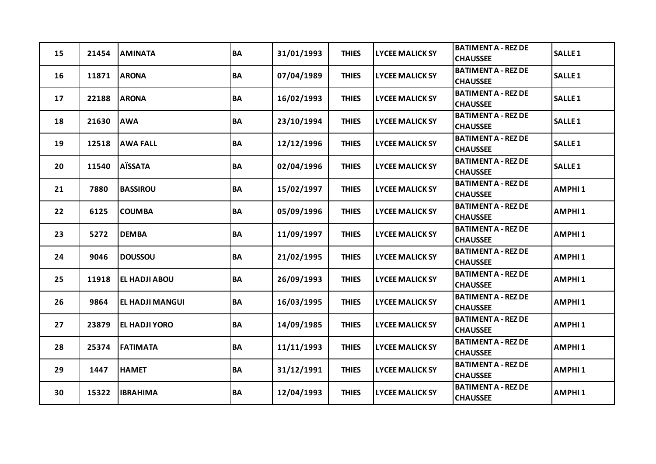| 15 | 21454 | <b>AMINATA</b>         | <b>BA</b> | 31/01/1993 | <b>THIES</b> | <b>LYCEE MALICK SY</b> | <b>BATIMENT A - REZ DE</b><br><b>CHAUSSEE</b> | <b>SALLE1</b>      |
|----|-------|------------------------|-----------|------------|--------------|------------------------|-----------------------------------------------|--------------------|
| 16 | 11871 | <b>ARONA</b>           | <b>BA</b> | 07/04/1989 | <b>THIES</b> | <b>LYCEE MALICK SY</b> | <b>BATIMENT A - REZ DE</b><br><b>CHAUSSEE</b> | <b>SALLE1</b>      |
| 17 | 22188 | <b>ARONA</b>           | <b>BA</b> | 16/02/1993 | <b>THIES</b> | <b>LYCEE MALICK SY</b> | <b>BATIMENT A - REZ DE</b><br><b>CHAUSSEE</b> | SALLE <sub>1</sub> |
| 18 | 21630 | <b>AWA</b>             | <b>BA</b> | 23/10/1994 | <b>THIES</b> | <b>LYCEE MALICK SY</b> | <b>BATIMENT A - REZ DE</b><br><b>CHAUSSEE</b> | <b>SALLE1</b>      |
| 19 | 12518 | <b>AWA FALL</b>        | <b>BA</b> | 12/12/1996 | <b>THIES</b> | <b>LYCEE MALICK SY</b> | <b>BATIMENT A - REZ DE</b><br><b>CHAUSSEE</b> | SALLE <sub>1</sub> |
| 20 | 11540 | <b>AÏSSATA</b>         | <b>BA</b> | 02/04/1996 | <b>THIES</b> | <b>LYCEE MALICK SY</b> | <b>BATIMENT A - REZ DE</b><br><b>CHAUSSEE</b> | SALLE <sub>1</sub> |
| 21 | 7880  | <b>BASSIROU</b>        | <b>BA</b> | 15/02/1997 | <b>THIES</b> | <b>LYCEE MALICK SY</b> | <b>BATIMENT A - REZ DE</b><br><b>CHAUSSEE</b> | <b>AMPHI1</b>      |
| 22 | 6125  | <b>COUMBA</b>          | <b>BA</b> | 05/09/1996 | <b>THIES</b> | <b>LYCEE MALICK SY</b> | <b>BATIMENT A - REZ DE</b><br><b>CHAUSSEE</b> | AMPHI <sub>1</sub> |
| 23 | 5272  | <b>DEMBA</b>           | <b>BA</b> | 11/09/1997 | <b>THIES</b> | <b>LYCEE MALICK SY</b> | <b>BATIMENT A - REZ DE</b><br><b>CHAUSSEE</b> | <b>AMPHI1</b>      |
| 24 | 9046  | <b>DOUSSOU</b>         | <b>BA</b> | 21/02/1995 | <b>THIES</b> | <b>LYCEE MALICK SY</b> | <b>BATIMENT A - REZ DE</b><br><b>CHAUSSEE</b> | <b>AMPHI1</b>      |
| 25 | 11918 | <b>EL HADJI ABOU</b>   | <b>BA</b> | 26/09/1993 | <b>THIES</b> | <b>LYCEE MALICK SY</b> | <b>BATIMENT A - REZ DE</b><br><b>CHAUSSEE</b> | <b>AMPHI1</b>      |
| 26 | 9864  | <b>EL HADJI MANGUI</b> | <b>BA</b> | 16/03/1995 | <b>THIES</b> | <b>LYCEE MALICK SY</b> | <b>BATIMENT A - REZ DE</b><br><b>CHAUSSEE</b> | AMPHI <sub>1</sub> |
| 27 | 23879 | <b>EL HADJI YORO</b>   | <b>BA</b> | 14/09/1985 | <b>THIES</b> | <b>LYCEE MALICK SY</b> | <b>BATIMENT A - REZ DE</b><br><b>CHAUSSEE</b> | <b>AMPHI1</b>      |
| 28 | 25374 | <b>FATIMATA</b>        | <b>BA</b> | 11/11/1993 | <b>THIES</b> | <b>LYCEE MALICK SY</b> | <b>BATIMENT A - REZ DE</b><br><b>CHAUSSEE</b> | <b>AMPHI1</b>      |
| 29 | 1447  | <b>HAMET</b>           | <b>BA</b> | 31/12/1991 | <b>THIES</b> | <b>LYCEE MALICK SY</b> | <b>BATIMENT A - REZ DE</b><br><b>CHAUSSEE</b> | <b>AMPHI1</b>      |
| 30 | 15322 | <b>IBRAHIMA</b>        | <b>BA</b> | 12/04/1993 | <b>THIES</b> | <b>LYCEE MALICK SY</b> | <b>BATIMENT A - REZ DE</b><br><b>CHAUSSEE</b> | <b>AMPHI1</b>      |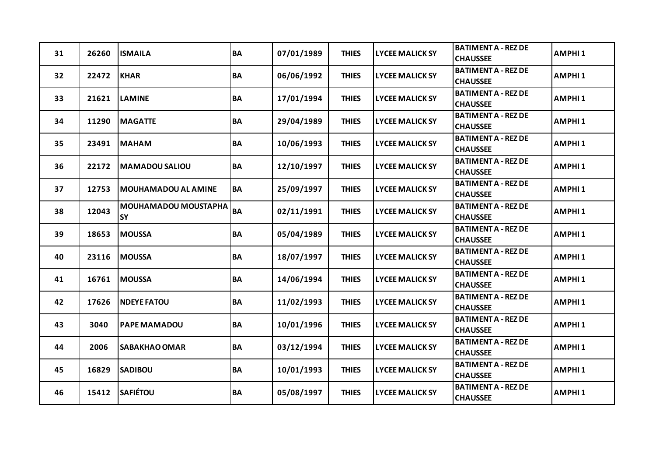| 31 | 26260 | <b>ISMAILA</b>                           | <b>BA</b> | 07/01/1989 | <b>THIES</b> | <b>LYCEE MALICK SY</b> | <b>BATIMENT A - REZ DE</b><br><b>CHAUSSEE</b> | <b>AMPHI1</b>      |
|----|-------|------------------------------------------|-----------|------------|--------------|------------------------|-----------------------------------------------|--------------------|
| 32 | 22472 | <b>KHAR</b>                              | <b>BA</b> | 06/06/1992 | <b>THIES</b> | <b>LYCEE MALICK SY</b> | <b>BATIMENT A - REZ DE</b><br><b>CHAUSSEE</b> | <b>AMPHI1</b>      |
| 33 | 21621 | <b>LAMINE</b>                            | <b>BA</b> | 17/01/1994 | <b>THIES</b> | <b>LYCEE MALICK SY</b> | <b>BATIMENT A - REZ DE</b><br><b>CHAUSSEE</b> | AMPHI <sub>1</sub> |
| 34 | 11290 | <b>MAGATTE</b>                           | <b>BA</b> | 29/04/1989 | <b>THIES</b> | <b>LYCEE MALICK SY</b> | <b>BATIMENT A - REZ DE</b><br><b>CHAUSSEE</b> | <b>AMPHI1</b>      |
| 35 | 23491 | <b>MAHAM</b>                             | <b>BA</b> | 10/06/1993 | <b>THIES</b> | <b>LYCEE MALICK SY</b> | <b>BATIMENT A - REZ DE</b><br><b>CHAUSSEE</b> | <b>AMPHI1</b>      |
| 36 | 22172 | <b>MAMADOU SALIOU</b>                    | <b>BA</b> | 12/10/1997 | <b>THIES</b> | <b>LYCEE MALICK SY</b> | <b>BATIMENT A - REZ DE</b><br><b>CHAUSSEE</b> | <b>AMPHI1</b>      |
| 37 | 12753 | <b>MOUHAMADOU AL AMINE</b>               | <b>BA</b> | 25/09/1997 | <b>THIES</b> | <b>LYCEE MALICK SY</b> | <b>BATIMENT A - REZ DE</b><br><b>CHAUSSEE</b> | <b>AMPHI1</b>      |
| 38 | 12043 | <b>MOUHAMADOU MOUSTAPHA</b><br><b>SY</b> | <b>BA</b> | 02/11/1991 | <b>THIES</b> | <b>LYCEE MALICK SY</b> | <b>BATIMENT A - REZ DE</b><br><b>CHAUSSEE</b> | AMPHI <sub>1</sub> |
| 39 | 18653 | <b>MOUSSA</b>                            | <b>BA</b> | 05/04/1989 | <b>THIES</b> | <b>LYCEE MALICK SY</b> | <b>BATIMENT A - REZ DE</b><br><b>CHAUSSEE</b> | AMPHI <sub>1</sub> |
| 40 | 23116 | <b>MOUSSA</b>                            | BA        | 18/07/1997 | <b>THIES</b> | <b>LYCEE MALICK SY</b> | <b>BATIMENT A - REZ DE</b><br><b>CHAUSSEE</b> | <b>AMPHI1</b>      |
| 41 | 16761 | <b>MOUSSA</b>                            | <b>BA</b> | 14/06/1994 | <b>THIES</b> | <b>LYCEE MALICK SY</b> | <b>BATIMENT A - REZ DE</b><br><b>CHAUSSEE</b> | <b>AMPHI1</b>      |
| 42 | 17626 | <b>NDEYE FATOU</b>                       | <b>BA</b> | 11/02/1993 | <b>THIES</b> | <b>LYCEE MALICK SY</b> | <b>BATIMENT A - REZ DE</b><br><b>CHAUSSEE</b> | AMPHI <sub>1</sub> |
| 43 | 3040  | <b>PAPE MAMADOU</b>                      | <b>BA</b> | 10/01/1996 | <b>THIES</b> | <b>LYCEE MALICK SY</b> | <b>BATIMENT A - REZ DE</b><br><b>CHAUSSEE</b> | <b>AMPHI1</b>      |
| 44 | 2006  | <b>SABAKHAO OMAR</b>                     | <b>BA</b> | 03/12/1994 | <b>THIES</b> | <b>LYCEE MALICK SY</b> | <b>BATIMENT A - REZ DE</b><br><b>CHAUSSEE</b> | <b>AMPHI1</b>      |
| 45 | 16829 | <b>SADIBOU</b>                           | <b>BA</b> | 10/01/1993 | <b>THIES</b> | <b>LYCEE MALICK SY</b> | <b>BATIMENT A - REZ DE</b><br><b>CHAUSSEE</b> | <b>AMPHI1</b>      |
| 46 | 15412 | <b>SAFIÉTOU</b>                          | <b>BA</b> | 05/08/1997 | <b>THIES</b> | <b>LYCEE MALICK SY</b> | <b>BATIMENT A - REZ DE</b><br><b>CHAUSSEE</b> | <b>AMPHI1</b>      |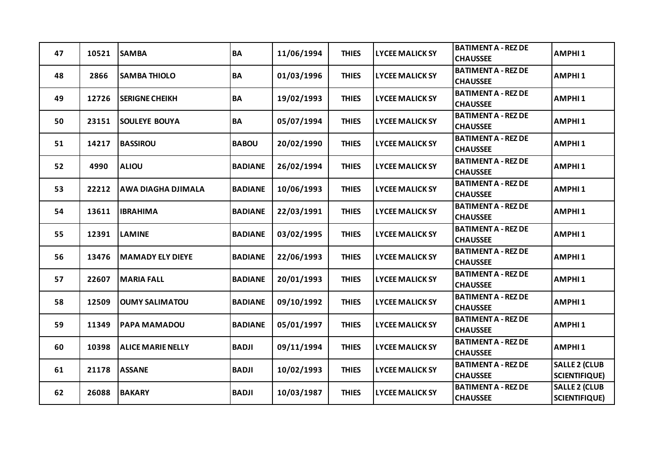| 47 | 10521 | <b>SAMBA</b>             | BA             | 11/06/1994 | <b>THIES</b> | <b>LYCEE MALICK SY</b> | <b>BATIMENT A - REZ DE</b><br><b>CHAUSSEE</b> | <b>AMPHI1</b>                                |
|----|-------|--------------------------|----------------|------------|--------------|------------------------|-----------------------------------------------|----------------------------------------------|
| 48 | 2866  | <b>SAMBA THIOLO</b>      | BA             | 01/03/1996 | <b>THIES</b> | <b>LYCEE MALICK SY</b> | <b>BATIMENT A - REZ DE</b><br><b>CHAUSSEE</b> | <b>AMPHI1</b>                                |
| 49 | 12726 | <b>SERIGNE CHEIKH</b>    | BA             | 19/02/1993 | <b>THIES</b> | <b>LYCEE MALICK SY</b> | <b>BATIMENT A - REZ DE</b><br><b>CHAUSSEE</b> | AMPHI <sub>1</sub>                           |
| 50 | 23151 | <b>SOULEYE BOUYA</b>     | <b>BA</b>      | 05/07/1994 | <b>THIES</b> | <b>LYCEE MALICK SY</b> | <b>BATIMENT A - REZ DE</b><br><b>CHAUSSEE</b> | <b>AMPHI1</b>                                |
| 51 | 14217 | <b>BASSIROU</b>          | <b>BABOU</b>   | 20/02/1990 | <b>THIES</b> | <b>LYCEE MALICK SY</b> | <b>BATIMENT A - REZ DE</b><br><b>CHAUSSEE</b> | <b>AMPHI1</b>                                |
| 52 | 4990  | <b>ALIOU</b>             | <b>BADIANE</b> | 26/02/1994 | <b>THIES</b> | <b>LYCEE MALICK SY</b> | <b>BATIMENT A - REZ DE</b><br><b>CHAUSSEE</b> | AMPHI <sub>1</sub>                           |
| 53 | 22212 | AWA DIAGHA DJIMALA       | <b>BADIANE</b> | 10/06/1993 | <b>THIES</b> | <b>LYCEE MALICK SY</b> | <b>BATIMENT A - REZ DE</b><br><b>CHAUSSEE</b> | <b>AMPHI1</b>                                |
| 54 | 13611 | <b>IBRAHIMA</b>          | <b>BADIANE</b> | 22/03/1991 | <b>THIES</b> | <b>LYCEE MALICK SY</b> | <b>BATIMENT A - REZ DE</b><br><b>CHAUSSEE</b> | <b>AMPHI1</b>                                |
| 55 | 12391 | <b>LAMINE</b>            | <b>BADIANE</b> | 03/02/1995 | <b>THIES</b> | <b>LYCEE MALICK SY</b> | <b>BATIMENT A - REZ DE</b><br><b>CHAUSSEE</b> | AMPHI <sub>1</sub>                           |
| 56 | 13476 | <b>MAMADY ELY DIEYE</b>  | <b>BADIANE</b> | 22/06/1993 | <b>THIES</b> | <b>LYCEE MALICK SY</b> | <b>BATIMENT A - REZ DE</b><br><b>CHAUSSEE</b> | <b>AMPHI1</b>                                |
| 57 | 22607 | <b>MARIA FALL</b>        | <b>BADIANE</b> | 20/01/1993 | <b>THIES</b> | <b>LYCEE MALICK SY</b> | <b>BATIMENT A - REZ DE</b><br><b>CHAUSSEE</b> | AMPHI <sub>1</sub>                           |
| 58 | 12509 | <b>OUMY SALIMATOU</b>    | <b>BADIANE</b> | 09/10/1992 | <b>THIES</b> | <b>LYCEE MALICK SY</b> | <b>BATIMENT A - REZ DE</b><br><b>CHAUSSEE</b> | AMPHI <sub>1</sub>                           |
| 59 | 11349 | <b>PAPA MAMADOU</b>      | <b>BADIANE</b> | 05/01/1997 | <b>THIES</b> | <b>LYCEE MALICK SY</b> | <b>BATIMENT A - REZ DE</b><br><b>CHAUSSEE</b> | <b>AMPHI1</b>                                |
| 60 | 10398 | <b>ALICE MARIE NELLY</b> | <b>BADJI</b>   | 09/11/1994 | <b>THIES</b> | <b>LYCEE MALICK SY</b> | <b>BATIMENT A - REZ DE</b><br><b>CHAUSSEE</b> | <b>AMPHI1</b>                                |
| 61 | 21178 | <b>ASSANE</b>            | <b>BADJI</b>   | 10/02/1993 | <b>THIES</b> | <b>LYCEE MALICK SY</b> | <b>BATIMENT A - REZ DE</b><br><b>CHAUSSEE</b> | <b>SALLE 2 (CLUB</b><br><b>SCIENTIFIQUE)</b> |
| 62 | 26088 | <b>BAKARY</b>            | <b>BADJI</b>   | 10/03/1987 | <b>THIES</b> | <b>LYCEE MALICK SY</b> | <b>BATIMENT A - REZ DE</b><br><b>CHAUSSEE</b> | <b>SALLE 2 (CLUB</b><br><b>SCIENTIFIQUE)</b> |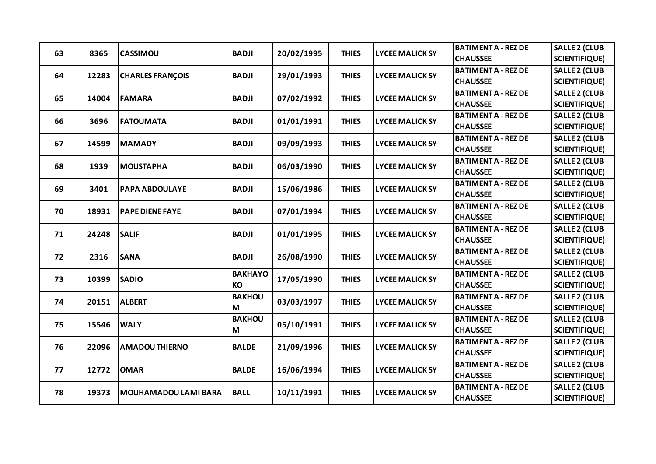|    |       |                             | <b>BADJI</b>   | 20/02/1995 |              |                        | <b>BATIMENT A - REZ DE</b> | <b>SALLE 2 (CLUB</b> |
|----|-------|-----------------------------|----------------|------------|--------------|------------------------|----------------------------|----------------------|
| 63 | 8365  | <b>CASSIMOU</b>             |                |            | <b>THIES</b> | <b>LYCEE MALICK SY</b> | <b>CHAUSSEE</b>            | <b>SCIENTIFIQUE)</b> |
| 64 | 12283 | <b>CHARLES FRANÇOIS</b>     | <b>BADJI</b>   | 29/01/1993 | <b>THIES</b> | <b>LYCEE MALICK SY</b> | <b>BATIMENT A - REZ DE</b> | <b>SALLE 2 (CLUB</b> |
|    |       |                             |                |            |              |                        | <b>CHAUSSEE</b>            | <b>SCIENTIFIQUE)</b> |
| 65 | 14004 | <b>FAMARA</b>               | <b>BADJI</b>   | 07/02/1992 | <b>THIES</b> | <b>LYCEE MALICK SY</b> | <b>BATIMENT A - REZ DE</b> | <b>SALLE 2 (CLUB</b> |
|    |       |                             |                |            |              |                        | <b>CHAUSSEE</b>            | <b>SCIENTIFIQUE)</b> |
| 66 | 3696  | <b>FATOUMATA</b>            | <b>BADJI</b>   | 01/01/1991 | <b>THIES</b> | <b>LYCEE MALICK SY</b> | <b>BATIMENT A - REZ DE</b> | <b>SALLE 2 (CLUB</b> |
|    |       |                             |                |            |              |                        | <b>CHAUSSEE</b>            | <b>SCIENTIFIQUE)</b> |
| 67 | 14599 | <b>MAMADY</b>               | <b>BADJI</b>   | 09/09/1993 | <b>THIES</b> | <b>LYCEE MALICK SY</b> | <b>BATIMENT A - REZ DE</b> | <b>SALLE 2 (CLUB</b> |
|    |       |                             |                |            |              |                        | <b>CHAUSSEE</b>            | <b>SCIENTIFIQUE)</b> |
| 68 | 1939  | <b>MOUSTAPHA</b>            | <b>BADJI</b>   | 06/03/1990 | <b>THIES</b> | <b>LYCEE MALICK SY</b> | <b>BATIMENT A - REZ DE</b> | <b>SALLE 2 (CLUB</b> |
|    |       |                             |                |            |              |                        | <b>CHAUSSEE</b>            | <b>SCIENTIFIQUE)</b> |
| 69 | 3401  | PAPA ABDOULAYE              | <b>BADJI</b>   | 15/06/1986 | <b>THIES</b> | <b>LYCEE MALICK SY</b> | <b>BATIMENT A - REZ DE</b> | <b>SALLE 2 (CLUB</b> |
|    |       |                             |                |            |              |                        | <b>CHAUSSEE</b>            | <b>SCIENTIFIQUE)</b> |
| 70 | 18931 | <b>PAPE DIENE FAYE</b>      | <b>BADJI</b>   | 07/01/1994 | <b>THIES</b> | <b>LYCEE MALICK SY</b> | <b>BATIMENT A - REZ DE</b> | <b>SALLE 2 (CLUB</b> |
|    |       |                             |                |            |              |                        | <b>CHAUSSEE</b>            | <b>SCIENTIFIQUE)</b> |
| 71 | 24248 | <b>SALIF</b>                | <b>BADJI</b>   | 01/01/1995 | <b>THIES</b> | <b>LYCEE MALICK SY</b> | <b>BATIMENT A - REZ DE</b> | <b>SALLE 2 (CLUB</b> |
|    |       |                             |                |            |              |                        | <b>CHAUSSEE</b>            | <b>SCIENTIFIQUE)</b> |
| 72 | 2316  | <b>SANA</b>                 | <b>BADJI</b>   | 26/08/1990 | <b>THIES</b> | <b>LYCEE MALICK SY</b> | <b>BATIMENT A - REZ DE</b> | <b>SALLE 2 (CLUB</b> |
|    |       |                             |                |            |              |                        | <b>CHAUSSEE</b>            | <b>SCIENTIFIQUE)</b> |
| 73 | 10399 | <b>SADIO</b>                | <b>BAKHAYO</b> | 17/05/1990 | <b>THIES</b> | <b>LYCEE MALICK SY</b> | <b>BATIMENT A - REZ DE</b> | <b>SALLE 2 (CLUB</b> |
|    |       |                             | KO             |            |              |                        | <b>CHAUSSEE</b>            | <b>SCIENTIFIQUE)</b> |
| 74 | 20151 | <b>ALBERT</b>               | <b>BAKHOU</b>  | 03/03/1997 | <b>THIES</b> | <b>LYCEE MALICK SY</b> | <b>BATIMENT A - REZ DE</b> | <b>SALLE 2 (CLUB</b> |
|    |       |                             | M              |            |              |                        | <b>CHAUSSEE</b>            | <b>SCIENTIFIQUE)</b> |
| 75 | 15546 | <b>WALY</b>                 | <b>BAKHOU</b>  | 05/10/1991 | <b>THIES</b> | <b>LYCEE MALICK SY</b> | <b>BATIMENT A - REZ DE</b> | <b>SALLE 2 (CLUB</b> |
|    |       |                             | M              |            |              |                        | <b>CHAUSSEE</b>            | <b>SCIENTIFIQUE)</b> |
| 76 | 22096 | <b>AMADOU THIERNO</b>       | <b>BALDE</b>   | 21/09/1996 | <b>THIES</b> | <b>LYCEE MALICK SY</b> | <b>BATIMENT A - REZ DE</b> | <b>SALLE 2 (CLUB</b> |
|    |       |                             |                |            |              |                        | <b>CHAUSSEE</b>            | <b>SCIENTIFIQUE)</b> |
| 77 | 12772 | <b>OMAR</b>                 | <b>BALDE</b>   | 16/06/1994 | <b>THIES</b> | <b>LYCEE MALICK SY</b> | <b>BATIMENT A - REZ DE</b> | <b>SALLE 2 (CLUB</b> |
|    |       |                             |                |            |              |                        | <b>CHAUSSEE</b>            | <b>SCIENTIFIQUE)</b> |
| 78 | 19373 | <b>MOUHAMADOU LAMI BARA</b> | <b>BALL</b>    | 10/11/1991 | <b>THIES</b> | <b>LYCEE MALICK SY</b> | <b>BATIMENT A - REZ DE</b> | <b>SALLE 2 (CLUB</b> |
|    |       |                             |                |            |              |                        | <b>CHAUSSEE</b>            | <b>SCIENTIFIQUE)</b> |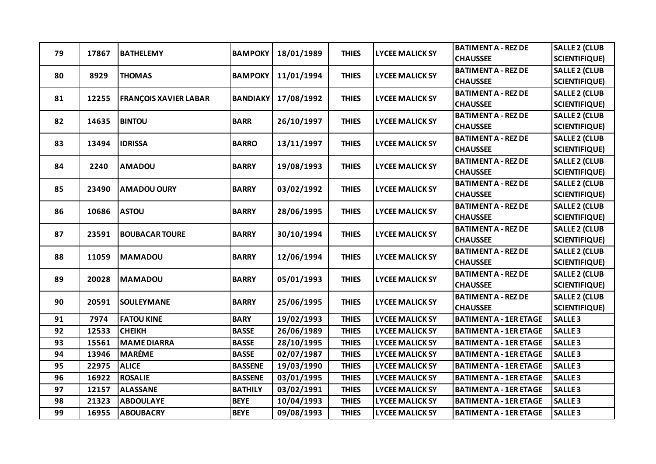| 79 | 17867 | <b>BATHELEMY</b>             | <b>BAMPOKY</b>  | 18/01/1989 | <b>THIES</b> | <b>LYCEE MALICK SY</b> | <b>BATIMENT A - REZ DE</b>    | <b>SALLE 2 (CLUB</b> |
|----|-------|------------------------------|-----------------|------------|--------------|------------------------|-------------------------------|----------------------|
|    |       |                              |                 |            |              |                        | <b>CHAUSSEE</b>               | <b>SCIENTIFIQUE)</b> |
| 80 | 8929  | <b>THOMAS</b>                | <b>BAMPOKY</b>  | 11/01/1994 | <b>THIES</b> | <b>LYCEE MALICK SY</b> | <b>BATIMENT A - REZ DE</b>    | <b>SALLE 2 (CLUB</b> |
|    |       |                              |                 |            |              |                        | <b>CHAUSSEE</b>               | <b>SCIENTIFIQUE)</b> |
| 81 | 12255 | <b>FRANÇOIS XAVIER LABAR</b> | <b>BANDIAKY</b> | 17/08/1992 | <b>THIES</b> | <b>LYCEE MALICK SY</b> | <b>BATIMENT A - REZ DE</b>    | <b>SALLE 2 (CLUB</b> |
|    |       |                              |                 |            |              |                        | <b>CHAUSSEE</b>               | <b>SCIENTIFIQUE)</b> |
| 82 | 14635 | <b>BINTOU</b>                | <b>BARR</b>     | 26/10/1997 | <b>THIES</b> | <b>LYCEE MALICK SY</b> | <b>BATIMENT A - REZ DE</b>    | <b>SALLE 2 (CLUB</b> |
|    |       |                              |                 |            |              |                        | <b>CHAUSSEE</b>               | <b>SCIENTIFIQUE)</b> |
| 83 | 13494 | <b>IDRISSA</b>               | <b>BARRO</b>    | 13/11/1997 | <b>THIES</b> | <b>LYCEE MALICK SY</b> | <b>BATIMENT A - REZ DE</b>    | <b>SALLE 2 (CLUB</b> |
|    |       |                              |                 |            |              |                        | <b>CHAUSSEE</b>               | <b>SCIENTIFIQUE)</b> |
| 84 | 2240  | <b>AMADOU</b>                | <b>BARRY</b>    | 19/08/1993 | <b>THIES</b> | <b>LYCEE MALICK SY</b> | <b>BATIMENT A - REZ DE</b>    | <b>SALLE 2 (CLUB</b> |
|    |       |                              |                 |            |              |                        | <b>CHAUSSEE</b>               | <b>SCIENTIFIQUE)</b> |
| 85 | 23490 | <b>AMADOU OURY</b>           | <b>BARRY</b>    | 03/02/1992 | <b>THIES</b> | <b>LYCEE MALICK SY</b> | <b>BATIMENT A - REZ DE</b>    | <b>SALLE 2 (CLUB</b> |
|    |       |                              |                 |            |              |                        | <b>CHAUSSEE</b>               | <b>SCIENTIFIQUE)</b> |
| 86 | 10686 | <b>ASTOU</b>                 | <b>BARRY</b>    | 28/06/1995 | <b>THIES</b> | <b>LYCEE MALICK SY</b> | <b>BATIMENT A - REZ DE</b>    | <b>SALLE 2 (CLUB</b> |
|    |       |                              |                 |            |              |                        | <b>CHAUSSEE</b>               | <b>SCIENTIFIQUE)</b> |
| 87 | 23591 | <b>BOUBACAR TOURE</b>        | <b>BARRY</b>    | 30/10/1994 | <b>THIES</b> | <b>LYCEE MALICK SY</b> | <b>BATIMENT A - REZ DE</b>    | <b>SALLE 2 (CLUB</b> |
|    |       |                              |                 |            |              |                        | <b>CHAUSSEE</b>               | <b>SCIENTIFIQUE)</b> |
| 88 | 11059 | <b>MAMADOU</b>               | <b>BARRY</b>    | 12/06/1994 | <b>THIES</b> | <b>LYCEE MALICK SY</b> | <b>BATIMENT A - REZ DE</b>    | <b>SALLE 2 (CLUB</b> |
|    |       |                              |                 |            |              |                        | <b>CHAUSSEE</b>               | <b>SCIENTIFIQUE)</b> |
| 89 | 20028 | <b>MAMADOU</b>               | <b>BARRY</b>    | 05/01/1993 | <b>THIES</b> | <b>LYCEE MALICK SY</b> | <b>BATIMENT A - REZ DE</b>    | <b>SALLE 2 (CLUB</b> |
|    |       |                              |                 |            |              |                        | <b>CHAUSSEE</b>               | <b>SCIENTIFIQUE)</b> |
| 90 | 20591 | <b>SOULEYMANE</b>            | <b>BARRY</b>    | 25/06/1995 | <b>THIES</b> | <b>LYCEE MALICK SY</b> | <b>BATIMENT A - REZ DE</b>    | <b>SALLE 2 (CLUB</b> |
|    |       |                              |                 |            |              |                        | <b>CHAUSSEE</b>               | <b>SCIENTIFIQUE)</b> |
| 91 | 7974  | <b>FATOU KINE</b>            | <b>BARY</b>     | 19/02/1993 | <b>THIES</b> | <b>LYCEE MALICK SY</b> | <b>BATIMENT A - 1ER ETAGE</b> | <b>SALLE 3</b>       |
| 92 | 12533 | <b>CHEIKH</b>                | <b>BASSE</b>    | 26/06/1989 | <b>THIES</b> | <b>LYCEE MALICK SY</b> | <b>BATIMENT A - 1ER ETAGE</b> | <b>SALLE 3</b>       |
| 93 | 15561 | <b>MAME DIARRA</b>           | <b>BASSE</b>    | 28/10/1995 | <b>THIES</b> | <b>LYCEE MALICK SY</b> | <b>BATIMENT A - 1ER ETAGE</b> | <b>SALLE 3</b>       |
| 94 | 13946 | <b>MARÉME</b>                | <b>BASSE</b>    | 02/07/1987 | <b>THIES</b> | <b>LYCEE MALICK SY</b> | <b>BATIMENT A - 1ER ETAGE</b> | <b>SALLE3</b>        |
| 95 | 22975 | <b>ALICE</b>                 | <b>BASSENE</b>  | 19/03/1990 | <b>THIES</b> | <b>LYCEE MALICK SY</b> | <b>BATIMENT A - 1ER ETAGE</b> | <b>SALLE 3</b>       |
| 96 | 16922 | <b>ROSALIE</b>               | <b>BASSENE</b>  | 03/01/1995 | <b>THIES</b> | <b>LYCEE MALICK SY</b> | <b>BATIMENT A - 1ER ETAGE</b> | <b>SALLE3</b>        |
| 97 | 12157 | <b>ALASSANE</b>              | <b>BATHILY</b>  | 03/02/1991 | <b>THIES</b> | <b>LYCEE MALICK SY</b> | <b>BATIMENT A - 1ER ETAGE</b> | <b>SALLE3</b>        |
| 98 | 21323 | <b>ABDOULAYE</b>             | <b>BEYE</b>     | 10/04/1993 | <b>THIES</b> | <b>LYCEE MALICK SY</b> | <b>BATIMENT A - 1ER ETAGE</b> | <b>SALLE 3</b>       |
| 99 | 16955 | <b>ABOUBACRY</b>             | <b>BEYE</b>     | 09/08/1993 | <b>THIES</b> | <b>LYCEE MALICK SY</b> | <b>BATIMENT A - 1ER ETAGE</b> | <b>SALLE3</b>        |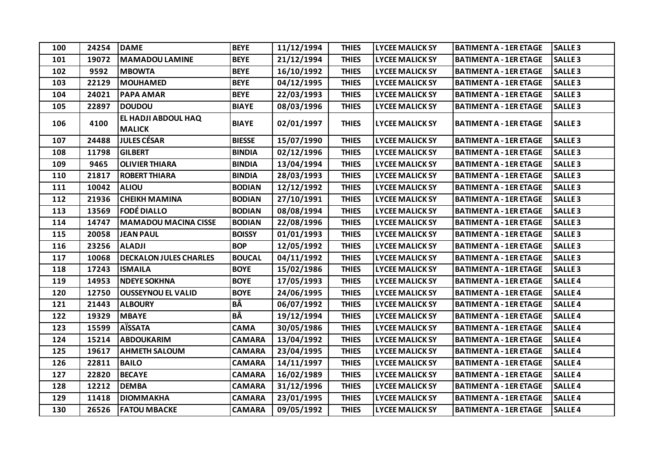| 100 | 24254 | <b>DAME</b>                          | <b>BEYE</b>   | 11/12/1994 | <b>THIES</b> | <b>LYCEE MALICK SY</b> | <b>BATIMENT A - 1ER ETAGE</b> | <b>SALLE 3</b> |
|-----|-------|--------------------------------------|---------------|------------|--------------|------------------------|-------------------------------|----------------|
| 101 | 19072 | <b>MAMADOU LAMINE</b>                | <b>BEYE</b>   | 21/12/1994 | <b>THIES</b> | <b>LYCEE MALICK SY</b> | <b>BATIMENT A - 1ER ETAGE</b> | <b>SALLE3</b>  |
| 102 | 9592  | <b>MBOWTA</b>                        | <b>BEYE</b>   | 16/10/1992 | <b>THIES</b> | <b>LYCEE MALICK SY</b> | <b>BATIMENT A - 1ER ETAGE</b> | <b>SALLE3</b>  |
| 103 | 22129 | <b>MOUHAMED</b>                      | <b>BEYE</b>   | 04/12/1995 | <b>THIES</b> | <b>LYCEE MALICK SY</b> | <b>BATIMENT A - 1ER ETAGE</b> | <b>SALLE3</b>  |
| 104 | 24021 | <b>PAPA AMAR</b>                     | <b>BEYE</b>   | 22/03/1993 | <b>THIES</b> | <b>LYCEE MALICK SY</b> | <b>BATIMENT A - 1ER ETAGE</b> | <b>SALLE3</b>  |
| 105 | 22897 | <b>DOUDOU</b>                        | <b>BIAYE</b>  | 08/03/1996 | <b>THIES</b> | <b>LYCEE MALICK SY</b> | <b>BATIMENT A - 1ER ETAGE</b> | <b>SALLE3</b>  |
| 106 | 4100  | EL HADJI ABDOUL HAQ<br><b>MALICK</b> | <b>BIAYE</b>  | 02/01/1997 | <b>THIES</b> | <b>LYCEE MALICK SY</b> | <b>BATIMENT A - 1ER ETAGE</b> | <b>SALLE 3</b> |
| 107 | 24488 | <b>JULES CÉSAR</b>                   | <b>BIESSE</b> | 15/07/1990 | <b>THIES</b> | <b>LYCEE MALICK SY</b> | <b>BATIMENT A - 1ER ETAGE</b> | <b>SALLE 3</b> |
| 108 | 11798 | <b>GILBERT</b>                       | <b>BINDIA</b> | 02/12/1996 | <b>THIES</b> | <b>LYCEE MALICK SY</b> | <b>BATIMENT A - 1ER ETAGE</b> | <b>SALLE 3</b> |
| 109 | 9465  | <b>OLIVIER THIARA</b>                | <b>BINDIA</b> | 13/04/1994 | <b>THIES</b> | <b>LYCEE MALICK SY</b> | <b>BATIMENT A - 1ER ETAGE</b> | <b>SALLE 3</b> |
| 110 | 21817 | <b>ROBERT THIARA</b>                 | <b>BINDIA</b> | 28/03/1993 | <b>THIES</b> | <b>LYCEE MALICK SY</b> | <b>BATIMENT A - 1ER ETAGE</b> | <b>SALLE3</b>  |
| 111 | 10042 | <b>ALIOU</b>                         | <b>BODIAN</b> | 12/12/1992 | <b>THIES</b> | <b>LYCEE MALICK SY</b> | <b>BATIMENT A - 1ER ETAGE</b> | <b>SALLE 3</b> |
| 112 | 21936 | <b>CHEIKH MAMINA</b>                 | <b>BODIAN</b> | 27/10/1991 | <b>THIES</b> | <b>LYCEE MALICK SY</b> | <b>BATIMENT A - 1ER ETAGE</b> | <b>SALLE 3</b> |
| 113 | 13569 | <b>FODÉ DIALLO</b>                   | <b>BODIAN</b> | 08/08/1994 | <b>THIES</b> | <b>LYCEE MALICK SY</b> | <b>BATIMENT A - 1ER ETAGE</b> | <b>SALLE3</b>  |
| 114 | 14747 | <b>MAMADOU MACINA CISSE</b>          | <b>BODIAN</b> | 22/08/1996 | <b>THIES</b> | <b>LYCEE MALICK SY</b> | <b>BATIMENT A - 1ER ETAGE</b> | <b>SALLE 3</b> |
| 115 | 20058 | <b>JEAN PAUL</b>                     | <b>BOISSY</b> | 01/01/1993 | <b>THIES</b> | <b>LYCEE MALICK SY</b> | <b>BATIMENT A - 1ER ETAGE</b> | <b>SALLE 3</b> |
| 116 | 23256 | <b>ALADJI</b>                        | <b>BOP</b>    | 12/05/1992 | <b>THIES</b> | <b>LYCEE MALICK SY</b> | <b>BATIMENT A - 1ER ETAGE</b> | <b>SALLE 3</b> |
| 117 | 10068 | <b>DECKALON JULES CHARLES</b>        | <b>BOUCAL</b> | 04/11/1992 | <b>THIES</b> | <b>LYCEE MALICK SY</b> | <b>BATIMENT A - 1ER ETAGE</b> | <b>SALLE 3</b> |
| 118 | 17243 | <b>ISMAILA</b>                       | <b>BOYE</b>   | 15/02/1986 | <b>THIES</b> | <b>LYCEE MALICK SY</b> | <b>BATIMENT A - 1ER ETAGE</b> | <b>SALLE3</b>  |
| 119 | 14953 | <b>NDEYE SOKHNA</b>                  | <b>BOYE</b>   | 17/05/1993 | <b>THIES</b> | <b>LYCEE MALICK SY</b> | <b>BATIMENT A - 1ER ETAGE</b> | <b>SALLE4</b>  |
| 120 | 12750 | <b>OUSSEYNOU EL VALID</b>            | <b>BOYE</b>   | 24/06/1995 | <b>THIES</b> | <b>LYCEE MALICK SY</b> | <b>BATIMENT A - 1ER ETAGE</b> | <b>SALLE4</b>  |
| 121 | 21443 | <b>ALBOURY</b>                       | BÂ            | 06/07/1992 | <b>THIES</b> | <b>LYCEE MALICK SY</b> | <b>BATIMENT A - 1ER ETAGE</b> | <b>SALLE4</b>  |
| 122 | 19329 | <b>MBAYE</b>                         | BÂ            | 19/12/1994 | <b>THIES</b> | <b>LYCEE MALICK SY</b> | <b>BATIMENT A - 1ER ETAGE</b> | <b>SALLE4</b>  |
| 123 | 15599 | <b>AÏSSATA</b>                       | <b>CAMA</b>   | 30/05/1986 | <b>THIES</b> | <b>LYCEE MALICK SY</b> | <b>BATIMENT A - 1ER ETAGE</b> | <b>SALLE4</b>  |
| 124 | 15214 | <b>ABDOUKARIM</b>                    | <b>CAMARA</b> | 13/04/1992 | <b>THIES</b> | <b>LYCEE MALICK SY</b> | <b>BATIMENT A - 1ER ETAGE</b> | <b>SALLE4</b>  |
| 125 | 19617 | <b>AHMETH SALOUM</b>                 | <b>CAMARA</b> | 23/04/1995 | <b>THIES</b> | <b>LYCEE MALICK SY</b> | <b>BATIMENT A - 1ER ETAGE</b> | <b>SALLE4</b>  |
| 126 | 22811 | <b>BAILO</b>                         | <b>CAMARA</b> | 14/11/1997 | <b>THIES</b> | <b>LYCEE MALICK SY</b> | <b>BATIMENT A - 1ER ETAGE</b> | <b>SALLE4</b>  |
| 127 | 22820 | <b>BECAYE</b>                        | <b>CAMARA</b> | 16/02/1989 | <b>THIES</b> | <b>LYCEE MALICK SY</b> | <b>BATIMENT A - 1ER ETAGE</b> | <b>SALLE4</b>  |
| 128 | 12212 | <b>DEMBA</b>                         | <b>CAMARA</b> | 31/12/1996 | <b>THIES</b> | <b>LYCEE MALICK SY</b> | <b>BATIMENT A - 1ER ETAGE</b> | <b>SALLE4</b>  |
| 129 | 11418 | <b>DIOMMAKHA</b>                     | <b>CAMARA</b> | 23/01/1995 | <b>THIES</b> | <b>LYCEE MALICK SY</b> | <b>BATIMENT A - 1ER ETAGE</b> | <b>SALLE4</b>  |
| 130 | 26526 | <b>FATOU MBACKE</b>                  | <b>CAMARA</b> | 09/05/1992 | <b>THIES</b> | <b>LYCEE MALICK SY</b> | <b>BATIMENT A - 1ER ETAGE</b> | <b>SALLE4</b>  |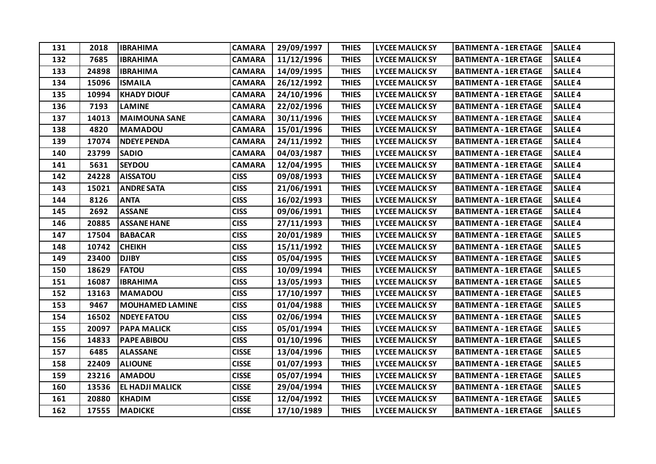| 131 | 2018  | <b>IBRAHIMA</b>        | <b>CAMARA</b> | 29/09/1997 | <b>THIES</b> | <b>LYCEE MALICK SY</b> | <b>BATIMENT A - 1ER ETAGE</b> | <b>SALLE4</b>  |
|-----|-------|------------------------|---------------|------------|--------------|------------------------|-------------------------------|----------------|
| 132 | 7685  | <b>IBRAHIMA</b>        | <b>CAMARA</b> | 11/12/1996 | <b>THIES</b> | <b>LYCEE MALICK SY</b> | <b>BATIMENT A - 1ER ETAGE</b> | <b>SALLE4</b>  |
| 133 | 24898 | <b>IBRAHIMA</b>        | <b>CAMARA</b> | 14/09/1995 | <b>THIES</b> | <b>LYCEE MALICK SY</b> | <b>BATIMENT A - 1ER ETAGE</b> | <b>SALLE4</b>  |
| 134 | 15096 | <b>ISMAILA</b>         | <b>CAMARA</b> | 26/12/1992 | <b>THIES</b> | <b>LYCEE MALICK SY</b> | <b>BATIMENT A - 1ER ETAGE</b> | <b>SALLE4</b>  |
| 135 | 10994 | <b>KHADY DIOUF</b>     | <b>CAMARA</b> | 24/10/1996 | <b>THIES</b> | <b>LYCEE MALICK SY</b> | <b>BATIMENT A - 1ER ETAGE</b> | <b>SALLE4</b>  |
| 136 | 7193  | <b>LAMINE</b>          | <b>CAMARA</b> | 22/02/1996 | <b>THIES</b> | <b>LYCEE MALICK SY</b> | <b>BATIMENT A - 1ER ETAGE</b> | <b>SALLE4</b>  |
| 137 | 14013 | <b>MAIMOUNA SANE</b>   | <b>CAMARA</b> | 30/11/1996 | <b>THIES</b> | <b>LYCEE MALICK SY</b> | <b>BATIMENT A - 1ER ETAGE</b> | <b>SALLE4</b>  |
| 138 | 4820  | <b>MAMADOU</b>         | <b>CAMARA</b> | 15/01/1996 | <b>THIES</b> | <b>LYCEE MALICK SY</b> | <b>BATIMENT A - 1ER ETAGE</b> | <b>SALLE4</b>  |
| 139 | 17074 | <b>NDEYE PENDA</b>     | <b>CAMARA</b> | 24/11/1992 | <b>THIES</b> | <b>LYCEE MALICK SY</b> | <b>BATIMENT A - 1ER ETAGE</b> | <b>SALLE4</b>  |
| 140 | 23799 | <b>SADIO</b>           | <b>CAMARA</b> | 04/03/1987 | <b>THIES</b> | <b>LYCEE MALICK SY</b> | <b>BATIMENT A - 1ER ETAGE</b> | <b>SALLE4</b>  |
| 141 | 5631  | <b>SEYDOU</b>          | <b>CAMARA</b> | 12/04/1995 | <b>THIES</b> | <b>LYCEE MALICK SY</b> | <b>BATIMENT A - 1ER ETAGE</b> | <b>SALLE4</b>  |
| 142 | 24228 | <b>AISSATOU</b>        | <b>CISS</b>   | 09/08/1993 | <b>THIES</b> | <b>LYCEE MALICK SY</b> | <b>BATIMENT A - 1ER ETAGE</b> | <b>SALLE4</b>  |
| 143 | 15021 | <b>ANDRE SATA</b>      | <b>CISS</b>   | 21/06/1991 | <b>THIES</b> | <b>LYCEE MALICK SY</b> | <b>BATIMENT A - 1ER ETAGE</b> | <b>SALLE4</b>  |
| 144 | 8126  | <b>ANTA</b>            | <b>CISS</b>   | 16/02/1993 | <b>THIES</b> | <b>LYCEE MALICK SY</b> | <b>BATIMENT A - 1ER ETAGE</b> | <b>SALLE4</b>  |
| 145 | 2692  | <b>ASSANE</b>          | <b>CISS</b>   | 09/06/1991 | <b>THIES</b> | <b>LYCEE MALICK SY</b> | <b>BATIMENT A - 1ER ETAGE</b> | <b>SALLE4</b>  |
| 146 | 20885 | <b>ASSANE HANE</b>     | <b>CISS</b>   | 27/11/1993 | <b>THIES</b> | <b>LYCEE MALICK SY</b> | <b>BATIMENT A - 1ER ETAGE</b> | <b>SALLE4</b>  |
| 147 | 17504 | <b>BABACAR</b>         | <b>CISS</b>   | 20/01/1989 | <b>THIES</b> | <b>LYCEE MALICK SY</b> | <b>BATIMENT A - 1ER ETAGE</b> | <b>SALLE 5</b> |
| 148 | 10742 | <b>CHEIKH</b>          | <b>CISS</b>   | 15/11/1992 | <b>THIES</b> | <b>LYCEE MALICK SY</b> | <b>BATIMENT A - 1ER ETAGE</b> | <b>SALLE 5</b> |
| 149 | 23400 | <b>DJIBY</b>           | <b>CISS</b>   | 05/04/1995 | <b>THIES</b> | <b>LYCEE MALICK SY</b> | <b>BATIMENT A - 1ER ETAGE</b> | <b>SALLE 5</b> |
| 150 | 18629 | <b>FATOU</b>           | <b>CISS</b>   | 10/09/1994 | <b>THIES</b> | <b>LYCEE MALICK SY</b> | <b>BATIMENT A - 1ER ETAGE</b> | <b>SALLE 5</b> |
| 151 | 16087 | <b>IBRAHIMA</b>        | <b>CISS</b>   | 13/05/1993 | <b>THIES</b> | <b>LYCEE MALICK SY</b> | <b>BATIMENT A - 1ER ETAGE</b> | <b>SALLE 5</b> |
| 152 | 13163 | <b>MAMADOU</b>         | <b>CISS</b>   | 17/10/1997 | <b>THIES</b> | <b>LYCEE MALICK SY</b> | <b>BATIMENT A - 1ER ETAGE</b> | <b>SALLE 5</b> |
| 153 | 9467  | <b>MOUHAMED LAMINE</b> | <b>CISS</b>   | 01/04/1988 | <b>THIES</b> | <b>LYCEE MALICK SY</b> | <b>BATIMENT A - 1ER ETAGE</b> | <b>SALLE 5</b> |
| 154 | 16502 | <b>NDEYE FATOU</b>     | <b>CISS</b>   | 02/06/1994 | <b>THIES</b> | <b>LYCEE MALICK SY</b> | <b>BATIMENT A - 1ER ETAGE</b> | <b>SALLE 5</b> |
| 155 | 20097 | <b>PAPA MALICK</b>     | <b>CISS</b>   | 05/01/1994 | <b>THIES</b> | <b>LYCEE MALICK SY</b> | <b>BATIMENT A - 1ER ETAGE</b> | <b>SALLE 5</b> |
| 156 | 14833 | <b>PAPE ABIBOU</b>     | <b>CISS</b>   | 01/10/1996 | <b>THIES</b> | <b>LYCEE MALICK SY</b> | <b>BATIMENT A - 1ER ETAGE</b> | <b>SALLE 5</b> |
| 157 | 6485  | <b>ALASSANE</b>        | <b>CISSE</b>  | 13/04/1996 | <b>THIES</b> | <b>LYCEE MALICK SY</b> | <b>BATIMENT A - 1ER ETAGE</b> | <b>SALLE 5</b> |
| 158 | 22409 | <b>ALIOUNE</b>         | <b>CISSE</b>  | 01/07/1993 | <b>THIES</b> | <b>LYCEE MALICK SY</b> | <b>BATIMENT A - 1ER ETAGE</b> | <b>SALLE 5</b> |
| 159 | 23216 | <b>AMADOU</b>          | <b>CISSE</b>  | 05/07/1994 | <b>THIES</b> | <b>LYCEE MALICK SY</b> | <b>BATIMENT A - 1ER ETAGE</b> | <b>SALLE 5</b> |
| 160 | 13536 | EL HADJI MALICK        | <b>CISSE</b>  | 29/04/1994 | <b>THIES</b> | <b>LYCEE MALICK SY</b> | <b>BATIMENT A - 1ER ETAGE</b> | <b>SALLE 5</b> |
| 161 | 20880 | <b>KHADIM</b>          | <b>CISSE</b>  | 12/04/1992 | <b>THIES</b> | <b>LYCEE MALICK SY</b> | <b>BATIMENT A - 1ER ETAGE</b> | <b>SALLE 5</b> |
| 162 | 17555 | <b>MADICKE</b>         | <b>CISSE</b>  | 17/10/1989 | <b>THIES</b> | <b>LYCEE MALICK SY</b> | <b>BATIMENT A - 1ER ETAGE</b> | <b>SALLE 5</b> |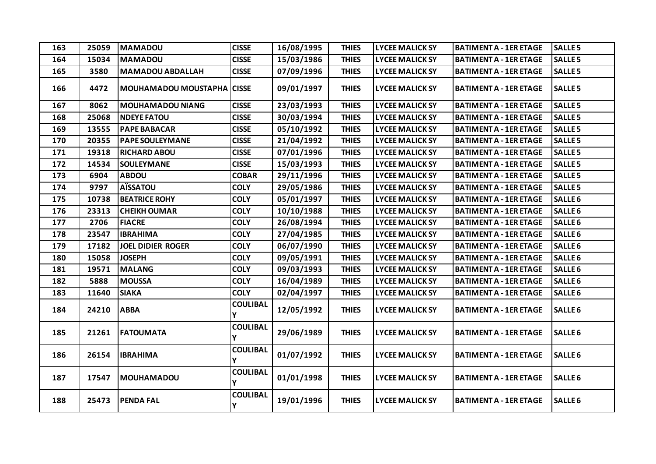| 163 | 25059 | <b>MAMADOU</b>                    | <b>CISSE</b>         | 16/08/1995 | <b>THIES</b> | <b>LYCEE MALICK SY</b> | <b>BATIMENT A - 1ER ETAGE</b> | <b>SALLE 5</b>     |
|-----|-------|-----------------------------------|----------------------|------------|--------------|------------------------|-------------------------------|--------------------|
| 164 | 15034 | <b>MAMADOU</b>                    | <b>CISSE</b>         | 15/03/1986 | <b>THIES</b> | <b>LYCEE MALICK SY</b> | <b>BATIMENT A - 1ER ETAGE</b> | <b>SALLE 5</b>     |
| 165 | 3580  | <b>MAMADOU ABDALLAH</b>           | <b>CISSE</b>         | 07/09/1996 | <b>THIES</b> | <b>LYCEE MALICK SY</b> | <b>BATIMENT A - 1ER ETAGE</b> | <b>SALLE 5</b>     |
| 166 | 4472  | <b>MOUHAMADOU MOUSTAPHA CISSE</b> |                      | 09/01/1997 | <b>THIES</b> | <b>LYCEE MALICK SY</b> | <b>BATIMENT A - 1ER ETAGE</b> | <b>SALLE 5</b>     |
| 167 | 8062  | <b>MOUHAMADOU NIANG</b>           | <b>CISSE</b>         | 23/03/1993 | <b>THIES</b> | <b>LYCEE MALICK SY</b> | <b>BATIMENT A - 1ER ETAGE</b> | <b>SALLE 5</b>     |
| 168 | 25068 | <b>NDEYE FATOU</b>                | <b>CISSE</b>         | 30/03/1994 | <b>THIES</b> | <b>LYCEE MALICK SY</b> | <b>BATIMENT A - 1ER ETAGE</b> | <b>SALLE 5</b>     |
| 169 | 13555 | <b>PAPE BABACAR</b>               | <b>CISSE</b>         | 05/10/1992 | <b>THIES</b> | <b>LYCEE MALICK SY</b> | <b>BATIMENT A - 1ER ETAGE</b> | <b>SALLE 5</b>     |
| 170 | 20355 | <b>PAPE SOULEYMANE</b>            | <b>CISSE</b>         | 21/04/1992 | <b>THIES</b> | <b>LYCEE MALICK SY</b> | <b>BATIMENT A - 1ER ETAGE</b> | <b>SALLE 5</b>     |
| 171 | 19318 | <b>RICHARD ABOU</b>               | <b>CISSE</b>         | 07/01/1996 | <b>THIES</b> | <b>LYCEE MALICK SY</b> | <b>BATIMENT A - 1ER ETAGE</b> | <b>SALLE 5</b>     |
| 172 | 14534 | <b>SOULEYMANE</b>                 | <b>CISSE</b>         | 15/03/1993 | <b>THIES</b> | <b>LYCEE MALICK SY</b> | <b>BATIMENT A - 1ER ETAGE</b> | <b>SALLE 5</b>     |
| 173 | 6904  | <b>ABDOU</b>                      | <b>COBAR</b>         | 29/11/1996 | <b>THIES</b> | <b>LYCEE MALICK SY</b> | <b>BATIMENT A - 1ER ETAGE</b> | <b>SALLE 5</b>     |
| 174 | 9797  | <b>AÏSSATOU</b>                   | <b>COLY</b>          | 29/05/1986 | <b>THIES</b> | <b>LYCEE MALICK SY</b> | <b>BATIMENT A - 1ER ETAGE</b> | <b>SALLE 5</b>     |
| 175 | 10738 | <b>BEATRICE ROHY</b>              | <b>COLY</b>          | 05/01/1997 | <b>THIES</b> | <b>LYCEE MALICK SY</b> | <b>BATIMENT A - 1ER ETAGE</b> | <b>SALLE 6</b>     |
| 176 | 23313 | <b>CHEIKH OUMAR</b>               | <b>COLY</b>          | 10/10/1988 | <b>THIES</b> | <b>LYCEE MALICK SY</b> | <b>BATIMENT A - 1ER ETAGE</b> | <b>SALLE6</b>      |
| 177 | 2706  | <b>FIACRE</b>                     | <b>COLY</b>          | 26/08/1994 | <b>THIES</b> | <b>LYCEE MALICK SY</b> | <b>BATIMENT A - 1ER ETAGE</b> | <b>SALLE6</b>      |
| 178 | 23547 | <b>IBRAHIMA</b>                   | <b>COLY</b>          | 27/04/1985 | <b>THIES</b> | <b>LYCEE MALICK SY</b> | <b>BATIMENT A - 1ER ETAGE</b> | <b>SALLE 6</b>     |
| 179 | 17182 | <b>JOEL DIDIER ROGER</b>          | <b>COLY</b>          | 06/07/1990 | <b>THIES</b> | <b>LYCEE MALICK SY</b> | <b>BATIMENT A - 1ER ETAGE</b> | SALLE <sub>6</sub> |
| 180 | 15058 | <b>JOSEPH</b>                     | <b>COLY</b>          | 09/05/1991 | <b>THIES</b> | <b>LYCEE MALICK SY</b> | <b>BATIMENT A - 1ER ETAGE</b> | <b>SALLE 6</b>     |
| 181 | 19571 | <b>MALANG</b>                     | <b>COLY</b>          | 09/03/1993 | <b>THIES</b> | <b>LYCEE MALICK SY</b> | <b>BATIMENT A - 1ER ETAGE</b> | SALLE <sub>6</sub> |
| 182 | 5888  | <b>MOUSSA</b>                     | <b>COLY</b>          | 16/04/1989 | <b>THIES</b> | <b>LYCEE MALICK SY</b> | <b>BATIMENT A - 1ER ETAGE</b> | SALLE <sub>6</sub> |
| 183 | 11640 | <b>SIAKA</b>                      | <b>COLY</b>          | 02/04/1997 | <b>THIES</b> | <b>LYCEE MALICK SY</b> | <b>BATIMENT A - 1ER ETAGE</b> | SALLE <sub>6</sub> |
| 184 | 24210 | <b>ABBA</b>                       | <b>COULIBAL</b><br>Y | 12/05/1992 | <b>THIES</b> | <b>LYCEE MALICK SY</b> | <b>BATIMENT A - 1ER ETAGE</b> | <b>SALLE 6</b>     |
| 185 | 21261 | <b>FATOUMATA</b>                  | <b>COULIBAL</b><br>Υ | 29/06/1989 | <b>THIES</b> | <b>LYCEE MALICK SY</b> | <b>BATIMENT A - 1ER ETAGE</b> | <b>SALLE 6</b>     |
| 186 | 26154 | <b>IBRAHIMA</b>                   | <b>COULIBAL</b><br>Υ | 01/07/1992 | <b>THIES</b> | <b>LYCEE MALICK SY</b> | <b>BATIMENT A - 1ER ETAGE</b> | SALLE <sub>6</sub> |
| 187 | 17547 | <b>MOUHAMADOU</b>                 | <b>COULIBAL</b><br>Y | 01/01/1998 | <b>THIES</b> | <b>LYCEE MALICK SY</b> | <b>BATIMENT A - 1ER ETAGE</b> | <b>SALLE 6</b>     |
| 188 | 25473 | <b>PENDA FAL</b>                  | <b>COULIBAL</b><br>Υ | 19/01/1996 | <b>THIES</b> | <b>LYCEE MALICK SY</b> | <b>BATIMENT A - 1ER ETAGE</b> | <b>SALLE 6</b>     |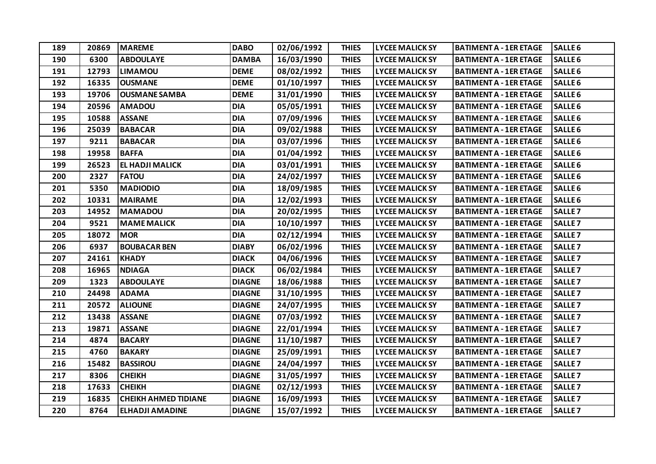| 189 | 20869 | <b>MAREME</b>               | <b>DABO</b>   | 02/06/1992 | <b>THIES</b> | <b>LYCEE MALICK SY</b> | <b>BATIMENT A - 1ER ETAGE</b> | <b>SALLE 6</b>     |
|-----|-------|-----------------------------|---------------|------------|--------------|------------------------|-------------------------------|--------------------|
| 190 | 6300  | <b>ABDOULAYE</b>            | <b>DAMBA</b>  | 16/03/1990 | <b>THIES</b> | <b>LYCEE MALICK SY</b> | <b>BATIMENT A - 1ER ETAGE</b> | <b>SALLE 6</b>     |
| 191 | 12793 | <b>LIMAMOU</b>              | <b>DEME</b>   | 08/02/1992 | <b>THIES</b> | <b>LYCEE MALICK SY</b> | <b>BATIMENT A - 1ER ETAGE</b> | <b>SALLE 6</b>     |
| 192 | 16335 | <b>OUSMANE</b>              | <b>DEME</b>   | 01/10/1997 | <b>THIES</b> | <b>LYCEE MALICK SY</b> | <b>BATIMENT A - 1ER ETAGE</b> | <b>SALLE6</b>      |
| 193 | 19706 | <b>OUSMANE SAMBA</b>        | <b>DEME</b>   | 31/01/1990 | <b>THIES</b> | <b>LYCEE MALICK SY</b> | <b>BATIMENT A - 1ER ETAGE</b> | <b>SALLE 6</b>     |
| 194 | 20596 | <b>AMADOU</b>               | <b>DIA</b>    | 05/05/1991 | <b>THIES</b> | <b>LYCEE MALICK SY</b> | <b>BATIMENT A - 1ER ETAGE</b> | <b>SALLE 6</b>     |
| 195 | 10588 | <b>ASSANE</b>               | <b>DIA</b>    | 07/09/1996 | <b>THIES</b> | <b>LYCEE MALICK SY</b> | <b>BATIMENT A - 1ER ETAGE</b> | <b>SALLE6</b>      |
| 196 | 25039 | <b>BABACAR</b>              | <b>DIA</b>    | 09/02/1988 | <b>THIES</b> | <b>LYCEE MALICK SY</b> | <b>BATIMENT A - 1ER ETAGE</b> | <b>SALLE 6</b>     |
| 197 | 9211  | <b>BABACAR</b>              | <b>DIA</b>    | 03/07/1996 | <b>THIES</b> | <b>LYCEE MALICK SY</b> | <b>BATIMENT A - 1ER ETAGE</b> | <b>SALLE 6</b>     |
| 198 | 19958 | <b>BAFFA</b>                | <b>DIA</b>    | 01/04/1992 | <b>THIES</b> | <b>LYCEE MALICK SY</b> | <b>BATIMENT A - 1ER ETAGE</b> | <b>SALLE6</b>      |
| 199 | 26523 | EL HADJI MALICK             | <b>DIA</b>    | 03/01/1991 | <b>THIES</b> | <b>LYCEE MALICK SY</b> | <b>BATIMENT A - 1ER ETAGE</b> | <b>SALLE 6</b>     |
| 200 | 2327  | <b>FATOU</b>                | <b>DIA</b>    | 24/02/1997 | <b>THIES</b> | <b>LYCEE MALICK SY</b> | <b>BATIMENT A - 1ER ETAGE</b> | <b>SALLE 6</b>     |
| 201 | 5350  | <b>MADIODIO</b>             | <b>DIA</b>    | 18/09/1985 | <b>THIES</b> | <b>LYCEE MALICK SY</b> | <b>BATIMENT A - 1ER ETAGE</b> | <b>SALLE6</b>      |
| 202 | 10331 | <b>MAIRAME</b>              | <b>DIA</b>    | 12/02/1993 | <b>THIES</b> | <b>LYCEE MALICK SY</b> | <b>BATIMENT A - 1ER ETAGE</b> | <b>SALLE 6</b>     |
| 203 | 14952 | <b>MAMADOU</b>              | <b>DIA</b>    | 20/02/1995 | <b>THIES</b> | <b>LYCEE MALICK SY</b> | <b>BATIMENT A - 1ER ETAGE</b> | <b>SALLE 7</b>     |
| 204 | 9521  | <b>MAME MALICK</b>          | <b>DIA</b>    | 10/10/1997 | <b>THIES</b> | <b>LYCEE MALICK SY</b> | <b>BATIMENT A - 1ER ETAGE</b> | <b>SALLE 7</b>     |
| 205 | 18072 | <b>MOR</b>                  | <b>DIA</b>    | 02/12/1994 | <b>THIES</b> | <b>LYCEE MALICK SY</b> | <b>BATIMENT A - 1ER ETAGE</b> | <b>SALLE 7</b>     |
| 206 | 6937  | <b>BOUBACAR BEN</b>         | <b>DIABY</b>  | 06/02/1996 | <b>THIES</b> | <b>LYCEE MALICK SY</b> | <b>BATIMENT A - 1ER ETAGE</b> | <b>SALLE 7</b>     |
| 207 | 24161 | <b>KHADY</b>                | <b>DIACK</b>  | 04/06/1996 | <b>THIES</b> | <b>LYCEE MALICK SY</b> | <b>BATIMENT A - 1ER ETAGE</b> | SALLE <sub>7</sub> |
| 208 | 16965 | <b>NDIAGA</b>               | <b>DIACK</b>  | 06/02/1984 | <b>THIES</b> | <b>LYCEE MALICK SY</b> | <b>BATIMENT A - 1ER ETAGE</b> | <b>SALLE 7</b>     |
| 209 | 1323  | <b>ABDOULAYE</b>            | <b>DIAGNE</b> | 18/06/1988 | <b>THIES</b> | <b>LYCEE MALICK SY</b> | <b>BATIMENT A - 1ER ETAGE</b> | <b>SALLE 7</b>     |
| 210 | 24498 | <b>ADAMA</b>                | <b>DIAGNE</b> | 31/10/1995 | <b>THIES</b> | <b>LYCEE MALICK SY</b> | <b>BATIMENT A - 1ER ETAGE</b> | <b>SALLE 7</b>     |
| 211 | 20572 | <b>ALIOUNE</b>              | <b>DIAGNE</b> | 24/07/1995 | <b>THIES</b> | <b>LYCEE MALICK SY</b> | <b>BATIMENT A - 1ER ETAGE</b> | <b>SALLE 7</b>     |
| 212 | 13438 | <b>ASSANE</b>               | <b>DIAGNE</b> | 07/03/1992 | <b>THIES</b> | <b>LYCEE MALICK SY</b> | <b>BATIMENT A - 1ER ETAGE</b> | <b>SALLE 7</b>     |
| 213 | 19871 | <b>ASSANE</b>               | <b>DIAGNE</b> | 22/01/1994 | <b>THIES</b> | <b>LYCEE MALICK SY</b> | <b>BATIMENT A - 1ER ETAGE</b> | <b>SALLE 7</b>     |
| 214 | 4874  | <b>BACARY</b>               | <b>DIAGNE</b> | 11/10/1987 | <b>THIES</b> | <b>LYCEE MALICK SY</b> | <b>BATIMENT A - 1ER ETAGE</b> | <b>SALLE 7</b>     |
| 215 | 4760  | <b>BAKARY</b>               | <b>DIAGNE</b> | 25/09/1991 | <b>THIES</b> | <b>LYCEE MALICK SY</b> | <b>BATIMENT A - 1ER ETAGE</b> | <b>SALLE 7</b>     |
| 216 | 15482 | <b>BASSIROU</b>             | <b>DIAGNE</b> | 24/04/1997 | <b>THIES</b> | <b>LYCEE MALICK SY</b> | <b>BATIMENT A - 1ER ETAGE</b> | <b>SALLE 7</b>     |
| 217 | 8306  | <b>CHEIKH</b>               | <b>DIAGNE</b> | 31/05/1997 | <b>THIES</b> | <b>LYCEE MALICK SY</b> | <b>BATIMENT A - 1ER ETAGE</b> | <b>SALLE 7</b>     |
| 218 | 17633 | <b>CHEIKH</b>               | <b>DIAGNE</b> | 02/12/1993 | <b>THIES</b> | <b>LYCEE MALICK SY</b> | <b>BATIMENT A - 1ER ETAGE</b> | <b>SALLE 7</b>     |
| 219 | 16835 | <b>CHEIKH AHMED TIDIANE</b> | <b>DIAGNE</b> | 16/09/1993 | <b>THIES</b> | <b>LYCEE MALICK SY</b> | <b>BATIMENT A - 1ER ETAGE</b> | <b>SALLE 7</b>     |
| 220 | 8764  | <b>ELHADJI AMADINE</b>      | <b>DIAGNE</b> | 15/07/1992 | <b>THIES</b> | <b>LYCEE MALICK SY</b> | <b>BATIMENT A - 1ER ETAGE</b> | <b>SALLE 7</b>     |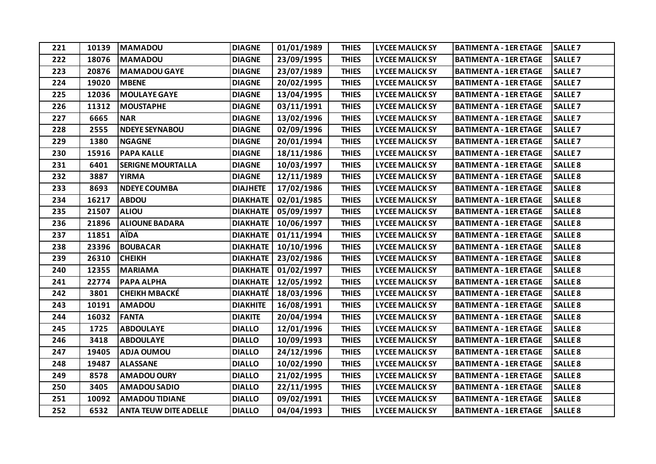| 221 | 10139 | <b>MAMADOU</b>               | <b>DIAGNE</b>   | 01/01/1989 | <b>THIES</b> | <b>LYCEE MALICK SY</b> | <b>BATIMENT A - 1ER ETAGE</b> | <b>SALLE 7</b>     |
|-----|-------|------------------------------|-----------------|------------|--------------|------------------------|-------------------------------|--------------------|
| 222 | 18076 | <b>MAMADOU</b>               | <b>DIAGNE</b>   | 23/09/1995 | <b>THIES</b> | <b>LYCEE MALICK SY</b> | <b>BATIMENT A - 1ER ETAGE</b> | <b>SALLE 7</b>     |
| 223 | 20876 | <b>MAMADOU GAYE</b>          | <b>DIAGNE</b>   | 23/07/1989 | <b>THIES</b> | <b>LYCEE MALICK SY</b> | <b>BATIMENT A - 1ER ETAGE</b> | <b>SALLE 7</b>     |
| 224 | 19020 | <b>MBENE</b>                 | <b>DIAGNE</b>   | 20/02/1995 | <b>THIES</b> | <b>LYCEE MALICK SY</b> | <b>BATIMENT A - 1ER ETAGE</b> | SALLE <sub>7</sub> |
| 225 | 12036 | <b>MOULAYE GAYE</b>          | <b>DIAGNE</b>   | 13/04/1995 | <b>THIES</b> | <b>LYCEE MALICK SY</b> | <b>BATIMENT A - 1ER ETAGE</b> | <b>SALLE 7</b>     |
| 226 | 11312 | <b>MOUSTAPHE</b>             | <b>DIAGNE</b>   | 03/11/1991 | <b>THIES</b> | <b>LYCEE MALICK SY</b> | <b>BATIMENT A - 1ER ETAGE</b> | <b>SALLE 7</b>     |
| 227 | 6665  | <b>NAR</b>                   | <b>DIAGNE</b>   | 13/02/1996 | <b>THIES</b> | <b>LYCEE MALICK SY</b> | <b>BATIMENT A - 1ER ETAGE</b> | SALLE <sub>7</sub> |
| 228 | 2555  | <b>NDEYE SEYNABOU</b>        | <b>DIAGNE</b>   | 02/09/1996 | <b>THIES</b> | <b>LYCEE MALICK SY</b> | <b>BATIMENT A - 1ER ETAGE</b> | <b>SALLE 7</b>     |
| 229 | 1380  | <b>NGAGNE</b>                | <b>DIAGNE</b>   | 20/01/1994 | <b>THIES</b> | <b>LYCEE MALICK SY</b> | <b>BATIMENT A - 1ER ETAGE</b> | <b>SALLE 7</b>     |
| 230 | 15916 | <b>PAPA KALLE</b>            | <b>DIAGNE</b>   | 18/11/1986 | <b>THIES</b> | <b>LYCEE MALICK SY</b> | <b>BATIMENT A - 1ER ETAGE</b> | SALLE <sub>7</sub> |
| 231 | 6401  | <b>SERIGNE MOURTALLA</b>     | <b>DIAGNE</b>   | 10/03/1997 | <b>THIES</b> | <b>LYCEE MALICK SY</b> | <b>BATIMENT A - 1ER ETAGE</b> | <b>SALLE 8</b>     |
| 232 | 3887  | <b>YIRMA</b>                 | <b>DIAGNE</b>   | 12/11/1989 | <b>THIES</b> | <b>LYCEE MALICK SY</b> | <b>BATIMENT A - 1ER ETAGE</b> | <b>SALLE 8</b>     |
| 233 | 8693  | <b>NDEYE COUMBA</b>          | <b>DIAJHETE</b> | 17/02/1986 | <b>THIES</b> | <b>LYCEE MALICK SY</b> | <b>BATIMENT A - 1ER ETAGE</b> | SALLE <sub>8</sub> |
| 234 | 16217 | <b>ABDOU</b>                 | <b>DIAKHATE</b> | 02/01/1985 | <b>THIES</b> | <b>LYCEE MALICK SY</b> | <b>BATIMENT A - 1ER ETAGE</b> | SALLE <sub>8</sub> |
| 235 | 21507 | <b>ALIOU</b>                 | <b>DIAKHATE</b> | 05/09/1997 | <b>THIES</b> | <b>LYCEE MALICK SY</b> | <b>BATIMENT A - 1ER ETAGE</b> | <b>SALLE 8</b>     |
| 236 | 21896 | <b>ALIOUNE BADARA</b>        | <b>DIAKHATE</b> | 10/06/1997 | <b>THIES</b> | <b>LYCEE MALICK SY</b> | <b>BATIMENT A - 1ER ETAGE</b> | <b>SALLE 8</b>     |
| 237 | 11851 | <b>A</b> iDA                 | <b>DIAKHATE</b> | 01/11/1994 | <b>THIES</b> | <b>LYCEE MALICK SY</b> | <b>BATIMENT A - 1ER ETAGE</b> | <b>SALLE 8</b>     |
| 238 | 23396 | <b>BOUBACAR</b>              | <b>DIAKHATE</b> | 10/10/1996 | <b>THIES</b> | <b>LYCEE MALICK SY</b> | <b>BATIMENT A - 1ER ETAGE</b> | <b>SALLE 8</b>     |
| 239 | 26310 | <b>CHEIKH</b>                | <b>DIAKHATE</b> | 23/02/1986 | <b>THIES</b> | <b>LYCEE MALICK SY</b> | <b>BATIMENT A - 1ER ETAGE</b> | SALLE <sub>8</sub> |
| 240 | 12355 | <b>MARIAMA</b>               | <b>DIAKHATE</b> | 01/02/1997 | <b>THIES</b> | <b>LYCEE MALICK SY</b> | <b>BATIMENT A - 1ER ETAGE</b> | SALLE <sub>8</sub> |
| 241 | 22774 | PAPA ALPHA                   | <b>DIAKHATE</b> | 12/05/1992 | <b>THIES</b> | <b>LYCEE MALICK SY</b> | <b>BATIMENT A - 1ER ETAGE</b> | <b>SALLE 8</b>     |
| 242 | 3801  | <b>CHEIKH MBACKÉ</b>         | <b>DIAKHATÉ</b> | 18/03/1996 | <b>THIES</b> | <b>LYCEE MALICK SY</b> | <b>BATIMENT A - 1ER ETAGE</b> | <b>SALLE 8</b>     |
| 243 | 10191 | <b>AMADOU</b>                | <b>DIAKHITE</b> | 16/08/1991 | <b>THIES</b> | <b>LYCEE MALICK SY</b> | <b>BATIMENT A - 1ER ETAGE</b> | SALLE <sub>8</sub> |
| 244 | 16032 | <b>FANTA</b>                 | <b>DIAKITE</b>  | 20/04/1994 | <b>THIES</b> | <b>LYCEE MALICK SY</b> | <b>BATIMENT A - 1ER ETAGE</b> | <b>SALLE 8</b>     |
| 245 | 1725  | <b>ABDOULAYE</b>             | <b>DIALLO</b>   | 12/01/1996 | <b>THIES</b> | <b>LYCEE MALICK SY</b> | <b>BATIMENT A - 1ER ETAGE</b> | SALLE <sub>8</sub> |
| 246 | 3418  | <b>ABDOULAYE</b>             | <b>DIALLO</b>   | 10/09/1993 | <b>THIES</b> | <b>LYCEE MALICK SY</b> | <b>BATIMENT A - 1ER ETAGE</b> | <b>SALLE 8</b>     |
| 247 | 19405 | <b>ADJA OUMOU</b>            | <b>DIALLO</b>   | 24/12/1996 | <b>THIES</b> | <b>LYCEE MALICK SY</b> | <b>BATIMENT A - 1ER ETAGE</b> | <b>SALLE 8</b>     |
| 248 | 19487 | <b>ALASSANE</b>              | <b>DIALLO</b>   | 10/02/1990 | <b>THIES</b> | <b>LYCEE MALICK SY</b> | <b>BATIMENT A - 1ER ETAGE</b> | <b>SALLE 8</b>     |
| 249 | 8578  | <b>AMADOU OURY</b>           | <b>DIALLO</b>   | 21/02/1995 | <b>THIES</b> | <b>LYCEE MALICK SY</b> | <b>BATIMENT A - 1ER ETAGE</b> | <b>SALLE 8</b>     |
| 250 | 3405  | <b>AMADOU SADIO</b>          | <b>DIALLO</b>   | 22/11/1995 | <b>THIES</b> | <b>LYCEE MALICK SY</b> | <b>BATIMENT A - 1ER ETAGE</b> | <b>SALLE 8</b>     |
| 251 | 10092 | <b>AMADOU TIDIANE</b>        | <b>DIALLO</b>   | 09/02/1991 | <b>THIES</b> | <b>LYCEE MALICK SY</b> | <b>BATIMENT A - 1ER ETAGE</b> | <b>SALLE 8</b>     |
| 252 | 6532  | <b>ANTA TEUW DITE ADELLE</b> | <b>DIALLO</b>   | 04/04/1993 | <b>THIES</b> | <b>LYCEE MALICK SY</b> | <b>BATIMENT A - 1ER ETAGE</b> | <b>SALLE 8</b>     |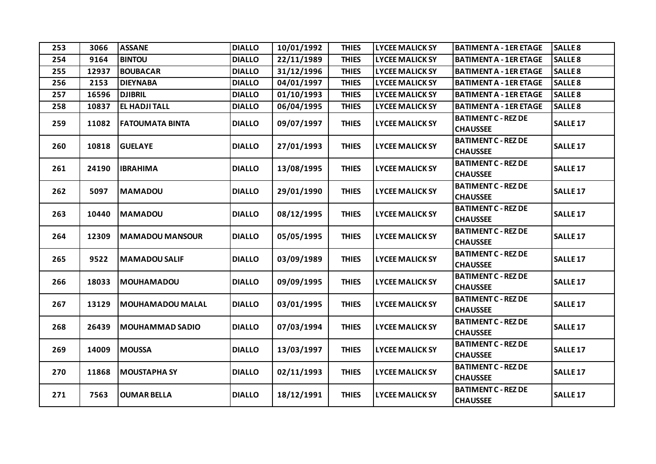| 253 | 3066  | <b>ASSANE</b>          | <b>DIALLO</b> | 10/01/1992 | <b>THIES</b> | <b>LYCEE MALICK SY</b> | <b>BATIMENT A - 1ER ETAGE</b>                 | <b>SALLE 8</b>      |
|-----|-------|------------------------|---------------|------------|--------------|------------------------|-----------------------------------------------|---------------------|
| 254 | 9164  | <b>BINTOU</b>          | <b>DIALLO</b> | 22/11/1989 | <b>THIES</b> | <b>LYCEE MALICK SY</b> | <b>BATIMENT A - 1ER ETAGE</b>                 | <b>SALLE 8</b>      |
| 255 | 12937 | <b>BOUBACAR</b>        | <b>DIALLO</b> | 31/12/1996 | <b>THIES</b> | <b>LYCEE MALICK SY</b> | <b>BATIMENT A - 1ER ETAGE</b>                 | <b>SALLE 8</b>      |
| 256 | 2153  | <b>DIEYNABA</b>        | <b>DIALLO</b> | 04/01/1997 | <b>THIES</b> | <b>LYCEE MALICK SY</b> | <b>BATIMENT A - 1ER ETAGE</b>                 | <b>SALLE 8</b>      |
| 257 | 16596 | <b>DJIBRIL</b>         | <b>DIALLO</b> | 01/10/1993 | <b>THIES</b> | <b>LYCEE MALICK SY</b> | <b>BATIMENT A - 1ER ETAGE</b>                 | <b>SALLE 8</b>      |
| 258 | 10837 | <b>EL HADJI TALL</b>   | <b>DIALLO</b> | 06/04/1995 | <b>THIES</b> | <b>LYCEE MALICK SY</b> | <b>BATIMENT A - 1ER ETAGE</b>                 | <b>SALLE 8</b>      |
| 259 | 11082 | <b>FATOUMATA BINTA</b> | <b>DIALLO</b> | 09/07/1997 | <b>THIES</b> | <b>LYCEE MALICK SY</b> | <b>BATIMENT C - REZ DE</b><br><b>CHAUSSEE</b> | <b>SALLE 17</b>     |
| 260 | 10818 | <b>GUELAYE</b>         | <b>DIALLO</b> | 27/01/1993 | <b>THIES</b> | <b>LYCEE MALICK SY</b> | <b>BATIMENT C - REZ DE</b><br><b>CHAUSSEE</b> | SALLE <sub>17</sub> |
| 261 | 24190 | <b>IBRAHIMA</b>        | <b>DIALLO</b> | 13/08/1995 | <b>THIES</b> | <b>LYCEE MALICK SY</b> | <b>BATIMENT C - REZ DE</b><br><b>CHAUSSEE</b> | <b>SALLE 17</b>     |
| 262 | 5097  | <b>MAMADOU</b>         | <b>DIALLO</b> | 29/01/1990 | <b>THIES</b> | <b>LYCEE MALICK SY</b> | <b>BATIMENT C - REZ DE</b><br><b>CHAUSSEE</b> | <b>SALLE 17</b>     |
| 263 | 10440 | <b>MAMADOU</b>         | <b>DIALLO</b> | 08/12/1995 | <b>THIES</b> | <b>LYCEE MALICK SY</b> | <b>BATIMENT C - REZ DE</b><br><b>CHAUSSEE</b> | SALLE <sub>17</sub> |
| 264 | 12309 | <b>MAMADOU MANSOUR</b> | <b>DIALLO</b> | 05/05/1995 | <b>THIES</b> | <b>LYCEE MALICK SY</b> | <b>BATIMENT C - REZ DE</b><br><b>CHAUSSEE</b> | <b>SALLE 17</b>     |
| 265 | 9522  | <b>MAMADOU SALIF</b>   | <b>DIALLO</b> | 03/09/1989 | <b>THIES</b> | <b>LYCEE MALICK SY</b> | <b>BATIMENT C - REZ DE</b><br><b>CHAUSSEE</b> | <b>SALLE 17</b>     |
| 266 | 18033 | <b>MOUHAMADOU</b>      | <b>DIALLO</b> | 09/09/1995 | <b>THIES</b> | <b>LYCEE MALICK SY</b> | <b>BATIMENT C - REZ DE</b><br><b>CHAUSSEE</b> | SALLE <sub>17</sub> |
| 267 | 13129 | MOUHAMADOU MALAL       | <b>DIALLO</b> | 03/01/1995 | <b>THIES</b> | <b>LYCEE MALICK SY</b> | <b>BATIMENT C - REZ DE</b><br><b>CHAUSSEE</b> | <b>SALLE 17</b>     |
| 268 | 26439 | <b>MOUHAMMAD SADIO</b> | <b>DIALLO</b> | 07/03/1994 | <b>THIES</b> | <b>LYCEE MALICK SY</b> | <b>BATIMENT C - REZ DE</b><br><b>CHAUSSEE</b> | <b>SALLE 17</b>     |
| 269 | 14009 | <b>MOUSSA</b>          | <b>DIALLO</b> | 13/03/1997 | <b>THIES</b> | <b>LYCEE MALICK SY</b> | <b>BATIMENT C - REZ DE</b><br><b>CHAUSSEE</b> | SALLE <sub>17</sub> |
| 270 | 11868 | <b>MOUSTAPHA SY</b>    | <b>DIALLO</b> | 02/11/1993 | <b>THIES</b> | <b>LYCEE MALICK SY</b> | <b>BATIMENT C - REZ DE</b><br><b>CHAUSSEE</b> | <b>SALLE 17</b>     |
| 271 | 7563  | <b>OUMAR BELLA</b>     | <b>DIALLO</b> | 18/12/1991 | <b>THIES</b> | <b>LYCEE MALICK SY</b> | <b>BATIMENT C - REZ DE</b><br><b>CHAUSSEE</b> | SALLE <sub>17</sub> |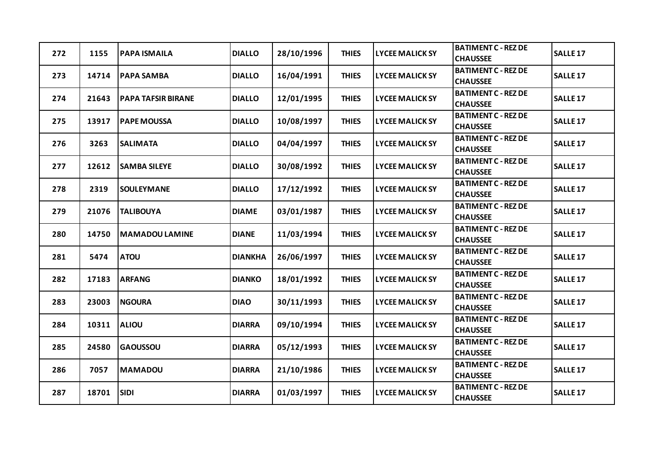| 272 | 1155  | <b>PAPA ISMAILA</b>       | <b>DIALLO</b>  | 28/10/1996 | <b>THIES</b> | <b>LYCEE MALICK SY</b> | <b>BATIMENT C - REZ DE</b><br><b>CHAUSSEE</b> | <b>SALLE 17</b>     |
|-----|-------|---------------------------|----------------|------------|--------------|------------------------|-----------------------------------------------|---------------------|
| 273 | 14714 | <b>PAPA SAMBA</b>         | <b>DIALLO</b>  | 16/04/1991 | <b>THIES</b> | <b>LYCEE MALICK SY</b> | <b>BATIMENT C - REZ DE</b><br><b>CHAUSSEE</b> | <b>SALLE 17</b>     |
| 274 | 21643 | <b>PAPA TAFSIR BIRANE</b> | <b>DIALLO</b>  | 12/01/1995 | <b>THIES</b> | <b>LYCEE MALICK SY</b> | <b>BATIMENT C - REZ DE</b><br><b>CHAUSSEE</b> | SALLE <sub>17</sub> |
| 275 | 13917 | <b>PAPE MOUSSA</b>        | <b>DIALLO</b>  | 10/08/1997 | <b>THIES</b> | <b>LYCEE MALICK SY</b> | <b>BATIMENT C - REZ DE</b><br><b>CHAUSSEE</b> | <b>SALLE 17</b>     |
| 276 | 3263  | <b>SALIMATA</b>           | <b>DIALLO</b>  | 04/04/1997 | <b>THIES</b> | <b>LYCEE MALICK SY</b> | <b>BATIMENT C - REZ DE</b><br><b>CHAUSSEE</b> | <b>SALLE 17</b>     |
| 277 | 12612 | <b>SAMBA SILEYE</b>       | <b>DIALLO</b>  | 30/08/1992 | <b>THIES</b> | <b>LYCEE MALICK SY</b> | <b>BATIMENT C - REZ DE</b><br><b>CHAUSSEE</b> | SALLE <sub>17</sub> |
| 278 | 2319  | <b>SOULEYMANE</b>         | <b>DIALLO</b>  | 17/12/1992 | <b>THIES</b> | <b>LYCEE MALICK SY</b> | <b>BATIMENT C - REZ DE</b><br><b>CHAUSSEE</b> | <b>SALLE 17</b>     |
| 279 | 21076 | <b>TALIBOUYA</b>          | <b>DIAME</b>   | 03/01/1987 | <b>THIES</b> | <b>LYCEE MALICK SY</b> | <b>BATIMENT C - REZ DE</b><br><b>CHAUSSEE</b> | <b>SALLE 17</b>     |
| 280 | 14750 | <b>MAMADOU LAMINE</b>     | <b>DIANE</b>   | 11/03/1994 | <b>THIES</b> | <b>LYCEE MALICK SY</b> | <b>BATIMENT C - REZ DE</b><br><b>CHAUSSEE</b> | SALLE <sub>17</sub> |
| 281 | 5474  | <b>ATOU</b>               | <b>DIANKHA</b> | 26/06/1997 | <b>THIES</b> | <b>LYCEE MALICK SY</b> | <b>BATIMENT C - REZ DE</b><br><b>CHAUSSEE</b> | <b>SALLE 17</b>     |
| 282 | 17183 | <b>ARFANG</b>             | <b>DIANKO</b>  | 18/01/1992 | <b>THIES</b> | <b>LYCEE MALICK SY</b> | <b>BATIMENT C - REZ DE</b><br><b>CHAUSSEE</b> | <b>SALLE 17</b>     |
| 283 | 23003 | <b>NGOURA</b>             | <b>DIAO</b>    | 30/11/1993 | <b>THIES</b> | <b>LYCEE MALICK SY</b> | <b>BATIMENT C - REZ DE</b><br><b>CHAUSSEE</b> | SALLE <sub>17</sub> |
| 284 | 10311 | <b>ALIOU</b>              | <b>DIARRA</b>  | 09/10/1994 | <b>THIES</b> | <b>LYCEE MALICK SY</b> | <b>BATIMENT C - REZ DE</b><br><b>CHAUSSEE</b> | <b>SALLE 17</b>     |
| 285 | 24580 | <b>GAOUSSOU</b>           | <b>DIARRA</b>  | 05/12/1993 | <b>THIES</b> | <b>LYCEE MALICK SY</b> | <b>BATIMENT C - REZ DE</b><br><b>CHAUSSEE</b> | <b>SALLE 17</b>     |
| 286 | 7057  | <b>MAMADOU</b>            | <b>DIARRA</b>  | 21/10/1986 | <b>THIES</b> | <b>LYCEE MALICK SY</b> | <b>BATIMENT C - REZ DE</b><br><b>CHAUSSEE</b> | <b>SALLE 17</b>     |
| 287 | 18701 | <b>SIDI</b>               | <b>DIARRA</b>  | 01/03/1997 | <b>THIES</b> | <b>LYCEE MALICK SY</b> | <b>BATIMENT C - REZ DE</b><br><b>CHAUSSEE</b> | <b>SALLE 17</b>     |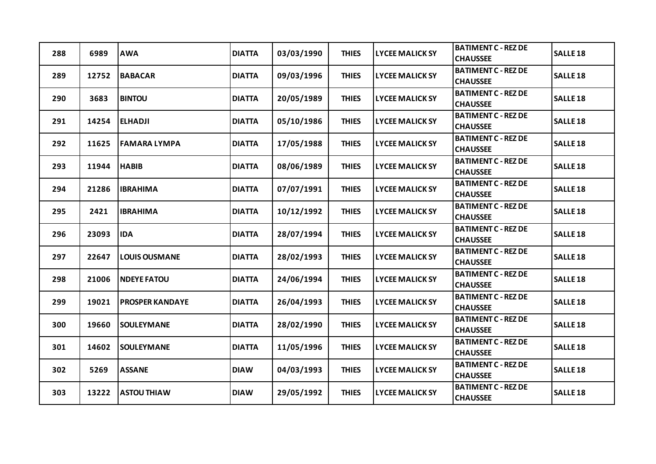| 288 | 6989  | <b>AWA</b>             | <b>DIATTA</b> | 03/03/1990 | <b>THIES</b> | <b>LYCEE MALICK SY</b> | <b>BATIMENT C - REZ DE</b><br><b>CHAUSSEE</b> | <b>SALLE 18</b> |
|-----|-------|------------------------|---------------|------------|--------------|------------------------|-----------------------------------------------|-----------------|
| 289 | 12752 | <b>BABACAR</b>         | <b>DIATTA</b> | 09/03/1996 | <b>THIES</b> | <b>LYCEE MALICK SY</b> | <b>BATIMENT C - REZ DE</b><br><b>CHAUSSEE</b> | <b>SALLE 18</b> |
| 290 | 3683  | <b>BINTOU</b>          | <b>DIATTA</b> | 20/05/1989 | <b>THIES</b> | <b>LYCEE MALICK SY</b> | <b>BATIMENT C - REZ DE</b><br><b>CHAUSSEE</b> | <b>SALLE 18</b> |
| 291 | 14254 | <b>ELHADJI</b>         | <b>DIATTA</b> | 05/10/1986 | <b>THIES</b> | <b>LYCEE MALICK SY</b> | <b>BATIMENT C - REZ DE</b><br><b>CHAUSSEE</b> | <b>SALLE 18</b> |
| 292 | 11625 | <b>FAMARA LYMPA</b>    | <b>DIATTA</b> | 17/05/1988 | <b>THIES</b> | <b>LYCEE MALICK SY</b> | <b>BATIMENT C - REZ DE</b><br><b>CHAUSSEE</b> | <b>SALLE 18</b> |
| 293 | 11944 | <b>HABIB</b>           | <b>DIATTA</b> | 08/06/1989 | <b>THIES</b> | <b>LYCEE MALICK SY</b> | <b>BATIMENT C - REZ DE</b><br><b>CHAUSSEE</b> | <b>SALLE 18</b> |
| 294 | 21286 | <b>IBRAHIMA</b>        | <b>DIATTA</b> | 07/07/1991 | <b>THIES</b> | <b>LYCEE MALICK SY</b> | <b>BATIMENT C - REZ DE</b><br><b>CHAUSSEE</b> | <b>SALLE 18</b> |
| 295 | 2421  | <b>IBRAHIMA</b>        | <b>DIATTA</b> | 10/12/1992 | <b>THIES</b> | <b>LYCEE MALICK SY</b> | <b>BATIMENT C - REZ DE</b><br><b>CHAUSSEE</b> | <b>SALLE 18</b> |
| 296 | 23093 | <b>IDA</b>             | <b>DIATTA</b> | 28/07/1994 | <b>THIES</b> | <b>LYCEE MALICK SY</b> | <b>BATIMENT C - REZ DE</b><br><b>CHAUSSEE</b> | <b>SALLE 18</b> |
| 297 | 22647 | <b>LOUIS OUSMANE</b>   | <b>DIATTA</b> | 28/02/1993 | <b>THIES</b> | <b>LYCEE MALICK SY</b> | <b>BATIMENT C - REZ DE</b><br><b>CHAUSSEE</b> | <b>SALLE 18</b> |
| 298 | 21006 | <b>NDEYE FATOU</b>     | <b>DIATTA</b> | 24/06/1994 | <b>THIES</b> | <b>LYCEE MALICK SY</b> | <b>BATIMENT C - REZ DE</b><br><b>CHAUSSEE</b> | <b>SALLE 18</b> |
| 299 | 19021 | <b>PROSPER KANDAYE</b> | <b>DIATTA</b> | 26/04/1993 | <b>THIES</b> | <b>LYCEE MALICK SY</b> | <b>BATIMENT C - REZ DE</b><br><b>CHAUSSEE</b> | <b>SALLE 18</b> |
| 300 | 19660 | <b>SOULEYMANE</b>      | <b>DIATTA</b> | 28/02/1990 | <b>THIES</b> | <b>LYCEE MALICK SY</b> | <b>BATIMENT C - REZ DE</b><br><b>CHAUSSEE</b> | <b>SALLE 18</b> |
| 301 | 14602 | <b>SOULEYMANE</b>      | <b>DIATTA</b> | 11/05/1996 | <b>THIES</b> | <b>LYCEE MALICK SY</b> | <b>BATIMENT C - REZ DE</b><br><b>CHAUSSEE</b> | <b>SALLE 18</b> |
| 302 | 5269  | <b>ASSANE</b>          | <b>DIAW</b>   | 04/03/1993 | <b>THIES</b> | <b>LYCEE MALICK SY</b> | <b>BATIMENT C - REZ DE</b><br><b>CHAUSSEE</b> | <b>SALLE 18</b> |
| 303 | 13222 | <b>ASTOU THIAW</b>     | <b>DIAW</b>   | 29/05/1992 | <b>THIES</b> | <b>LYCEE MALICK SY</b> | <b>BATIMENT C - REZ DE</b><br><b>CHAUSSEE</b> | <b>SALLE 18</b> |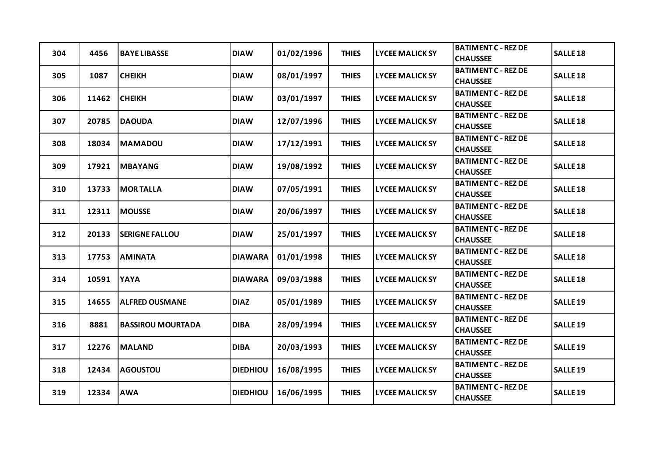| 304 | 4456  | <b>BAYE LIBASSE</b>      | <b>DIAW</b>     | 01/02/1996 | <b>THIES</b> | <b>LYCEE MALICK SY</b> | <b>BATIMENT C - REZ DE</b><br><b>CHAUSSEE</b> | <b>SALLE 18</b>     |
|-----|-------|--------------------------|-----------------|------------|--------------|------------------------|-----------------------------------------------|---------------------|
| 305 | 1087  | <b>CHEIKH</b>            | <b>DIAW</b>     | 08/01/1997 | <b>THIES</b> | <b>LYCEE MALICK SY</b> | <b>BATIMENT C - REZ DE</b><br><b>CHAUSSEE</b> | <b>SALLE 18</b>     |
| 306 | 11462 | <b>CHEIKH</b>            | <b>DIAW</b>     | 03/01/1997 | <b>THIES</b> | <b>LYCEE MALICK SY</b> | <b>BATIMENT C - REZ DE</b><br><b>CHAUSSEE</b> | <b>SALLE 18</b>     |
| 307 | 20785 | <b>DAOUDA</b>            | <b>DIAW</b>     | 12/07/1996 | <b>THIES</b> | <b>LYCEE MALICK SY</b> | <b>BATIMENT C - REZ DE</b><br><b>CHAUSSEE</b> | <b>SALLE 18</b>     |
| 308 | 18034 | <b>MAMADOU</b>           | <b>DIAW</b>     | 17/12/1991 | <b>THIES</b> | <b>LYCEE MALICK SY</b> | <b>BATIMENT C - REZ DE</b><br><b>CHAUSSEE</b> | <b>SALLE 18</b>     |
| 309 | 17921 | <b>MBAYANG</b>           | <b>DIAW</b>     | 19/08/1992 | <b>THIES</b> | <b>LYCEE MALICK SY</b> | <b>BATIMENT C - REZ DE</b><br><b>CHAUSSEE</b> | <b>SALLE 18</b>     |
| 310 | 13733 | <b>MORTALLA</b>          | <b>DIAW</b>     | 07/05/1991 | <b>THIES</b> | <b>LYCEE MALICK SY</b> | <b>BATIMENT C - REZ DE</b><br><b>CHAUSSEE</b> | <b>SALLE 18</b>     |
| 311 | 12311 | <b>MOUSSE</b>            | <b>DIAW</b>     | 20/06/1997 | <b>THIES</b> | <b>LYCEE MALICK SY</b> | <b>BATIMENT C - REZ DE</b><br><b>CHAUSSEE</b> | <b>SALLE 18</b>     |
| 312 | 20133 | <b>SERIGNE FALLOU</b>    | <b>DIAW</b>     | 25/01/1997 | <b>THIES</b> | <b>LYCEE MALICK SY</b> | <b>BATIMENT C - REZ DE</b><br><b>CHAUSSEE</b> | <b>SALLE 18</b>     |
| 313 | 17753 | <b>AMINATA</b>           | <b>DIAWARA</b>  | 01/01/1998 | <b>THIES</b> | <b>LYCEE MALICK SY</b> | <b>BATIMENT C - REZ DE</b><br><b>CHAUSSEE</b> | <b>SALLE 18</b>     |
| 314 | 10591 | <b>YAYA</b>              | <b>DIAWARA</b>  | 09/03/1988 | <b>THIES</b> | <b>LYCEE MALICK SY</b> | <b>BATIMENT C - REZ DE</b><br><b>CHAUSSEE</b> | <b>SALLE 18</b>     |
| 315 | 14655 | <b>ALFRED OUSMANE</b>    | <b>DIAZ</b>     | 05/01/1989 | <b>THIES</b> | <b>LYCEE MALICK SY</b> | <b>BATIMENT C - REZ DE</b><br><b>CHAUSSEE</b> | <b>SALLE 19</b>     |
| 316 | 8881  | <b>BASSIROU MOURTADA</b> | <b>DIBA</b>     | 28/09/1994 | <b>THIES</b> | <b>LYCEE MALICK SY</b> | <b>BATIMENT C - REZ DE</b><br><b>CHAUSSEE</b> | SALLE <sub>19</sub> |
| 317 | 12276 | <b>MALAND</b>            | <b>DIBA</b>     | 20/03/1993 | <b>THIES</b> | <b>LYCEE MALICK SY</b> | <b>BATIMENT C - REZ DE</b><br><b>CHAUSSEE</b> | <b>SALLE 19</b>     |
| 318 | 12434 | <b>AGOUSTOU</b>          | <b>DIEDHIOU</b> | 16/08/1995 | <b>THIES</b> | <b>LYCEE MALICK SY</b> | <b>BATIMENT C - REZ DE</b><br><b>CHAUSSEE</b> | <b>SALLE 19</b>     |
| 319 | 12334 | <b>AWA</b>               | <b>DIEDHIOU</b> | 16/06/1995 | <b>THIES</b> | <b>LYCEE MALICK SY</b> | <b>BATIMENT C - REZ DE</b><br><b>CHAUSSEE</b> | <b>SALLE 19</b>     |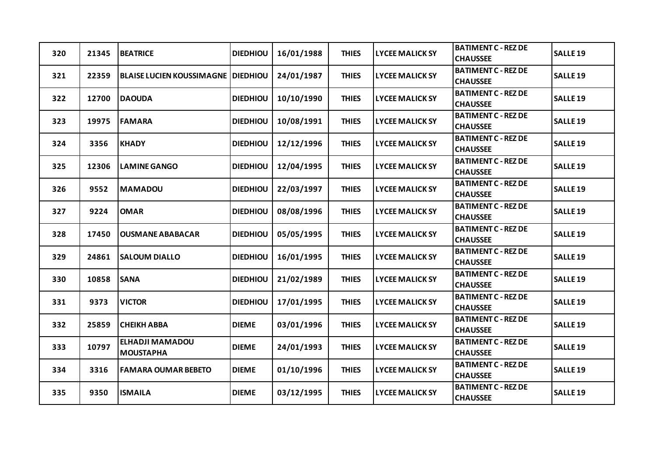| 320 | 21345 | <b>BEATRICE</b>                            | <b>DIEDHIOU</b> | 16/01/1988 | <b>THIES</b> | <b>LYCEE MALICK SY</b> | <b>BATIMENT C - REZ DE</b><br><b>CHAUSSEE</b> | <b>SALLE 19</b>     |
|-----|-------|--------------------------------------------|-----------------|------------|--------------|------------------------|-----------------------------------------------|---------------------|
| 321 | 22359 | <b>BLAISE LUCIEN KOUSSIMAGNE DIEDHIOU</b>  |                 | 24/01/1987 | <b>THIES</b> | <b>LYCEE MALICK SY</b> | <b>BATIMENT C - REZ DE</b><br><b>CHAUSSEE</b> | <b>SALLE 19</b>     |
| 322 | 12700 | <b>DAOUDA</b>                              | <b>DIEDHIOU</b> | 10/10/1990 | <b>THIES</b> | <b>LYCEE MALICK SY</b> | <b>BATIMENT C - REZ DE</b><br><b>CHAUSSEE</b> | <b>SALLE 19</b>     |
| 323 | 19975 | <b>FAMARA</b>                              | <b>DIEDHIOU</b> | 10/08/1991 | <b>THIES</b> | <b>LYCEE MALICK SY</b> | <b>BATIMENT C - REZ DE</b><br><b>CHAUSSEE</b> | SALLE <sub>19</sub> |
| 324 | 3356  | <b>KHADY</b>                               | <b>DIEDHIOU</b> | 12/12/1996 | <b>THIES</b> | <b>LYCEE MALICK SY</b> | <b>BATIMENT C - REZ DE</b><br><b>CHAUSSEE</b> | <b>SALLE 19</b>     |
| 325 | 12306 | <b>LAMINE GANGO</b>                        | <b>DIEDHIOU</b> | 12/04/1995 | <b>THIES</b> | <b>LYCEE MALICK SY</b> | <b>BATIMENT C - REZ DE</b><br><b>CHAUSSEE</b> | <b>SALLE 19</b>     |
| 326 | 9552  | <b>MAMADOU</b>                             | <b>DIEDHIOU</b> | 22/03/1997 | <b>THIES</b> | <b>LYCEE MALICK SY</b> | <b>BATIMENT C - REZ DE</b><br><b>CHAUSSEE</b> | SALLE <sub>19</sub> |
| 327 | 9224  | <b>OMAR</b>                                | <b>DIEDHIOU</b> | 08/08/1996 | <b>THIES</b> | <b>LYCEE MALICK SY</b> | <b>BATIMENT C - REZ DE</b><br><b>CHAUSSEE</b> | <b>SALLE 19</b>     |
| 328 | 17450 | <b>OUSMANE ABABACAR</b>                    | <b>DIEDHIOU</b> | 05/05/1995 | <b>THIES</b> | <b>LYCEE MALICK SY</b> | <b>BATIMENT C - REZ DE</b><br><b>CHAUSSEE</b> | <b>SALLE 19</b>     |
| 329 | 24861 | <b>SALOUM DIALLO</b>                       | <b>DIEDHIOU</b> | 16/01/1995 | <b>THIES</b> | <b>LYCEE MALICK SY</b> | <b>BATIMENT C - REZ DE</b><br><b>CHAUSSEE</b> | <b>SALLE 19</b>     |
| 330 | 10858 | <b>SANA</b>                                | <b>DIEDHIOU</b> | 21/02/1989 | <b>THIES</b> | <b>LYCEE MALICK SY</b> | <b>BATIMENT C - REZ DE</b><br><b>CHAUSSEE</b> | <b>SALLE 19</b>     |
| 331 | 9373  | <b>VICTOR</b>                              | <b>DIEDHIOU</b> | 17/01/1995 | <b>THIES</b> | <b>LYCEE MALICK SY</b> | <b>BATIMENT C - REZ DE</b><br><b>CHAUSSEE</b> | <b>SALLE 19</b>     |
| 332 | 25859 | <b>CHEIKH ABBA</b>                         | <b>DIEME</b>    | 03/01/1996 | <b>THIES</b> | <b>LYCEE MALICK SY</b> | <b>BATIMENT C - REZ DE</b><br><b>CHAUSSEE</b> | <b>SALLE 19</b>     |
| 333 | 10797 | <b>ELHADJI MAMADOU</b><br><b>MOUSTAPHA</b> | <b>DIEME</b>    | 24/01/1993 | <b>THIES</b> | <b>LYCEE MALICK SY</b> | <b>BATIMENT C - REZ DE</b><br><b>CHAUSSEE</b> | <b>SALLE 19</b>     |
| 334 | 3316  | <b>FAMARA OUMAR BEBETO</b>                 | <b>DIEME</b>    | 01/10/1996 | <b>THIES</b> | <b>LYCEE MALICK SY</b> | <b>BATIMENT C - REZ DE</b><br><b>CHAUSSEE</b> | <b>SALLE 19</b>     |
| 335 | 9350  | <b>ISMAILA</b>                             | <b>DIEME</b>    | 03/12/1995 | <b>THIES</b> | <b>LYCEE MALICK SY</b> | <b>BATIMENT C - REZ DE</b><br><b>CHAUSSEE</b> | <b>SALLE 19</b>     |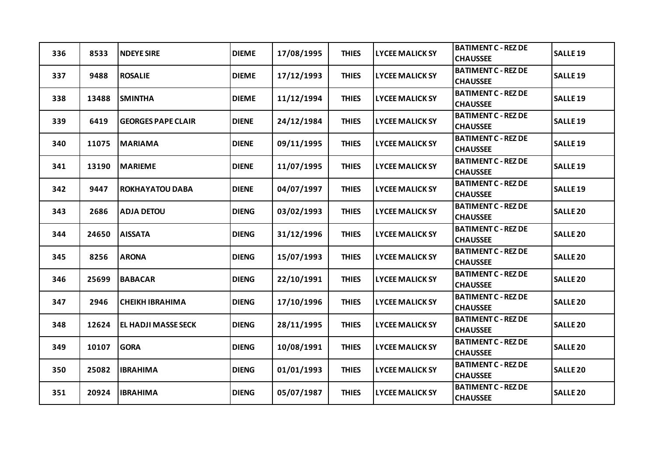| 336 | 8533  | <b>NDEYE SIRE</b>          | <b>DIEME</b> | 17/08/1995 | <b>THIES</b> | <b>LYCEE MALICK SY</b> | <b>BATIMENT C - REZ DE</b><br><b>CHAUSSEE</b> | <b>SALLE 19</b> |
|-----|-------|----------------------------|--------------|------------|--------------|------------------------|-----------------------------------------------|-----------------|
| 337 | 9488  | <b>ROSALIE</b>             | <b>DIEME</b> | 17/12/1993 | <b>THIES</b> | <b>LYCEE MALICK SY</b> | <b>BATIMENT C - REZ DE</b><br><b>CHAUSSEE</b> | <b>SALLE 19</b> |
| 338 | 13488 | <b>SMINTHA</b>             | <b>DIEME</b> | 11/12/1994 | <b>THIES</b> | <b>LYCEE MALICK SY</b> | <b>BATIMENT C - REZ DE</b><br><b>CHAUSSEE</b> | <b>SALLE 19</b> |
| 339 | 6419  | <b>GEORGES PAPE CLAIR</b>  | <b>DIENE</b> | 24/12/1984 | <b>THIES</b> | <b>LYCEE MALICK SY</b> | <b>BATIMENT C - REZ DE</b><br><b>CHAUSSEE</b> | <b>SALLE 19</b> |
| 340 | 11075 | <b>MARIAMA</b>             | <b>DIENE</b> | 09/11/1995 | <b>THIES</b> | <b>LYCEE MALICK SY</b> | <b>BATIMENT C - REZ DE</b><br><b>CHAUSSEE</b> | <b>SALLE 19</b> |
| 341 | 13190 | <b>MARIEME</b>             | <b>DIENE</b> | 11/07/1995 | <b>THIES</b> | <b>LYCEE MALICK SY</b> | <b>BATIMENT C - REZ DE</b><br><b>CHAUSSEE</b> | <b>SALLE 19</b> |
| 342 | 9447  | <b>ROKHAYATOU DABA</b>     | <b>DIENE</b> | 04/07/1997 | <b>THIES</b> | <b>LYCEE MALICK SY</b> | <b>BATIMENT C - REZ DE</b><br><b>CHAUSSEE</b> | <b>SALLE 19</b> |
| 343 | 2686  | <b>ADJA DETOU</b>          | <b>DIENG</b> | 03/02/1993 | <b>THIES</b> | <b>LYCEE MALICK SY</b> | <b>BATIMENT C - REZ DE</b><br><b>CHAUSSEE</b> | <b>SALLE 20</b> |
| 344 | 24650 | <b>AISSATA</b>             | <b>DIENG</b> | 31/12/1996 | <b>THIES</b> | <b>LYCEE MALICK SY</b> | <b>BATIMENT C - REZ DE</b><br><b>CHAUSSEE</b> | <b>SALLE 20</b> |
| 345 | 8256  | <b>ARONA</b>               | <b>DIENG</b> | 15/07/1993 | <b>THIES</b> | <b>LYCEE MALICK SY</b> | <b>BATIMENT C - REZ DE</b><br><b>CHAUSSEE</b> | <b>SALLE 20</b> |
| 346 | 25699 | <b>BABACAR</b>             | <b>DIENG</b> | 22/10/1991 | <b>THIES</b> | <b>LYCEE MALICK SY</b> | <b>BATIMENT C - REZ DE</b><br><b>CHAUSSEE</b> | <b>SALLE 20</b> |
| 347 | 2946  | <b>CHEIKH IBRAHIMA</b>     | <b>DIENG</b> | 17/10/1996 | <b>THIES</b> | <b>LYCEE MALICK SY</b> | <b>BATIMENT C - REZ DE</b><br><b>CHAUSSEE</b> | <b>SALLE 20</b> |
| 348 | 12624 | <b>EL HADJI MASSE SECK</b> | <b>DIENG</b> | 28/11/1995 | <b>THIES</b> | <b>LYCEE MALICK SY</b> | <b>BATIMENT C - REZ DE</b><br><b>CHAUSSEE</b> | <b>SALLE 20</b> |
| 349 | 10107 | <b>GORA</b>                | <b>DIENG</b> | 10/08/1991 | <b>THIES</b> | <b>LYCEE MALICK SY</b> | <b>BATIMENT C - REZ DE</b><br><b>CHAUSSEE</b> | <b>SALLE 20</b> |
| 350 | 25082 | <b>IBRAHIMA</b>            | <b>DIENG</b> | 01/01/1993 | <b>THIES</b> | <b>LYCEE MALICK SY</b> | <b>BATIMENT C - REZ DE</b><br><b>CHAUSSEE</b> | <b>SALLE 20</b> |
| 351 | 20924 | <b>IBRAHIMA</b>            | <b>DIENG</b> | 05/07/1987 | <b>THIES</b> | <b>LYCEE MALICK SY</b> | <b>BATIMENT C - REZ DE</b><br><b>CHAUSSEE</b> | <b>SALLE 20</b> |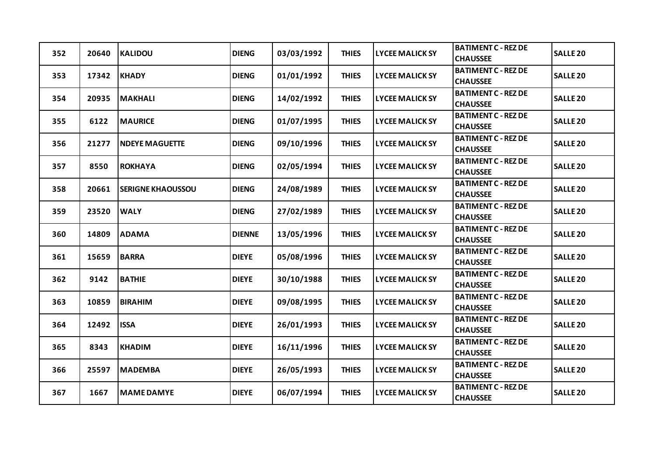| 352 | 20640 | <b>KALIDOU</b>           | <b>DIENG</b>  | 03/03/1992 | <b>THIES</b> | <b>LYCEE MALICK SY</b> | <b>BATIMENT C - REZ DE</b><br><b>CHAUSSEE</b> | <b>SALLE 20</b> |
|-----|-------|--------------------------|---------------|------------|--------------|------------------------|-----------------------------------------------|-----------------|
| 353 | 17342 | <b>KHADY</b>             | <b>DIENG</b>  | 01/01/1992 | <b>THIES</b> | <b>LYCEE MALICK SY</b> | <b>BATIMENT C - REZ DE</b><br><b>CHAUSSEE</b> | <b>SALLE 20</b> |
| 354 | 20935 | <b>MAKHALI</b>           | <b>DIENG</b>  | 14/02/1992 | <b>THIES</b> | <b>LYCEE MALICK SY</b> | <b>BATIMENT C - REZ DE</b><br><b>CHAUSSEE</b> | <b>SALLE 20</b> |
| 355 | 6122  | <b>MAURICE</b>           | <b>DIENG</b>  | 01/07/1995 | <b>THIES</b> | <b>LYCEE MALICK SY</b> | <b>BATIMENT C - REZ DE</b><br><b>CHAUSSEE</b> | <b>SALLE 20</b> |
| 356 | 21277 | <b>NDEYE MAGUETTE</b>    | <b>DIENG</b>  | 09/10/1996 | <b>THIES</b> | <b>LYCEE MALICK SY</b> | <b>BATIMENT C - REZ DE</b><br><b>CHAUSSEE</b> | <b>SALLE 20</b> |
| 357 | 8550  | <b>ROKHAYA</b>           | <b>DIENG</b>  | 02/05/1994 | <b>THIES</b> | <b>LYCEE MALICK SY</b> | <b>BATIMENT C - REZ DE</b><br><b>CHAUSSEE</b> | <b>SALLE 20</b> |
| 358 | 20661 | <b>SERIGNE KHAOUSSOU</b> | <b>DIENG</b>  | 24/08/1989 | <b>THIES</b> | <b>LYCEE MALICK SY</b> | <b>BATIMENT C - REZ DE</b><br><b>CHAUSSEE</b> | <b>SALLE 20</b> |
| 359 | 23520 | <b>WALY</b>              | <b>DIENG</b>  | 27/02/1989 | <b>THIES</b> | <b>LYCEE MALICK SY</b> | <b>BATIMENT C - REZ DE</b><br><b>CHAUSSEE</b> | <b>SALLE 20</b> |
| 360 | 14809 | <b>ADAMA</b>             | <b>DIENNE</b> | 13/05/1996 | <b>THIES</b> | <b>LYCEE MALICK SY</b> | <b>BATIMENT C - REZ DE</b><br><b>CHAUSSEE</b> | <b>SALLE 20</b> |
| 361 | 15659 | <b>BARRA</b>             | <b>DIEYE</b>  | 05/08/1996 | <b>THIES</b> | <b>LYCEE MALICK SY</b> | <b>BATIMENT C - REZ DE</b><br><b>CHAUSSEE</b> | <b>SALLE 20</b> |
| 362 | 9142  | <b>BATHIE</b>            | <b>DIEYE</b>  | 30/10/1988 | <b>THIES</b> | <b>LYCEE MALICK SY</b> | <b>BATIMENT C - REZ DE</b><br><b>CHAUSSEE</b> | <b>SALLE 20</b> |
| 363 | 10859 | <b>BIRAHIM</b>           | <b>DIEYE</b>  | 09/08/1995 | <b>THIES</b> | <b>LYCEE MALICK SY</b> | <b>BATIMENT C - REZ DE</b><br><b>CHAUSSEE</b> | <b>SALLE 20</b> |
| 364 | 12492 | <b>ISSA</b>              | <b>DIEYE</b>  | 26/01/1993 | <b>THIES</b> | <b>LYCEE MALICK SY</b> | <b>BATIMENT C - REZ DE</b><br><b>CHAUSSEE</b> | <b>SALLE 20</b> |
| 365 | 8343  | <b>KHADIM</b>            | <b>DIEYE</b>  | 16/11/1996 | <b>THIES</b> | <b>LYCEE MALICK SY</b> | <b>BATIMENT C - REZ DE</b><br><b>CHAUSSEE</b> | <b>SALLE 20</b> |
| 366 | 25597 | <b>MADEMBA</b>           | <b>DIEYE</b>  | 26/05/1993 | <b>THIES</b> | <b>LYCEE MALICK SY</b> | <b>BATIMENT C - REZ DE</b><br><b>CHAUSSEE</b> | <b>SALLE 20</b> |
| 367 | 1667  | <b>MAME DAMYE</b>        | <b>DIEYE</b>  | 06/07/1994 | <b>THIES</b> | <b>LYCEE MALICK SY</b> | <b>BATIMENT C - REZ DE</b><br><b>CHAUSSEE</b> | <b>SALLE 20</b> |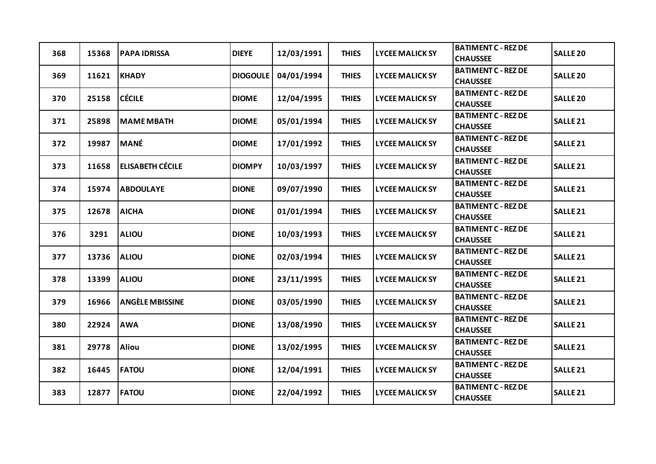| 368 | 15368 | <b>PAPA IDRISSA</b>     | <b>DIEYE</b>    | 12/03/1991 | <b>THIES</b> | <b>LYCEE MALICK SY</b> | <b>BATIMENT C - REZ DE</b><br><b>CHAUSSEE</b> | <b>SALLE 20</b>     |
|-----|-------|-------------------------|-----------------|------------|--------------|------------------------|-----------------------------------------------|---------------------|
| 369 | 11621 | <b>KHADY</b>            | <b>DIOGOULE</b> | 04/01/1994 | <b>THIES</b> | <b>LYCEE MALICK SY</b> | <b>BATIMENT C - REZ DE</b><br><b>CHAUSSEE</b> | <b>SALLE 20</b>     |
| 370 | 25158 | <b>CÉCILE</b>           | <b>DIOME</b>    | 12/04/1995 | <b>THIES</b> | <b>LYCEE MALICK SY</b> | <b>BATIMENT C - REZ DE</b><br><b>CHAUSSEE</b> | <b>SALLE 20</b>     |
| 371 | 25898 | <b>MAME MBATH</b>       | <b>DIOME</b>    | 05/01/1994 | <b>THIES</b> | <b>LYCEE MALICK SY</b> | <b>BATIMENT C - REZ DE</b><br><b>CHAUSSEE</b> | <b>SALLE 21</b>     |
| 372 | 19987 | <b>MANÉ</b>             | <b>DIOME</b>    | 17/01/1992 | <b>THIES</b> | <b>LYCEE MALICK SY</b> | <b>BATIMENT C - REZ DE</b><br><b>CHAUSSEE</b> | SALLE <sub>21</sub> |
| 373 | 11658 | <b>ELISABETH CÉCILE</b> | <b>DIOMPY</b>   | 10/03/1997 | <b>THIES</b> | <b>LYCEE MALICK SY</b> | <b>BATIMENT C - REZ DE</b><br><b>CHAUSSEE</b> | <b>SALLE 21</b>     |
| 374 | 15974 | <b>ABDOULAYE</b>        | <b>DIONE</b>    | 09/07/1990 | <b>THIES</b> | <b>LYCEE MALICK SY</b> | <b>BATIMENT C - REZ DE</b><br><b>CHAUSSEE</b> | <b>SALLE 21</b>     |
| 375 | 12678 | <b>AICHA</b>            | <b>DIONE</b>    | 01/01/1994 | <b>THIES</b> | <b>LYCEE MALICK SY</b> | <b>BATIMENT C - REZ DE</b><br><b>CHAUSSEE</b> | SALLE <sub>21</sub> |
| 376 | 3291  | <b>ALIOU</b>            | <b>DIONE</b>    | 10/03/1993 | <b>THIES</b> | <b>LYCEE MALICK SY</b> | <b>BATIMENT C - REZ DE</b><br><b>CHAUSSEE</b> | SALLE <sub>21</sub> |
| 377 | 13736 | <b>ALIOU</b>            | <b>DIONE</b>    | 02/03/1994 | <b>THIES</b> | <b>LYCEE MALICK SY</b> | <b>BATIMENT C - REZ DE</b><br><b>CHAUSSEE</b> | <b>SALLE 21</b>     |
| 378 | 13399 | <b>ALIOU</b>            | <b>DIONE</b>    | 23/11/1995 | <b>THIES</b> | <b>LYCEE MALICK SY</b> | <b>BATIMENT C - REZ DE</b><br><b>CHAUSSEE</b> | <b>SALLE 21</b>     |
| 379 | 16966 | <b>ANGÈLE MBISSINE</b>  | <b>DIONE</b>    | 03/05/1990 | <b>THIES</b> | <b>LYCEE MALICK SY</b> | <b>BATIMENT C - REZ DE</b><br><b>CHAUSSEE</b> | SALLE <sub>21</sub> |
| 380 | 22924 | <b>AWA</b>              | <b>DIONE</b>    | 13/08/1990 | <b>THIES</b> | <b>LYCEE MALICK SY</b> | <b>BATIMENT C - REZ DE</b><br><b>CHAUSSEE</b> | <b>SALLE 21</b>     |
| 381 | 29778 | <b>Aliou</b>            | <b>DIONE</b>    | 13/02/1995 | <b>THIES</b> | <b>LYCEE MALICK SY</b> | <b>BATIMENT C - REZ DE</b><br><b>CHAUSSEE</b> | <b>SALLE 21</b>     |
| 382 | 16445 | <b>FATOU</b>            | <b>DIONE</b>    | 12/04/1991 | <b>THIES</b> | <b>LYCEE MALICK SY</b> | <b>BATIMENT C - REZ DE</b><br><b>CHAUSSEE</b> | SALLE <sub>21</sub> |
| 383 | 12877 | <b>FATOU</b>            | <b>DIONE</b>    | 22/04/1992 | <b>THIES</b> | <b>LYCEE MALICK SY</b> | <b>BATIMENT C - REZ DE</b><br><b>CHAUSSEE</b> | <b>SALLE 21</b>     |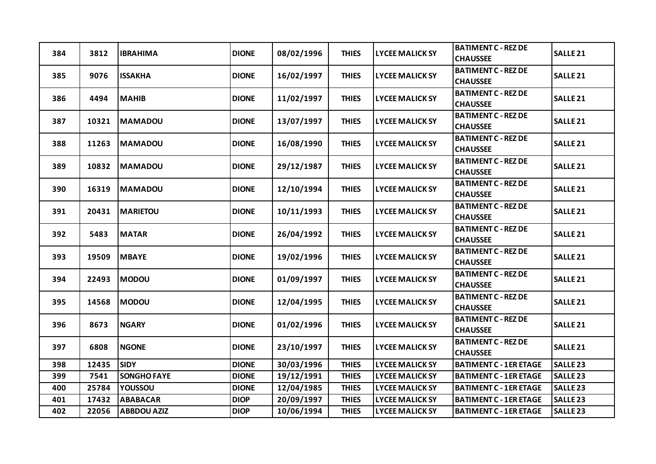| 384 | 3812  | <b>IBRAHIMA</b>    | <b>DIONE</b> | 08/02/1996 | <b>THIES</b> | <b>LYCEE MALICK SY</b> | <b>BATIMENT C - REZ DE</b><br><b>CHAUSSEE</b> | SALLE <sub>21</sub> |
|-----|-------|--------------------|--------------|------------|--------------|------------------------|-----------------------------------------------|---------------------|
| 385 | 9076  | <b>ISSAKHA</b>     | <b>DIONE</b> | 16/02/1997 | <b>THIES</b> | <b>LYCEE MALICK SY</b> | <b>BATIMENT C - REZ DE</b><br><b>CHAUSSEE</b> | <b>SALLE 21</b>     |
| 386 | 4494  | <b>MAHIB</b>       | <b>DIONE</b> | 11/02/1997 | <b>THIES</b> | <b>LYCEE MALICK SY</b> | <b>BATIMENT C - REZ DE</b><br><b>CHAUSSEE</b> | SALLE <sub>21</sub> |
| 387 | 10321 | <b>MAMADOU</b>     | <b>DIONE</b> | 13/07/1997 | <b>THIES</b> | <b>LYCEE MALICK SY</b> | <b>BATIMENT C - REZ DE</b><br><b>CHAUSSEE</b> | SALLE <sub>21</sub> |
| 388 | 11263 | <b>MAMADOU</b>     | <b>DIONE</b> | 16/08/1990 | <b>THIES</b> | <b>LYCEE MALICK SY</b> | <b>BATIMENT C - REZ DE</b><br><b>CHAUSSEE</b> | <b>SALLE 21</b>     |
| 389 | 10832 | <b>MAMADOU</b>     | <b>DIONE</b> | 29/12/1987 | <b>THIES</b> | <b>LYCEE MALICK SY</b> | <b>BATIMENT C - REZ DE</b><br><b>CHAUSSEE</b> | SALLE <sub>21</sub> |
| 390 | 16319 | <b>MAMADOU</b>     | <b>DIONE</b> | 12/10/1994 | <b>THIES</b> | <b>LYCEE MALICK SY</b> | <b>BATIMENT C - REZ DE</b><br><b>CHAUSSEE</b> | <b>SALLE 21</b>     |
| 391 | 20431 | <b>MARIETOU</b>    | <b>DIONE</b> | 10/11/1993 | <b>THIES</b> | <b>LYCEE MALICK SY</b> | <b>BATIMENT C - REZ DE</b><br><b>CHAUSSEE</b> | <b>SALLE 21</b>     |
| 392 | 5483  | <b>MATAR</b>       | <b>DIONE</b> | 26/04/1992 | <b>THIES</b> | <b>LYCEE MALICK SY</b> | <b>BATIMENT C - REZ DE</b><br><b>CHAUSSEE</b> | <b>SALLE 21</b>     |
| 393 | 19509 | <b>MBAYE</b>       | <b>DIONE</b> | 19/02/1996 | <b>THIES</b> | <b>LYCEE MALICK SY</b> | <b>BATIMENT C - REZ DE</b><br><b>CHAUSSEE</b> | SALLE <sub>21</sub> |
| 394 | 22493 | <b>MODOU</b>       | <b>DIONE</b> | 01/09/1997 | <b>THIES</b> | <b>LYCEE MALICK SY</b> | <b>BATIMENT C - REZ DE</b><br><b>CHAUSSEE</b> | SALLE <sub>21</sub> |
| 395 | 14568 | <b>MODOU</b>       | <b>DIONE</b> | 12/04/1995 | <b>THIES</b> | <b>LYCEE MALICK SY</b> | <b>BATIMENT C - REZ DE</b><br><b>CHAUSSEE</b> | SALLE <sub>21</sub> |
| 396 | 8673  | <b>NGARY</b>       | <b>DIONE</b> | 01/02/1996 | <b>THIES</b> | <b>LYCEE MALICK SY</b> | <b>BATIMENT C - REZ DE</b><br><b>CHAUSSEE</b> | <b>SALLE 21</b>     |
| 397 | 6808  | <b>NGONE</b>       | <b>DIONE</b> | 23/10/1997 | <b>THIES</b> | <b>LYCEE MALICK SY</b> | <b>BATIMENT C - REZ DE</b><br><b>CHAUSSEE</b> | <b>SALLE 21</b>     |
| 398 | 12435 | <b>SIDY</b>        | <b>DIONE</b> | 30/03/1996 | <b>THIES</b> | <b>LYCEE MALICK SY</b> | <b>BATIMENT C - 1ER ETAGE</b>                 | <b>SALLE 23</b>     |
| 399 | 7541  | <b>SONGHO FAYE</b> | <b>DIONE</b> | 19/12/1991 | <b>THIES</b> | <b>LYCEE MALICK SY</b> | <b>BATIMENT C - 1ER ETAGE</b>                 | <b>SALLE 23</b>     |
| 400 | 25784 | YOUSSOU            | <b>DIONE</b> | 12/04/1985 | <b>THIES</b> | <b>LYCEE MALICK SY</b> | <b>BATIMENT C - 1ER ETAGE</b>                 | <b>SALLE 23</b>     |
| 401 | 17432 | <b>ABABACAR</b>    | <b>DIOP</b>  | 20/09/1997 | <b>THIES</b> | <b>LYCEE MALICK SY</b> | <b>BATIMENT C - 1ER ETAGE</b>                 | <b>SALLE 23</b>     |
| 402 | 22056 | <b>ABBDOU AZIZ</b> | <b>DIOP</b>  | 10/06/1994 | <b>THIES</b> | <b>LYCEE MALICK SY</b> | <b>BATIMENT C - 1ER ETAGE</b>                 | <b>SALLE 23</b>     |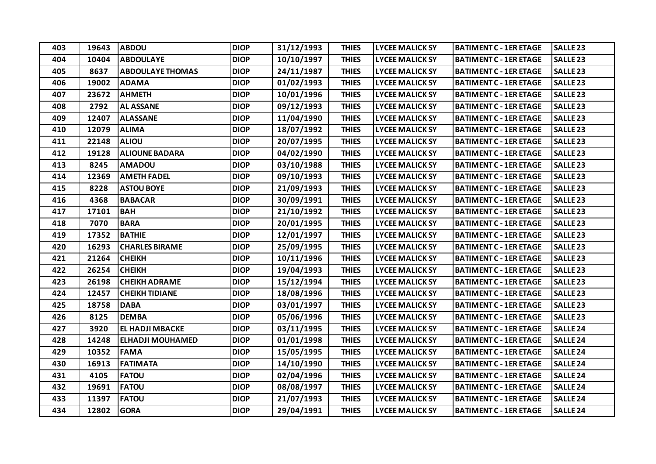| 403 | 19643 | <b>ABDOU</b>            | <b>DIOP</b> | 31/12/1993 | <b>THIES</b> | <b>LYCEE MALICK SY</b> | <b>BATIMENT C - 1ER ETAGE</b> | <b>SALLE 23</b>     |
|-----|-------|-------------------------|-------------|------------|--------------|------------------------|-------------------------------|---------------------|
| 404 | 10404 | <b>ABDOULAYE</b>        | <b>DIOP</b> | 10/10/1997 | <b>THIES</b> | <b>LYCEE MALICK SY</b> | <b>BATIMENT C - 1ER ETAGE</b> | <b>SALLE 23</b>     |
| 405 | 8637  | <b>ABDOULAYE THOMAS</b> | <b>DIOP</b> | 24/11/1987 | <b>THIES</b> | <b>LYCEE MALICK SY</b> | <b>BATIMENT C - 1ER ETAGE</b> | <b>SALLE 23</b>     |
| 406 | 19002 | <b>ADAMA</b>            | <b>DIOP</b> | 01/02/1993 | <b>THIES</b> | <b>LYCEE MALICK SY</b> | <b>BATIMENT C - 1ER ETAGE</b> | SALLE <sub>23</sub> |
| 407 | 23672 | <b>AHMETH</b>           | <b>DIOP</b> | 10/01/1996 | <b>THIES</b> | <b>LYCEE MALICK SY</b> | <b>BATIMENT C - 1ER ETAGE</b> | <b>SALLE 23</b>     |
| 408 | 2792  | <b>AL ASSANE</b>        | <b>DIOP</b> | 09/12/1993 | <b>THIES</b> | <b>LYCEE MALICK SY</b> | <b>BATIMENT C - 1ER ETAGE</b> | <b>SALLE 23</b>     |
| 409 | 12407 | <b>ALASSANE</b>         | <b>DIOP</b> | 11/04/1990 | <b>THIES</b> | <b>LYCEE MALICK SY</b> | <b>BATIMENT C - 1ER ETAGE</b> | <b>SALLE 23</b>     |
| 410 | 12079 | <b>ALIMA</b>            | <b>DIOP</b> | 18/07/1992 | <b>THIES</b> | <b>LYCEE MALICK SY</b> | <b>BATIMENT C - 1ER ETAGE</b> | <b>SALLE 23</b>     |
| 411 | 22148 | <b>ALIOU</b>            | <b>DIOP</b> | 20/07/1995 | <b>THIES</b> | <b>LYCEE MALICK SY</b> | <b>BATIMENT C - 1ER ETAGE</b> | <b>SALLE 23</b>     |
| 412 | 19128 | <b>ALIOUNE BADARA</b>   | <b>DIOP</b> | 04/02/1990 | <b>THIES</b> | <b>LYCEE MALICK SY</b> | <b>BATIMENT C - 1ER ETAGE</b> | SALLE <sub>23</sub> |
| 413 | 8245  | <b>AMADOU</b>           | <b>DIOP</b> | 03/10/1988 | <b>THIES</b> | <b>LYCEE MALICK SY</b> | <b>BATIMENT C - 1ER ETAGE</b> | <b>SALLE 23</b>     |
| 414 | 12369 | <b>AMETH FADEL</b>      | <b>DIOP</b> | 09/10/1993 | <b>THIES</b> | <b>LYCEE MALICK SY</b> | <b>BATIMENT C - 1ER ETAGE</b> | <b>SALLE 23</b>     |
| 415 | 8228  | <b>ASTOU BOYE</b>       | <b>DIOP</b> | 21/09/1993 | <b>THIES</b> | <b>LYCEE MALICK SY</b> | <b>BATIMENT C - 1ER ETAGE</b> | <b>SALLE 23</b>     |
| 416 | 4368  | <b>BABACAR</b>          | <b>DIOP</b> | 30/09/1991 | <b>THIES</b> | <b>LYCEE MALICK SY</b> | <b>BATIMENT C - 1ER ETAGE</b> | <b>SALLE 23</b>     |
| 417 | 17101 | <b>BAH</b>              | <b>DIOP</b> | 21/10/1992 | <b>THIES</b> | <b>LYCEE MALICK SY</b> | <b>BATIMENT C - 1ER ETAGE</b> | <b>SALLE 23</b>     |
| 418 | 7070  | <b>BARA</b>             | <b>DIOP</b> | 20/01/1995 | <b>THIES</b> | <b>LYCEE MALICK SY</b> | <b>BATIMENT C - 1ER ETAGE</b> | <b>SALLE 23</b>     |
| 419 | 17352 | <b>BATHIE</b>           | <b>DIOP</b> | 12/01/1997 | <b>THIES</b> | <b>LYCEE MALICK SY</b> | <b>BATIMENT C - 1ER ETAGE</b> | <b>SALLE 23</b>     |
| 420 | 16293 | <b>CHARLES BIRAME</b>   | <b>DIOP</b> | 25/09/1995 | <b>THIES</b> | <b>LYCEE MALICK SY</b> | <b>BATIMENT C - 1ER ETAGE</b> | <b>SALLE 23</b>     |
| 421 | 21264 | <b>CHEIKH</b>           | <b>DIOP</b> | 10/11/1996 | <b>THIES</b> | <b>LYCEE MALICK SY</b> | <b>BATIMENT C - 1ER ETAGE</b> | <b>SALLE 23</b>     |
| 422 | 26254 | <b>CHEIKH</b>           | <b>DIOP</b> | 19/04/1993 | <b>THIES</b> | <b>LYCEE MALICK SY</b> | <b>BATIMENT C - 1ER ETAGE</b> | <b>SALLE 23</b>     |
| 423 | 26198 | <b>CHEIKH ADRAME</b>    | <b>DIOP</b> | 15/12/1994 | <b>THIES</b> | <b>LYCEE MALICK SY</b> | <b>BATIMENT C - 1ER ETAGE</b> | <b>SALLE 23</b>     |
| 424 | 12457 | <b>CHEIKH TIDIANE</b>   | <b>DIOP</b> | 18/08/1996 | <b>THIES</b> | <b>LYCEE MALICK SY</b> | <b>BATIMENT C - 1ER ETAGE</b> | <b>SALLE 23</b>     |
| 425 | 18758 | <b>DABA</b>             | <b>DIOP</b> | 03/01/1997 | <b>THIES</b> | <b>LYCEE MALICK SY</b> | <b>BATIMENT C - 1ER ETAGE</b> | <b>SALLE 23</b>     |
| 426 | 8125  | <b>DEMBA</b>            | <b>DIOP</b> | 05/06/1996 | <b>THIES</b> | <b>LYCEE MALICK SY</b> | <b>BATIMENT C - 1ER ETAGE</b> | <b>SALLE 23</b>     |
| 427 | 3920  | EL HADJI MBACKE         | <b>DIOP</b> | 03/11/1995 | <b>THIES</b> | <b>LYCEE MALICK SY</b> | <b>BATIMENT C - 1ER ETAGE</b> | SALLE <sub>24</sub> |
| 428 | 14248 | <b>ELHADJI MOUHAMED</b> | <b>DIOP</b> | 01/01/1998 | <b>THIES</b> | <b>LYCEE MALICK SY</b> | <b>BATIMENT C - 1ER ETAGE</b> | SALLE <sub>24</sub> |
| 429 | 10352 | <b>FAMA</b>             | <b>DIOP</b> | 15/05/1995 | <b>THIES</b> | <b>LYCEE MALICK SY</b> | <b>BATIMENT C - 1ER ETAGE</b> | <b>SALLE 24</b>     |
| 430 | 16913 | <b>FATIMATA</b>         | <b>DIOP</b> | 14/10/1990 | <b>THIES</b> | <b>LYCEE MALICK SY</b> | <b>BATIMENT C - 1ER ETAGE</b> | <b>SALLE 24</b>     |
| 431 | 4105  | <b>FATOU</b>            | <b>DIOP</b> | 02/04/1996 | <b>THIES</b> | <b>LYCEE MALICK SY</b> | <b>BATIMENT C - 1ER ETAGE</b> | SALLE <sub>24</sub> |
| 432 | 19691 | <b>FATOU</b>            | <b>DIOP</b> | 08/08/1997 | <b>THIES</b> | <b>LYCEE MALICK SY</b> | <b>BATIMENT C - 1ER ETAGE</b> | <b>SALLE 24</b>     |
| 433 | 11397 | <b>FATOU</b>            | <b>DIOP</b> | 21/07/1993 | <b>THIES</b> | <b>LYCEE MALICK SY</b> | <b>BATIMENT C - 1ER ETAGE</b> | SALLE <sub>24</sub> |
| 434 | 12802 | <b>GORA</b>             | <b>DIOP</b> | 29/04/1991 | <b>THIES</b> | <b>LYCEE MALICK SY</b> | <b>BATIMENT C - 1ER ETAGE</b> | <b>SALLE 24</b>     |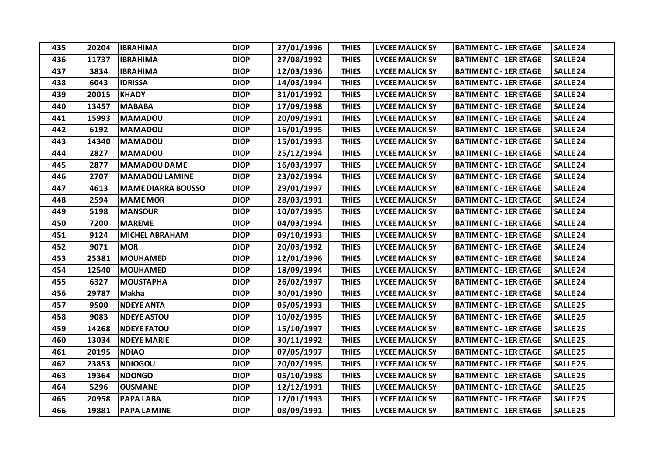| 435 | 20204 | <b>IBRAHIMA</b>           | <b>DIOP</b> | 27/01/1996 | <b>THIES</b> | <b>LYCEE MALICK SY</b> | <b>BATIMENT C - 1ER ETAGE</b> | <b>SALLE 24</b>     |
|-----|-------|---------------------------|-------------|------------|--------------|------------------------|-------------------------------|---------------------|
| 436 | 11737 | <b>IBRAHIMA</b>           | <b>DIOP</b> | 27/08/1992 | <b>THIES</b> | <b>LYCEE MALICK SY</b> | <b>BATIMENT C - 1ER ETAGE</b> | <b>SALLE 24</b>     |
| 437 | 3834  | <b>IBRAHIMA</b>           | <b>DIOP</b> | 12/03/1996 | <b>THIES</b> | <b>LYCEE MALICK SY</b> | <b>BATIMENT C - 1ER ETAGE</b> | <b>SALLE 24</b>     |
| 438 | 6043  | <b>IDRISSA</b>            | <b>DIOP</b> | 14/03/1994 | <b>THIES</b> | <b>LYCEE MALICK SY</b> | <b>BATIMENT C - 1ER ETAGE</b> | SALLE <sub>24</sub> |
| 439 | 20015 | <b>KHADY</b>              | <b>DIOP</b> | 31/01/1992 | <b>THIES</b> | <b>LYCEE MALICK SY</b> | <b>BATIMENT C - 1ER ETAGE</b> | <b>SALLE 24</b>     |
| 440 | 13457 | <b>MABABA</b>             | <b>DIOP</b> | 17/09/1988 | <b>THIES</b> | <b>LYCEE MALICK SY</b> | <b>BATIMENT C - 1ER ETAGE</b> | <b>SALLE 24</b>     |
| 441 | 15993 | <b>MAMADOU</b>            | <b>DIOP</b> | 20/09/1991 | <b>THIES</b> | <b>LYCEE MALICK SY</b> | <b>BATIMENT C - 1ER ETAGE</b> | SALLE <sub>24</sub> |
| 442 | 6192  | <b>MAMADOU</b>            | <b>DIOP</b> | 16/01/1995 | <b>THIES</b> | <b>LYCEE MALICK SY</b> | <b>BATIMENT C - 1ER ETAGE</b> | <b>SALLE 24</b>     |
| 443 | 14340 | <b>MAMADOU</b>            | <b>DIOP</b> | 15/01/1993 | <b>THIES</b> | <b>LYCEE MALICK SY</b> | <b>BATIMENT C - 1ER ETAGE</b> | <b>SALLE 24</b>     |
| 444 | 2827  | <b>MAMADOU</b>            | <b>DIOP</b> | 25/12/1994 | <b>THIES</b> | <b>LYCEE MALICK SY</b> | <b>BATIMENT C - 1ER ETAGE</b> | SALLE <sub>24</sub> |
| 445 | 2877  | <b>MAMADOU DAME</b>       | <b>DIOP</b> | 16/03/1997 | <b>THIES</b> | <b>LYCEE MALICK SY</b> | <b>BATIMENT C - 1ER ETAGE</b> | SALLE <sub>24</sub> |
| 446 | 2707  | <b>MAMADOU LAMINE</b>     | <b>DIOP</b> | 23/02/1994 | <b>THIES</b> | <b>LYCEE MALICK SY</b> | <b>BATIMENT C - 1ER ETAGE</b> | <b>SALLE 24</b>     |
| 447 | 4613  | <b>MAME DIARRA BOUSSO</b> | <b>DIOP</b> | 29/01/1997 | <b>THIES</b> | <b>LYCEE MALICK SY</b> | <b>BATIMENT C - 1ER ETAGE</b> | SALLE <sub>24</sub> |
| 448 | 2594  | <b>MAME MOR</b>           | <b>DIOP</b> | 28/03/1991 | <b>THIES</b> | <b>LYCEE MALICK SY</b> | <b>BATIMENT C - 1ER ETAGE</b> | SALLE <sub>24</sub> |
| 449 | 5198  | <b>MANSOUR</b>            | <b>DIOP</b> | 10/07/1995 | <b>THIES</b> | <b>LYCEE MALICK SY</b> | <b>BATIMENT C - 1ER ETAGE</b> | <b>SALLE 24</b>     |
| 450 | 7200  | <b>MAREME</b>             | <b>DIOP</b> | 04/03/1994 | <b>THIES</b> | <b>LYCEE MALICK SY</b> | <b>BATIMENT C - 1ER ETAGE</b> | SALLE <sub>24</sub> |
| 451 | 9124  | <b>MICHEL ABRAHAM</b>     | <b>DIOP</b> | 09/10/1993 | <b>THIES</b> | <b>LYCEE MALICK SY</b> | <b>BATIMENT C - 1ER ETAGE</b> | <b>SALLE 24</b>     |
| 452 | 9071  | <b>MOR</b>                | <b>DIOP</b> | 20/03/1992 | <b>THIES</b> | <b>LYCEE MALICK SY</b> | <b>BATIMENT C - 1ER ETAGE</b> | <b>SALLE 24</b>     |
| 453 | 25381 | <b>MOUHAMED</b>           | <b>DIOP</b> | 12/01/1996 | <b>THIES</b> | <b>LYCEE MALICK SY</b> | <b>BATIMENT C - 1ER ETAGE</b> | SALLE <sub>24</sub> |
| 454 | 12540 | <b>MOUHAMED</b>           | <b>DIOP</b> | 18/09/1994 | <b>THIES</b> | <b>LYCEE MALICK SY</b> | <b>BATIMENT C - 1ER ETAGE</b> | SALLE <sub>24</sub> |
| 455 | 6327  | <b>MOUSTAPHA</b>          | <b>DIOP</b> | 26/02/1997 | <b>THIES</b> | <b>LYCEE MALICK SY</b> | <b>BATIMENT C - 1ER ETAGE</b> | <b>SALLE 24</b>     |
| 456 | 29787 | <b>Makha</b>              | <b>DIOP</b> | 30/01/1990 | <b>THIES</b> | <b>LYCEE MALICK SY</b> | <b>BATIMENT C - 1ER ETAGE</b> | <b>SALLE 24</b>     |
| 457 | 9500  | <b>NDEYE ANTA</b>         | <b>DIOP</b> | 05/05/1993 | <b>THIES</b> | <b>LYCEE MALICK SY</b> | <b>BATIMENT C - 1ER ETAGE</b> | <b>SALLE 25</b>     |
| 458 | 9083  | <b>NDEYE ASTOU</b>        | <b>DIOP</b> | 10/02/1995 | <b>THIES</b> | <b>LYCEE MALICK SY</b> | <b>BATIMENT C - 1ER ETAGE</b> | <b>SALLE 25</b>     |
| 459 | 14268 | <b>NDEYE FATOU</b>        | <b>DIOP</b> | 15/10/1997 | <b>THIES</b> | <b>LYCEE MALICK SY</b> | <b>BATIMENT C - 1ER ETAGE</b> | <b>SALLE 25</b>     |
| 460 | 13034 | <b>NDEYE MARIE</b>        | <b>DIOP</b> | 30/11/1992 | <b>THIES</b> | <b>LYCEE MALICK SY</b> | <b>BATIMENT C - 1ER ETAGE</b> | <b>SALLE 25</b>     |
| 461 | 20195 | <b>NDIAO</b>              | <b>DIOP</b> | 07/05/1997 | <b>THIES</b> | <b>LYCEE MALICK SY</b> | <b>BATIMENT C - 1ER ETAGE</b> | <b>SALLE 25</b>     |
| 462 | 23853 | <b>NDIOGOU</b>            | <b>DIOP</b> | 20/02/1995 | <b>THIES</b> | <b>LYCEE MALICK SY</b> | <b>BATIMENT C - 1ER ETAGE</b> | <b>SALLE 25</b>     |
| 463 | 19364 | <b>NDONGO</b>             | <b>DIOP</b> | 05/10/1988 | <b>THIES</b> | <b>LYCEE MALICK SY</b> | <b>BATIMENT C - 1ER ETAGE</b> | <b>SALLE 25</b>     |
| 464 | 5296  | <b>OUSMANE</b>            | <b>DIOP</b> | 12/12/1991 | <b>THIES</b> | <b>LYCEE MALICK SY</b> | <b>BATIMENT C - 1ER ETAGE</b> | <b>SALLE 25</b>     |
| 465 | 20958 | PAPA LABA                 | <b>DIOP</b> | 12/01/1993 | <b>THIES</b> | <b>LYCEE MALICK SY</b> | <b>BATIMENT C - 1ER ETAGE</b> | <b>SALLE 25</b>     |
| 466 | 19881 | <b>PAPA LAMINE</b>        | <b>DIOP</b> | 08/09/1991 | <b>THIES</b> | <b>LYCEE MALICK SY</b> | <b>BATIMENT C - 1ER ETAGE</b> | <b>SALLE 25</b>     |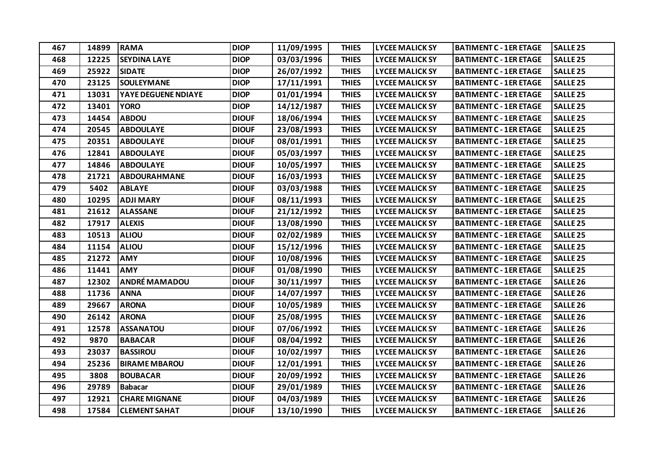| 467 | 14899 | <b>RAMA</b>          | <b>DIOP</b>  | 11/09/1995 | <b>THIES</b> | <b>LYCEE MALICK SY</b> | <b>BATIMENT C - 1ER ETAGE</b> | <b>SALLE 25</b>     |
|-----|-------|----------------------|--------------|------------|--------------|------------------------|-------------------------------|---------------------|
| 468 | 12225 | <b>SEYDINA LAYE</b>  | <b>DIOP</b>  | 03/03/1996 | <b>THIES</b> | <b>LYCEE MALICK SY</b> | <b>BATIMENT C - 1ER ETAGE</b> | <b>SALLE 25</b>     |
| 469 | 25922 | <b>SIDATE</b>        | <b>DIOP</b>  | 26/07/1992 | <b>THIES</b> | <b>LYCEE MALICK SY</b> | <b>BATIMENT C - 1ER ETAGE</b> | <b>SALLE 25</b>     |
| 470 | 23125 | <b>SOULEYMANE</b>    | <b>DIOP</b>  | 17/11/1991 | <b>THIES</b> | <b>LYCEE MALICK SY</b> | <b>BATIMENT C - 1ER ETAGE</b> | SALLE <sub>25</sub> |
| 471 | 13031 | YAYE DEGUENE NDIAYE  | <b>DIOP</b>  | 01/01/1994 | <b>THIES</b> | <b>LYCEE MALICK SY</b> | <b>BATIMENT C - 1ER ETAGE</b> | <b>SALLE 25</b>     |
| 472 | 13401 | <b>YORO</b>          | <b>DIOP</b>  | 14/12/1987 | <b>THIES</b> | <b>LYCEE MALICK SY</b> | <b>BATIMENT C - 1ER ETAGE</b> | <b>SALLE 25</b>     |
| 473 | 14454 | <b>ABDOU</b>         | <b>DIOUF</b> | 18/06/1994 | <b>THIES</b> | <b>LYCEE MALICK SY</b> | <b>BATIMENT C - 1ER ETAGE</b> | <b>SALLE 25</b>     |
| 474 | 20545 | <b>ABDOULAYE</b>     | <b>DIOUF</b> | 23/08/1993 | <b>THIES</b> | <b>LYCEE MALICK SY</b> | <b>BATIMENT C - 1ER ETAGE</b> | <b>SALLE 25</b>     |
| 475 | 20351 | <b>ABDOULAYE</b>     | <b>DIOUF</b> | 08/01/1991 | <b>THIES</b> | <b>LYCEE MALICK SY</b> | <b>BATIMENT C - 1ER ETAGE</b> | <b>SALLE 25</b>     |
| 476 | 12841 | <b>ABDOULAYE</b>     | <b>DIOUF</b> | 05/03/1997 | <b>THIES</b> | <b>LYCEE MALICK SY</b> | <b>BATIMENT C - 1ER ETAGE</b> | SALLE <sub>25</sub> |
| 477 | 14846 | <b>ABDOULAYE</b>     | <b>DIOUF</b> | 10/05/1997 | <b>THIES</b> | <b>LYCEE MALICK SY</b> | <b>BATIMENT C - 1ER ETAGE</b> | <b>SALLE 25</b>     |
| 478 | 21721 | <b>ABDOURAHMANE</b>  | <b>DIOUF</b> | 16/03/1993 | <b>THIES</b> | <b>LYCEE MALICK SY</b> | <b>BATIMENT C - 1ER ETAGE</b> | <b>SALLE 25</b>     |
| 479 | 5402  | <b>ABLAYE</b>        | <b>DIOUF</b> | 03/03/1988 | <b>THIES</b> | <b>LYCEE MALICK SY</b> | <b>BATIMENT C - 1ER ETAGE</b> | <b>SALLE 25</b>     |
| 480 | 10295 | <b>ADJI MARY</b>     | <b>DIOUF</b> | 08/11/1993 | <b>THIES</b> | <b>LYCEE MALICK SY</b> | <b>BATIMENT C - 1ER ETAGE</b> | <b>SALLE 25</b>     |
| 481 | 21612 | <b>ALASSANE</b>      | <b>DIOUF</b> | 21/12/1992 | <b>THIES</b> | <b>LYCEE MALICK SY</b> | <b>BATIMENT C - 1ER ETAGE</b> | <b>SALLE 25</b>     |
| 482 | 17917 | <b>ALEXIS</b>        | <b>DIOUF</b> | 13/08/1990 | <b>THIES</b> | <b>LYCEE MALICK SY</b> | <b>BATIMENT C - 1ER ETAGE</b> | <b>SALLE 25</b>     |
| 483 | 10513 | <b>ALIOU</b>         | <b>DIOUF</b> | 02/02/1989 | <b>THIES</b> | <b>LYCEE MALICK SY</b> | <b>BATIMENT C - 1ER ETAGE</b> | <b>SALLE 25</b>     |
| 484 | 11154 | <b>ALIOU</b>         | <b>DIOUF</b> | 15/12/1996 | <b>THIES</b> | <b>LYCEE MALICK SY</b> | <b>BATIMENT C - 1ER ETAGE</b> | <b>SALLE 25</b>     |
| 485 | 21272 | <b>AMY</b>           | <b>DIOUF</b> | 10/08/1996 | <b>THIES</b> | <b>LYCEE MALICK SY</b> | <b>BATIMENT C - 1ER ETAGE</b> | <b>SALLE 25</b>     |
| 486 | 11441 | <b>AMY</b>           | <b>DIOUF</b> | 01/08/1990 | <b>THIES</b> | <b>LYCEE MALICK SY</b> | <b>BATIMENT C - 1ER ETAGE</b> | <b>SALLE 25</b>     |
| 487 | 12302 | <b>ANDRÉ MAMADOU</b> | <b>DIOUF</b> | 30/11/1997 | <b>THIES</b> | <b>LYCEE MALICK SY</b> | <b>BATIMENT C - 1ER ETAGE</b> | SALLE <sub>26</sub> |
| 488 | 11736 | <b>ANNA</b>          | <b>DIOUF</b> | 14/07/1997 | <b>THIES</b> | <b>LYCEE MALICK SY</b> | <b>BATIMENT C - 1ER ETAGE</b> | <b>SALLE 26</b>     |
| 489 | 29667 | <b>ARONA</b>         | <b>DIOUF</b> | 10/05/1989 | <b>THIES</b> | <b>LYCEE MALICK SY</b> | <b>BATIMENT C - 1ER ETAGE</b> | SALLE <sub>26</sub> |
| 490 | 26142 | <b>ARONA</b>         | <b>DIOUF</b> | 25/08/1995 | <b>THIES</b> | <b>LYCEE MALICK SY</b> | <b>BATIMENT C - 1ER ETAGE</b> | SALLE <sub>26</sub> |
| 491 | 12578 | <b>ASSANATOU</b>     | <b>DIOUF</b> | 07/06/1992 | <b>THIES</b> | <b>LYCEE MALICK SY</b> | <b>BATIMENT C - 1ER ETAGE</b> | SALLE <sub>26</sub> |
| 492 | 9870  | <b>BABACAR</b>       | <b>DIOUF</b> | 08/04/1992 | <b>THIES</b> | <b>LYCEE MALICK SY</b> | <b>BATIMENT C - 1ER ETAGE</b> | SALLE <sub>26</sub> |
| 493 | 23037 | <b>BASSIROU</b>      | <b>DIOUF</b> | 10/02/1997 | <b>THIES</b> | <b>LYCEE MALICK SY</b> | <b>BATIMENT C - 1ER ETAGE</b> | SALLE <sub>26</sub> |
| 494 | 25236 | <b>BIRAME MBAROU</b> | <b>DIOUF</b> | 12/01/1991 | <b>THIES</b> | <b>LYCEE MALICK SY</b> | <b>BATIMENT C - 1ER ETAGE</b> | <b>SALLE 26</b>     |
| 495 | 3808  | <b>BOUBACAR</b>      | <b>DIOUF</b> | 20/09/1992 | <b>THIES</b> | <b>LYCEE MALICK SY</b> | <b>BATIMENT C - 1ER ETAGE</b> | SALLE <sub>26</sub> |
| 496 | 29789 | <b>Babacar</b>       | <b>DIOUF</b> | 29/01/1989 | <b>THIES</b> | <b>LYCEE MALICK SY</b> | <b>BATIMENT C - 1ER ETAGE</b> | SALLE <sub>26</sub> |
| 497 | 12921 | <b>CHARE MIGNANE</b> | <b>DIOUF</b> | 04/03/1989 | <b>THIES</b> | <b>LYCEE MALICK SY</b> | <b>BATIMENT C - 1ER ETAGE</b> | SALLE <sub>26</sub> |
| 498 | 17584 | <b>CLEMENT SAHAT</b> | <b>DIOUF</b> | 13/10/1990 | <b>THIES</b> | <b>LYCEE MALICK SY</b> | <b>BATIMENT C - 1ER ETAGE</b> | <b>SALLE 26</b>     |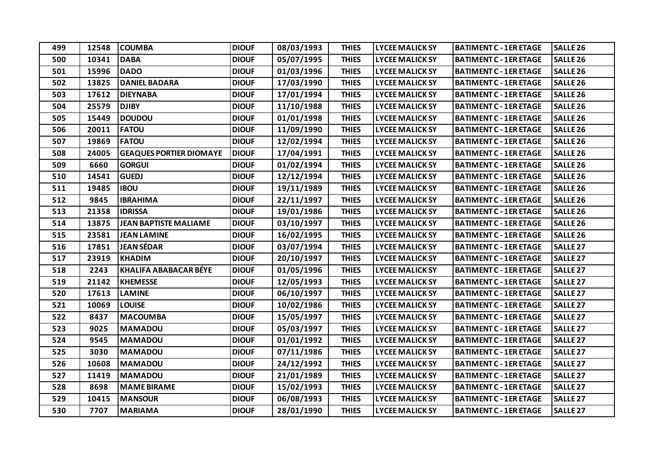| 499 | 12548 | <b>COUMBA</b>                  | <b>DIOUF</b> | 08/03/1993 | <b>THIES</b> | <b>LYCEE MALICK SY</b> | <b>BATIMENT C - 1ER ETAGE</b> | SALLE <sub>26</sub> |
|-----|-------|--------------------------------|--------------|------------|--------------|------------------------|-------------------------------|---------------------|
| 500 | 10341 | <b>DABA</b>                    | <b>DIOUF</b> | 05/07/1995 | <b>THIES</b> | <b>LYCEE MALICK SY</b> | <b>BATIMENT C - 1ER ETAGE</b> | SALLE <sub>26</sub> |
| 501 | 15996 | <b>DADO</b>                    | <b>DIOUF</b> | 01/03/1996 | <b>THIES</b> | <b>LYCEE MALICK SY</b> | <b>BATIMENT C - 1ER ETAGE</b> | SALLE <sub>26</sub> |
| 502 | 13825 | <b>DANIEL BADARA</b>           | <b>DIOUF</b> | 17/03/1990 | <b>THIES</b> | <b>LYCEE MALICK SY</b> | <b>BATIMENT C - 1ER ETAGE</b> | SALLE <sub>26</sub> |
| 503 | 17612 | <b>DIEYNABA</b>                | <b>DIOUF</b> | 17/01/1994 | <b>THIES</b> | <b>LYCEE MALICK SY</b> | <b>BATIMENT C - 1ER ETAGE</b> | SALLE <sub>26</sub> |
| 504 | 25579 | <b>DJIBY</b>                   | <b>DIOUF</b> | 11/10/1988 | <b>THIES</b> | <b>LYCEE MALICK SY</b> | <b>BATIMENT C - 1ER ETAGE</b> | SALLE <sub>26</sub> |
| 505 | 15449 | <b>DOUDOU</b>                  | <b>DIOUF</b> | 01/01/1998 | <b>THIES</b> | <b>LYCEE MALICK SY</b> | <b>BATIMENT C - 1ER ETAGE</b> | SALLE <sub>26</sub> |
| 506 | 20011 | <b>FATOU</b>                   | <b>DIOUF</b> | 11/09/1990 | <b>THIES</b> | <b>LYCEE MALICK SY</b> | <b>BATIMENT C - 1ER ETAGE</b> | SALLE <sub>26</sub> |
| 507 | 19869 | <b>FATOU</b>                   | <b>DIOUF</b> | 12/02/1994 | <b>THIES</b> | <b>LYCEE MALICK SY</b> | <b>BATIMENT C - 1ER ETAGE</b> | SALLE <sub>26</sub> |
| 508 | 24005 | <b>GEAQUES PORTIER DIOMAYE</b> | <b>DIOUF</b> | 17/04/1991 | <b>THIES</b> | <b>LYCEE MALICK SY</b> | <b>BATIMENT C - 1ER ETAGE</b> | <b>SALLE 26</b>     |
| 509 | 6660  | <b>GORGUI</b>                  | <b>DIOUF</b> | 01/02/1994 | <b>THIES</b> | <b>LYCEE MALICK SY</b> | <b>BATIMENT C - 1ER ETAGE</b> | SALLE <sub>26</sub> |
| 510 | 14541 | <b>GUEDJ</b>                   | <b>DIOUF</b> | 12/12/1994 | <b>THIES</b> | <b>LYCEE MALICK SY</b> | <b>BATIMENT C - 1ER ETAGE</b> | SALLE <sub>26</sub> |
| 511 | 19485 | <b>IBOU</b>                    | <b>DIOUF</b> | 19/11/1989 | <b>THIES</b> | <b>LYCEE MALICK SY</b> | <b>BATIMENT C - 1ER ETAGE</b> | SALLE <sub>26</sub> |
| 512 | 9845  | <b>IBRAHIMA</b>                | <b>DIOUF</b> | 22/11/1997 | <b>THIES</b> | <b>LYCEE MALICK SY</b> | <b>BATIMENT C - 1ER ETAGE</b> | SALLE <sub>26</sub> |
| 513 | 21358 | <b>IDRISSA</b>                 | <b>DIOUF</b> | 19/01/1986 | <b>THIES</b> | <b>LYCEE MALICK SY</b> | <b>BATIMENT C - 1ER ETAGE</b> | SALLE <sub>26</sub> |
| 514 | 13875 | <b>JEAN BAPTISTE MALIAME</b>   | <b>DIOUF</b> | 03/10/1997 | <b>THIES</b> | <b>LYCEE MALICK SY</b> | <b>BATIMENT C - 1ER ETAGE</b> | SALLE <sub>26</sub> |
| 515 | 23581 | <b>JEAN LAMINE</b>             | <b>DIOUF</b> | 16/02/1995 | <b>THIES</b> | <b>LYCEE MALICK SY</b> | <b>BATIMENT C - 1ER ETAGE</b> | <b>SALLE 26</b>     |
| 516 | 17851 | <b>JEAN SÉDAR</b>              | <b>DIOUF</b> | 03/07/1994 | <b>THIES</b> | <b>LYCEE MALICK SY</b> | <b>BATIMENT C - 1ER ETAGE</b> | SALLE <sub>27</sub> |
| 517 | 23919 | <b>KHADIM</b>                  | <b>DIOUF</b> | 20/10/1997 | <b>THIES</b> | <b>LYCEE MALICK SY</b> | <b>BATIMENT C - 1ER ETAGE</b> | SALLE <sub>27</sub> |
| 518 | 2243  | <b>KHALIFA ABABACAR BÉYE</b>   | <b>DIOUF</b> | 01/05/1996 | <b>THIES</b> | <b>LYCEE MALICK SY</b> | <b>BATIMENT C - 1ER ETAGE</b> | SALLE <sub>27</sub> |
| 519 | 21142 | <b>KHEMESSE</b>                | <b>DIOUF</b> | 12/05/1993 | <b>THIES</b> | <b>LYCEE MALICK SY</b> | <b>BATIMENT C - 1ER ETAGE</b> | SALLE <sub>27</sub> |
| 520 | 17613 | <b>LAMINE</b>                  | <b>DIOUF</b> | 06/10/1997 | <b>THIES</b> | <b>LYCEE MALICK SY</b> | <b>BATIMENT C - 1ER ETAGE</b> | SALLE <sub>27</sub> |
| 521 | 10069 | <b>LOUISE</b>                  | <b>DIOUF</b> | 10/02/1986 | <b>THIES</b> | <b>LYCEE MALICK SY</b> | <b>BATIMENT C - 1ER ETAGE</b> | <b>SALLE 27</b>     |
| 522 | 8437  | <b>MACOUMBA</b>                | <b>DIOUF</b> | 15/05/1997 | <b>THIES</b> | <b>LYCEE MALICK SY</b> | <b>BATIMENT C - 1ER ETAGE</b> | SALLE <sub>27</sub> |
| 523 | 9025  | <b>MAMADOU</b>                 | <b>DIOUF</b> | 05/03/1997 | <b>THIES</b> | <b>LYCEE MALICK SY</b> | <b>BATIMENT C - 1ER ETAGE</b> | SALLE <sub>27</sub> |
| 524 | 9545  | <b>MAMADOU</b>                 | <b>DIOUF</b> | 01/01/1992 | <b>THIES</b> | <b>LYCEE MALICK SY</b> | <b>BATIMENT C - 1ER ETAGE</b> | SALLE <sub>27</sub> |
| 525 | 3030  | <b>MAMADOU</b>                 | <b>DIOUF</b> | 07/11/1986 | <b>THIES</b> | <b>LYCEE MALICK SY</b> | <b>BATIMENT C - 1ER ETAGE</b> | <b>SALLE 27</b>     |
| 526 | 10608 | <b>MAMADOU</b>                 | <b>DIOUF</b> | 24/12/1992 | <b>THIES</b> | <b>LYCEE MALICK SY</b> | <b>BATIMENT C - 1ER ETAGE</b> | <b>SALLE 27</b>     |
| 527 | 11419 | <b>MAMADOU</b>                 | <b>DIOUF</b> | 21/01/1989 | <b>THIES</b> | <b>LYCEE MALICK SY</b> | <b>BATIMENT C - 1ER ETAGE</b> | SALLE <sub>27</sub> |
| 528 | 8698  | <b>MAME BIRAME</b>             | <b>DIOUF</b> | 15/02/1993 | <b>THIES</b> | <b>LYCEE MALICK SY</b> | <b>BATIMENT C - 1ER ETAGE</b> | SALLE <sub>27</sub> |
| 529 | 10415 | <b>MANSOUR</b>                 | <b>DIOUF</b> | 06/08/1993 | <b>THIES</b> | <b>LYCEE MALICK SY</b> | <b>BATIMENT C - 1ER ETAGE</b> | <b>SALLE 27</b>     |
| 530 | 7707  | <b>MARIAMA</b>                 | <b>DIOUF</b> | 28/01/1990 | <b>THIES</b> | <b>LYCEE MALICK SY</b> | <b>BATIMENT C - 1ER ETAGE</b> | <b>SALLE 27</b>     |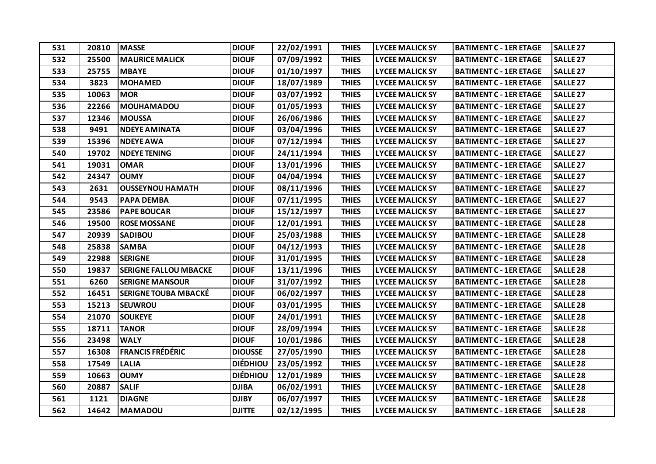| 531 | 20810 | <b>MASSE</b>                 | <b>DIOUF</b>    | 22/02/1991 | <b>THIES</b> | <b>LYCEE MALICK SY</b> | <b>BATIMENT C - 1ER ETAGE</b> | <b>SALLE 27</b>     |
|-----|-------|------------------------------|-----------------|------------|--------------|------------------------|-------------------------------|---------------------|
| 532 | 25500 | <b>MAURICE MALICK</b>        | <b>DIOUF</b>    | 07/09/1992 | <b>THIES</b> | <b>LYCEE MALICK SY</b> | <b>BATIMENT C - 1ER ETAGE</b> | <b>SALLE 27</b>     |
| 533 | 25755 | <b>MBAYE</b>                 | <b>DIOUF</b>    | 01/10/1997 | <b>THIES</b> | <b>LYCEE MALICK SY</b> | <b>BATIMENT C - 1ER ETAGE</b> | <b>SALLE 27</b>     |
| 534 | 3823  | <b>MOHAMED</b>               | <b>DIOUF</b>    | 18/07/1989 | <b>THIES</b> | <b>LYCEE MALICK SY</b> | <b>BATIMENT C - 1ER ETAGE</b> | SALLE <sub>27</sub> |
| 535 | 10063 | <b>MOR</b>                   | <b>DIOUF</b>    | 03/07/1992 | <b>THIES</b> | <b>LYCEE MALICK SY</b> | <b>BATIMENT C - 1ER ETAGE</b> | <b>SALLE 27</b>     |
| 536 | 22266 | <b>MOUHAMADOU</b>            | <b>DIOUF</b>    | 01/05/1993 | <b>THIES</b> | <b>LYCEE MALICK SY</b> | <b>BATIMENT C - 1ER ETAGE</b> | <b>SALLE 27</b>     |
| 537 | 12346 | <b>MOUSSA</b>                | <b>DIOUF</b>    | 26/06/1986 | <b>THIES</b> | <b>LYCEE MALICK SY</b> | <b>BATIMENT C - 1ER ETAGE</b> | SALLE <sub>27</sub> |
| 538 | 9491  | <b>NDEYE AMINATA</b>         | <b>DIOUF</b>    | 03/04/1996 | <b>THIES</b> | <b>LYCEE MALICK SY</b> | <b>BATIMENT C - 1ER ETAGE</b> | <b>SALLE 27</b>     |
| 539 | 15396 | <b>NDEYE AWA</b>             | <b>DIOUF</b>    | 07/12/1994 | <b>THIES</b> | <b>LYCEE MALICK SY</b> | <b>BATIMENT C - 1ER ETAGE</b> | SALLE <sub>27</sub> |
| 540 | 19702 | <b>NDEYE TENING</b>          | <b>DIOUF</b>    | 24/11/1994 | <b>THIES</b> | <b>LYCEE MALICK SY</b> | <b>BATIMENT C - 1ER ETAGE</b> | SALLE <sub>27</sub> |
| 541 | 19031 | <b>OMAR</b>                  | <b>DIOUF</b>    | 13/01/1996 | <b>THIES</b> | <b>LYCEE MALICK SY</b> | <b>BATIMENT C - 1ER ETAGE</b> | SALLE <sub>27</sub> |
| 542 | 24347 | <b>OUMY</b>                  | <b>DIOUF</b>    | 04/04/1994 | <b>THIES</b> | <b>LYCEE MALICK SY</b> | <b>BATIMENT C - 1ER ETAGE</b> | <b>SALLE 27</b>     |
| 543 | 2631  | <b>OUSSEYNOU HAMATH</b>      | <b>DIOUF</b>    | 08/11/1996 | <b>THIES</b> | <b>LYCEE MALICK SY</b> | <b>BATIMENT C - 1ER ETAGE</b> | SALLE <sub>27</sub> |
| 544 | 9543  | <b>PAPA DEMBA</b>            | <b>DIOUF</b>    | 07/11/1995 | <b>THIES</b> | <b>LYCEE MALICK SY</b> | <b>BATIMENT C - 1ER ETAGE</b> | SALLE <sub>27</sub> |
| 545 | 23586 | <b>PAPE BOUCAR</b>           | <b>DIOUF</b>    | 15/12/1997 | <b>THIES</b> | <b>LYCEE MALICK SY</b> | <b>BATIMENT C - 1ER ETAGE</b> | <b>SALLE 27</b>     |
| 546 | 19500 | <b>ROSE MOSSANE</b>          | <b>DIOUF</b>    | 12/01/1991 | <b>THIES</b> | <b>LYCEE MALICK SY</b> | <b>BATIMENT C - 1ER ETAGE</b> | <b>SALLE 28</b>     |
| 547 | 20939 | <b>SADIBOU</b>               | <b>DIOUF</b>    | 25/03/1988 | <b>THIES</b> | <b>LYCEE MALICK SY</b> | <b>BATIMENT C - 1ER ETAGE</b> | <b>SALLE 28</b>     |
| 548 | 25838 | <b>SAMBA</b>                 | <b>DIOUF</b>    | 04/12/1993 | <b>THIES</b> | <b>LYCEE MALICK SY</b> | <b>BATIMENT C - 1ER ETAGE</b> | <b>SALLE 28</b>     |
| 549 | 22988 | <b>SERIGNE</b>               | <b>DIOUF</b>    | 31/01/1995 | <b>THIES</b> | <b>LYCEE MALICK SY</b> | <b>BATIMENT C - 1ER ETAGE</b> | <b>SALLE 28</b>     |
| 550 | 19837 | <b>SERIGNE FALLOU MBACKE</b> | <b>DIOUF</b>    | 13/11/1996 | <b>THIES</b> | <b>LYCEE MALICK SY</b> | <b>BATIMENT C - 1ER ETAGE</b> | SALLE <sub>28</sub> |
| 551 | 6260  | <b>SERIGNE MANSOUR</b>       | <b>DIOUF</b>    | 31/07/1992 | <b>THIES</b> | <b>LYCEE MALICK SY</b> | <b>BATIMENT C - 1ER ETAGE</b> | <b>SALLE 28</b>     |
| 552 | 16451 | <b>SERIGNE TOUBA MBACKÉ</b>  | <b>DIOUF</b>    | 06/02/1997 | <b>THIES</b> | <b>LYCEE MALICK SY</b> | <b>BATIMENT C - 1ER ETAGE</b> | <b>SALLE 28</b>     |
| 553 | 15213 | <b>SEUWROU</b>               | <b>DIOUF</b>    | 03/01/1995 | <b>THIES</b> | <b>LYCEE MALICK SY</b> | <b>BATIMENT C - 1ER ETAGE</b> | <b>SALLE 28</b>     |
| 554 | 21070 | <b>SOUKEYE</b>               | <b>DIOUF</b>    | 24/01/1991 | <b>THIES</b> | <b>LYCEE MALICK SY</b> | <b>BATIMENT C - 1ER ETAGE</b> | <b>SALLE 28</b>     |
| 555 | 18711 | <b>TANOR</b>                 | <b>DIOUF</b>    | 28/09/1994 | <b>THIES</b> | <b>LYCEE MALICK SY</b> | <b>BATIMENT C - 1ER ETAGE</b> | <b>SALLE 28</b>     |
| 556 | 23498 | <b>WALY</b>                  | <b>DIOUF</b>    | 10/01/1986 | <b>THIES</b> | <b>LYCEE MALICK SY</b> | <b>BATIMENT C - 1ER ETAGE</b> | SALLE <sub>28</sub> |
| 557 | 16308 | <b>FRANCIS FRÉDÉRIC</b>      | <b>DIOUSSE</b>  | 27/05/1990 | <b>THIES</b> | <b>LYCEE MALICK SY</b> | <b>BATIMENT C - 1ER ETAGE</b> | <b>SALLE 28</b>     |
| 558 | 17549 | <b>LALIA</b>                 | <b>DIÉDHIOU</b> | 23/05/1992 | <b>THIES</b> | <b>LYCEE MALICK SY</b> | <b>BATIMENT C - 1ER ETAGE</b> | <b>SALLE 28</b>     |
| 559 | 10663 | <b>OUMY</b>                  | <b>DIÉDHIOU</b> | 12/01/1989 | <b>THIES</b> | <b>LYCEE MALICK SY</b> | <b>BATIMENT C - 1ER ETAGE</b> | <b>SALLE 28</b>     |
| 560 | 20887 | <b>SALIF</b>                 | <b>DJIBA</b>    | 06/02/1991 | <b>THIES</b> | <b>LYCEE MALICK SY</b> | <b>BATIMENT C - 1ER ETAGE</b> | <b>SALLE 28</b>     |
| 561 | 1121  | <b>DIAGNE</b>                | <b>DJIBY</b>    | 06/07/1997 | <b>THIES</b> | <b>LYCEE MALICK SY</b> | <b>BATIMENT C - 1ER ETAGE</b> | <b>SALLE 28</b>     |
| 562 | 14642 | <b>MAMADOU</b>               | <b>DJITTE</b>   | 02/12/1995 | <b>THIES</b> | <b>LYCEE MALICK SY</b> | <b>BATIMENT C - 1ER ETAGE</b> | <b>SALLE 28</b>     |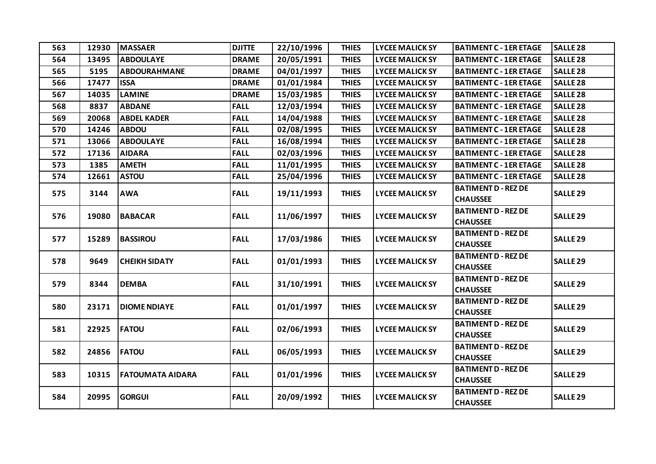| 563 | 12930 | <b>MASSAER</b>       | <b>DJITTE</b> | 22/10/1996 | <b>THIES</b> | <b>LYCEE MALICK SY</b> | <b>BATIMENT C - 1ER ETAGE</b>                 | <b>SALLE 28</b>     |
|-----|-------|----------------------|---------------|------------|--------------|------------------------|-----------------------------------------------|---------------------|
| 564 | 13495 | <b>ABDOULAYE</b>     | <b>DRAME</b>  | 20/05/1991 | <b>THIES</b> | <b>LYCEE MALICK SY</b> | <b>BATIMENT C - 1ER ETAGE</b>                 | <b>SALLE 28</b>     |
| 565 | 5195  | <b>ABDOURAHMANE</b>  | <b>DRAME</b>  | 04/01/1997 | <b>THIES</b> | <b>LYCEE MALICK SY</b> | <b>BATIMENT C - 1ER ETAGE</b>                 | <b>SALLE 28</b>     |
| 566 | 17477 | <b>ISSA</b>          | <b>DRAME</b>  | 01/01/1984 | <b>THIES</b> | <b>LYCEE MALICK SY</b> | <b>BATIMENT C - 1ER ETAGE</b>                 | <b>SALLE 28</b>     |
| 567 | 14035 | <b>LAMINE</b>        | <b>DRAME</b>  | 15/03/1985 | <b>THIES</b> | <b>LYCEE MALICK SY</b> | <b>BATIMENT C - 1ER ETAGE</b>                 | <b>SALLE 28</b>     |
| 568 | 8837  | <b>ABDANE</b>        | <b>FALL</b>   | 12/03/1994 | <b>THIES</b> | <b>LYCEE MALICK SY</b> | <b>BATIMENT C - 1ER ETAGE</b>                 | <b>SALLE 28</b>     |
| 569 | 20068 | <b>ABDEL KADER</b>   | <b>FALL</b>   | 14/04/1988 | <b>THIES</b> | <b>LYCEE MALICK SY</b> | <b>BATIMENT C - 1ER ETAGE</b>                 | <b>SALLE 28</b>     |
| 570 | 14246 | <b>ABDOU</b>         | <b>FALL</b>   | 02/08/1995 | <b>THIES</b> | <b>LYCEE MALICK SY</b> | <b>BATIMENT C - 1ER ETAGE</b>                 | <b>SALLE 28</b>     |
| 571 | 13066 | <b>ABDOULAYE</b>     | <b>FALL</b>   | 16/08/1994 | <b>THIES</b> | <b>LYCEE MALICK SY</b> | <b>BATIMENT C - 1ER ETAGE</b>                 | <b>SALLE 28</b>     |
| 572 | 17136 | <b>AIDARA</b>        | <b>FALL</b>   | 02/03/1996 | <b>THIES</b> | <b>LYCEE MALICK SY</b> | <b>BATIMENT C - 1ER ETAGE</b>                 | <b>SALLE 28</b>     |
| 573 | 1385  | <b>AMETH</b>         | <b>FALL</b>   | 11/01/1995 | <b>THIES</b> | <b>LYCEE MALICK SY</b> | <b>BATIMENT C - 1ER ETAGE</b>                 | <b>SALLE 28</b>     |
| 574 | 12661 | <b>ASTOU</b>         | <b>FALL</b>   | 25/04/1996 | <b>THIES</b> | <b>LYCEE MALICK SY</b> | <b>BATIMENT C - 1ER ETAGE</b>                 | SALLE <sub>28</sub> |
| 575 | 3144  | <b>AWA</b>           | <b>FALL</b>   | 19/11/1993 | <b>THIES</b> | <b>LYCEE MALICK SY</b> | <b>BATIMENT D - REZ DE</b><br><b>CHAUSSEE</b> | SALLE <sub>29</sub> |
| 576 | 19080 | <b>BABACAR</b>       | <b>FALL</b>   | 11/06/1997 | <b>THIES</b> | <b>LYCEE MALICK SY</b> | <b>BATIMENT D - REZ DE</b><br><b>CHAUSSEE</b> | <b>SALLE 29</b>     |
| 577 | 15289 | <b>BASSIROU</b>      | <b>FALL</b>   | 17/03/1986 | <b>THIES</b> | <b>LYCEE MALICK SY</b> | <b>BATIMENT D - REZ DE</b><br><b>CHAUSSEE</b> | SALLE <sub>29</sub> |
| 578 | 9649  | <b>CHEIKH SIDATY</b> | <b>FALL</b>   | 01/01/1993 | <b>THIES</b> | <b>LYCEE MALICK SY</b> | <b>BATIMENT D - REZ DE</b><br><b>CHAUSSEE</b> | <b>SALLE 29</b>     |
| 579 | 8344  | <b>DEMBA</b>         | <b>FALL</b>   | 31/10/1991 | <b>THIES</b> | <b>LYCEE MALICK SY</b> | <b>BATIMENT D - REZ DE</b><br><b>CHAUSSEE</b> | <b>SALLE 29</b>     |
| 580 | 23171 | <b>DIOME NDIAYE</b>  | <b>FALL</b>   | 01/01/1997 | <b>THIES</b> | <b>LYCEE MALICK SY</b> | <b>BATIMENT D - REZ DE</b><br><b>CHAUSSEE</b> | <b>SALLE 29</b>     |
| 581 | 22925 | <b>FATOU</b>         | <b>FALL</b>   | 02/06/1993 | <b>THIES</b> | <b>LYCEE MALICK SY</b> | <b>BATIMENT D - REZ DE</b><br><b>CHAUSSEE</b> | <b>SALLE 29</b>     |
| 582 | 24856 | <b>FATOU</b>         | <b>FALL</b>   | 06/05/1993 | <b>THIES</b> | <b>LYCEE MALICK SY</b> | <b>BATIMENT D - REZ DE</b><br><b>CHAUSSEE</b> | <b>SALLE 29</b>     |
| 583 | 10315 | FATOUMATA AIDARA     | <b>FALL</b>   | 01/01/1996 | <b>THIES</b> | <b>LYCEE MALICK SY</b> | <b>BATIMENT D - REZ DE</b><br><b>CHAUSSEE</b> | <b>SALLE 29</b>     |
| 584 | 20995 | <b>GORGUI</b>        | <b>FALL</b>   | 20/09/1992 | <b>THIES</b> | <b>LYCEE MALICK SY</b> | <b>BATIMENT D - REZ DE</b><br><b>CHAUSSEE</b> | SALLE <sub>29</sub> |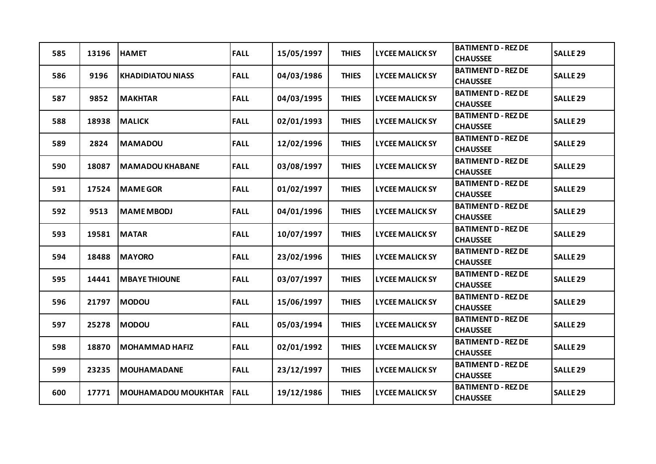| 585 | 13196 | <b>HAMET</b>               | <b>FALL</b> | 15/05/1997 | <b>THIES</b> | <b>LYCEE MALICK SY</b> | <b>BATIMENT D - REZ DE</b><br><b>CHAUSSEE</b> | <b>SALLE 29</b>     |
|-----|-------|----------------------------|-------------|------------|--------------|------------------------|-----------------------------------------------|---------------------|
| 586 | 9196  | <b>KHADIDIATOU NIASS</b>   | <b>FALL</b> | 04/03/1986 | <b>THIES</b> | <b>LYCEE MALICK SY</b> | <b>BATIMENT D - REZ DE</b><br><b>CHAUSSEE</b> | <b>SALLE 29</b>     |
| 587 | 9852  | <b>MAKHTAR</b>             | <b>FALL</b> | 04/03/1995 | <b>THIES</b> | <b>LYCEE MALICK SY</b> | <b>BATIMENT D - REZ DE</b><br><b>CHAUSSEE</b> | <b>SALLE 29</b>     |
| 588 | 18938 | <b>MALICK</b>              | <b>FALL</b> | 02/01/1993 | <b>THIES</b> | <b>LYCEE MALICK SY</b> | <b>BATIMENT D - REZ DE</b><br><b>CHAUSSEE</b> | <b>SALLE 29</b>     |
| 589 | 2824  | <b>MAMADOU</b>             | <b>FALL</b> | 12/02/1996 | <b>THIES</b> | <b>LYCEE MALICK SY</b> | <b>BATIMENT D - REZ DE</b><br><b>CHAUSSEE</b> | <b>SALLE 29</b>     |
| 590 | 18087 | <b>MAMADOU KHABANE</b>     | <b>FALL</b> | 03/08/1997 | <b>THIES</b> | <b>LYCEE MALICK SY</b> | <b>BATIMENT D - REZ DE</b><br><b>CHAUSSEE</b> | <b>SALLE 29</b>     |
| 591 | 17524 | <b>MAME GOR</b>            | <b>FALL</b> | 01/02/1997 | <b>THIES</b> | <b>LYCEE MALICK SY</b> | <b>BATIMENT D - REZ DE</b><br><b>CHAUSSEE</b> | <b>SALLE 29</b>     |
| 592 | 9513  | <b>MAME MBODJ</b>          | <b>FALL</b> | 04/01/1996 | <b>THIES</b> | <b>LYCEE MALICK SY</b> | <b>BATIMENT D - REZ DE</b><br><b>CHAUSSEE</b> | <b>SALLE 29</b>     |
| 593 | 19581 | <b>MATAR</b>               | <b>FALL</b> | 10/07/1997 | <b>THIES</b> | <b>LYCEE MALICK SY</b> | <b>BATIMENT D - REZ DE</b><br><b>CHAUSSEE</b> | <b>SALLE 29</b>     |
| 594 | 18488 | <b>MAYORO</b>              | <b>FALL</b> | 23/02/1996 | <b>THIES</b> | <b>LYCEE MALICK SY</b> | <b>BATIMENT D - REZ DE</b><br><b>CHAUSSEE</b> | <b>SALLE 29</b>     |
| 595 | 14441 | <b>MBAYE THIOUNE</b>       | <b>FALL</b> | 03/07/1997 | <b>THIES</b> | <b>LYCEE MALICK SY</b> | <b>BATIMENT D - REZ DE</b><br><b>CHAUSSEE</b> | SALLE <sub>29</sub> |
| 596 | 21797 | <b>MODOU</b>               | <b>FALL</b> | 15/06/1997 | <b>THIES</b> | <b>LYCEE MALICK SY</b> | <b>BATIMENT D - REZ DE</b><br><b>CHAUSSEE</b> | <b>SALLE 29</b>     |
| 597 | 25278 | <b>MODOU</b>               | <b>FALL</b> | 05/03/1994 | <b>THIES</b> | <b>LYCEE MALICK SY</b> | <b>BATIMENT D - REZ DE</b><br><b>CHAUSSEE</b> | <b>SALLE 29</b>     |
| 598 | 18870 | <b>MOHAMMAD HAFIZ</b>      | <b>FALL</b> | 02/01/1992 | <b>THIES</b> | <b>LYCEE MALICK SY</b> | <b>BATIMENT D - REZ DE</b><br><b>CHAUSSEE</b> | SALLE <sub>29</sub> |
| 599 | 23235 | <b>MOUHAMADANE</b>         | <b>FALL</b> | 23/12/1997 | <b>THIES</b> | <b>LYCEE MALICK SY</b> | <b>BATIMENT D - REZ DE</b><br><b>CHAUSSEE</b> | SALLE <sub>29</sub> |
| 600 | 17771 | <b>MOUHAMADOU MOUKHTAR</b> | <b>FALL</b> | 19/12/1986 | <b>THIES</b> | <b>LYCEE MALICK SY</b> | <b>BATIMENT D - REZ DE</b><br><b>CHAUSSEE</b> | <b>SALLE 29</b>     |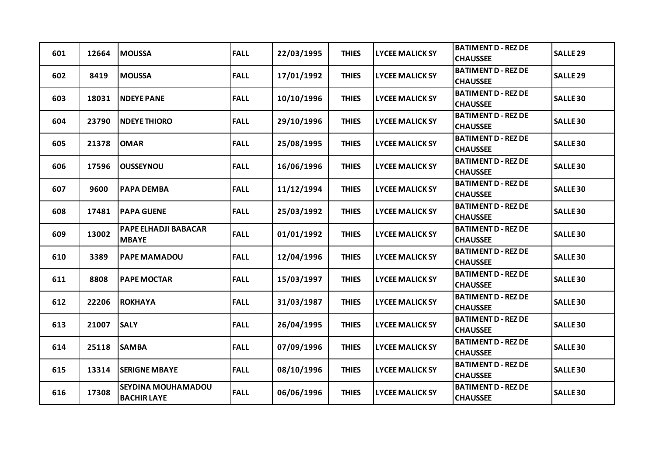| 601 | 12664 | <b>MOUSSA</b>                            | <b>FALL</b> | 22/03/1995 | <b>THIES</b> | <b>LYCEE MALICK SY</b> | <b>BATIMENT D - REZ DE</b><br><b>CHAUSSEE</b> | <b>SALLE 29</b> |
|-----|-------|------------------------------------------|-------------|------------|--------------|------------------------|-----------------------------------------------|-----------------|
| 602 | 8419  | <b>MOUSSA</b>                            | <b>FALL</b> | 17/01/1992 | <b>THIES</b> | <b>LYCEE MALICK SY</b> | <b>BATIMENT D - REZ DE</b><br><b>CHAUSSEE</b> | <b>SALLE 29</b> |
| 603 | 18031 | <b>NDEYE PANE</b>                        | <b>FALL</b> | 10/10/1996 | <b>THIES</b> | <b>LYCEE MALICK SY</b> | <b>BATIMENT D - REZ DE</b><br><b>CHAUSSEE</b> | <b>SALLE 30</b> |
| 604 | 23790 | <b>NDEYE THIORO</b>                      | <b>FALL</b> | 29/10/1996 | <b>THIES</b> | <b>LYCEE MALICK SY</b> | <b>BATIMENT D - REZ DE</b><br><b>CHAUSSEE</b> | <b>SALLE 30</b> |
| 605 | 21378 | <b>OMAR</b>                              | <b>FALL</b> | 25/08/1995 | <b>THIES</b> | <b>LYCEE MALICK SY</b> | <b>BATIMENT D - REZ DE</b><br><b>CHAUSSEE</b> | <b>SALLE 30</b> |
| 606 | 17596 | <b>OUSSEYNOU</b>                         | <b>FALL</b> | 16/06/1996 | <b>THIES</b> | <b>LYCEE MALICK SY</b> | <b>BATIMENT D - REZ DE</b><br><b>CHAUSSEE</b> | <b>SALLE 30</b> |
| 607 | 9600  | <b>PAPA DEMBA</b>                        | <b>FALL</b> | 11/12/1994 | <b>THIES</b> | <b>LYCEE MALICK SY</b> | <b>BATIMENT D - REZ DE</b><br><b>CHAUSSEE</b> | <b>SALLE 30</b> |
| 608 | 17481 | <b>PAPA GUENE</b>                        | <b>FALL</b> | 25/03/1992 | <b>THIES</b> | <b>LYCEE MALICK SY</b> | <b>BATIMENT D - REZ DE</b><br><b>CHAUSSEE</b> | <b>SALLE 30</b> |
| 609 | 13002 | PAPE ELHADJI BABACAR<br><b>MBAYE</b>     | <b>FALL</b> | 01/01/1992 | <b>THIES</b> | <b>LYCEE MALICK SY</b> | <b>BATIMENT D - REZ DE</b><br><b>CHAUSSEE</b> | <b>SALLE 30</b> |
| 610 | 3389  | <b>PAPE MAMADOU</b>                      | <b>FALL</b> | 12/04/1996 | <b>THIES</b> | <b>LYCEE MALICK SY</b> | <b>BATIMENT D - REZ DE</b><br><b>CHAUSSEE</b> | <b>SALLE 30</b> |
| 611 | 8808  | <b>PAPE MOCTAR</b>                       | <b>FALL</b> | 15/03/1997 | <b>THIES</b> | <b>LYCEE MALICK SY</b> | <b>BATIMENT D - REZ DE</b><br><b>CHAUSSEE</b> | <b>SALLE 30</b> |
| 612 | 22206 | <b>ROKHAYA</b>                           | <b>FALL</b> | 31/03/1987 | <b>THIES</b> | <b>LYCEE MALICK SY</b> | <b>BATIMENT D - REZ DE</b><br><b>CHAUSSEE</b> | <b>SALLE 30</b> |
| 613 | 21007 | <b>SALY</b>                              | <b>FALL</b> | 26/04/1995 | <b>THIES</b> | <b>LYCEE MALICK SY</b> | <b>BATIMENT D - REZ DE</b><br><b>CHAUSSEE</b> | <b>SALLE 30</b> |
| 614 | 25118 | <b>SAMBA</b>                             | <b>FALL</b> | 07/09/1996 | <b>THIES</b> | <b>LYCEE MALICK SY</b> | <b>BATIMENT D - REZ DE</b><br><b>CHAUSSEE</b> | <b>SALLE 30</b> |
| 615 | 13314 | <b>SERIGNE MBAYE</b>                     | <b>FALL</b> | 08/10/1996 | <b>THIES</b> | LYCEE MALICK SY        | <b>BATIMENT D - REZ DE</b><br><b>CHAUSSEE</b> | <b>SALLE 30</b> |
| 616 | 17308 | SEYDINA MOUHAMADOU<br><b>BACHIR LAYE</b> | <b>FALL</b> | 06/06/1996 | <b>THIES</b> | <b>LYCEE MALICK SY</b> | <b>BATIMENT D - REZ DE</b><br><b>CHAUSSEE</b> | <b>SALLE 30</b> |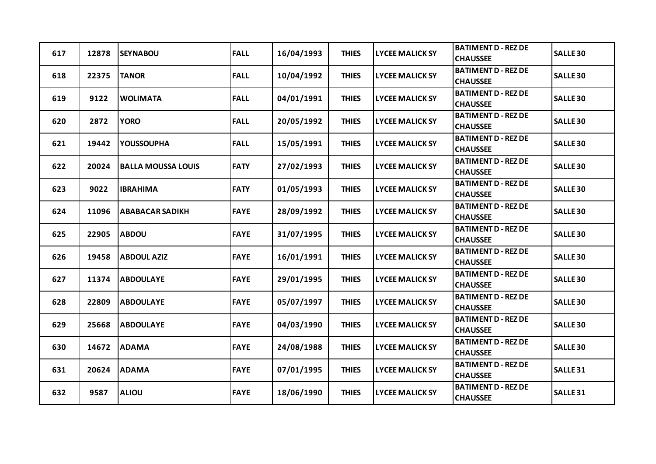| 617 | 12878 | <b>SEYNABOU</b>           | <b>FALL</b> | 16/04/1993 | <b>THIES</b> | <b>LYCEE MALICK SY</b> | <b>BATIMENT D - REZ DE</b><br><b>CHAUSSEE</b> | <b>SALLE 30</b> |
|-----|-------|---------------------------|-------------|------------|--------------|------------------------|-----------------------------------------------|-----------------|
| 618 | 22375 | <b>TANOR</b>              | <b>FALL</b> | 10/04/1992 | <b>THIES</b> | <b>LYCEE MALICK SY</b> | <b>BATIMENT D - REZ DE</b><br><b>CHAUSSEE</b> | <b>SALLE 30</b> |
| 619 | 9122  | <b>WOLIMATA</b>           | <b>FALL</b> | 04/01/1991 | <b>THIES</b> | <b>LYCEE MALICK SY</b> | <b>BATIMENT D - REZ DE</b><br><b>CHAUSSEE</b> | <b>SALLE 30</b> |
| 620 | 2872  | <b>YORO</b>               | <b>FALL</b> | 20/05/1992 | <b>THIES</b> | <b>LYCEE MALICK SY</b> | <b>BATIMENT D - REZ DE</b><br><b>CHAUSSEE</b> | <b>SALLE 30</b> |
| 621 | 19442 | <b>YOUSSOUPHA</b>         | <b>FALL</b> | 15/05/1991 | <b>THIES</b> | <b>LYCEE MALICK SY</b> | <b>BATIMENT D - REZ DE</b><br><b>CHAUSSEE</b> | <b>SALLE 30</b> |
| 622 | 20024 | <b>BALLA MOUSSA LOUIS</b> | <b>FATY</b> | 27/02/1993 | <b>THIES</b> | <b>LYCEE MALICK SY</b> | <b>BATIMENT D - REZ DE</b><br><b>CHAUSSEE</b> | <b>SALLE 30</b> |
| 623 | 9022  | <b>IBRAHIMA</b>           | <b>FATY</b> | 01/05/1993 | <b>THIES</b> | <b>LYCEE MALICK SY</b> | <b>BATIMENT D - REZ DE</b><br><b>CHAUSSEE</b> | <b>SALLE 30</b> |
| 624 | 11096 | <b>ABABACAR SADIKH</b>    | <b>FAYE</b> | 28/09/1992 | <b>THIES</b> | <b>LYCEE MALICK SY</b> | <b>BATIMENT D - REZ DE</b><br><b>CHAUSSEE</b> | <b>SALLE 30</b> |
| 625 | 22905 | <b>ABDOU</b>              | <b>FAYE</b> | 31/07/1995 | <b>THIES</b> | <b>LYCEE MALICK SY</b> | <b>BATIMENT D - REZ DE</b><br><b>CHAUSSEE</b> | <b>SALLE 30</b> |
| 626 | 19458 | <b>ABDOUL AZIZ</b>        | <b>FAYE</b> | 16/01/1991 | <b>THIES</b> | <b>LYCEE MALICK SY</b> | <b>BATIMENT D - REZ DE</b><br><b>CHAUSSEE</b> | <b>SALLE 30</b> |
| 627 | 11374 | <b>ABDOULAYE</b>          | <b>FAYE</b> | 29/01/1995 | <b>THIES</b> | <b>LYCEE MALICK SY</b> | <b>BATIMENT D - REZ DE</b><br><b>CHAUSSEE</b> | <b>SALLE 30</b> |
| 628 | 22809 | <b>ABDOULAYE</b>          | <b>FAYE</b> | 05/07/1997 | <b>THIES</b> | <b>LYCEE MALICK SY</b> | <b>BATIMENT D - REZ DE</b><br><b>CHAUSSEE</b> | <b>SALLE 30</b> |
| 629 | 25668 | <b>ABDOULAYE</b>          | <b>FAYE</b> | 04/03/1990 | <b>THIES</b> | <b>LYCEE MALICK SY</b> | <b>BATIMENT D - REZ DE</b><br><b>CHAUSSEE</b> | <b>SALLE 30</b> |
| 630 | 14672 | <b>ADAMA</b>              | <b>FAYE</b> | 24/08/1988 | <b>THIES</b> | <b>LYCEE MALICK SY</b> | <b>BATIMENT D - REZ DE</b><br><b>CHAUSSEE</b> | <b>SALLE 30</b> |
| 631 | 20624 | <b>ADAMA</b>              | <b>FAYE</b> | 07/01/1995 | <b>THIES</b> | <b>LYCEE MALICK SY</b> | <b>BATIMENT D - REZ DE</b><br><b>CHAUSSEE</b> | <b>SALLE 31</b> |
| 632 | 9587  | <b>ALIOU</b>              | <b>FAYE</b> | 18/06/1990 | <b>THIES</b> | <b>LYCEE MALICK SY</b> | <b>BATIMENT D - REZ DE</b><br><b>CHAUSSEE</b> | <b>SALLE 31</b> |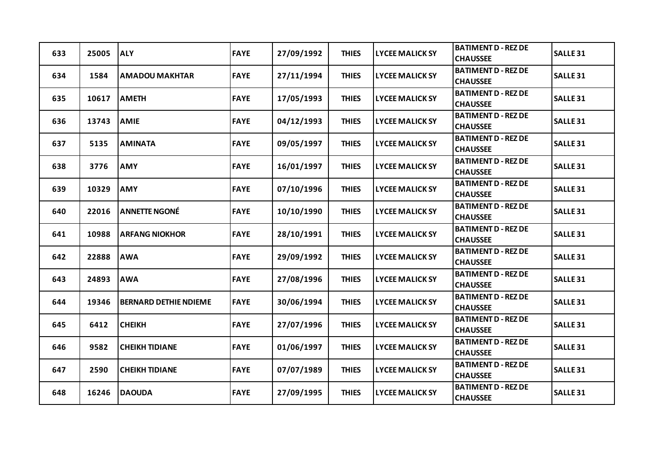| 633 | 25005 | <b>ALY</b>                   | <b>FAYE</b> | 27/09/1992 | <b>THIES</b> | <b>LYCEE MALICK SY</b> | <b>BATIMENT D - REZ DE</b><br><b>CHAUSSEE</b> | <b>SALLE 31</b>     |
|-----|-------|------------------------------|-------------|------------|--------------|------------------------|-----------------------------------------------|---------------------|
| 634 | 1584  | <b>AMADOU MAKHTAR</b>        | <b>FAYE</b> | 27/11/1994 | <b>THIES</b> | <b>LYCEE MALICK SY</b> | <b>BATIMENT D - REZ DE</b><br><b>CHAUSSEE</b> | <b>SALLE 31</b>     |
| 635 | 10617 | <b>AMETH</b>                 | <b>FAYE</b> | 17/05/1993 | <b>THIES</b> | <b>LYCEE MALICK SY</b> | <b>BATIMENT D - REZ DE</b><br><b>CHAUSSEE</b> | <b>SALLE 31</b>     |
| 636 | 13743 | <b>AMIE</b>                  | <b>FAYE</b> | 04/12/1993 | <b>THIES</b> | <b>LYCEE MALICK SY</b> | <b>BATIMENT D - REZ DE</b><br><b>CHAUSSEE</b> | <b>SALLE 31</b>     |
| 637 | 5135  | <b>AMINATA</b>               | <b>FAYE</b> | 09/05/1997 | <b>THIES</b> | <b>LYCEE MALICK SY</b> | <b>BATIMENT D - REZ DE</b><br><b>CHAUSSEE</b> | SALLE <sub>31</sub> |
| 638 | 3776  | <b>AMY</b>                   | <b>FAYE</b> | 16/01/1997 | <b>THIES</b> | <b>LYCEE MALICK SY</b> | <b>BATIMENT D - REZ DE</b><br><b>CHAUSSEE</b> | <b>SALLE 31</b>     |
| 639 | 10329 | <b>AMY</b>                   | <b>FAYE</b> | 07/10/1996 | <b>THIES</b> | <b>LYCEE MALICK SY</b> | <b>BATIMENT D - REZ DE</b><br><b>CHAUSSEE</b> | <b>SALLE 31</b>     |
| 640 | 22016 | <b>ANNETTE NGONÉ</b>         | <b>FAYE</b> | 10/10/1990 | <b>THIES</b> | <b>LYCEE MALICK SY</b> | <b>BATIMENT D - REZ DE</b><br><b>CHAUSSEE</b> | SALLE <sub>31</sub> |
| 641 | 10988 | <b>ARFANG NIOKHOR</b>        | <b>FAYE</b> | 28/10/1991 | <b>THIES</b> | <b>LYCEE MALICK SY</b> | <b>BATIMENT D - REZ DE</b><br><b>CHAUSSEE</b> | <b>SALLE 31</b>     |
| 642 | 22888 | <b>AWA</b>                   | <b>FAYE</b> | 29/09/1992 | <b>THIES</b> | <b>LYCEE MALICK SY</b> | <b>BATIMENT D - REZ DE</b><br><b>CHAUSSEE</b> | <b>SALLE 31</b>     |
| 643 | 24893 | <b>AWA</b>                   | <b>FAYE</b> | 27/08/1996 | <b>THIES</b> | <b>LYCEE MALICK SY</b> | <b>BATIMENT D - REZ DE</b><br><b>CHAUSSEE</b> | <b>SALLE 31</b>     |
| 644 | 19346 | <b>BERNARD DETHIE NDIEME</b> | <b>FAYE</b> | 30/06/1994 | <b>THIES</b> | <b>LYCEE MALICK SY</b> | <b>BATIMENT D - REZ DE</b><br><b>CHAUSSEE</b> | SALLE <sub>31</sub> |
| 645 | 6412  | <b>CHEIKH</b>                | <b>FAYE</b> | 27/07/1996 | <b>THIES</b> | <b>LYCEE MALICK SY</b> | <b>BATIMENT D - REZ DE</b><br><b>CHAUSSEE</b> | <b>SALLE 31</b>     |
| 646 | 9582  | <b>CHEIKH TIDIANE</b>        | <b>FAYE</b> | 01/06/1997 | <b>THIES</b> | <b>LYCEE MALICK SY</b> | <b>BATIMENT D - REZ DE</b><br><b>CHAUSSEE</b> | SALLE <sub>31</sub> |
| 647 | 2590  | <b>CHEIKH TIDIANE</b>        | <b>FAYE</b> | 07/07/1989 | <b>THIES</b> | <b>LYCEE MALICK SY</b> | <b>BATIMENT D - REZ DE</b><br><b>CHAUSSEE</b> | <b>SALLE 31</b>     |
| 648 | 16246 | <b>DAOUDA</b>                | <b>FAYE</b> | 27/09/1995 | <b>THIES</b> | <b>LYCEE MALICK SY</b> | <b>BATIMENT D - REZ DE</b><br><b>CHAUSSEE</b> | <b>SALLE 31</b>     |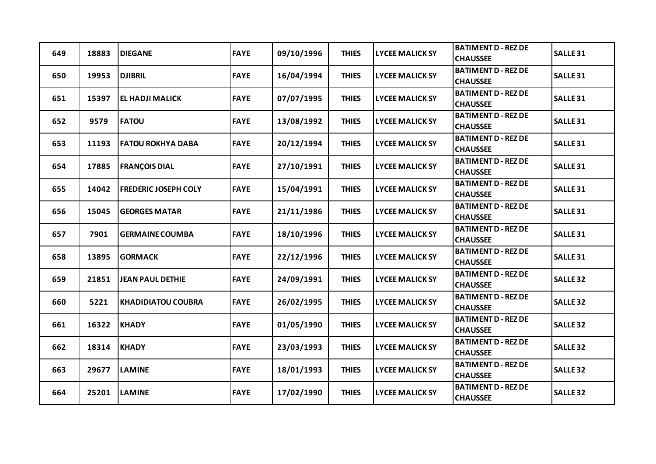| 649 | 18883 | <b>DIEGANE</b>              | <b>FAYE</b> | 09/10/1996 | <b>THIES</b> | <b>LYCEE MALICK SY</b> | <b>BATIMENT D - REZ DE</b><br><b>CHAUSSEE</b> | <b>SALLE 31</b>     |
|-----|-------|-----------------------------|-------------|------------|--------------|------------------------|-----------------------------------------------|---------------------|
| 650 | 19953 | <b>DJIBRIL</b>              | <b>FAYE</b> | 16/04/1994 | <b>THIES</b> | <b>LYCEE MALICK SY</b> | <b>BATIMENT D - REZ DE</b><br><b>CHAUSSEE</b> | <b>SALLE 31</b>     |
| 651 | 15397 | <b>EL HADJI MALICK</b>      | <b>FAYE</b> | 07/07/1995 | <b>THIES</b> | <b>LYCEE MALICK SY</b> | <b>BATIMENT D - REZ DE</b><br><b>CHAUSSEE</b> | <b>SALLE 31</b>     |
| 652 | 9579  | <b>FATOU</b>                | <b>FAYE</b> | 13/08/1992 | <b>THIES</b> | <b>LYCEE MALICK SY</b> | <b>BATIMENT D - REZ DE</b><br><b>CHAUSSEE</b> | <b>SALLE 31</b>     |
| 653 | 11193 | <b>FATOU ROKHYA DABA</b>    | <b>FAYE</b> | 20/12/1994 | <b>THIES</b> | <b>LYCEE MALICK SY</b> | <b>BATIMENT D - REZ DE</b><br><b>CHAUSSEE</b> | <b>SALLE 31</b>     |
| 654 | 17885 | <b>FRANÇOIS DIAL</b>        | <b>FAYE</b> | 27/10/1991 | <b>THIES</b> | <b>LYCEE MALICK SY</b> | <b>BATIMENT D - REZ DE</b><br><b>CHAUSSEE</b> | <b>SALLE 31</b>     |
| 655 | 14042 | <b>FREDERIC JOSEPH COLY</b> | <b>FAYE</b> | 15/04/1991 | <b>THIES</b> | <b>LYCEE MALICK SY</b> | <b>BATIMENT D - REZ DE</b><br><b>CHAUSSEE</b> | <b>SALLE 31</b>     |
| 656 | 15045 | <b>GEORGES MATAR</b>        | <b>FAYE</b> | 21/11/1986 | <b>THIES</b> | <b>LYCEE MALICK SY</b> | <b>BATIMENT D - REZ DE</b><br><b>CHAUSSEE</b> | SALLE <sub>31</sub> |
| 657 | 7901  | <b>GERMAINE COUMBA</b>      | <b>FAYE</b> | 18/10/1996 | <b>THIES</b> | <b>LYCEE MALICK SY</b> | <b>BATIMENT D - REZ DE</b><br><b>CHAUSSEE</b> | <b>SALLE 31</b>     |
| 658 | 13895 | <b>GORMACK</b>              | <b>FAYE</b> | 22/12/1996 | <b>THIES</b> | <b>LYCEE MALICK SY</b> | <b>BATIMENT D - REZ DE</b><br><b>CHAUSSEE</b> | <b>SALLE 31</b>     |
| 659 | 21851 | <b>JEAN PAUL DETHIE</b>     | <b>FAYE</b> | 24/09/1991 | <b>THIES</b> | <b>LYCEE MALICK SY</b> | <b>BATIMENT D - REZ DE</b><br><b>CHAUSSEE</b> | <b>SALLE 32</b>     |
| 660 | 5221  | <b>KHADIDIATOU COUBRA</b>   | <b>FAYE</b> | 26/02/1995 | <b>THIES</b> | <b>LYCEE MALICK SY</b> | <b>BATIMENT D - REZ DE</b><br><b>CHAUSSEE</b> | <b>SALLE 32</b>     |
| 661 | 16322 | <b>KHADY</b>                | <b>FAYE</b> | 01/05/1990 | <b>THIES</b> | <b>LYCEE MALICK SY</b> | <b>BATIMENT D - REZ DE</b><br><b>CHAUSSEE</b> | <b>SALLE 32</b>     |
| 662 | 18314 | <b>KHADY</b>                | <b>FAYE</b> | 23/03/1993 | <b>THIES</b> | <b>LYCEE MALICK SY</b> | <b>BATIMENT D - REZ DE</b><br><b>CHAUSSEE</b> | <b>SALLE 32</b>     |
| 663 | 29677 | <b>LAMINE</b>               | <b>FAYE</b> | 18/01/1993 | <b>THIES</b> | <b>LYCEE MALICK SY</b> | <b>BATIMENT D - REZ DE</b><br><b>CHAUSSEE</b> | <b>SALLE 32</b>     |
| 664 | 25201 | <b>LAMINE</b>               | <b>FAYE</b> | 17/02/1990 | <b>THIES</b> | <b>LYCEE MALICK SY</b> | <b>BATIMENT D - REZ DE</b><br><b>CHAUSSEE</b> | <b>SALLE 32</b>     |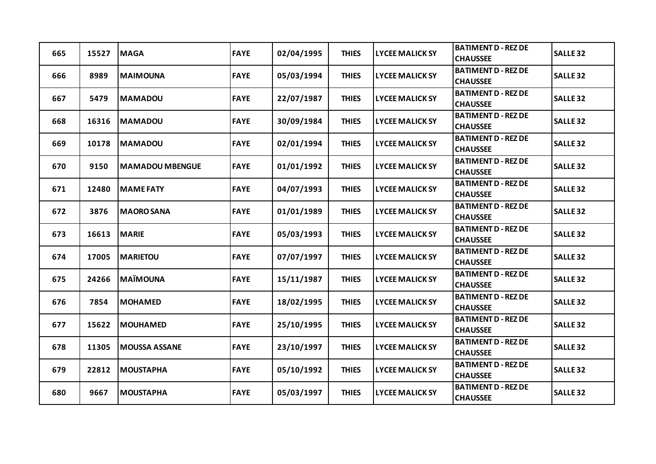| 665 | 15527 | <b>MAGA</b>            | <b>FAYE</b> | 02/04/1995 | <b>THIES</b> | <b>LYCEE MALICK SY</b> | <b>BATIMENT D - REZ DE</b><br><b>CHAUSSEE</b> | <b>SALLE 32</b> |
|-----|-------|------------------------|-------------|------------|--------------|------------------------|-----------------------------------------------|-----------------|
| 666 | 8989  | <b>MAIMOUNA</b>        | <b>FAYE</b> | 05/03/1994 | <b>THIES</b> | <b>LYCEE MALICK SY</b> | <b>BATIMENT D - REZ DE</b><br><b>CHAUSSEE</b> | <b>SALLE 32</b> |
| 667 | 5479  | <b>MAMADOU</b>         | <b>FAYE</b> | 22/07/1987 | <b>THIES</b> | <b>LYCEE MALICK SY</b> | <b>BATIMENT D - REZ DE</b><br><b>CHAUSSEE</b> | <b>SALLE 32</b> |
| 668 | 16316 | <b>MAMADOU</b>         | <b>FAYE</b> | 30/09/1984 | <b>THIES</b> | <b>LYCEE MALICK SY</b> | <b>BATIMENT D - REZ DE</b><br><b>CHAUSSEE</b> | <b>SALLE 32</b> |
| 669 | 10178 | <b>MAMADOU</b>         | <b>FAYE</b> | 02/01/1994 | <b>THIES</b> | <b>LYCEE MALICK SY</b> | <b>BATIMENT D - REZ DE</b><br><b>CHAUSSEE</b> | <b>SALLE 32</b> |
| 670 | 9150  | <b>MAMADOU MBENGUE</b> | <b>FAYE</b> | 01/01/1992 | <b>THIES</b> | <b>LYCEE MALICK SY</b> | <b>BATIMENT D - REZ DE</b><br><b>CHAUSSEE</b> | <b>SALLE 32</b> |
| 671 | 12480 | <b>MAME FATY</b>       | <b>FAYE</b> | 04/07/1993 | <b>THIES</b> | <b>LYCEE MALICK SY</b> | <b>BATIMENT D - REZ DE</b><br><b>CHAUSSEE</b> | <b>SALLE 32</b> |
| 672 | 3876  | <b>MAORO SANA</b>      | <b>FAYE</b> | 01/01/1989 | <b>THIES</b> | <b>LYCEE MALICK SY</b> | <b>BATIMENT D - REZ DE</b><br><b>CHAUSSEE</b> | <b>SALLE 32</b> |
| 673 | 16613 | <b>MARIE</b>           | <b>FAYE</b> | 05/03/1993 | <b>THIES</b> | <b>LYCEE MALICK SY</b> | <b>BATIMENT D - REZ DE</b><br><b>CHAUSSEE</b> | <b>SALLE 32</b> |
| 674 | 17005 | <b>MARIETOU</b>        | <b>FAYE</b> | 07/07/1997 | <b>THIES</b> | <b>LYCEE MALICK SY</b> | <b>BATIMENT D - REZ DE</b><br><b>CHAUSSEE</b> | <b>SALLE 32</b> |
| 675 | 24266 | <b>MAÏMOUNA</b>        | <b>FAYE</b> | 15/11/1987 | <b>THIES</b> | <b>LYCEE MALICK SY</b> | <b>BATIMENT D - REZ DE</b><br><b>CHAUSSEE</b> | <b>SALLE 32</b> |
| 676 | 7854  | <b>MOHAMED</b>         | <b>FAYE</b> | 18/02/1995 | <b>THIES</b> | <b>LYCEE MALICK SY</b> | <b>BATIMENT D - REZ DE</b><br><b>CHAUSSEE</b> | <b>SALLE 32</b> |
| 677 | 15622 | <b>MOUHAMED</b>        | <b>FAYE</b> | 25/10/1995 | <b>THIES</b> | <b>LYCEE MALICK SY</b> | <b>BATIMENT D - REZ DE</b><br><b>CHAUSSEE</b> | <b>SALLE 32</b> |
| 678 | 11305 | <b>MOUSSA ASSANE</b>   | <b>FAYE</b> | 23/10/1997 | <b>THIES</b> | <b>LYCEE MALICK SY</b> | <b>BATIMENT D - REZ DE</b><br><b>CHAUSSEE</b> | <b>SALLE 32</b> |
| 679 | 22812 | <b>MOUSTAPHA</b>       | <b>FAYE</b> | 05/10/1992 | <b>THIES</b> | <b>LYCEE MALICK SY</b> | <b>BATIMENT D - REZ DE</b><br><b>CHAUSSEE</b> | <b>SALLE 32</b> |
| 680 | 9667  | <b>MOUSTAPHA</b>       | <b>FAYE</b> | 05/03/1997 | <b>THIES</b> | <b>LYCEE MALICK SY</b> | <b>BATIMENT D - REZ DE</b><br><b>CHAUSSEE</b> | <b>SALLE 32</b> |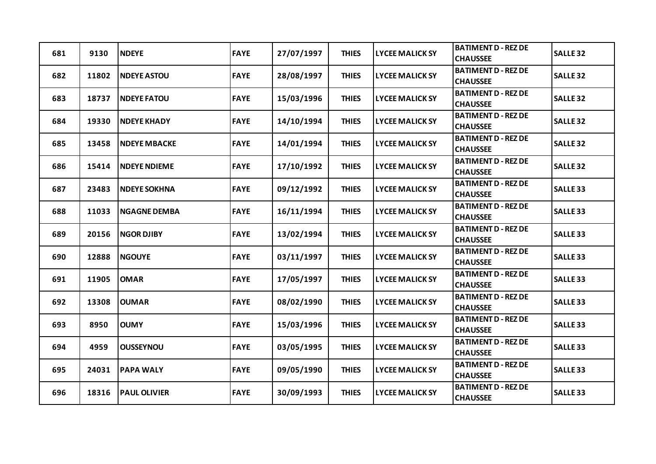| 681 | 9130  | <b>NDEYE</b>        | <b>FAYE</b> | 27/07/1997 | <b>THIES</b> | <b>LYCEE MALICK SY</b> | <b>BATIMENT D - REZ DE</b><br><b>CHAUSSEE</b> | <b>SALLE 32</b> |
|-----|-------|---------------------|-------------|------------|--------------|------------------------|-----------------------------------------------|-----------------|
| 682 | 11802 | <b>NDEYE ASTOU</b>  | <b>FAYE</b> | 28/08/1997 | <b>THIES</b> | <b>LYCEE MALICK SY</b> | <b>BATIMENT D - REZ DE</b><br><b>CHAUSSEE</b> | <b>SALLE 32</b> |
| 683 | 18737 | <b>NDEYE FATOU</b>  | <b>FAYE</b> | 15/03/1996 | <b>THIES</b> | <b>LYCEE MALICK SY</b> | <b>BATIMENT D - REZ DE</b><br><b>CHAUSSEE</b> | <b>SALLE 32</b> |
| 684 | 19330 | <b>NDEYE KHADY</b>  | <b>FAYE</b> | 14/10/1994 | <b>THIES</b> | <b>LYCEE MALICK SY</b> | <b>BATIMENT D - REZ DE</b><br><b>CHAUSSEE</b> | <b>SALLE 32</b> |
| 685 | 13458 | <b>NDEYE MBACKE</b> | <b>FAYE</b> | 14/01/1994 | <b>THIES</b> | <b>LYCEE MALICK SY</b> | <b>BATIMENT D - REZ DE</b><br><b>CHAUSSEE</b> | <b>SALLE 32</b> |
| 686 | 15414 | <b>NDEYE NDIEME</b> | <b>FAYE</b> | 17/10/1992 | <b>THIES</b> | <b>LYCEE MALICK SY</b> | <b>BATIMENT D - REZ DE</b><br><b>CHAUSSEE</b> | <b>SALLE 32</b> |
| 687 | 23483 | <b>NDEYE SOKHNA</b> | <b>FAYE</b> | 09/12/1992 | <b>THIES</b> | <b>LYCEE MALICK SY</b> | <b>BATIMENT D - REZ DE</b><br><b>CHAUSSEE</b> | <b>SALLE 33</b> |
| 688 | 11033 | <b>NGAGNE DEMBA</b> | <b>FAYE</b> | 16/11/1994 | <b>THIES</b> | <b>LYCEE MALICK SY</b> | <b>BATIMENT D - REZ DE</b><br><b>CHAUSSEE</b> | <b>SALLE 33</b> |
| 689 | 20156 | <b>NGOR DJIBY</b>   | <b>FAYE</b> | 13/02/1994 | <b>THIES</b> | <b>LYCEE MALICK SY</b> | <b>BATIMENT D - REZ DE</b><br><b>CHAUSSEE</b> | <b>SALLE 33</b> |
| 690 | 12888 | <b>NGOUYE</b>       | <b>FAYE</b> | 03/11/1997 | <b>THIES</b> | <b>LYCEE MALICK SY</b> | <b>BATIMENT D - REZ DE</b><br><b>CHAUSSEE</b> | <b>SALLE 33</b> |
| 691 | 11905 | <b>OMAR</b>         | <b>FAYE</b> | 17/05/1997 | <b>THIES</b> | <b>LYCEE MALICK SY</b> | <b>BATIMENT D - REZ DE</b><br><b>CHAUSSEE</b> | <b>SALLE 33</b> |
| 692 | 13308 | <b>OUMAR</b>        | <b>FAYE</b> | 08/02/1990 | <b>THIES</b> | <b>LYCEE MALICK SY</b> | <b>BATIMENT D - REZ DE</b><br><b>CHAUSSEE</b> | <b>SALLE 33</b> |
| 693 | 8950  | <b>OUMY</b>         | <b>FAYE</b> | 15/03/1996 | <b>THIES</b> | <b>LYCEE MALICK SY</b> | <b>BATIMENT D - REZ DE</b><br><b>CHAUSSEE</b> | <b>SALLE 33</b> |
| 694 | 4959  | <b>OUSSEYNOU</b>    | <b>FAYE</b> | 03/05/1995 | <b>THIES</b> | <b>LYCEE MALICK SY</b> | <b>BATIMENT D - REZ DE</b><br><b>CHAUSSEE</b> | <b>SALLE 33</b> |
| 695 | 24031 | <b>PAPA WALY</b>    | <b>FAYE</b> | 09/05/1990 | <b>THIES</b> | <b>LYCEE MALICK SY</b> | <b>BATIMENT D - REZ DE</b><br><b>CHAUSSEE</b> | <b>SALLE 33</b> |
| 696 | 18316 | <b>PAUL OLIVIER</b> | <b>FAYE</b> | 30/09/1993 | <b>THIES</b> | <b>LYCEE MALICK SY</b> | <b>BATIMENT D - REZ DE</b><br><b>CHAUSSEE</b> | <b>SALLE 33</b> |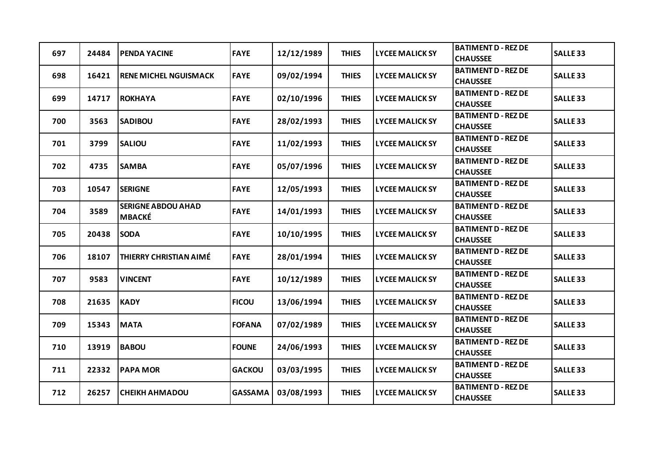| 697 | 24484 | <b>PENDA YACINE</b>                        | <b>FAYE</b>    | 12/12/1989 | <b>THIES</b> | <b>LYCEE MALICK SY</b> | <b>BATIMENT D - REZ DE</b><br><b>CHAUSSEE</b> | <b>SALLE 33</b> |
|-----|-------|--------------------------------------------|----------------|------------|--------------|------------------------|-----------------------------------------------|-----------------|
| 698 | 16421 | <b>RENE MICHEL NGUISMACK</b>               | <b>FAYE</b>    | 09/02/1994 | <b>THIES</b> | <b>LYCEE MALICK SY</b> | <b>BATIMENT D - REZ DE</b><br><b>CHAUSSEE</b> | <b>SALLE 33</b> |
| 699 | 14717 | <b>ROKHAYA</b>                             | <b>FAYE</b>    | 02/10/1996 | <b>THIES</b> | <b>LYCEE MALICK SY</b> | <b>BATIMENT D - REZ DE</b><br><b>CHAUSSEE</b> | <b>SALLE 33</b> |
| 700 | 3563  | <b>SADIBOU</b>                             | <b>FAYE</b>    | 28/02/1993 | <b>THIES</b> | <b>LYCEE MALICK SY</b> | <b>BATIMENT D - REZ DE</b><br><b>CHAUSSEE</b> | <b>SALLE 33</b> |
| 701 | 3799  | <b>SALIOU</b>                              | <b>FAYE</b>    | 11/02/1993 | <b>THIES</b> | <b>LYCEE MALICK SY</b> | <b>BATIMENT D - REZ DE</b><br><b>CHAUSSEE</b> | <b>SALLE 33</b> |
| 702 | 4735  | <b>SAMBA</b>                               | <b>FAYE</b>    | 05/07/1996 | <b>THIES</b> | <b>LYCEE MALICK SY</b> | <b>BATIMENT D - REZ DE</b><br><b>CHAUSSEE</b> | <b>SALLE 33</b> |
| 703 | 10547 | <b>SERIGNE</b>                             | <b>FAYE</b>    | 12/05/1993 | <b>THIES</b> | <b>LYCEE MALICK SY</b> | <b>BATIMENT D - REZ DE</b><br><b>CHAUSSEE</b> | <b>SALLE 33</b> |
| 704 | 3589  | <b>SERIGNE ABDOU AHAD</b><br><b>MBACKÉ</b> | <b>FAYE</b>    | 14/01/1993 | <b>THIES</b> | <b>LYCEE MALICK SY</b> | <b>BATIMENT D - REZ DE</b><br><b>CHAUSSEE</b> | <b>SALLE 33</b> |
| 705 | 20438 | <b>SODA</b>                                | <b>FAYE</b>    | 10/10/1995 | <b>THIES</b> | <b>LYCEE MALICK SY</b> | <b>BATIMENT D - REZ DE</b><br><b>CHAUSSEE</b> | <b>SALLE 33</b> |
| 706 | 18107 | <b>THIERRY CHRISTIAN AIMÉ</b>              | <b>FAYE</b>    | 28/01/1994 | <b>THIES</b> | <b>LYCEE MALICK SY</b> | <b>BATIMENT D - REZ DE</b><br><b>CHAUSSEE</b> | <b>SALLE 33</b> |
| 707 | 9583  | <b>VINCENT</b>                             | <b>FAYE</b>    | 10/12/1989 | <b>THIES</b> | <b>LYCEE MALICK SY</b> | <b>BATIMENT D - REZ DE</b><br><b>CHAUSSEE</b> | <b>SALLE 33</b> |
| 708 | 21635 | <b>KADY</b>                                | <b>FICOU</b>   | 13/06/1994 | <b>THIES</b> | <b>LYCEE MALICK SY</b> | <b>BATIMENT D - REZ DE</b><br><b>CHAUSSEE</b> | <b>SALLE 33</b> |
| 709 | 15343 | <b>MATA</b>                                | <b>FOFANA</b>  | 07/02/1989 | <b>THIES</b> | <b>LYCEE MALICK SY</b> | <b>BATIMENT D - REZ DE</b><br><b>CHAUSSEE</b> | <b>SALLE 33</b> |
| 710 | 13919 | <b>BABOU</b>                               | <b>FOUNE</b>   | 24/06/1993 | <b>THIES</b> | <b>LYCEE MALICK SY</b> | <b>BATIMENT D - REZ DE</b><br><b>CHAUSSEE</b> | <b>SALLE 33</b> |
| 711 | 22332 | <b>PAPA MOR</b>                            | <b>GACKOU</b>  | 03/03/1995 | <b>THIES</b> | <b>LYCEE MALICK SY</b> | <b>BATIMENT D - REZ DE</b><br><b>CHAUSSEE</b> | <b>SALLE 33</b> |
| 712 | 26257 | <b>CHEIKH AHMADOU</b>                      | <b>GASSAMA</b> | 03/08/1993 | <b>THIES</b> | <b>LYCEE MALICK SY</b> | <b>BATIMENT D - REZ DE</b><br><b>CHAUSSEE</b> | <b>SALLE 33</b> |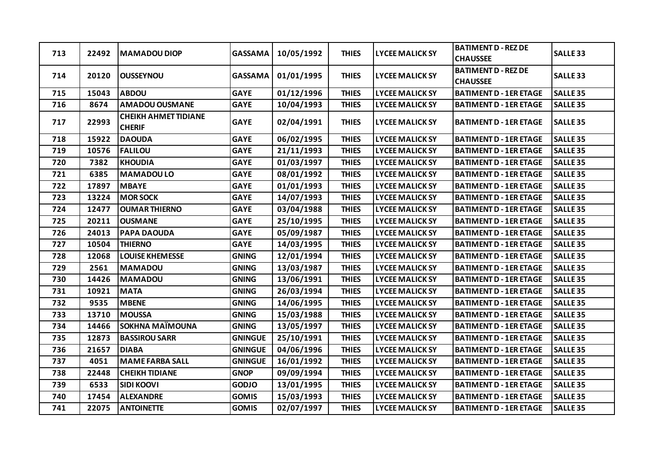| 713 | 22492 | <b>MAMADOU DIOP</b>                          | <b>GASSAMA</b> | 10/05/1992 | <b>THIES</b> | <b>LYCEE MALICK SY</b> | <b>BATIMENT D - REZ DE</b><br><b>CHAUSSEE</b> | <b>SALLE 33</b> |
|-----|-------|----------------------------------------------|----------------|------------|--------------|------------------------|-----------------------------------------------|-----------------|
| 714 | 20120 | <b>OUSSEYNOU</b>                             | <b>GASSAMA</b> | 01/01/1995 | <b>THIES</b> | <b>LYCEE MALICK SY</b> | <b>BATIMENT D - REZ DE</b><br><b>CHAUSSEE</b> | <b>SALLE 33</b> |
| 715 | 15043 | <b>ABDOU</b>                                 | <b>GAYE</b>    | 01/12/1996 | <b>THIES</b> | <b>LYCEE MALICK SY</b> | <b>BATIMENT D - 1ER ETAGE</b>                 | <b>SALLE 35</b> |
| 716 | 8674  | <b>AMADOU OUSMANE</b>                        | <b>GAYE</b>    | 10/04/1993 | <b>THIES</b> | <b>LYCEE MALICK SY</b> | <b>BATIMENT D - 1ER ETAGE</b>                 | <b>SALLE 35</b> |
| 717 | 22993 | <b>CHEIKH AHMET TIDIANE</b><br><b>CHERIF</b> | <b>GAYE</b>    | 02/04/1991 | <b>THIES</b> | <b>LYCEE MALICK SY</b> | <b>BATIMENT D - 1ER ETAGE</b>                 | <b>SALLE 35</b> |
| 718 | 15922 | <b>DAOUDA</b>                                | <b>GAYE</b>    | 06/02/1995 | <b>THIES</b> | <b>LYCEE MALICK SY</b> | <b>BATIMENT D - 1ER ETAGE</b>                 | <b>SALLE 35</b> |
| 719 | 10576 | <b>FALILOU</b>                               | <b>GAYE</b>    | 21/11/1993 | <b>THIES</b> | <b>LYCEE MALICK SY</b> | <b>BATIMENT D - 1ER ETAGE</b>                 | <b>SALLE 35</b> |
| 720 | 7382  | <b>KHOUDIA</b>                               | <b>GAYE</b>    | 01/03/1997 | <b>THIES</b> | <b>LYCEE MALICK SY</b> | <b>BATIMENT D - 1ER ETAGE</b>                 | <b>SALLE 35</b> |
| 721 | 6385  | <b>MAMADOULO</b>                             | <b>GAYE</b>    | 08/01/1992 | <b>THIES</b> | <b>LYCEE MALICK SY</b> | <b>BATIMENT D - 1ER ETAGE</b>                 | <b>SALLE 35</b> |
| 722 | 17897 | <b>MBAYE</b>                                 | <b>GAYE</b>    | 01/01/1993 | <b>THIES</b> | <b>LYCEE MALICK SY</b> | <b>BATIMENT D - 1ER ETAGE</b>                 | <b>SALLE 35</b> |
| 723 | 13224 | <b>MOR SOCK</b>                              | <b>GAYE</b>    | 14/07/1993 | <b>THIES</b> | <b>LYCEE MALICK SY</b> | <b>BATIMENT D - 1ER ETAGE</b>                 | <b>SALLE 35</b> |
| 724 | 12477 | <b>OUMAR THIERNO</b>                         | <b>GAYE</b>    | 03/04/1988 | <b>THIES</b> | <b>LYCEE MALICK SY</b> | <b>BATIMENT D - 1ER ETAGE</b>                 | <b>SALLE 35</b> |
| 725 | 20211 | <b>OUSMANE</b>                               | <b>GAYE</b>    | 25/10/1995 | <b>THIES</b> | <b>LYCEE MALICK SY</b> | <b>BATIMENT D - 1ER ETAGE</b>                 | <b>SALLE 35</b> |
| 726 | 24013 | PAPA DAOUDA                                  | <b>GAYE</b>    | 05/09/1987 | <b>THIES</b> | <b>LYCEE MALICK SY</b> | <b>BATIMENT D - 1ER ETAGE</b>                 | <b>SALLE 35</b> |
| 727 | 10504 | <b>THIERNO</b>                               | <b>GAYE</b>    | 14/03/1995 | <b>THIES</b> | <b>LYCEE MALICK SY</b> | <b>BATIMENT D - 1ER ETAGE</b>                 | <b>SALLE 35</b> |
| 728 | 12068 | <b>LOUISE KHEMESSE</b>                       | <b>GNING</b>   | 12/01/1994 | <b>THIES</b> | <b>LYCEE MALICK SY</b> | <b>BATIMENT D - 1ER ETAGE</b>                 | <b>SALLE 35</b> |
| 729 | 2561  | <b>MAMADOU</b>                               | <b>GNING</b>   | 13/03/1987 | <b>THIES</b> | <b>LYCEE MALICK SY</b> | <b>BATIMENT D - 1ER ETAGE</b>                 | <b>SALLE 35</b> |
| 730 | 14426 | <b>MAMADOU</b>                               | <b>GNING</b>   | 13/06/1991 | <b>THIES</b> | <b>LYCEE MALICK SY</b> | <b>BATIMENT D - 1ER ETAGE</b>                 | <b>SALLE 35</b> |
| 731 | 10921 | <b>MATA</b>                                  | <b>GNING</b>   | 26/03/1994 | <b>THIES</b> | <b>LYCEE MALICK SY</b> | <b>BATIMENT D - 1ER ETAGE</b>                 | <b>SALLE 35</b> |
| 732 | 9535  | <b>MBENE</b>                                 | <b>GNING</b>   | 14/06/1995 | <b>THIES</b> | <b>LYCEE MALICK SY</b> | <b>BATIMENT D - 1ER ETAGE</b>                 | <b>SALLE 35</b> |
| 733 | 13710 | <b>MOUSSA</b>                                | <b>GNING</b>   | 15/03/1988 | <b>THIES</b> | <b>LYCEE MALICK SY</b> | <b>BATIMENT D - 1ER ETAGE</b>                 | <b>SALLE 35</b> |
| 734 | 14466 | <b>SOKHNA MAÏMOUNA</b>                       | <b>GNING</b>   | 13/05/1997 | <b>THIES</b> | <b>LYCEE MALICK SY</b> | <b>BATIMENT D - 1ER ETAGE</b>                 | <b>SALLE 35</b> |
| 735 | 12873 | <b>BASSIROU SARR</b>                         | <b>GNINGUE</b> | 25/10/1991 | <b>THIES</b> | <b>LYCEE MALICK SY</b> | <b>BATIMENT D - 1ER ETAGE</b>                 | <b>SALLE 35</b> |
| 736 | 21657 | <b>DIABA</b>                                 | <b>GNINGUE</b> | 04/06/1996 | <b>THIES</b> | <b>LYCEE MALICK SY</b> | <b>BATIMENT D - 1ER ETAGE</b>                 | <b>SALLE 35</b> |
| 737 | 4051  | <b>MAME FARBA SALL</b>                       | <b>GNINGUE</b> | 16/01/1992 | <b>THIES</b> | <b>LYCEE MALICK SY</b> | <b>BATIMENT D - 1ER ETAGE</b>                 | <b>SALLE 35</b> |
| 738 | 22448 | <b>CHEIKH TIDIANE</b>                        | <b>GNOP</b>    | 09/09/1994 | <b>THIES</b> | <b>LYCEE MALICK SY</b> | <b>BATIMENT D - 1ER ETAGE</b>                 | <b>SALLE 35</b> |
| 739 | 6533  | <b>SIDI KOOVI</b>                            | <b>GODJO</b>   | 13/01/1995 | <b>THIES</b> | <b>LYCEE MALICK SY</b> | <b>BATIMENT D - 1ER ETAGE</b>                 | <b>SALLE 35</b> |
| 740 | 17454 | <b>ALEXANDRE</b>                             | <b>GOMIS</b>   | 15/03/1993 | <b>THIES</b> | <b>LYCEE MALICK SY</b> | <b>BATIMENT D - 1ER ETAGE</b>                 | <b>SALLE 35</b> |
| 741 | 22075 | <b>ANTOINETTE</b>                            | <b>GOMIS</b>   | 02/07/1997 | <b>THIES</b> | <b>LYCEE MALICK SY</b> | <b>BATIMENT D - 1ER ETAGE</b>                 | <b>SALLE 35</b> |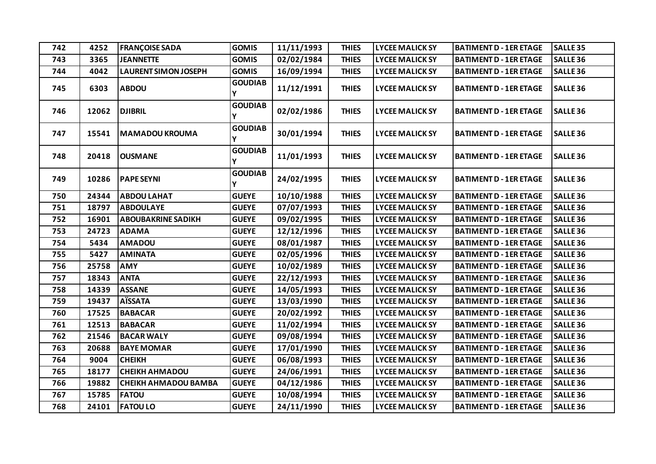| 742 | 4252  | <b>FRANÇOISE SADA</b>       | <b>GOMIS</b>        | 11/11/1993 | <b>THIES</b> | <b>LYCEE MALICK SY</b> | <b>BATIMENT D - 1ER ETAGE</b> | <b>SALLE 35</b>     |
|-----|-------|-----------------------------|---------------------|------------|--------------|------------------------|-------------------------------|---------------------|
| 743 | 3365  | <b>JEANNETTE</b>            | <b>GOMIS</b>        | 02/02/1984 | <b>THIES</b> | <b>LYCEE MALICK SY</b> | <b>BATIMENT D - 1ER ETAGE</b> | <b>SALLE 36</b>     |
| 744 | 4042  | <b>LAURENT SIMON JOSEPH</b> | <b>GOMIS</b>        | 16/09/1994 | <b>THIES</b> | <b>LYCEE MALICK SY</b> | <b>BATIMENT D - 1ER ETAGE</b> | <b>SALLE 36</b>     |
| 745 | 6303  | <b>ABDOU</b>                | <b>GOUDIAB</b><br>Y | 11/12/1991 | <b>THIES</b> | <b>LYCEE MALICK SY</b> | <b>BATIMENT D - 1ER ETAGE</b> | SALLE <sub>36</sub> |
| 746 | 12062 | <b>DJIBRIL</b>              | <b>GOUDIAB</b><br>Ý | 02/02/1986 | <b>THIES</b> | <b>LYCEE MALICK SY</b> | <b>BATIMENT D - 1ER ETAGE</b> | <b>SALLE 36</b>     |
| 747 | 15541 | <b>MAMADOU KROUMA</b>       | <b>GOUDIAB</b><br>Y | 30/01/1994 | <b>THIES</b> | <b>LYCEE MALICK SY</b> | <b>BATIMENT D - 1ER ETAGE</b> | <b>SALLE 36</b>     |
| 748 | 20418 | <b>OUSMANE</b>              | <b>GOUDIAB</b><br>Ý | 11/01/1993 | <b>THIES</b> | <b>LYCEE MALICK SY</b> | <b>BATIMENT D - 1ER ETAGE</b> | SALLE <sub>36</sub> |
| 749 | 10286 | <b>PAPE SEYNI</b>           | <b>GOUDIAB</b><br>Ý | 24/02/1995 | <b>THIES</b> | <b>LYCEE MALICK SY</b> | <b>BATIMENT D - 1ER ETAGE</b> | SALLE <sub>36</sub> |
| 750 | 24344 | <b>ABDOU LAHAT</b>          | <b>GUEYE</b>        | 10/10/1988 | <b>THIES</b> | <b>LYCEE MALICK SY</b> | <b>BATIMENT D - 1ER ETAGE</b> | <b>SALLE 36</b>     |
| 751 | 18797 | <b>ABDOULAYE</b>            | <b>GUEYE</b>        | 07/07/1993 | <b>THIES</b> | <b>LYCEE MALICK SY</b> | <b>BATIMENT D - 1ER ETAGE</b> | <b>SALLE 36</b>     |
| 752 | 16901 | <b>ABOUBAKRINE SADIKH</b>   | <b>GUEYE</b>        | 09/02/1995 | <b>THIES</b> | <b>LYCEE MALICK SY</b> | <b>BATIMENT D - 1ER ETAGE</b> | SALLE <sub>36</sub> |
| 753 | 24723 | <b>ADAMA</b>                | <b>GUEYE</b>        | 12/12/1996 | <b>THIES</b> | <b>LYCEE MALICK SY</b> | <b>BATIMENT D - 1ER ETAGE</b> | SALLE <sub>36</sub> |
| 754 | 5434  | <b>AMADOU</b>               | <b>GUEYE</b>        | 08/01/1987 | <b>THIES</b> | <b>LYCEE MALICK SY</b> | <b>BATIMENT D - 1ER ETAGE</b> | SALLE <sub>36</sub> |
| 755 | 5427  | <b>AMINATA</b>              | <b>GUEYE</b>        | 02/05/1996 | <b>THIES</b> | <b>LYCEE MALICK SY</b> | <b>BATIMENT D - 1ER ETAGE</b> | SALLE <sub>36</sub> |
| 756 | 25758 | <b>AMY</b>                  | <b>GUEYE</b>        | 10/02/1989 | <b>THIES</b> | <b>LYCEE MALICK SY</b> | <b>BATIMENT D - 1ER ETAGE</b> | <b>SALLE 36</b>     |
| 757 | 18343 | <b>ANTA</b>                 | <b>GUEYE</b>        | 22/12/1993 | <b>THIES</b> | <b>LYCEE MALICK SY</b> | <b>BATIMENT D - 1ER ETAGE</b> | <b>SALLE 36</b>     |
| 758 | 14339 | <b>ASSANE</b>               | <b>GUEYE</b>        | 14/05/1993 | <b>THIES</b> | <b>LYCEE MALICK SY</b> | <b>BATIMENT D - 1ER ETAGE</b> | <b>SALLE 36</b>     |
| 759 | 19437 | <b>AÏSSATA</b>              | <b>GUEYE</b>        | 13/03/1990 | <b>THIES</b> | <b>LYCEE MALICK SY</b> | <b>BATIMENT D - 1ER ETAGE</b> | SALLE <sub>36</sub> |
| 760 | 17525 | <b>BABACAR</b>              | <b>GUEYE</b>        | 20/02/1992 | <b>THIES</b> | <b>LYCEE MALICK SY</b> | <b>BATIMENT D - 1ER ETAGE</b> | <b>SALLE 36</b>     |
| 761 | 12513 | <b>BABACAR</b>              | <b>GUEYE</b>        | 11/02/1994 | <b>THIES</b> | <b>LYCEE MALICK SY</b> | <b>BATIMENT D - 1ER ETAGE</b> | SALLE <sub>36</sub> |
| 762 | 21546 | <b>BACAR WALY</b>           | <b>GUEYE</b>        | 09/08/1994 | <b>THIES</b> | <b>LYCEE MALICK SY</b> | <b>BATIMENT D - 1ER ETAGE</b> | <b>SALLE 36</b>     |
| 763 | 20688 | <b>BAYE MOMAR</b>           | <b>GUEYE</b>        | 17/01/1990 | <b>THIES</b> | <b>LYCEE MALICK SY</b> | <b>BATIMENT D - 1ER ETAGE</b> | <b>SALLE 36</b>     |
| 764 | 9004  | <b>CHEIKH</b>               | <b>GUEYE</b>        | 06/08/1993 | <b>THIES</b> | <b>LYCEE MALICK SY</b> | <b>BATIMENT D - 1ER ETAGE</b> | SALLE <sub>36</sub> |
| 765 | 18177 | <b>CHEIKH AHMADOU</b>       | <b>GUEYE</b>        | 24/06/1991 | <b>THIES</b> | <b>LYCEE MALICK SY</b> | <b>BATIMENT D - 1ER ETAGE</b> | SALLE <sub>36</sub> |
| 766 | 19882 | <b>CHEIKH AHMADOU BAMBA</b> | <b>GUEYE</b>        | 04/12/1986 | <b>THIES</b> | <b>LYCEE MALICK SY</b> | <b>BATIMENT D - 1ER ETAGE</b> | <b>SALLE 36</b>     |
| 767 | 15785 | <b>FATOU</b>                | <b>GUEYE</b>        | 10/08/1994 | <b>THIES</b> | <b>LYCEE MALICK SY</b> | <b>BATIMENT D - 1ER ETAGE</b> | SALLE <sub>36</sub> |
| 768 | 24101 | <b>FATOU LO</b>             | <b>GUEYE</b>        | 24/11/1990 | <b>THIES</b> | <b>LYCEE MALICK SY</b> | <b>BATIMENT D - 1ER ETAGE</b> | <b>SALLE 36</b>     |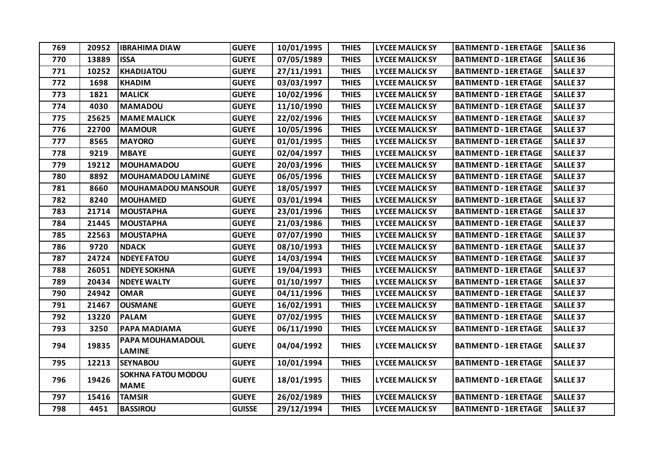| 769 | 20952 | <b>IBRAHIMA DIAW</b>                     | <b>GUEYE</b>  | 10/01/1995 | <b>THIES</b> | <b>LYCEE MALICK SY</b> | <b>BATIMENT D - 1ER ETAGE</b> | <b>SALLE 36</b>     |
|-----|-------|------------------------------------------|---------------|------------|--------------|------------------------|-------------------------------|---------------------|
| 770 | 13889 | <b>ISSA</b>                              | <b>GUEYE</b>  | 07/05/1989 | <b>THIES</b> | <b>LYCEE MALICK SY</b> | <b>BATIMENT D - 1ER ETAGE</b> | <b>SALLE 36</b>     |
| 771 | 10252 | <b>KHADIJATOU</b>                        | <b>GUEYE</b>  | 27/11/1991 | <b>THIES</b> | <b>LYCEE MALICK SY</b> | <b>BATIMENT D - 1ER ETAGE</b> | <b>SALLE 37</b>     |
| 772 | 1698  | <b>KHADIM</b>                            | <b>GUEYE</b>  | 03/03/1997 | <b>THIES</b> | <b>LYCEE MALICK SY</b> | <b>BATIMENT D - 1ER ETAGE</b> | <b>SALLE 37</b>     |
| 773 | 1821  | <b>MALICK</b>                            | <b>GUEYE</b>  | 10/02/1996 | <b>THIES</b> | <b>LYCEE MALICK SY</b> | <b>BATIMENT D - 1ER ETAGE</b> | <b>SALLE 37</b>     |
| 774 | 4030  | <b>MAMADOU</b>                           | <b>GUEYE</b>  | 11/10/1990 | <b>THIES</b> | <b>LYCEE MALICK SY</b> | <b>BATIMENT D - 1ER ETAGE</b> | <b>SALLE 37</b>     |
| 775 | 25625 | <b>MAME MALICK</b>                       | <b>GUEYE</b>  | 22/02/1996 | <b>THIES</b> | <b>LYCEE MALICK SY</b> | <b>BATIMENT D - 1ER ETAGE</b> | <b>SALLE 37</b>     |
| 776 | 22700 | <b>MAMOUR</b>                            | <b>GUEYE</b>  | 10/05/1996 | <b>THIES</b> | <b>LYCEE MALICK SY</b> | <b>BATIMENT D - 1ER ETAGE</b> | <b>SALLE 37</b>     |
| 777 | 8565  | <b>MAYORO</b>                            | <b>GUEYE</b>  | 01/01/1995 | <b>THIES</b> | <b>LYCEE MALICK SY</b> | <b>BATIMENT D - 1ER ETAGE</b> | <b>SALLE 37</b>     |
| 778 | 9219  | <b>MBAYE</b>                             | <b>GUEYE</b>  | 02/04/1997 | <b>THIES</b> | <b>LYCEE MALICK SY</b> | <b>BATIMENT D - 1ER ETAGE</b> | <b>SALLE 37</b>     |
| 779 | 19212 | <b>MOUHAMADOU</b>                        | <b>GUEYE</b>  | 20/03/1996 | <b>THIES</b> | <b>LYCEE MALICK SY</b> | <b>BATIMENT D - 1ER ETAGE</b> | <b>SALLE 37</b>     |
| 780 | 8892  | <b>MOUHAMADOU LAMINE</b>                 | <b>GUEYE</b>  | 06/05/1996 | <b>THIES</b> | <b>LYCEE MALICK SY</b> | <b>BATIMENT D - 1ER ETAGE</b> | <b>SALLE 37</b>     |
| 781 | 8660  | <b>MOUHAMADOU MANSOUR</b>                | <b>GUEYE</b>  | 18/05/1997 | <b>THIES</b> | <b>LYCEE MALICK SY</b> | <b>BATIMENT D - 1ER ETAGE</b> | <b>SALLE 37</b>     |
| 782 | 8240  | <b>MOUHAMED</b>                          | <b>GUEYE</b>  | 03/01/1994 | <b>THIES</b> | <b>LYCEE MALICK SY</b> | <b>BATIMENT D - 1ER ETAGE</b> | SALLE <sub>37</sub> |
| 783 | 21714 | <b>MOUSTAPHA</b>                         | <b>GUEYE</b>  | 23/01/1996 | <b>THIES</b> | <b>LYCEE MALICK SY</b> | <b>BATIMENT D - 1ER ETAGE</b> | <b>SALLE 37</b>     |
| 784 | 21445 | <b>MOUSTAPHA</b>                         | <b>GUEYE</b>  | 21/03/1986 | <b>THIES</b> | <b>LYCEE MALICK SY</b> | <b>BATIMENT D - 1ER ETAGE</b> | <b>SALLE 37</b>     |
| 785 | 22563 | <b>MOUSTAPHA</b>                         | <b>GUEYE</b>  | 07/07/1990 | <b>THIES</b> | <b>LYCEE MALICK SY</b> | <b>BATIMENT D - 1ER ETAGE</b> | SALLE <sub>37</sub> |
| 786 | 9720  | <b>NDACK</b>                             | <b>GUEYE</b>  | 08/10/1993 | <b>THIES</b> | <b>LYCEE MALICK SY</b> | <b>BATIMENT D - 1ER ETAGE</b> | <b>SALLE 37</b>     |
| 787 | 24724 | <b>NDEYE FATOU</b>                       | <b>GUEYE</b>  | 14/03/1994 | <b>THIES</b> | <b>LYCEE MALICK SY</b> | <b>BATIMENT D - 1ER ETAGE</b> | <b>SALLE 37</b>     |
| 788 | 26051 | <b>NDEYE SOKHNA</b>                      | <b>GUEYE</b>  | 19/04/1993 | <b>THIES</b> | <b>LYCEE MALICK SY</b> | <b>BATIMENT D - 1ER ETAGE</b> | <b>SALLE 37</b>     |
| 789 | 20434 | <b>NDEYE WALTY</b>                       | <b>GUEYE</b>  | 01/10/1997 | <b>THIES</b> | <b>LYCEE MALICK SY</b> | <b>BATIMENT D - 1ER ETAGE</b> | <b>SALLE 37</b>     |
| 790 | 24942 | <b>OMAR</b>                              | <b>GUEYE</b>  | 04/11/1996 | <b>THIES</b> | <b>LYCEE MALICK SY</b> | <b>BATIMENT D - 1ER ETAGE</b> | <b>SALLE 37</b>     |
| 791 | 21467 | <b>OUSMANE</b>                           | <b>GUEYE</b>  | 16/02/1991 | <b>THIES</b> | <b>LYCEE MALICK SY</b> | <b>BATIMENT D - 1ER ETAGE</b> | <b>SALLE 37</b>     |
| 792 | 13220 | <b>PALAM</b>                             | <b>GUEYE</b>  | 07/02/1995 | <b>THIES</b> | <b>LYCEE MALICK SY</b> | <b>BATIMENT D - 1ER ETAGE</b> | <b>SALLE 37</b>     |
| 793 | 3250  | PAPA MADIAMA                             | <b>GUEYE</b>  | 06/11/1990 | <b>THIES</b> | <b>LYCEE MALICK SY</b> | <b>BATIMENT D - 1ER ETAGE</b> | <b>SALLE 37</b>     |
| 794 | 19835 | PAPA MOUHAMADOUL<br><b>LAMINE</b>        | <b>GUEYE</b>  | 04/04/1992 | <b>THIES</b> | <b>LYCEE MALICK SY</b> | <b>BATIMENT D - 1ER ETAGE</b> | <b>SALLE 37</b>     |
| 795 | 12213 | <b>SEYNABOU</b>                          | <b>GUEYE</b>  | 10/01/1994 | <b>THIES</b> | <b>LYCEE MALICK SY</b> | <b>BATIMENT D - 1ER ETAGE</b> | <b>SALLE 37</b>     |
| 796 | 19426 | <b>SOKHNA FATOU MODOU</b><br><b>MAME</b> | <b>GUEYE</b>  | 18/01/1995 | <b>THIES</b> | <b>LYCEE MALICK SY</b> | <b>BATIMENT D - 1ER ETAGE</b> | <b>SALLE 37</b>     |
| 797 | 15416 | <b>TAMSIR</b>                            | <b>GUEYE</b>  | 26/02/1989 | <b>THIES</b> | <b>LYCEE MALICK SY</b> | <b>BATIMENT D - 1ER ETAGE</b> | <b>SALLE 37</b>     |
| 798 | 4451  | <b>BASSIROU</b>                          | <b>GUISSE</b> | 29/12/1994 | <b>THIES</b> | <b>LYCEE MALICK SY</b> | <b>BATIMENT D - 1ER ETAGE</b> | <b>SALLE 37</b>     |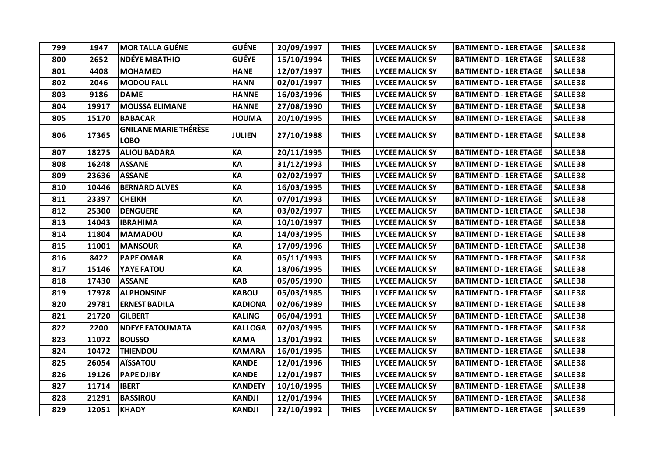| 799 | 1947  | <b>MOR TALLA GUÉNE</b>                      | <b>GUÉNE</b>   | 20/09/1997 | <b>THIES</b> | <b>LYCEE MALICK SY</b> | <b>BATIMENT D - 1ER ETAGE</b> | <b>SALLE 38</b> |
|-----|-------|---------------------------------------------|----------------|------------|--------------|------------------------|-------------------------------|-----------------|
| 800 | 2652  | <b>NDÉYE MBATHIO</b>                        | <b>GUÉYE</b>   | 15/10/1994 | <b>THIES</b> | <b>LYCEE MALICK SY</b> | <b>BATIMENT D - 1ER ETAGE</b> | <b>SALLE 38</b> |
| 801 | 4408  | <b>MOHAMED</b>                              | <b>HANE</b>    | 12/07/1997 | <b>THIES</b> | <b>LYCEE MALICK SY</b> | <b>BATIMENT D - 1ER ETAGE</b> | <b>SALLE 38</b> |
| 802 | 2046  | <b>MODOU FALL</b>                           | <b>HANN</b>    | 02/01/1997 | <b>THIES</b> | <b>LYCEE MALICK SY</b> | <b>BATIMENT D - 1ER ETAGE</b> | <b>SALLE 38</b> |
| 803 | 9186  | <b>DAME</b>                                 | <b>HANNE</b>   | 16/03/1996 | <b>THIES</b> | <b>LYCEE MALICK SY</b> | <b>BATIMENT D - 1ER ETAGE</b> | <b>SALLE 38</b> |
| 804 | 19917 | <b>MOUSSA ELIMANE</b>                       | <b>HANNE</b>   | 27/08/1990 | <b>THIES</b> | <b>LYCEE MALICK SY</b> | <b>BATIMENT D - 1ER ETAGE</b> | <b>SALLE 38</b> |
| 805 | 15170 | <b>BABACAR</b>                              | <b>HOUMA</b>   | 20/10/1995 | <b>THIES</b> | <b>LYCEE MALICK SY</b> | <b>BATIMENT D - 1ER ETAGE</b> | <b>SALLE 38</b> |
| 806 | 17365 | <b>GNILANE MARIE THÉRÈSE</b><br><b>LOBO</b> | <b>JULIEN</b>  | 27/10/1988 | <b>THIES</b> | <b>LYCEE MALICK SY</b> | <b>BATIMENT D - 1ER ETAGE</b> | <b>SALLE 38</b> |
| 807 | 18275 | <b>ALIOU BADARA</b>                         | KA             | 20/11/1995 | <b>THIES</b> | <b>LYCEE MALICK SY</b> | <b>BATIMENT D - 1ER ETAGE</b> | <b>SALLE 38</b> |
| 808 | 16248 | <b>ASSANE</b>                               | KA             | 31/12/1993 | <b>THIES</b> | <b>LYCEE MALICK SY</b> | <b>BATIMENT D - 1ER ETAGE</b> | <b>SALLE 38</b> |
| 809 | 23636 | <b>ASSANE</b>                               | KA             | 02/02/1997 | <b>THIES</b> | <b>LYCEE MALICK SY</b> | <b>BATIMENT D - 1ER ETAGE</b> | <b>SALLE 38</b> |
| 810 | 10446 | <b>BERNARD ALVES</b>                        | KA             | 16/03/1995 | <b>THIES</b> | <b>LYCEE MALICK SY</b> | <b>BATIMENT D - 1ER ETAGE</b> | <b>SALLE 38</b> |
| 811 | 23397 | <b>CHEIKH</b>                               | KA             | 07/01/1993 | <b>THIES</b> | <b>LYCEE MALICK SY</b> | <b>BATIMENT D - 1ER ETAGE</b> | <b>SALLE 38</b> |
| 812 | 25300 | <b>DENGUERE</b>                             | KA             | 03/02/1997 | <b>THIES</b> | <b>LYCEE MALICK SY</b> | <b>BATIMENT D - 1ER ETAGE</b> | <b>SALLE 38</b> |
| 813 | 14043 | <b>IBRAHIMA</b>                             | KA             | 10/10/1997 | <b>THIES</b> | <b>LYCEE MALICK SY</b> | <b>BATIMENT D - 1ER ETAGE</b> | <b>SALLE 38</b> |
| 814 | 11804 | <b>MAMADOU</b>                              | KA             | 14/03/1995 | <b>THIES</b> | <b>LYCEE MALICK SY</b> | <b>BATIMENT D - 1ER ETAGE</b> | <b>SALLE 38</b> |
| 815 | 11001 | <b>MANSOUR</b>                              | KA             | 17/09/1996 | <b>THIES</b> | <b>LYCEE MALICK SY</b> | <b>BATIMENT D - 1ER ETAGE</b> | <b>SALLE 38</b> |
| 816 | 8422  | <b>PAPE OMAR</b>                            | KA             | 05/11/1993 | <b>THIES</b> | <b>LYCEE MALICK SY</b> | <b>BATIMENT D - 1ER ETAGE</b> | <b>SALLE 38</b> |
| 817 | 15146 | YAYE FATOU                                  | KA             | 18/06/1995 | <b>THIES</b> | <b>LYCEE MALICK SY</b> | <b>BATIMENT D - 1ER ETAGE</b> | <b>SALLE 38</b> |
| 818 | 17430 | <b>ASSANE</b>                               | <b>KAB</b>     | 05/05/1990 | <b>THIES</b> | <b>LYCEE MALICK SY</b> | <b>BATIMENT D - 1ER ETAGE</b> | <b>SALLE 38</b> |
| 819 | 17978 | <b>ALPHONSINE</b>                           | <b>KABOU</b>   | 05/03/1985 | <b>THIES</b> | <b>LYCEE MALICK SY</b> | <b>BATIMENT D - 1ER ETAGE</b> | <b>SALLE 38</b> |
| 820 | 29781 | <b>ERNEST BADILA</b>                        | <b>KADIONA</b> | 02/06/1989 | <b>THIES</b> | <b>LYCEE MALICK SY</b> | <b>BATIMENT D - 1ER ETAGE</b> | <b>SALLE 38</b> |
| 821 | 21720 | <b>GILBERT</b>                              | <b>KALING</b>  | 06/04/1991 | <b>THIES</b> | <b>LYCEE MALICK SY</b> | <b>BATIMENT D - 1ER ETAGE</b> | <b>SALLE 38</b> |
| 822 | 2200  | <b>NDEYE FATOUMATA</b>                      | <b>KALLOGA</b> | 02/03/1995 | <b>THIES</b> | <b>LYCEE MALICK SY</b> | <b>BATIMENT D - 1ER ETAGE</b> | <b>SALLE 38</b> |
| 823 | 11072 | <b>BOUSSO</b>                               | <b>KAMA</b>    | 13/01/1992 | <b>THIES</b> | <b>LYCEE MALICK SY</b> | <b>BATIMENT D - 1ER ETAGE</b> | <b>SALLE 38</b> |
| 824 | 10472 | <b>THIENDOU</b>                             | <b>KAMARA</b>  | 16/01/1995 | <b>THIES</b> | <b>LYCEE MALICK SY</b> | <b>BATIMENT D - 1ER ETAGE</b> | <b>SALLE 38</b> |
| 825 | 26054 | <b>AÏSSATOU</b>                             | <b>KANDE</b>   | 12/01/1996 | <b>THIES</b> | <b>LYCEE MALICK SY</b> | <b>BATIMENT D - 1ER ETAGE</b> | <b>SALLE 38</b> |
| 826 | 19126 | <b>PAPE DJIBY</b>                           | <b>KANDE</b>   | 12/01/1987 | <b>THIES</b> | <b>LYCEE MALICK SY</b> | <b>BATIMENT D - 1ER ETAGE</b> | <b>SALLE 38</b> |
| 827 | 11714 | <b>IBERT</b>                                | <b>KANDETY</b> | 10/10/1995 | <b>THIES</b> | <b>LYCEE MALICK SY</b> | <b>BATIMENT D - 1ER ETAGE</b> | <b>SALLE 38</b> |
| 828 | 21291 | <b>BASSIROU</b>                             | <b>KANDJI</b>  | 12/01/1994 | <b>THIES</b> | <b>LYCEE MALICK SY</b> | <b>BATIMENT D - 1ER ETAGE</b> | <b>SALLE 38</b> |
| 829 | 12051 | <b>KHADY</b>                                | <b>KANDJI</b>  | 22/10/1992 | <b>THIES</b> | <b>LYCEE MALICK SY</b> | <b>BATIMENT D - 1ER ETAGE</b> | <b>SALLE 39</b> |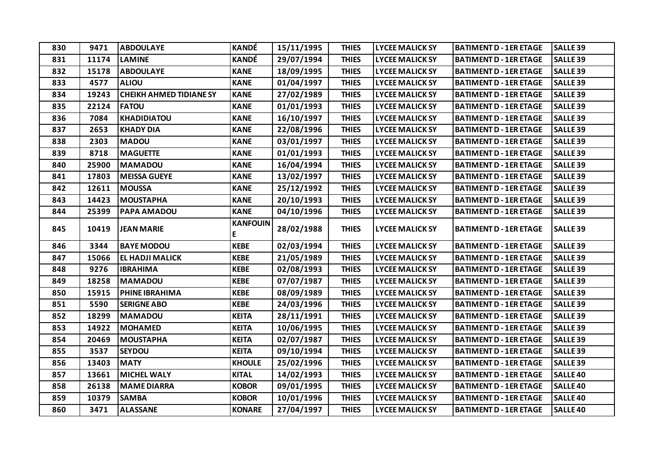| 830 | 9471  | <b>ABDOULAYE</b>               | <b>KANDÉ</b>         | 15/11/1995 | <b>THIES</b> | <b>LYCEE MALICK SY</b> | <b>BATIMENT D - 1ER ETAGE</b> | <b>SALLE 39</b> |
|-----|-------|--------------------------------|----------------------|------------|--------------|------------------------|-------------------------------|-----------------|
| 831 | 11174 | <b>LAMINE</b>                  | KANDÉ                | 29/07/1994 | <b>THIES</b> | <b>LYCEE MALICK SY</b> | <b>BATIMENT D - 1ER ETAGE</b> | <b>SALLE 39</b> |
| 832 | 15178 | <b>ABDOULAYE</b>               | <b>KANE</b>          | 18/09/1995 | <b>THIES</b> | <b>LYCEE MALICK SY</b> | <b>BATIMENT D - 1ER ETAGE</b> | <b>SALLE 39</b> |
| 833 | 4577  | <b>ALIOU</b>                   | <b>KANE</b>          | 01/04/1997 | <b>THIES</b> | <b>LYCEE MALICK SY</b> | <b>BATIMENT D - 1ER ETAGE</b> | <b>SALLE 39</b> |
| 834 | 19243 | <b>CHEIKH AHMED TIDIANE SY</b> | <b>KANE</b>          | 27/02/1989 | <b>THIES</b> | <b>LYCEE MALICK SY</b> | <b>BATIMENT D - 1ER ETAGE</b> | <b>SALLE 39</b> |
| 835 | 22124 | <b>FATOU</b>                   | <b>KANE</b>          | 01/01/1993 | <b>THIES</b> | <b>LYCEE MALICK SY</b> | <b>BATIMENT D - 1ER ETAGE</b> | <b>SALLE 39</b> |
| 836 | 7084  | <b>KHADIDIATOU</b>             | <b>KANE</b>          | 16/10/1997 | <b>THIES</b> | <b>LYCEE MALICK SY</b> | <b>BATIMENT D - 1ER ETAGE</b> | <b>SALLE 39</b> |
| 837 | 2653  | <b>KHADY DIA</b>               | <b>KANE</b>          | 22/08/1996 | <b>THIES</b> | <b>LYCEE MALICK SY</b> | <b>BATIMENT D - 1ER ETAGE</b> | <b>SALLE 39</b> |
| 838 | 2303  | <b>MADOU</b>                   | <b>KANE</b>          | 03/01/1997 | <b>THIES</b> | <b>LYCEE MALICK SY</b> | <b>BATIMENT D - 1ER ETAGE</b> | <b>SALLE 39</b> |
| 839 | 8718  | <b>MAGUETTE</b>                | <b>KANE</b>          | 01/01/1993 | <b>THIES</b> | <b>LYCEE MALICK SY</b> | <b>BATIMENT D - 1ER ETAGE</b> | <b>SALLE 39</b> |
| 840 | 25900 | <b>MAMADOU</b>                 | <b>KANE</b>          | 16/04/1994 | <b>THIES</b> | <b>LYCEE MALICK SY</b> | <b>BATIMENT D - 1ER ETAGE</b> | <b>SALLE 39</b> |
| 841 | 17803 | <b>MEISSA GUEYE</b>            | <b>KANE</b>          | 13/02/1997 | <b>THIES</b> | <b>LYCEE MALICK SY</b> | <b>BATIMENT D - 1ER ETAGE</b> | <b>SALLE 39</b> |
| 842 | 12611 | <b>MOUSSA</b>                  | <b>KANE</b>          | 25/12/1992 | <b>THIES</b> | <b>LYCEE MALICK SY</b> | <b>BATIMENT D - 1ER ETAGE</b> | <b>SALLE 39</b> |
| 843 | 14423 | <b>MOUSTAPHA</b>               | <b>KANE</b>          | 20/10/1993 | <b>THIES</b> | <b>LYCEE MALICK SY</b> | <b>BATIMENT D - 1ER ETAGE</b> | <b>SALLE 39</b> |
| 844 | 25399 | PAPA AMADOU                    | <b>KANE</b>          | 04/10/1996 | <b>THIES</b> | <b>LYCEE MALICK SY</b> | <b>BATIMENT D - 1ER ETAGE</b> | <b>SALLE 39</b> |
| 845 | 10419 | <b>JEAN MARIE</b>              | <b>KANFOUIN</b><br>E | 28/02/1988 | <b>THIES</b> | <b>LYCEE MALICK SY</b> | <b>BATIMENT D - 1ER ETAGE</b> | <b>SALLE 39</b> |
| 846 | 3344  | <b>BAYE MODOU</b>              | <b>KEBE</b>          | 02/03/1994 | <b>THIES</b> | <b>LYCEE MALICK SY</b> | <b>BATIMENT D - 1ER ETAGE</b> | <b>SALLE 39</b> |
| 847 | 15066 | <b>EL HADJI MALICK</b>         | <b>KEBE</b>          | 21/05/1989 | <b>THIES</b> | <b>LYCEE MALICK SY</b> | <b>BATIMENT D - 1ER ETAGE</b> | <b>SALLE 39</b> |
| 848 | 9276  | <b>IBRAHIMA</b>                | <b>KEBE</b>          | 02/08/1993 | <b>THIES</b> | <b>LYCEE MALICK SY</b> | <b>BATIMENT D - 1ER ETAGE</b> | <b>SALLE 39</b> |
| 849 | 18258 | <b>MAMADOU</b>                 | <b>KEBE</b>          | 07/07/1987 | <b>THIES</b> | <b>LYCEE MALICK SY</b> | <b>BATIMENT D - 1ER ETAGE</b> | <b>SALLE 39</b> |
| 850 | 15915 | PHINE IBRAHIMA                 | <b>KEBE</b>          | 08/09/1989 | <b>THIES</b> | <b>LYCEE MALICK SY</b> | <b>BATIMENT D - 1ER ETAGE</b> | <b>SALLE 39</b> |
| 851 | 5590  | <b>SERIGNE ABO</b>             | <b>KEBE</b>          | 24/03/1996 | <b>THIES</b> | <b>LYCEE MALICK SY</b> | <b>BATIMENT D - 1ER ETAGE</b> | <b>SALLE 39</b> |
| 852 | 18299 | <b>MAMADOU</b>                 | <b>KEITA</b>         | 28/11/1991 | <b>THIES</b> | <b>LYCEE MALICK SY</b> | <b>BATIMENT D - 1ER ETAGE</b> | <b>SALLE 39</b> |
| 853 | 14922 | <b>MOHAMED</b>                 | <b>KEITA</b>         | 10/06/1995 | <b>THIES</b> | <b>LYCEE MALICK SY</b> | <b>BATIMENT D - 1ER ETAGE</b> | <b>SALLE 39</b> |
| 854 | 20469 | <b>MOUSTAPHA</b>               | <b>KEITA</b>         | 02/07/1987 | <b>THIES</b> | <b>LYCEE MALICK SY</b> | <b>BATIMENT D - 1ER ETAGE</b> | <b>SALLE 39</b> |
| 855 | 3537  | <b>SEYDOU</b>                  | <b>KEITA</b>         | 09/10/1994 | <b>THIES</b> | <b>LYCEE MALICK SY</b> | <b>BATIMENT D - 1ER ETAGE</b> | <b>SALLE 39</b> |
| 856 | 13403 | <b>MATY</b>                    | <b>KHOULE</b>        | 25/02/1996 | <b>THIES</b> | <b>LYCEE MALICK SY</b> | <b>BATIMENT D - 1ER ETAGE</b> | <b>SALLE 39</b> |
| 857 | 13661 | <b>MICHEL WALY</b>             | <b>KITAL</b>         | 14/02/1993 | <b>THIES</b> | <b>LYCEE MALICK SY</b> | <b>BATIMENT D - 1ER ETAGE</b> | <b>SALLE40</b>  |
| 858 | 26138 | <b>MAME DIARRA</b>             | <b>KOBOR</b>         | 09/01/1995 | <b>THIES</b> | <b>LYCEE MALICK SY</b> | <b>BATIMENT D - 1ER ETAGE</b> | <b>SALLE40</b>  |
| 859 | 10379 | <b>SAMBA</b>                   | <b>KOBOR</b>         | 10/01/1996 | <b>THIES</b> | <b>LYCEE MALICK SY</b> | <b>BATIMENT D - 1ER ETAGE</b> | <b>SALLE40</b>  |
| 860 | 3471  | <b>ALASSANE</b>                | <b>KONARE</b>        | 27/04/1997 | <b>THIES</b> | <b>LYCEE MALICK SY</b> | <b>BATIMENT D - 1ER ETAGE</b> | <b>SALLE40</b>  |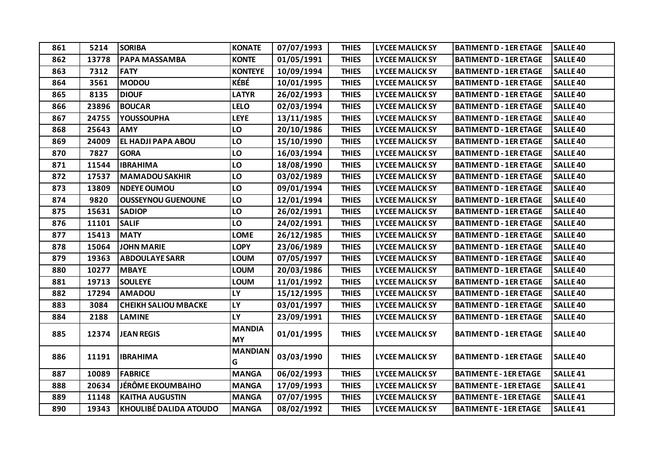| 861 | 5214  | <b>SORIBA</b>                 | <b>KONATE</b>              | 07/07/1993 | <b>THIES</b> | <b>LYCEE MALICK SY</b> | <b>BATIMENT D - 1ER ETAGE</b> | <b>SALLE40</b>      |
|-----|-------|-------------------------------|----------------------------|------------|--------------|------------------------|-------------------------------|---------------------|
| 862 | 13778 | <b>PAPA MASSAMBA</b>          | <b>KONTE</b>               | 01/05/1991 | <b>THIES</b> | <b>LYCEE MALICK SY</b> | <b>BATIMENT D - 1ER ETAGE</b> | <b>SALLE 40</b>     |
| 863 | 7312  | <b>FATY</b>                   | <b>KONTEYE</b>             | 10/09/1994 | <b>THIES</b> | <b>LYCEE MALICK SY</b> | <b>BATIMENT D - 1ER ETAGE</b> | <b>SALLE 40</b>     |
| 864 | 3561  | <b>MODOU</b>                  | KÉBÉ                       | 10/01/1995 | <b>THIES</b> | <b>LYCEE MALICK SY</b> | <b>BATIMENT D - 1ER ETAGE</b> | <b>SALLE40</b>      |
| 865 | 8135  | <b>DIOUF</b>                  | <b>LATYR</b>               | 26/02/1993 | <b>THIES</b> | <b>LYCEE MALICK SY</b> | <b>BATIMENT D - 1ER ETAGE</b> | <b>SALLE 40</b>     |
| 866 | 23896 | <b>BOUCAR</b>                 | <b>LELO</b>                | 02/03/1994 | <b>THIES</b> | <b>LYCEE MALICK SY</b> | <b>BATIMENT D - 1ER ETAGE</b> | <b>SALLE 40</b>     |
| 867 | 24755 | <b>YOUSSOUPHA</b>             | <b>LEYE</b>                | 13/11/1985 | <b>THIES</b> | <b>LYCEE MALICK SY</b> | <b>BATIMENT D - 1ER ETAGE</b> | <b>SALLE40</b>      |
| 868 | 25643 | <b>AMY</b>                    | LO                         | 20/10/1986 | <b>THIES</b> | <b>LYCEE MALICK SY</b> | <b>BATIMENT D - 1ER ETAGE</b> | <b>SALLE 40</b>     |
| 869 | 24009 | <b>EL HADJI PAPA ABOU</b>     | LO                         | 15/10/1990 | <b>THIES</b> | <b>LYCEE MALICK SY</b> | <b>BATIMENT D - 1ER ETAGE</b> | <b>SALLE40</b>      |
| 870 | 7827  | <b>GORA</b>                   | LO                         | 16/03/1994 | <b>THIES</b> | <b>LYCEE MALICK SY</b> | <b>BATIMENT D - 1ER ETAGE</b> | <b>SALLE40</b>      |
| 871 | 11544 | <b>IBRAHIMA</b>               | LO                         | 18/08/1990 | <b>THIES</b> | <b>LYCEE MALICK SY</b> | <b>BATIMENT D - 1ER ETAGE</b> | <b>SALLE 40</b>     |
| 872 | 17537 | <b>MAMADOU SAKHIR</b>         | LO                         | 03/02/1989 | <b>THIES</b> | <b>LYCEE MALICK SY</b> | <b>BATIMENT D - 1ER ETAGE</b> | <b>SALLE 40</b>     |
| 873 | 13809 | <b>NDEYE OUMOU</b>            | LO                         | 09/01/1994 | <b>THIES</b> | <b>LYCEE MALICK SY</b> | <b>BATIMENT D - 1ER ETAGE</b> | <b>SALLE40</b>      |
| 874 | 9820  | <b>OUSSEYNOU GUENOUNE</b>     | LO                         | 12/01/1994 | <b>THIES</b> | <b>LYCEE MALICK SY</b> | <b>BATIMENT D - 1ER ETAGE</b> | <b>SALLE40</b>      |
| 875 | 15631 | <b>SADIOP</b>                 | LO                         | 26/02/1991 | <b>THIES</b> | <b>LYCEE MALICK SY</b> | <b>BATIMENT D - 1ER ETAGE</b> | <b>SALLE 40</b>     |
| 876 | 11101 | <b>SALIF</b>                  | LO                         | 24/02/1991 | <b>THIES</b> | <b>LYCEE MALICK SY</b> | <b>BATIMENT D - 1ER ETAGE</b> | <b>SALLE40</b>      |
| 877 | 15413 | <b>MATY</b>                   | <b>LOME</b>                | 26/12/1985 | <b>THIES</b> | <b>LYCEE MALICK SY</b> | <b>BATIMENT D - 1ER ETAGE</b> | <b>SALLE40</b>      |
| 878 | 15064 | <b>JOHN MARIE</b>             | <b>LOPY</b>                | 23/06/1989 | <b>THIES</b> | <b>LYCEE MALICK SY</b> | <b>BATIMENT D - 1ER ETAGE</b> | <b>SALLE 40</b>     |
| 879 | 19363 | <b>ABDOULAYE SARR</b>         | <b>LOUM</b>                | 07/05/1997 | <b>THIES</b> | <b>LYCEE MALICK SY</b> | <b>BATIMENT D - 1ER ETAGE</b> | <b>SALLE40</b>      |
| 880 | 10277 | <b>MBAYE</b>                  | <b>LOUM</b>                | 20/03/1986 | <b>THIES</b> | <b>LYCEE MALICK SY</b> | <b>BATIMENT D - 1ER ETAGE</b> | <b>SALLE40</b>      |
| 881 | 19713 | <b>SOULEYE</b>                | <b>LOUM</b>                | 11/01/1992 | <b>THIES</b> | <b>LYCEE MALICK SY</b> | <b>BATIMENT D - 1ER ETAGE</b> | <b>SALLE40</b>      |
| 882 | 17294 | <b>AMADOU</b>                 | <b>LY</b>                  | 15/12/1995 | <b>THIES</b> | <b>LYCEE MALICK SY</b> | <b>BATIMENT D - 1ER ETAGE</b> | <b>SALLE 40</b>     |
| 883 | 3084  | <b>CHEIKH SALIOU MBACKE</b>   | <b>LY</b>                  | 03/01/1997 | <b>THIES</b> | <b>LYCEE MALICK SY</b> | <b>BATIMENT D - 1ER ETAGE</b> | <b>SALLE 40</b>     |
| 884 | 2188  | <b>LAMINE</b>                 | <b>LY</b>                  | 23/09/1991 | <b>THIES</b> | <b>LYCEE MALICK SY</b> | <b>BATIMENT D - 1ER ETAGE</b> | <b>SALLE40</b>      |
| 885 | 12374 | <b>JEAN REGIS</b>             | <b>MANDIA</b><br><b>MY</b> | 01/01/1995 | <b>THIES</b> | <b>LYCEE MALICK SY</b> | <b>BATIMENT D - 1ER ETAGE</b> | <b>SALLE40</b>      |
| 886 | 11191 | <b>IBRAHIMA</b>               | <b>MANDIAN</b><br>G        | 03/03/1990 | <b>THIES</b> | <b>LYCEE MALICK SY</b> | <b>BATIMENT D - 1ER ETAGE</b> | <b>SALLE40</b>      |
| 887 | 10089 | <b>FABRICE</b>                | <b>MANGA</b>               | 06/02/1993 | <b>THIES</b> | <b>LYCEE MALICK SY</b> | <b>BATIMENT E - 1ER ETAGE</b> | <b>SALLE 41</b>     |
| 888 | 20634 | JÉRÔME EKOUMBAIHO             | <b>MANGA</b>               | 17/09/1993 | <b>THIES</b> | <b>LYCEE MALICK SY</b> | <b>BATIMENT E - 1ER ETAGE</b> | <b>SALLE 41</b>     |
| 889 | 11148 | <b>KAITHA AUGUSTIN</b>        | <b>MANGA</b>               | 07/07/1995 | <b>THIES</b> | <b>LYCEE MALICK SY</b> | <b>BATIMENT E - 1ER ETAGE</b> | SALLE <sub>41</sub> |
| 890 | 19343 | <b>KHOULIBÉ DALIDA ATOUDO</b> | <b>MANGA</b>               | 08/02/1992 | <b>THIES</b> | <b>LYCEE MALICK SY</b> | <b>BATIMENT E - 1ER ETAGE</b> | SALLE <sub>41</sub> |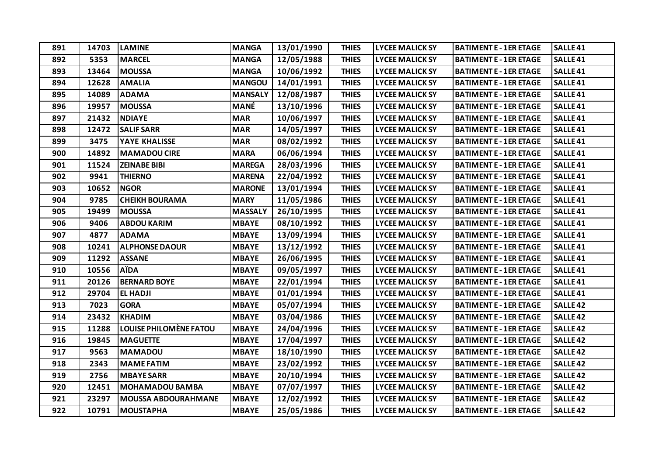| 891 | 14703 | <b>LAMINE</b>                 | <b>MANGA</b>   | 13/01/1990 | <b>THIES</b> | <b>LYCEE MALICK SY</b> | <b>BATIMENT E - 1ER ETAGE</b> | <b>SALLE41</b>      |
|-----|-------|-------------------------------|----------------|------------|--------------|------------------------|-------------------------------|---------------------|
| 892 | 5353  | <b>MARCEL</b>                 | <b>MANGA</b>   | 12/05/1988 | <b>THIES</b> | <b>LYCEE MALICK SY</b> | <b>BATIMENT E - 1ER ETAGE</b> | <b>SALLE 41</b>     |
| 893 | 13464 | <b>MOUSSA</b>                 | <b>MANGA</b>   | 10/06/1992 | <b>THIES</b> | <b>LYCEE MALICK SY</b> | <b>BATIMENT E - 1ER ETAGE</b> | SALLE <sub>41</sub> |
| 894 | 12628 | <b>AMALIA</b>                 | <b>MANGOU</b>  | 14/01/1991 | <b>THIES</b> | <b>LYCEE MALICK SY</b> | <b>BATIMENT E - 1ER ETAGE</b> | SALLE <sub>41</sub> |
| 895 | 14089 | <b>ADAMA</b>                  | <b>MANSALY</b> | 12/08/1987 | <b>THIES</b> | <b>LYCEE MALICK SY</b> | <b>BATIMENT E - 1ER ETAGE</b> | <b>SALLE41</b>      |
| 896 | 19957 | <b>MOUSSA</b>                 | <b>MANÉ</b>    | 13/10/1996 | <b>THIES</b> | <b>LYCEE MALICK SY</b> | <b>BATIMENT E - 1ER ETAGE</b> | SALLE <sub>41</sub> |
| 897 | 21432 | <b>NDIAYE</b>                 | <b>MAR</b>     | 10/06/1997 | <b>THIES</b> | <b>LYCEE MALICK SY</b> | <b>BATIMENT E - 1ER ETAGE</b> | SALLE <sub>41</sub> |
| 898 | 12472 | <b>SALIF SARR</b>             | <b>MAR</b>     | 14/05/1997 | <b>THIES</b> | <b>LYCEE MALICK SY</b> | <b>BATIMENT E - 1ER ETAGE</b> | SALLE <sub>41</sub> |
| 899 | 3475  | YAYE KHALISSE                 | <b>MAR</b>     | 08/02/1992 | <b>THIES</b> | <b>LYCEE MALICK SY</b> | <b>BATIMENT E - 1ER ETAGE</b> | SALLE <sub>41</sub> |
| 900 | 14892 | <b>MAMADOU CIRE</b>           | <b>MARA</b>    | 06/06/1994 | <b>THIES</b> | <b>LYCEE MALICK SY</b> | <b>BATIMENT E - 1ER ETAGE</b> | SALLE <sub>41</sub> |
| 901 | 11524 | <b>ZEINABE BIBI</b>           | <b>MAREGA</b>  | 28/03/1996 | <b>THIES</b> | <b>LYCEE MALICK SY</b> | <b>BATIMENT E - 1ER ETAGE</b> | <b>SALLE41</b>      |
| 902 | 9941  | <b>THIERNO</b>                | <b>MARENA</b>  | 22/04/1992 | <b>THIES</b> | <b>LYCEE MALICK SY</b> | <b>BATIMENT E - 1ER ETAGE</b> | SALLE <sub>41</sub> |
| 903 | 10652 | <b>NGOR</b>                   | <b>MARONE</b>  | 13/01/1994 | <b>THIES</b> | <b>LYCEE MALICK SY</b> | <b>BATIMENT E - 1ER ETAGE</b> | SALLE <sub>41</sub> |
| 904 | 9785  | <b>CHEIKH BOURAMA</b>         | <b>MARY</b>    | 11/05/1986 | <b>THIES</b> | <b>LYCEE MALICK SY</b> | <b>BATIMENT E - 1ER ETAGE</b> | SALLE <sub>41</sub> |
| 905 | 19499 | <b>MOUSSA</b>                 | <b>MASSALY</b> | 26/10/1995 | <b>THIES</b> | <b>LYCEE MALICK SY</b> | <b>BATIMENT E - 1ER ETAGE</b> | SALLE <sub>41</sub> |
| 906 | 9406  | <b>ABDOU KARIM</b>            | <b>MBAYE</b>   | 08/10/1992 | <b>THIES</b> | <b>LYCEE MALICK SY</b> | <b>BATIMENT E - 1ER ETAGE</b> | SALLE <sub>41</sub> |
| 907 | 4877  | <b>ADAMA</b>                  | <b>MBAYE</b>   | 13/09/1994 | <b>THIES</b> | <b>LYCEE MALICK SY</b> | <b>BATIMENT E - 1ER ETAGE</b> | SALLE <sub>41</sub> |
| 908 | 10241 | <b>ALPHONSE DAOUR</b>         | <b>MBAYE</b>   | 13/12/1992 | <b>THIES</b> | <b>LYCEE MALICK SY</b> | <b>BATIMENT E - 1ER ETAGE</b> | SALLE <sub>41</sub> |
| 909 | 11292 | <b>ASSANE</b>                 | <b>MBAYE</b>   | 26/06/1995 | <b>THIES</b> | <b>LYCEE MALICK SY</b> | <b>BATIMENT E - 1ER ETAGE</b> | SALLE <sub>41</sub> |
| 910 | 10556 | <b>A</b> ida                  | <b>MBAYE</b>   | 09/05/1997 | <b>THIES</b> | <b>LYCEE MALICK SY</b> | <b>BATIMENT E - 1ER ETAGE</b> | SALLE <sub>41</sub> |
| 911 | 20126 | <b>BERNARD BOYE</b>           | <b>MBAYE</b>   | 22/01/1994 | <b>THIES</b> | <b>LYCEE MALICK SY</b> | <b>BATIMENT E - 1ER ETAGE</b> | SALLE <sub>41</sub> |
| 912 | 29704 | <b>EL HADJI</b>               | <b>MBAYE</b>   | 01/01/1994 | <b>THIES</b> | <b>LYCEE MALICK SY</b> | <b>BATIMENT E - 1ER ETAGE</b> | SALLE <sub>41</sub> |
| 913 | 7023  | <b>GORA</b>                   | <b>MBAYE</b>   | 05/07/1994 | <b>THIES</b> | <b>LYCEE MALICK SY</b> | <b>BATIMENT E - 1ER ETAGE</b> | <b>SALLE42</b>      |
| 914 | 23432 | <b>KHADIM</b>                 | <b>MBAYE</b>   | 03/04/1986 | <b>THIES</b> | <b>LYCEE MALICK SY</b> | <b>BATIMENT E - 1ER ETAGE</b> | <b>SALLE42</b>      |
| 915 | 11288 | <b>LOUISE PHILOMÈNE FATOU</b> | <b>MBAYE</b>   | 24/04/1996 | <b>THIES</b> | <b>LYCEE MALICK SY</b> | <b>BATIMENT E - 1ER ETAGE</b> | <b>SALLE42</b>      |
| 916 | 19845 | <b>MAGUETTE</b>               | <b>MBAYE</b>   | 17/04/1997 | <b>THIES</b> | <b>LYCEE MALICK SY</b> | <b>BATIMENT E - 1ER ETAGE</b> | <b>SALLE 42</b>     |
| 917 | 9563  | <b>MAMADOU</b>                | <b>MBAYE</b>   | 18/10/1990 | <b>THIES</b> | <b>LYCEE MALICK SY</b> | <b>BATIMENT E - 1ER ETAGE</b> | <b>SALLE42</b>      |
| 918 | 2343  | <b>MAME FATIM</b>             | <b>MBAYE</b>   | 23/02/1992 | <b>THIES</b> | <b>LYCEE MALICK SY</b> | <b>BATIMENT E - 1ER ETAGE</b> | <b>SALLE 42</b>     |
| 919 | 2756  | <b>MBAYE SARR</b>             | <b>MBAYE</b>   | 20/10/1994 | <b>THIES</b> | <b>LYCEE MALICK SY</b> | <b>BATIMENT E - 1ER ETAGE</b> | <b>SALLE 42</b>     |
| 920 | 12451 | <b>MOHAMADOU BAMBA</b>        | <b>MBAYE</b>   | 07/07/1997 | <b>THIES</b> | <b>LYCEE MALICK SY</b> | <b>BATIMENT E - 1ER ETAGE</b> | <b>SALLE42</b>      |
| 921 | 23297 | <b>MOUSSA ABDOURAHMANE</b>    | <b>MBAYE</b>   | 12/02/1992 | <b>THIES</b> | <b>LYCEE MALICK SY</b> | <b>BATIMENT E - 1ER ETAGE</b> | <b>SALLE42</b>      |
| 922 | 10791 | <b>MOUSTAPHA</b>              | <b>MBAYE</b>   | 25/05/1986 | <b>THIES</b> | <b>LYCEE MALICK SY</b> | <b>BATIMENT E - 1ER ETAGE</b> | <b>SALLE42</b>      |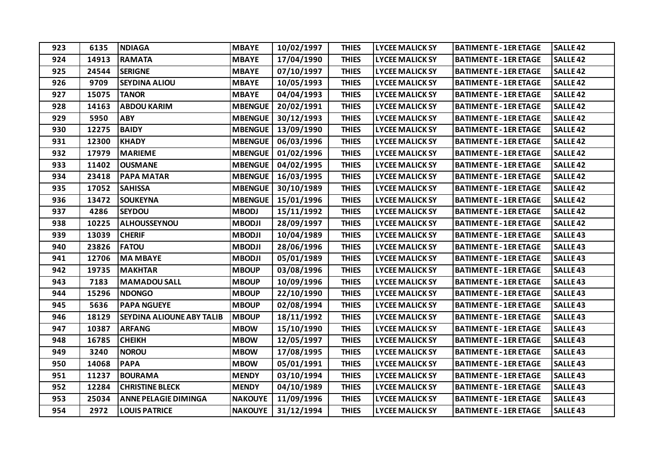| 923 | 6135  | <b>NDIAGA</b>                    | <b>MBAYE</b>   | 10/02/1997 | <b>THIES</b> | <b>LYCEE MALICK SY</b> | <b>BATIMENT E - 1ER ETAGE</b> | <b>SALLE 42</b>     |
|-----|-------|----------------------------------|----------------|------------|--------------|------------------------|-------------------------------|---------------------|
| 924 | 14913 | <b>RAMATA</b>                    | <b>MBAYE</b>   | 17/04/1990 | <b>THIES</b> | <b>LYCEE MALICK SY</b> | <b>BATIMENT E - 1ER ETAGE</b> | SALLE <sub>42</sub> |
| 925 | 24544 | <b>SERIGNE</b>                   | <b>MBAYE</b>   | 07/10/1997 | <b>THIES</b> | <b>LYCEE MALICK SY</b> | <b>BATIMENT E - 1ER ETAGE</b> | <b>SALLE42</b>      |
| 926 | 9709  | <b>SEYDINA ALIOU</b>             | <b>MBAYE</b>   | 10/05/1993 | <b>THIES</b> | <b>LYCEE MALICK SY</b> | <b>BATIMENT E - 1ER ETAGE</b> | <b>SALLE 42</b>     |
| 927 | 15075 | <b>TANOR</b>                     | <b>MBAYE</b>   | 04/04/1993 | <b>THIES</b> | <b>LYCEE MALICK SY</b> | <b>BATIMENT E - 1ER ETAGE</b> | <b>SALLE 42</b>     |
| 928 | 14163 | <b>ABDOU KARIM</b>               | <b>MBENGUE</b> | 20/02/1991 | <b>THIES</b> | <b>LYCEE MALICK SY</b> | <b>BATIMENT E - 1ER ETAGE</b> | <b>SALLE42</b>      |
| 929 | 5950  | <b>ABY</b>                       | <b>MBENGUE</b> | 30/12/1993 | <b>THIES</b> | <b>LYCEE MALICK SY</b> | <b>BATIMENT E - 1ER ETAGE</b> | <b>SALLE 42</b>     |
| 930 | 12275 | <b>BAIDY</b>                     | <b>MBENGUE</b> | 13/09/1990 | <b>THIES</b> | <b>LYCEE MALICK SY</b> | <b>BATIMENT E - 1ER ETAGE</b> | <b>SALLE42</b>      |
| 931 | 12300 | <b>KHADY</b>                     | <b>MBENGUE</b> | 06/03/1996 | <b>THIES</b> | <b>LYCEE MALICK SY</b> | <b>BATIMENT E - 1ER ETAGE</b> | <b>SALLE42</b>      |
| 932 | 17979 | <b>MARIEME</b>                   | <b>MBENGUE</b> | 01/02/1996 | <b>THIES</b> | <b>LYCEE MALICK SY</b> | <b>BATIMENT E - 1ER ETAGE</b> | <b>SALLE 42</b>     |
| 933 | 11402 | <b>OUSMANE</b>                   | <b>MBENGUE</b> | 04/02/1995 | <b>THIES</b> | <b>LYCEE MALICK SY</b> | <b>BATIMENT E - 1ER ETAGE</b> | <b>SALLE 42</b>     |
| 934 | 23418 | <b>PAPA MATAR</b>                | <b>MBENGUE</b> | 16/03/1995 | <b>THIES</b> | <b>LYCEE MALICK SY</b> | <b>BATIMENT E - 1ER ETAGE</b> | <b>SALLE42</b>      |
| 935 | 17052 | <b>SAHISSA</b>                   | <b>MBENGUE</b> | 30/10/1989 | <b>THIES</b> | <b>LYCEE MALICK SY</b> | <b>BATIMENT E - 1ER ETAGE</b> | <b>SALLE 42</b>     |
| 936 | 13472 | <b>SOUKEYNA</b>                  | <b>MBENGUE</b> | 15/01/1996 | <b>THIES</b> | <b>LYCEE MALICK SY</b> | <b>BATIMENT E - 1ER ETAGE</b> | <b>SALLE 42</b>     |
| 937 | 4286  | <b>SEYDOU</b>                    | <b>MBODJ</b>   | 15/11/1992 | <b>THIES</b> | <b>LYCEE MALICK SY</b> | <b>BATIMENT E - 1ER ETAGE</b> | <b>SALLE42</b>      |
| 938 | 10225 | ALHOUSSEYNOU                     | <b>MBODJI</b>  | 28/09/1997 | <b>THIES</b> | <b>LYCEE MALICK SY</b> | <b>BATIMENT E - 1ER ETAGE</b> | <b>SALLE 42</b>     |
| 939 | 13039 | <b>CHERIF</b>                    | <b>MBODJI</b>  | 10/04/1989 | <b>THIES</b> | <b>LYCEE MALICK SY</b> | <b>BATIMENT E - 1ER ETAGE</b> | <b>SALLE43</b>      |
| 940 | 23826 | <b>FATOU</b>                     | <b>MBODJI</b>  | 28/06/1996 | <b>THIES</b> | <b>LYCEE MALICK SY</b> | <b>BATIMENT E - 1ER ETAGE</b> | <b>SALLE 43</b>     |
| 941 | 12706 | <b>MA MBAYE</b>                  | <b>MBODJI</b>  | 05/01/1989 | <b>THIES</b> | <b>LYCEE MALICK SY</b> | <b>BATIMENT E - 1ER ETAGE</b> | <b>SALLE43</b>      |
| 942 | 19735 | <b>MAKHTAR</b>                   | <b>MBOUP</b>   | 03/08/1996 | <b>THIES</b> | <b>LYCEE MALICK SY</b> | <b>BATIMENT E - 1ER ETAGE</b> | <b>SALLE43</b>      |
| 943 | 7183  | <b>MAMADOU SALL</b>              | <b>MBOUP</b>   | 10/09/1996 | <b>THIES</b> | <b>LYCEE MALICK SY</b> | <b>BATIMENT E - 1ER ETAGE</b> | <b>SALLE43</b>      |
| 944 | 15296 | <b>NDONGO</b>                    | <b>MBOUP</b>   | 22/10/1990 | <b>THIES</b> | <b>LYCEE MALICK SY</b> | <b>BATIMENT E - 1ER ETAGE</b> | <b>SALLE43</b>      |
| 945 | 5636  | <b>PAPA NGUEYE</b>               | <b>MBOUP</b>   | 02/08/1994 | <b>THIES</b> | <b>LYCEE MALICK SY</b> | <b>BATIMENT E - 1ER ETAGE</b> | <b>SALLE43</b>      |
| 946 | 18129 | <b>SEYDINA ALIOUNE ABY TALIB</b> | <b>MBOUP</b>   | 18/11/1992 | <b>THIES</b> | <b>LYCEE MALICK SY</b> | <b>BATIMENT E - 1ER ETAGE</b> | <b>SALLE 43</b>     |
| 947 | 10387 | <b>ARFANG</b>                    | <b>MBOW</b>    | 15/10/1990 | <b>THIES</b> | <b>LYCEE MALICK SY</b> | <b>BATIMENT E - 1ER ETAGE</b> | <b>SALLE43</b>      |
| 948 | 16785 | <b>CHEIKH</b>                    | <b>MBOW</b>    | 12/05/1997 | <b>THIES</b> | <b>LYCEE MALICK SY</b> | <b>BATIMENT E - 1ER ETAGE</b> | <b>SALLE43</b>      |
| 949 | 3240  | <b>NOROU</b>                     | <b>MBOW</b>    | 17/08/1995 | <b>THIES</b> | <b>LYCEE MALICK SY</b> | <b>BATIMENT E - 1ER ETAGE</b> | <b>SALLE43</b>      |
| 950 | 14068 | <b>PAPA</b>                      | <b>MBOW</b>    | 05/01/1991 | <b>THIES</b> | <b>LYCEE MALICK SY</b> | <b>BATIMENT E - 1ER ETAGE</b> | <b>SALLE43</b>      |
| 951 | 11237 | <b>BOURAMA</b>                   | <b>MENDY</b>   | 03/10/1994 | <b>THIES</b> | <b>LYCEE MALICK SY</b> | <b>BATIMENT E - 1ER ETAGE</b> | <b>SALLE43</b>      |
| 952 | 12284 | <b>CHRISTINE BLECK</b>           | <b>MENDY</b>   | 04/10/1989 | <b>THIES</b> | <b>LYCEE MALICK SY</b> | <b>BATIMENT E - 1ER ETAGE</b> | <b>SALLE43</b>      |
| 953 | 25034 | <b>ANNE PELAGIE DIMINGA</b>      | <b>NAKOUYE</b> | 11/09/1996 | <b>THIES</b> | <b>LYCEE MALICK SY</b> | <b>BATIMENT E - 1ER ETAGE</b> | <b>SALLE43</b>      |
| 954 | 2972  | <b>LOUIS PATRICE</b>             | <b>NAKOUYE</b> | 31/12/1994 | <b>THIES</b> | <b>LYCEE MALICK SY</b> | <b>BATIMENT E - 1ER ETAGE</b> | <b>SALLE43</b>      |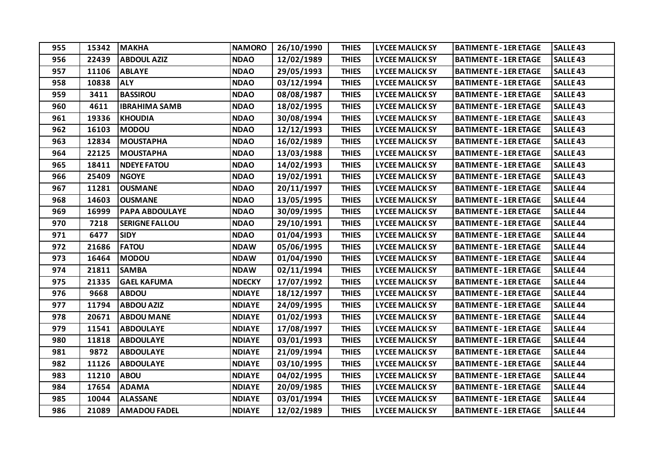| 955 | 15342 | <b>MAKHA</b>          | <b>NAMORO</b> | 26/10/1990 | <b>THIES</b> | <b>LYCEE MALICK SY</b> | <b>BATIMENT E - 1ER ETAGE</b> | <b>SALLE43</b>  |
|-----|-------|-----------------------|---------------|------------|--------------|------------------------|-------------------------------|-----------------|
| 956 | 22439 | <b>ABDOUL AZIZ</b>    | <b>NDAO</b>   | 12/02/1989 | <b>THIES</b> | <b>LYCEE MALICK SY</b> | <b>BATIMENT E - 1ER ETAGE</b> | <b>SALLE43</b>  |
| 957 | 11106 | <b>ABLAYE</b>         | <b>NDAO</b>   | 29/05/1993 | <b>THIES</b> | <b>LYCEE MALICK SY</b> | <b>BATIMENT E - 1ER ETAGE</b> | <b>SALLE43</b>  |
| 958 | 10838 | <b>ALY</b>            | <b>NDAO</b>   | 03/12/1994 | <b>THIES</b> | <b>LYCEE MALICK SY</b> | <b>BATIMENT E - 1ER ETAGE</b> | <b>SALLE 43</b> |
| 959 | 3411  | <b>BASSIROU</b>       | <b>NDAO</b>   | 08/08/1987 | <b>THIES</b> | <b>LYCEE MALICK SY</b> | <b>BATIMENT E - 1ER ETAGE</b> | <b>SALLE43</b>  |
| 960 | 4611  | <b>IBRAHIMA SAMB</b>  | <b>NDAO</b>   | 18/02/1995 | <b>THIES</b> | <b>LYCEE MALICK SY</b> | <b>BATIMENT E - 1ER ETAGE</b> | <b>SALLE43</b>  |
| 961 | 19336 | <b>KHOUDIA</b>        | <b>NDAO</b>   | 30/08/1994 | <b>THIES</b> | <b>LYCEE MALICK SY</b> | <b>BATIMENT E - 1ER ETAGE</b> | <b>SALLE43</b>  |
| 962 | 16103 | <b>MODOU</b>          | <b>NDAO</b>   | 12/12/1993 | <b>THIES</b> | <b>LYCEE MALICK SY</b> | <b>BATIMENT E - 1ER ETAGE</b> | <b>SALLE43</b>  |
| 963 | 12834 | <b>MOUSTAPHA</b>      | <b>NDAO</b>   | 16/02/1989 | <b>THIES</b> | <b>LYCEE MALICK SY</b> | <b>BATIMENT E - 1ER ETAGE</b> | <b>SALLE43</b>  |
| 964 | 22125 | <b>MOUSTAPHA</b>      | <b>NDAO</b>   | 13/03/1988 | <b>THIES</b> | <b>LYCEE MALICK SY</b> | <b>BATIMENT E - 1ER ETAGE</b> | <b>SALLE 43</b> |
| 965 | 18411 | <b>NDEYE FATOU</b>    | <b>NDAO</b>   | 14/02/1993 | <b>THIES</b> | <b>LYCEE MALICK SY</b> | <b>BATIMENT E - 1ER ETAGE</b> | <b>SALLE43</b>  |
| 966 | 25409 | <b>NGOYE</b>          | <b>NDAO</b>   | 19/02/1991 | <b>THIES</b> | <b>LYCEE MALICK SY</b> | <b>BATIMENT E - 1ER ETAGE</b> | <b>SALLE43</b>  |
| 967 | 11281 | <b>OUSMANE</b>        | <b>NDAO</b>   | 20/11/1997 | <b>THIES</b> | <b>LYCEE MALICK SY</b> | <b>BATIMENT E - 1ER ETAGE</b> | <b>SALLE 44</b> |
| 968 | 14603 | <b>OUSMANE</b>        | <b>NDAO</b>   | 13/05/1995 | <b>THIES</b> | <b>LYCEE MALICK SY</b> | <b>BATIMENT E - 1ER ETAGE</b> | <b>SALLE 44</b> |
| 969 | 16999 | <b>PAPA ABDOULAYE</b> | <b>NDAO</b>   | 30/09/1995 | <b>THIES</b> | <b>LYCEE MALICK SY</b> | <b>BATIMENT E - 1ER ETAGE</b> | <b>SALLE 44</b> |
| 970 | 7218  | <b>SERIGNE FALLOU</b> | <b>NDAO</b>   | 29/10/1991 | <b>THIES</b> | <b>LYCEE MALICK SY</b> | <b>BATIMENT E - 1ER ETAGE</b> | <b>SALLE 44</b> |
| 971 | 6477  | <b>SIDY</b>           | <b>NDAO</b>   | 01/04/1993 | <b>THIES</b> | <b>LYCEE MALICK SY</b> | <b>BATIMENT E - 1ER ETAGE</b> | <b>SALLE 44</b> |
| 972 | 21686 | <b>FATOU</b>          | <b>NDAW</b>   | 05/06/1995 | <b>THIES</b> | <b>LYCEE MALICK SY</b> | <b>BATIMENT E - 1ER ETAGE</b> | <b>SALLE 44</b> |
| 973 | 16464 | <b>MODOU</b>          | <b>NDAW</b>   | 01/04/1990 | <b>THIES</b> | <b>LYCEE MALICK SY</b> | <b>BATIMENT E - 1ER ETAGE</b> | <b>SALLE 44</b> |
| 974 | 21811 | <b>SAMBA</b>          | <b>NDAW</b>   | 02/11/1994 | <b>THIES</b> | <b>LYCEE MALICK SY</b> | <b>BATIMENT E - 1ER ETAGE</b> | <b>SALLE 44</b> |
| 975 | 21335 | <b>GAEL KAFUMA</b>    | <b>NDECKY</b> | 17/07/1992 | <b>THIES</b> | <b>LYCEE MALICK SY</b> | <b>BATIMENT E - 1ER ETAGE</b> | <b>SALLE 44</b> |
| 976 | 9668  | <b>ABDOU</b>          | <b>NDIAYE</b> | 18/12/1997 | <b>THIES</b> | <b>LYCEE MALICK SY</b> | <b>BATIMENT E - 1ER ETAGE</b> | <b>SALLE 44</b> |
| 977 | 11794 | <b>ABDOU AZIZ</b>     | <b>NDIAYE</b> | 24/09/1995 | <b>THIES</b> | <b>LYCEE MALICK SY</b> | <b>BATIMENT E - 1ER ETAGE</b> | <b>SALLE 44</b> |
| 978 | 20671 | <b>ABDOU MANE</b>     | <b>NDIAYE</b> | 01/02/1993 | <b>THIES</b> | <b>LYCEE MALICK SY</b> | <b>BATIMENT E - 1ER ETAGE</b> | <b>SALLE 44</b> |
| 979 | 11541 | <b>ABDOULAYE</b>      | <b>NDIAYE</b> | 17/08/1997 | <b>THIES</b> | <b>LYCEE MALICK SY</b> | <b>BATIMENT E - 1ER ETAGE</b> | <b>SALLE 44</b> |
| 980 | 11818 | <b>ABDOULAYE</b>      | <b>NDIAYE</b> | 03/01/1993 | <b>THIES</b> | <b>LYCEE MALICK SY</b> | <b>BATIMENT E - 1ER ETAGE</b> | <b>SALLE 44</b> |
| 981 | 9872  | <b>ABDOULAYE</b>      | <b>NDIAYE</b> | 21/09/1994 | <b>THIES</b> | <b>LYCEE MALICK SY</b> | <b>BATIMENT E - 1ER ETAGE</b> | <b>SALLE 44</b> |
| 982 | 11126 | <b>ABDOULAYE</b>      | <b>NDIAYE</b> | 03/10/1995 | <b>THIES</b> | <b>LYCEE MALICK SY</b> | <b>BATIMENT E - 1ER ETAGE</b> | <b>SALLE 44</b> |
| 983 | 11210 | <b>ABOU</b>           | <b>NDIAYE</b> | 04/02/1995 | <b>THIES</b> | <b>LYCEE MALICK SY</b> | <b>BATIMENT E - 1ER ETAGE</b> | <b>SALLE 44</b> |
| 984 | 17654 | <b>ADAMA</b>          | <b>NDIAYE</b> | 20/09/1985 | <b>THIES</b> | <b>LYCEE MALICK SY</b> | <b>BATIMENT E - 1ER ETAGE</b> | <b>SALLE 44</b> |
| 985 | 10044 | <b>ALASSANE</b>       | <b>NDIAYE</b> | 03/01/1994 | <b>THIES</b> | <b>LYCEE MALICK SY</b> | <b>BATIMENT E - 1ER ETAGE</b> | <b>SALLE 44</b> |
| 986 | 21089 | <b>AMADOU FADEL</b>   | <b>NDIAYE</b> | 12/02/1989 | <b>THIES</b> | <b>LYCEE MALICK SY</b> | <b>BATIMENT E - 1ER ETAGE</b> | <b>SALLE 44</b> |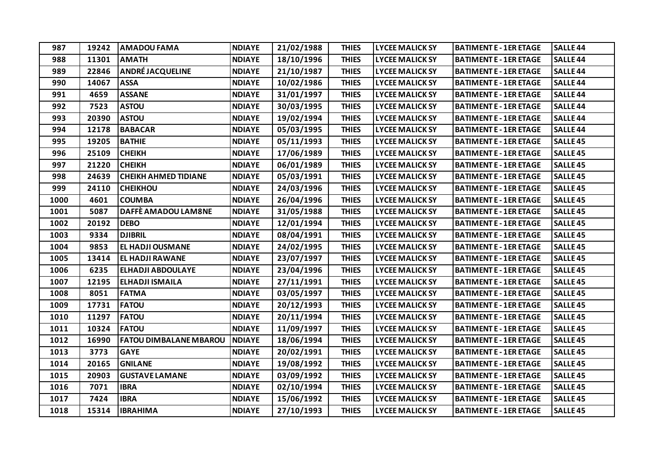| 987  | 19242 | <b>AMADOU FAMA</b>            | <b>NDIAYE</b> | 21/02/1988 | <b>THIES</b> | <b>LYCEE MALICK SY</b> | <b>BATIMENT E - 1ER ETAGE</b> | <b>SALLE 44</b> |
|------|-------|-------------------------------|---------------|------------|--------------|------------------------|-------------------------------|-----------------|
| 988  | 11301 | <b>AMATH</b>                  | <b>NDIAYE</b> | 18/10/1996 | <b>THIES</b> | <b>LYCEE MALICK SY</b> | <b>BATIMENT E - 1ER ETAGE</b> | <b>SALLE 44</b> |
| 989  | 22846 | <b>ANDRÉ JACQUELINE</b>       | <b>NDIAYE</b> | 21/10/1987 | <b>THIES</b> | <b>LYCEE MALICK SY</b> | <b>BATIMENT E - 1ER ETAGE</b> | <b>SALLE 44</b> |
| 990  | 14067 | <b>ASSA</b>                   | <b>NDIAYE</b> | 10/02/1986 | <b>THIES</b> | <b>LYCEE MALICK SY</b> | <b>BATIMENT E - 1ER ETAGE</b> | <b>SALLE 44</b> |
| 991  | 4659  | <b>ASSANE</b>                 | <b>NDIAYE</b> | 31/01/1997 | <b>THIES</b> | <b>LYCEE MALICK SY</b> | <b>BATIMENT E - 1ER ETAGE</b> | <b>SALLE 44</b> |
| 992  | 7523  | <b>ASTOU</b>                  | <b>NDIAYE</b> | 30/03/1995 | <b>THIES</b> | <b>LYCEE MALICK SY</b> | <b>BATIMENT E - 1ER ETAGE</b> | <b>SALLE 44</b> |
| 993  | 20390 | <b>ASTOU</b>                  | <b>NDIAYE</b> | 19/02/1994 | <b>THIES</b> | <b>LYCEE MALICK SY</b> | <b>BATIMENT E - 1ER ETAGE</b> | <b>SALLE 44</b> |
| 994  | 12178 | <b>BABACAR</b>                | <b>NDIAYE</b> | 05/03/1995 | <b>THIES</b> | <b>LYCEE MALICK SY</b> | <b>BATIMENT E - 1ER ETAGE</b> | <b>SALLE 44</b> |
| 995  | 19205 | <b>BATHIE</b>                 | <b>NDIAYE</b> | 05/11/1993 | <b>THIES</b> | <b>LYCEE MALICK SY</b> | <b>BATIMENT E - 1ER ETAGE</b> | <b>SALLE45</b>  |
| 996  | 25109 | <b>CHEIKH</b>                 | <b>NDIAYE</b> | 17/06/1989 | <b>THIES</b> | <b>LYCEE MALICK SY</b> | <b>BATIMENT E - 1ER ETAGE</b> | <b>SALLE 45</b> |
| 997  | 21220 | <b>CHEIKH</b>                 | <b>NDIAYE</b> | 06/01/1989 | <b>THIES</b> | <b>LYCEE MALICK SY</b> | <b>BATIMENT E - 1ER ETAGE</b> | <b>SALLE45</b>  |
| 998  | 24639 | <b>CHEIKH AHMED TIDIANE</b>   | <b>NDIAYE</b> | 05/03/1991 | <b>THIES</b> | <b>LYCEE MALICK SY</b> | <b>BATIMENT E - 1ER ETAGE</b> | <b>SALLE45</b>  |
| 999  | 24110 | <b>CHEIKHOU</b>               | <b>NDIAYE</b> | 24/03/1996 | <b>THIES</b> | <b>LYCEE MALICK SY</b> | <b>BATIMENT E - 1ER ETAGE</b> | <b>SALLE 45</b> |
| 1000 | 4601  | <b>COUMBA</b>                 | <b>NDIAYE</b> | 26/04/1996 | <b>THIES</b> | <b>LYCEE MALICK SY</b> | <b>BATIMENT E - 1ER ETAGE</b> | <b>SALLE45</b>  |
| 1001 | 5087  | DAFFÈ AMADOU LAM8NE           | <b>NDIAYE</b> | 31/05/1988 | <b>THIES</b> | <b>LYCEE MALICK SY</b> | <b>BATIMENT E - 1ER ETAGE</b> | <b>SALLE45</b>  |
| 1002 | 20192 | <b>DEBO</b>                   | <b>NDIAYE</b> | 12/01/1994 | <b>THIES</b> | <b>LYCEE MALICK SY</b> | <b>BATIMENT E - 1ER ETAGE</b> | <b>SALLE 45</b> |
| 1003 | 9334  | <b>DJIBRIL</b>                | <b>NDIAYE</b> | 08/04/1991 | <b>THIES</b> | <b>LYCEE MALICK SY</b> | <b>BATIMENT E - 1ER ETAGE</b> | <b>SALLE45</b>  |
| 1004 | 9853  | <b>EL HADJI OUSMANE</b>       | <b>NDIAYE</b> | 24/02/1995 | <b>THIES</b> | <b>LYCEE MALICK SY</b> | <b>BATIMENT E - 1ER ETAGE</b> | <b>SALLE45</b>  |
| 1005 | 13414 | <b>EL HADJI RAWANE</b>        | <b>NDIAYE</b> | 23/07/1997 | <b>THIES</b> | <b>LYCEE MALICK SY</b> | <b>BATIMENT E - 1ER ETAGE</b> | <b>SALLE45</b>  |
| 1006 | 6235  | <b>ELHADJI ABDOULAYE</b>      | <b>NDIAYE</b> | 23/04/1996 | <b>THIES</b> | <b>LYCEE MALICK SY</b> | <b>BATIMENT E - 1ER ETAGE</b> | <b>SALLE45</b>  |
| 1007 | 12195 | <b>ELHADJI ISMAILA</b>        | <b>NDIAYE</b> | 27/11/1991 | <b>THIES</b> | <b>LYCEE MALICK SY</b> | <b>BATIMENT E - 1ER ETAGE</b> | <b>SALLE45</b>  |
| 1008 | 8051  | <b>FATMA</b>                  | <b>NDIAYE</b> | 03/05/1997 | <b>THIES</b> | <b>LYCEE MALICK SY</b> | <b>BATIMENT E - 1ER ETAGE</b> | <b>SALLE 45</b> |
| 1009 | 17731 | <b>FATOU</b>                  | <b>NDIAYE</b> | 20/12/1993 | <b>THIES</b> | <b>LYCEE MALICK SY</b> | <b>BATIMENT E - 1ER ETAGE</b> | <b>SALLE45</b>  |
| 1010 | 11297 | <b>FATOU</b>                  | <b>NDIAYE</b> | 20/11/1994 | <b>THIES</b> | <b>LYCEE MALICK SY</b> | <b>BATIMENT E - 1ER ETAGE</b> | <b>SALLE45</b>  |
| 1011 | 10324 | <b>FATOU</b>                  | <b>NDIAYE</b> | 11/09/1997 | <b>THIES</b> | <b>LYCEE MALICK SY</b> | <b>BATIMENT E - 1ER ETAGE</b> | <b>SALLE45</b>  |
| 1012 | 16990 | <b>FATOU DIMBALANE MBAROU</b> | <b>NDIAYE</b> | 18/06/1994 | <b>THIES</b> | <b>LYCEE MALICK SY</b> | <b>BATIMENT E - 1ER ETAGE</b> | <b>SALLE45</b>  |
| 1013 | 3773  | <b>GAYE</b>                   | <b>NDIAYE</b> | 20/02/1991 | <b>THIES</b> | <b>LYCEE MALICK SY</b> | <b>BATIMENT E - 1ER ETAGE</b> | <b>SALLE45</b>  |
| 1014 | 20165 | <b>GNILANE</b>                | <b>NDIAYE</b> | 19/08/1992 | <b>THIES</b> | <b>LYCEE MALICK SY</b> | <b>BATIMENT E - 1ER ETAGE</b> | <b>SALLE 45</b> |
| 1015 | 20903 | <b>GUSTAVE LAMANE</b>         | <b>NDIAYE</b> | 03/09/1992 | <b>THIES</b> | <b>LYCEE MALICK SY</b> | <b>BATIMENT E - 1ER ETAGE</b> | <b>SALLE45</b>  |
| 1016 | 7071  | <b>IBRA</b>                   | <b>NDIAYE</b> | 02/10/1994 | <b>THIES</b> | <b>LYCEE MALICK SY</b> | <b>BATIMENT E - 1ER ETAGE</b> | <b>SALLE45</b>  |
| 1017 | 7424  | <b>IBRA</b>                   | <b>NDIAYE</b> | 15/06/1992 | <b>THIES</b> | <b>LYCEE MALICK SY</b> | <b>BATIMENT E - 1ER ETAGE</b> | <b>SALLE45</b>  |
| 1018 | 15314 | <b>IBRAHIMA</b>               | <b>NDIAYE</b> | 27/10/1993 | <b>THIES</b> | <b>LYCEE MALICK SY</b> | <b>BATIMENT E - 1ER ETAGE</b> | <b>SALLE45</b>  |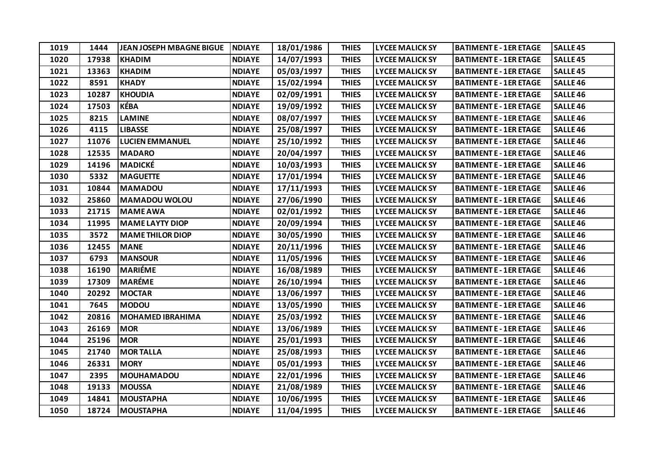| 1019 | 1444  | <b>JEAN JOSEPH MBAGNE BIGUE</b> | <b>NDIAYE</b> | 18/01/1986 | <b>THIES</b> | <b>LYCEE MALICK SY</b> | <b>BATIMENT E - 1ER ETAGE</b> | <b>SALLE45</b>      |
|------|-------|---------------------------------|---------------|------------|--------------|------------------------|-------------------------------|---------------------|
| 1020 | 17938 | <b>KHADIM</b>                   | <b>NDIAYE</b> | 14/07/1993 | <b>THIES</b> | <b>LYCEE MALICK SY</b> | <b>BATIMENT E - 1ER ETAGE</b> | <b>SALLE45</b>      |
| 1021 | 13363 | <b>KHADIM</b>                   | <b>NDIAYE</b> | 05/03/1997 | <b>THIES</b> | <b>LYCEE MALICK SY</b> | <b>BATIMENT E - 1ER ETAGE</b> | <b>SALLE45</b>      |
| 1022 | 8591  | <b>KHADY</b>                    | <b>NDIAYE</b> | 15/02/1994 | <b>THIES</b> | <b>LYCEE MALICK SY</b> | <b>BATIMENT E - 1ER ETAGE</b> | <b>SALLE 46</b>     |
| 1023 | 10287 | <b>KHOUDIA</b>                  | <b>NDIAYE</b> | 02/09/1991 | <b>THIES</b> | <b>LYCEE MALICK SY</b> | <b>BATIMENT E - 1ER ETAGE</b> | SALLE <sub>46</sub> |
| 1024 | 17503 | KÉBA                            | <b>NDIAYE</b> | 19/09/1992 | <b>THIES</b> | <b>LYCEE MALICK SY</b> | <b>BATIMENT E - 1ER ETAGE</b> | SALLE <sub>46</sub> |
| 1025 | 8215  | <b>LAMINE</b>                   | <b>NDIAYE</b> | 08/07/1997 | <b>THIES</b> | <b>LYCEE MALICK SY</b> | <b>BATIMENT E - 1ER ETAGE</b> | <b>SALLE 46</b>     |
| 1026 | 4115  | <b>LIBASSE</b>                  | <b>NDIAYE</b> | 25/08/1997 | <b>THIES</b> | <b>LYCEE MALICK SY</b> | <b>BATIMENT E - 1ER ETAGE</b> | SALLE <sub>46</sub> |
| 1027 | 11076 | <b>LUCIEN EMMANUEL</b>          | <b>NDIAYE</b> | 25/10/1992 | <b>THIES</b> | <b>LYCEE MALICK SY</b> | <b>BATIMENT E - 1ER ETAGE</b> | SALLE <sub>46</sub> |
| 1028 | 12535 | <b>MADARO</b>                   | <b>NDIAYE</b> | 20/04/1997 | <b>THIES</b> | <b>LYCEE MALICK SY</b> | <b>BATIMENT E - 1ER ETAGE</b> | <b>SALLE 46</b>     |
| 1029 | 14196 | <b>MADICKÉ</b>                  | <b>NDIAYE</b> | 10/03/1993 | <b>THIES</b> | <b>LYCEE MALICK SY</b> | <b>BATIMENT E - 1ER ETAGE</b> | <b>SALLE46</b>      |
| 1030 | 5332  | <b>MAGUETTE</b>                 | <b>NDIAYE</b> | 17/01/1994 | <b>THIES</b> | <b>LYCEE MALICK SY</b> | <b>BATIMENT E - 1ER ETAGE</b> | SALLE <sub>46</sub> |
| 1031 | 10844 | <b>MAMADOU</b>                  | <b>NDIAYE</b> | 17/11/1993 | <b>THIES</b> | <b>LYCEE MALICK SY</b> | <b>BATIMENT E - 1ER ETAGE</b> | <b>SALLE 46</b>     |
| 1032 | 25860 | <b>MAMADOU WOLOU</b>            | <b>NDIAYE</b> | 27/06/1990 | <b>THIES</b> | <b>LYCEE MALICK SY</b> | <b>BATIMENT E - 1ER ETAGE</b> | SALLE <sub>46</sub> |
| 1033 | 21715 | <b>MAME AWA</b>                 | <b>NDIAYE</b> | 02/01/1992 | <b>THIES</b> | <b>LYCEE MALICK SY</b> | <b>BATIMENT E - 1ER ETAGE</b> | SALLE <sub>46</sub> |
| 1034 | 11995 | <b>MAME LAYTY DIOP</b>          | <b>NDIAYE</b> | 20/09/1994 | <b>THIES</b> | <b>LYCEE MALICK SY</b> | <b>BATIMENT E - 1ER ETAGE</b> | <b>SALLE 46</b>     |
| 1035 | 3572  | <b>MAME THILOR DIOP</b>         | <b>NDIAYE</b> | 30/05/1990 | <b>THIES</b> | <b>LYCEE MALICK SY</b> | <b>BATIMENT E - 1ER ETAGE</b> | SALLE <sub>46</sub> |
| 1036 | 12455 | <b>MANE</b>                     | <b>NDIAYE</b> | 20/11/1996 | <b>THIES</b> | <b>LYCEE MALICK SY</b> | <b>BATIMENT E - 1ER ETAGE</b> | SALLE <sub>46</sub> |
| 1037 | 6793  | <b>MANSOUR</b>                  | <b>NDIAYE</b> | 11/05/1996 | <b>THIES</b> | <b>LYCEE MALICK SY</b> | <b>BATIMENT E - 1ER ETAGE</b> | SALLE <sub>46</sub> |
| 1038 | 16190 | <b>MARIÉME</b>                  | <b>NDIAYE</b> | 16/08/1989 | <b>THIES</b> | <b>LYCEE MALICK SY</b> | <b>BATIMENT E - 1ER ETAGE</b> | SALLE <sub>46</sub> |
| 1039 | 17309 | <b>MARÉME</b>                   | <b>NDIAYE</b> | 26/10/1994 | <b>THIES</b> | <b>LYCEE MALICK SY</b> | <b>BATIMENT E - 1ER ETAGE</b> | SALLE <sub>46</sub> |
| 1040 | 20292 | <b>MOCTAR</b>                   | <b>NDIAYE</b> | 13/06/1997 | <b>THIES</b> | <b>LYCEE MALICK SY</b> | <b>BATIMENT E - 1ER ETAGE</b> | <b>SALLE 46</b>     |
| 1041 | 7645  | <b>MODOU</b>                    | <b>NDIAYE</b> | 13/05/1990 | <b>THIES</b> | <b>LYCEE MALICK SY</b> | <b>BATIMENT E - 1ER ETAGE</b> | SALLE <sub>46</sub> |
| 1042 | 20816 | <b>MOHAMED IBRAHIMA</b>         | <b>NDIAYE</b> | 25/03/1992 | <b>THIES</b> | <b>LYCEE MALICK SY</b> | <b>BATIMENT E - 1ER ETAGE</b> | SALLE <sub>46</sub> |
| 1043 | 26169 | <b>MOR</b>                      | <b>NDIAYE</b> | 13/06/1989 | <b>THIES</b> | <b>LYCEE MALICK SY</b> | <b>BATIMENT E - 1ER ETAGE</b> | <b>SALLE46</b>      |
| 1044 | 25196 | <b>MOR</b>                      | <b>NDIAYE</b> | 25/01/1993 | <b>THIES</b> | <b>LYCEE MALICK SY</b> | <b>BATIMENT E - 1ER ETAGE</b> | SALLE <sub>46</sub> |
| 1045 | 21740 | <b>MORTALLA</b>                 | <b>NDIAYE</b> | 25/08/1993 | <b>THIES</b> | <b>LYCEE MALICK SY</b> | <b>BATIMENT E - 1ER ETAGE</b> | SALLE <sub>46</sub> |
| 1046 | 26331 | <b>MORY</b>                     | <b>NDIAYE</b> | 05/01/1993 | <b>THIES</b> | <b>LYCEE MALICK SY</b> | <b>BATIMENT E - 1ER ETAGE</b> | <b>SALLE 46</b>     |
| 1047 | 2395  | <b>MOUHAMADOU</b>               | <b>NDIAYE</b> | 22/01/1996 | <b>THIES</b> | <b>LYCEE MALICK SY</b> | <b>BATIMENT E - 1ER ETAGE</b> | SALLE <sub>46</sub> |
| 1048 | 19133 | <b>MOUSSA</b>                   | <b>NDIAYE</b> | 21/08/1989 | <b>THIES</b> | <b>LYCEE MALICK SY</b> | <b>BATIMENT E - 1ER ETAGE</b> | SALLE <sub>46</sub> |
| 1049 | 14841 | <b>MOUSTAPHA</b>                | <b>NDIAYE</b> | 10/06/1995 | <b>THIES</b> | <b>LYCEE MALICK SY</b> | <b>BATIMENT E - 1ER ETAGE</b> | <b>SALLE46</b>      |
| 1050 | 18724 | <b>MOUSTAPHA</b>                | <b>NDIAYE</b> | 11/04/1995 | <b>THIES</b> | <b>LYCEE MALICK SY</b> | <b>BATIMENT E - 1ER ETAGE</b> | <b>SALLE46</b>      |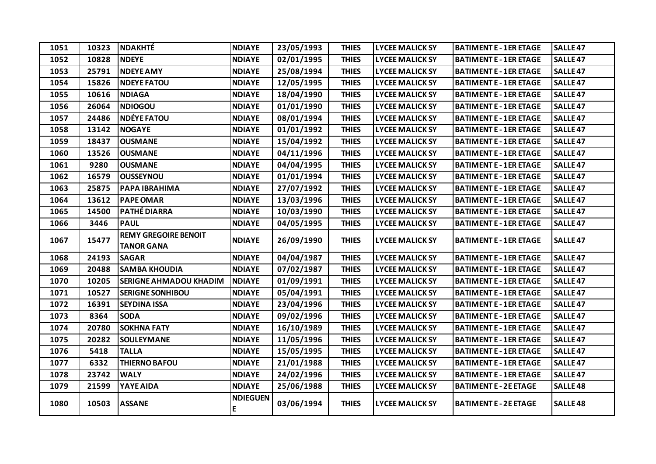| 1051 | 10323 | <b>NDAKHTÉ</b>                                   | <b>NDIAYE</b>        | 23/05/1993 | <b>THIES</b> | <b>LYCEE MALICK SY</b> | <b>BATIMENT E - 1ER ETAGE</b> | <b>SALLE47</b>  |
|------|-------|--------------------------------------------------|----------------------|------------|--------------|------------------------|-------------------------------|-----------------|
| 1052 | 10828 | <b>NDEYE</b>                                     | <b>NDIAYE</b>        | 02/01/1995 | <b>THIES</b> | <b>LYCEE MALICK SY</b> | <b>BATIMENT E - 1ER ETAGE</b> | <b>SALLE47</b>  |
| 1053 | 25791 | <b>NDEYE AMY</b>                                 | <b>NDIAYE</b>        | 25/08/1994 | <b>THIES</b> | <b>LYCEE MALICK SY</b> | <b>BATIMENT E - 1ER ETAGE</b> | <b>SALLE 47</b> |
| 1054 | 15826 | <b>NDEYE FATOU</b>                               | <b>NDIAYE</b>        | 12/05/1995 | <b>THIES</b> | <b>LYCEE MALICK SY</b> | <b>BATIMENT E - 1ER ETAGE</b> | <b>SALLE 47</b> |
| 1055 | 10616 | <b>NDIAGA</b>                                    | <b>NDIAYE</b>        | 18/04/1990 | <b>THIES</b> | <b>LYCEE MALICK SY</b> | <b>BATIMENT E - 1ER ETAGE</b> | <b>SALLE 47</b> |
| 1056 | 26064 | <b>NDIOGOU</b>                                   | <b>NDIAYE</b>        | 01/01/1990 | <b>THIES</b> | <b>LYCEE MALICK SY</b> | <b>BATIMENT E - 1ER ETAGE</b> | <b>SALLE 47</b> |
| 1057 | 24486 | <b>NDÉYE FATOU</b>                               | <b>NDIAYE</b>        | 08/01/1994 | <b>THIES</b> | <b>LYCEE MALICK SY</b> | <b>BATIMENT E - 1ER ETAGE</b> | <b>SALLE 47</b> |
| 1058 | 13142 | <b>NOGAYE</b>                                    | <b>NDIAYE</b>        | 01/01/1992 | <b>THIES</b> | <b>LYCEE MALICK SY</b> | <b>BATIMENT E - 1ER ETAGE</b> | <b>SALLE 47</b> |
| 1059 | 18437 | <b>OUSMANE</b>                                   | <b>NDIAYE</b>        | 15/04/1992 | <b>THIES</b> | <b>LYCEE MALICK SY</b> | <b>BATIMENT E - 1ER ETAGE</b> | <b>SALLE 47</b> |
| 1060 | 13526 | <b>OUSMANE</b>                                   | <b>NDIAYE</b>        | 04/11/1996 | <b>THIES</b> | <b>LYCEE MALICK SY</b> | <b>BATIMENT E - 1ER ETAGE</b> | <b>SALLE 47</b> |
| 1061 | 9280  | <b>OUSMANE</b>                                   | <b>NDIAYE</b>        | 04/04/1995 | <b>THIES</b> | <b>LYCEE MALICK SY</b> | <b>BATIMENT E - 1ER ETAGE</b> | <b>SALLE 47</b> |
| 1062 | 16579 | <b>OUSSEYNOU</b>                                 | <b>NDIAYE</b>        | 01/01/1994 | <b>THIES</b> | <b>LYCEE MALICK SY</b> | <b>BATIMENT E - 1ER ETAGE</b> | <b>SALLE 47</b> |
| 1063 | 25875 | PAPA IBRAHIMA                                    | <b>NDIAYE</b>        | 27/07/1992 | <b>THIES</b> | <b>LYCEE MALICK SY</b> | <b>BATIMENT E - 1ER ETAGE</b> | <b>SALLE47</b>  |
| 1064 | 13612 | <b>PAPE OMAR</b>                                 | <b>NDIAYE</b>        | 13/03/1996 | <b>THIES</b> | <b>LYCEE MALICK SY</b> | <b>BATIMENT E - 1ER ETAGE</b> | <b>SALLE 47</b> |
| 1065 | 14500 | <b>PATHÉ DIARRA</b>                              | <b>NDIAYE</b>        | 10/03/1990 | <b>THIES</b> | <b>LYCEE MALICK SY</b> | <b>BATIMENT E - 1ER ETAGE</b> | <b>SALLE 47</b> |
| 1066 | 3446  | <b>PAUL</b>                                      | <b>NDIAYE</b>        | 04/05/1995 | <b>THIES</b> | <b>LYCEE MALICK SY</b> | <b>BATIMENT E - 1ER ETAGE</b> | <b>SALLE 47</b> |
| 1067 | 15477 | <b>REMY GREGOIRE BENOIT</b><br><b>TANOR GANA</b> | <b>NDIAYE</b>        | 26/09/1990 | <b>THIES</b> | <b>LYCEE MALICK SY</b> | <b>BATIMENT E - 1ER ETAGE</b> | <b>SALLE47</b>  |
| 1068 | 24193 | <b>SAGAR</b>                                     | <b>NDIAYE</b>        | 04/04/1987 | <b>THIES</b> | <b>LYCEE MALICK SY</b> | <b>BATIMENT E - 1ER ETAGE</b> | <b>SALLE 47</b> |
| 1069 | 20488 | <b>SAMBA KHOUDIA</b>                             | <b>NDIAYE</b>        | 07/02/1987 | <b>THIES</b> | <b>LYCEE MALICK SY</b> | <b>BATIMENT E - 1ER ETAGE</b> | <b>SALLE 47</b> |
| 1070 | 10205 | <b>SERIGNE AHMADOU KHADIM</b>                    | <b>NDIAYE</b>        | 01/09/1991 | <b>THIES</b> | <b>LYCEE MALICK SY</b> | <b>BATIMENT E - 1ER ETAGE</b> | <b>SALLE 47</b> |
| 1071 | 10527 | <b>SERIGNE SONHIBOU</b>                          | <b>NDIAYE</b>        | 05/04/1991 | <b>THIES</b> | <b>LYCEE MALICK SY</b> | <b>BATIMENT E - 1ER ETAGE</b> | <b>SALLE 47</b> |
| 1072 | 16391 | <b>SEYDINA ISSA</b>                              | <b>NDIAYE</b>        | 23/04/1996 | <b>THIES</b> | <b>LYCEE MALICK SY</b> | <b>BATIMENT E - 1ER ETAGE</b> | <b>SALLE 47</b> |
| 1073 | 8364  | <b>SODA</b>                                      | <b>NDIAYE</b>        | 09/02/1996 | <b>THIES</b> | <b>LYCEE MALICK SY</b> | <b>BATIMENT E - 1ER ETAGE</b> | <b>SALLE 47</b> |
| 1074 | 20780 | <b>SOKHNA FATY</b>                               | <b>NDIAYE</b>        | 16/10/1989 | <b>THIES</b> | <b>LYCEE MALICK SY</b> | <b>BATIMENT E - 1ER ETAGE</b> | <b>SALLE 47</b> |
| 1075 | 20282 | <b>SOULEYMANE</b>                                | <b>NDIAYE</b>        | 11/05/1996 | <b>THIES</b> | <b>LYCEE MALICK SY</b> | <b>BATIMENT E - 1ER ETAGE</b> | <b>SALLE 47</b> |
| 1076 | 5418  | <b>TALLA</b>                                     | <b>NDIAYE</b>        | 15/05/1995 | <b>THIES</b> | <b>LYCEE MALICK SY</b> | <b>BATIMENT E - 1ER ETAGE</b> | <b>SALLE47</b>  |
| 1077 | 6332  | <b>THIERNO BAFOU</b>                             | <b>NDIAYE</b>        | 21/01/1988 | <b>THIES</b> | <b>LYCEE MALICK SY</b> | <b>BATIMENT E - 1ER ETAGE</b> | <b>SALLE 47</b> |
| 1078 | 23742 | <b>WALY</b>                                      | <b>NDIAYE</b>        | 24/02/1996 | <b>THIES</b> | <b>LYCEE MALICK SY</b> | <b>BATIMENT E - 1ER ETAGE</b> | <b>SALLE 47</b> |
| 1079 | 21599 | YAYE AIDA                                        | <b>NDIAYE</b>        | 25/06/1988 | <b>THIES</b> | <b>LYCEE MALICK SY</b> | <b>BATIMENT E - 2E ETAGE</b>  | <b>SALLE48</b>  |
| 1080 | 10503 | <b>ASSANE</b>                                    | <b>NDIEGUEN</b><br>E | 03/06/1994 | <b>THIES</b> | <b>LYCEE MALICK SY</b> | <b>BATIMENT E - 2E ETAGE</b>  | <b>SALLE48</b>  |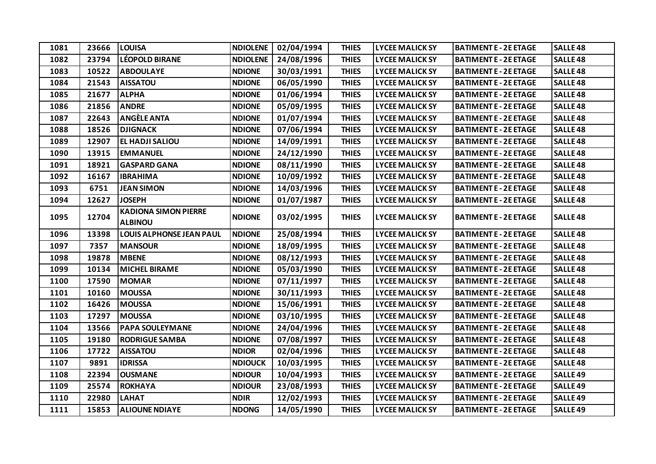| 1081 | 23666 | <b>LOUISA</b>                   | <b>NDIOLENE</b> | 02/04/1994 | <b>THIES</b> | <b>LYCEE MALICK SY</b> | <b>BATIMENT E - 2E ETAGE</b> | <b>SALLE48</b>      |
|------|-------|---------------------------------|-----------------|------------|--------------|------------------------|------------------------------|---------------------|
| 1082 | 23794 | <b>LÉOPOLD BIRANE</b>           | <b>NDIOLENE</b> | 24/08/1996 | <b>THIES</b> | <b>LYCEE MALICK SY</b> | <b>BATIMENT E - 2E ETAGE</b> | <b>SALLE48</b>      |
| 1083 | 10522 | <b>ABDOULAYE</b>                | <b>NDIONE</b>   | 30/03/1991 | <b>THIES</b> | <b>LYCEE MALICK SY</b> | <b>BATIMENT E - 2E ETAGE</b> | <b>SALLE48</b>      |
| 1084 | 21543 | <b>AISSATOU</b>                 | <b>NDIONE</b>   | 06/05/1990 | <b>THIES</b> | <b>LYCEE MALICK SY</b> | <b>BATIMENT E - 2E ETAGE</b> | <b>SALLE 48</b>     |
| 1085 | 21677 | <b>ALPHA</b>                    | <b>NDIONE</b>   | 01/06/1994 | <b>THIES</b> | <b>LYCEE MALICK SY</b> | <b>BATIMENT E - 2E ETAGE</b> | <b>SALLE 48</b>     |
| 1086 | 21856 | <b>ANDRE</b>                    | <b>NDIONE</b>   | 05/09/1995 | <b>THIES</b> | <b>LYCEE MALICK SY</b> | <b>BATIMENT E - 2E ETAGE</b> | <b>SALLE48</b>      |
| 1087 | 22643 | <b>ANGÈLE ANTA</b>              | <b>NDIONE</b>   | 01/07/1994 | <b>THIES</b> | <b>LYCEE MALICK SY</b> | <b>BATIMENT E - 2E ETAGE</b> | <b>SALLE 48</b>     |
| 1088 | 18526 | <b>DJIGNACK</b>                 | <b>NDIONE</b>   | 07/06/1994 | <b>THIES</b> | <b>LYCEE MALICK SY</b> | <b>BATIMENT E - 2E ETAGE</b> | <b>SALLE 48</b>     |
| 1089 | 12907 | EL HADJI SALIOU                 | <b>NDIONE</b>   | 14/09/1991 | <b>THIES</b> | <b>LYCEE MALICK SY</b> | <b>BATIMENT E - 2E ETAGE</b> | <b>SALLE 48</b>     |
| 1090 | 13915 | <b>EMMANUEL</b>                 | <b>NDIONE</b>   | 24/12/1990 | <b>THIES</b> | <b>LYCEE MALICK SY</b> | <b>BATIMENT E - 2E ETAGE</b> | <b>SALLE 48</b>     |
| 1091 | 18921 | <b>GASPARD GANA</b>             | <b>NDIONE</b>   | 08/11/1990 | <b>THIES</b> | <b>LYCEE MALICK SY</b> | <b>BATIMENT E - 2E ETAGE</b> | <b>SALLE 48</b>     |
| 1092 | 16167 | <b>IBRAHIMA</b>                 | <b>NDIONE</b>   | 10/09/1992 | <b>THIES</b> | <b>LYCEE MALICK SY</b> | <b>BATIMENT E - 2E ETAGE</b> | <b>SALLE 48</b>     |
| 1093 | 6751  | <b>JEAN SIMON</b>               | <b>NDIONE</b>   | 14/03/1996 | <b>THIES</b> | <b>LYCEE MALICK SY</b> | <b>BATIMENT E - 2E ETAGE</b> | <b>SALLE 48</b>     |
| 1094 | 12627 | <b>JOSEPH</b>                   | <b>NDIONE</b>   | 01/07/1987 | <b>THIES</b> | <b>LYCEE MALICK SY</b> | <b>BATIMENT E - 2E ETAGE</b> | <b>SALLE 48</b>     |
| 1095 | 12704 | <b>KADIONA SIMON PIERRE</b>     | <b>NDIONE</b>   | 03/02/1995 | <b>THIES</b> | <b>LYCEE MALICK SY</b> | <b>BATIMENT E - 2E ETAGE</b> | <b>SALLE48</b>      |
|      |       | <b>ALBINOU</b>                  |                 |            |              |                        |                              |                     |
| 1096 | 13398 | <b>LOUIS ALPHONSE JEAN PAUL</b> | <b>NDIONE</b>   | 25/08/1994 | <b>THIES</b> | <b>LYCEE MALICK SY</b> | <b>BATIMENT E - 2E ETAGE</b> | <b>SALLE 48</b>     |
| 1097 | 7357  | <b>MANSOUR</b>                  | <b>NDIONE</b>   | 18/09/1995 | <b>THIES</b> | <b>LYCEE MALICK SY</b> | <b>BATIMENT E - 2E ETAGE</b> | <b>SALLE 48</b>     |
| 1098 | 19878 | <b>MBENE</b>                    | <b>NDIONE</b>   | 08/12/1993 | <b>THIES</b> | <b>LYCEE MALICK SY</b> | <b>BATIMENT E - 2E ETAGE</b> | <b>SALLE 48</b>     |
| 1099 | 10134 | <b>MICHEL BIRAME</b>            | <b>NDIONE</b>   | 05/03/1990 | <b>THIES</b> | <b>LYCEE MALICK SY</b> | <b>BATIMENT E - 2E ETAGE</b> | <b>SALLE 48</b>     |
| 1100 | 17590 | <b>MOMAR</b>                    | <b>NDIONE</b>   | 07/11/1997 | <b>THIES</b> | <b>LYCEE MALICK SY</b> | <b>BATIMENT E - 2E ETAGE</b> | <b>SALLE48</b>      |
| 1101 | 10160 | <b>MOUSSA</b>                   | <b>NDIONE</b>   | 30/11/1993 | <b>THIES</b> | <b>LYCEE MALICK SY</b> | <b>BATIMENT E - 2E ETAGE</b> | <b>SALLE 48</b>     |
| 1102 | 16426 | <b>MOUSSA</b>                   | <b>NDIONE</b>   | 15/06/1991 | <b>THIES</b> | <b>LYCEE MALICK SY</b> | <b>BATIMENT E - 2E ETAGE</b> | <b>SALLE 48</b>     |
| 1103 | 17297 | <b>MOUSSA</b>                   | <b>NDIONE</b>   | 03/10/1995 | <b>THIES</b> | <b>LYCEE MALICK SY</b> | <b>BATIMENT E - 2E ETAGE</b> | <b>SALLE48</b>      |
| 1104 | 13566 | <b>PAPA SOULEYMANE</b>          | <b>NDIONE</b>   | 24/04/1996 | <b>THIES</b> | <b>LYCEE MALICK SY</b> | <b>BATIMENT E - 2E ETAGE</b> | <b>SALLE 48</b>     |
| 1105 | 19180 | <b>RODRIGUE SAMBA</b>           | <b>NDIONE</b>   | 07/08/1997 | <b>THIES</b> | <b>LYCEE MALICK SY</b> | <b>BATIMENT E - 2E ETAGE</b> | <b>SALLE 48</b>     |
| 1106 | 17722 | <b>AISSATOU</b>                 | <b>NDIOR</b>    | 02/04/1996 | <b>THIES</b> | <b>LYCEE MALICK SY</b> | <b>BATIMENT E - 2E ETAGE</b> | <b>SALLE48</b>      |
| 1107 | 9891  | <b>IDRISSA</b>                  | <b>NDIOUCK</b>  | 10/03/1995 | <b>THIES</b> | <b>LYCEE MALICK SY</b> | <b>BATIMENT E - 2E ETAGE</b> | <b>SALLE 48</b>     |
| 1108 | 22394 | <b>OUSMANE</b>                  | <b>NDIOUR</b>   | 10/04/1993 | <b>THIES</b> | <b>LYCEE MALICK SY</b> | <b>BATIMENT E - 2E ETAGE</b> | SALLE <sub>49</sub> |
| 1109 | 25574 | <b>ROKHAYA</b>                  | <b>NDIOUR</b>   | 23/08/1993 | <b>THIES</b> | <b>LYCEE MALICK SY</b> | <b>BATIMENT E - 2E ETAGE</b> | <b>SALLE49</b>      |
| 1110 | 22980 | <b>LAHAT</b>                    | <b>NDIR</b>     | 12/02/1993 | <b>THIES</b> | <b>LYCEE MALICK SY</b> | <b>BATIMENT E - 2E ETAGE</b> | SALLE <sub>49</sub> |
| 1111 | 15853 | <b>ALIOUNE NDIAYE</b>           | <b>NDONG</b>    | 14/05/1990 | <b>THIES</b> | <b>LYCEE MALICK SY</b> | <b>BATIMENT E - 2E ETAGE</b> | <b>SALLE49</b>      |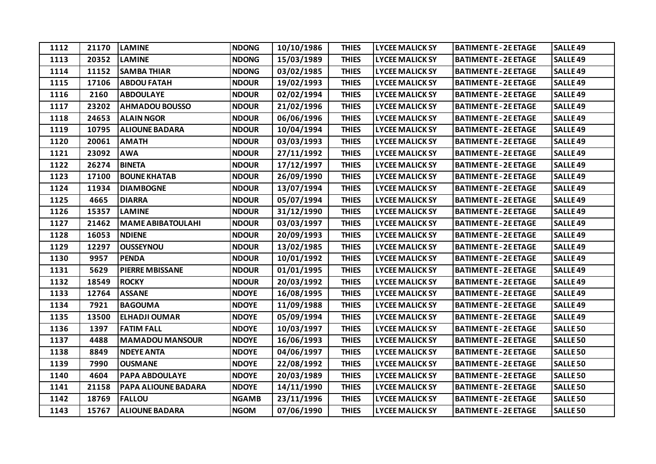| 1112 | 21170 | <b>LAMINE</b>              | <b>NDONG</b> | 10/10/1986 | <b>THIES</b> | <b>LYCEE MALICK SY</b> | <b>BATIMENT E - 2E ETAGE</b> | <b>SALLE49</b>      |
|------|-------|----------------------------|--------------|------------|--------------|------------------------|------------------------------|---------------------|
| 1113 | 20352 | <b>LAMINE</b>              | <b>NDONG</b> | 15/03/1989 | <b>THIES</b> | <b>LYCEE MALICK SY</b> | <b>BATIMENT E - 2E ETAGE</b> | SALLE <sub>49</sub> |
| 1114 | 11152 | <b>SAMBA THIAR</b>         | <b>NDONG</b> | 03/02/1985 | <b>THIES</b> | <b>LYCEE MALICK SY</b> | <b>BATIMENT E - 2E ETAGE</b> | <b>SALLE49</b>      |
| 1115 | 17106 | <b>ABDOU FATAH</b>         | <b>NDOUR</b> | 19/02/1993 | <b>THIES</b> | <b>LYCEE MALICK SY</b> | <b>BATIMENT E - 2E ETAGE</b> | <b>SALLE 49</b>     |
| 1116 | 2160  | <b>ABDOULAYE</b>           | <b>NDOUR</b> | 02/02/1994 | <b>THIES</b> | <b>LYCEE MALICK SY</b> | <b>BATIMENT E - 2E ETAGE</b> | SALLE <sub>49</sub> |
| 1117 | 23202 | <b>AHMADOU BOUSSO</b>      | <b>NDOUR</b> | 21/02/1996 | <b>THIES</b> | <b>LYCEE MALICK SY</b> | <b>BATIMENT E - 2E ETAGE</b> | <b>SALLE49</b>      |
| 1118 | 24653 | <b>ALAIN NGOR</b>          | <b>NDOUR</b> | 06/06/1996 | <b>THIES</b> | <b>LYCEE MALICK SY</b> | <b>BATIMENT E - 2E ETAGE</b> | <b>SALLE 49</b>     |
| 1119 | 10795 | <b>ALIOUNE BADARA</b>      | <b>NDOUR</b> | 10/04/1994 | <b>THIES</b> | <b>LYCEE MALICK SY</b> | <b>BATIMENT E - 2E ETAGE</b> | <b>SALLE49</b>      |
| 1120 | 20061 | <b>AMATH</b>               | <b>NDOUR</b> | 03/03/1993 | <b>THIES</b> | <b>LYCEE MALICK SY</b> | <b>BATIMENT E - 2E ETAGE</b> | <b>SALLE49</b>      |
| 1121 | 23092 | <b>AWA</b>                 | <b>NDOUR</b> | 27/11/1992 | <b>THIES</b> | <b>LYCEE MALICK SY</b> | <b>BATIMENT E - 2E ETAGE</b> | SALLE <sub>49</sub> |
| 1122 | 26274 | <b>BINETA</b>              | <b>NDOUR</b> | 17/12/1997 | <b>THIES</b> | <b>LYCEE MALICK SY</b> | <b>BATIMENT E - 2E ETAGE</b> | SALLE <sub>49</sub> |
| 1123 | 17100 | <b>BOUNE KHATAB</b>        | <b>NDOUR</b> | 26/09/1990 | <b>THIES</b> | <b>LYCEE MALICK SY</b> | <b>BATIMENT E - 2E ETAGE</b> | <b>SALLE49</b>      |
| 1124 | 11934 | <b>DIAMBOGNE</b>           | <b>NDOUR</b> | 13/07/1994 | <b>THIES</b> | <b>LYCEE MALICK SY</b> | <b>BATIMENT E - 2E ETAGE</b> | SALLE <sub>49</sub> |
| 1125 | 4665  | <b>DIARRA</b>              | <b>NDOUR</b> | 05/07/1994 | <b>THIES</b> | <b>LYCEE MALICK SY</b> | <b>BATIMENT E - 2E ETAGE</b> | <b>SALLE49</b>      |
| 1126 | 15357 | <b>LAMINE</b>              | <b>NDOUR</b> | 31/12/1990 | <b>THIES</b> | <b>LYCEE MALICK SY</b> | <b>BATIMENT E - 2E ETAGE</b> | <b>SALLE49</b>      |
| 1127 | 21462 | <b>MAME ABIBATOULAHI</b>   | <b>NDOUR</b> | 03/03/1997 | <b>THIES</b> | <b>LYCEE MALICK SY</b> | <b>BATIMENT E - 2E ETAGE</b> | SALLE <sub>49</sub> |
| 1128 | 16053 | <b>NDIENE</b>              | <b>NDOUR</b> | 20/09/1993 | <b>THIES</b> | <b>LYCEE MALICK SY</b> | <b>BATIMENT E - 2E ETAGE</b> | <b>SALLE49</b>      |
| 1129 | 12297 | <b>OUSSEYNOU</b>           | <b>NDOUR</b> | 13/02/1985 | <b>THIES</b> | <b>LYCEE MALICK SY</b> | <b>BATIMENT E - 2E ETAGE</b> | <b>SALLE49</b>      |
| 1130 | 9957  | <b>PENDA</b>               | <b>NDOUR</b> | 10/01/1992 | <b>THIES</b> | <b>LYCEE MALICK SY</b> | <b>BATIMENT E - 2E ETAGE</b> | SALLE <sub>49</sub> |
| 1131 | 5629  | <b>PIERRE MBISSANE</b>     | <b>NDOUR</b> | 01/01/1995 | <b>THIES</b> | <b>LYCEE MALICK SY</b> | <b>BATIMENT E - 2E ETAGE</b> | <b>SALLE49</b>      |
| 1132 | 18549 | <b>ROCKY</b>               | <b>NDOUR</b> | 20/03/1992 | <b>THIES</b> | <b>LYCEE MALICK SY</b> | <b>BATIMENT E - 2E ETAGE</b> | <b>SALLE49</b>      |
| 1133 | 12764 | <b>ASSANE</b>              | <b>NDOYE</b> | 16/08/1995 | <b>THIES</b> | <b>LYCEE MALICK SY</b> | <b>BATIMENT E - 2E ETAGE</b> | SALLE <sub>49</sub> |
| 1134 | 7921  | <b>BAGOUMA</b>             | <b>NDOYE</b> | 11/09/1988 | <b>THIES</b> | <b>LYCEE MALICK SY</b> | <b>BATIMENT E - 2E ETAGE</b> | <b>SALLE49</b>      |
| 1135 | 13500 | <b>ELHADJI OUMAR</b>       | <b>NDOYE</b> | 05/09/1994 | <b>THIES</b> | <b>LYCEE MALICK SY</b> | <b>BATIMENT E - 2E ETAGE</b> | <b>SALLE49</b>      |
| 1136 | 1397  | <b>FATIM FALL</b>          | <b>NDOYE</b> | 10/03/1997 | <b>THIES</b> | <b>LYCEE MALICK SY</b> | <b>BATIMENT E - 2E ETAGE</b> | <b>SALLE 50</b>     |
| 1137 | 4488  | <b>MAMADOU MANSOUR</b>     | <b>NDOYE</b> | 16/06/1993 | <b>THIES</b> | <b>LYCEE MALICK SY</b> | <b>BATIMENT E - 2E ETAGE</b> | <b>SALLE 50</b>     |
| 1138 | 8849  | <b>NDEYE ANTA</b>          | <b>NDOYE</b> | 04/06/1997 | <b>THIES</b> | <b>LYCEE MALICK SY</b> | <b>BATIMENT E - 2E ETAGE</b> | <b>SALLE 50</b>     |
| 1139 | 7990  | <b>OUSMANE</b>             | <b>NDOYE</b> | 22/08/1992 | <b>THIES</b> | <b>LYCEE MALICK SY</b> | <b>BATIMENT E - 2E ETAGE</b> | <b>SALLE 50</b>     |
| 1140 | 4604  | <b>PAPA ABDOULAYE</b>      | <b>NDOYE</b> | 20/03/1989 | <b>THIES</b> | <b>LYCEE MALICK SY</b> | <b>BATIMENT E - 2E ETAGE</b> | <b>SALLE 50</b>     |
| 1141 | 21158 | <b>PAPA ALIOUNE BADARA</b> | <b>NDOYE</b> | 14/11/1990 | <b>THIES</b> | <b>LYCEE MALICK SY</b> | <b>BATIMENT E - 2E ETAGE</b> | <b>SALLE 50</b>     |
| 1142 | 18769 | <b>FALLOU</b>              | <b>NGAMB</b> | 23/11/1996 | <b>THIES</b> | <b>LYCEE MALICK SY</b> | <b>BATIMENT E - 2E ETAGE</b> | <b>SALLE 50</b>     |
| 1143 | 15767 | <b>ALIOUNE BADARA</b>      | <b>NGOM</b>  | 07/06/1990 | <b>THIES</b> | <b>LYCEE MALICK SY</b> | <b>BATIMENT E - 2E ETAGE</b> | <b>SALLE 50</b>     |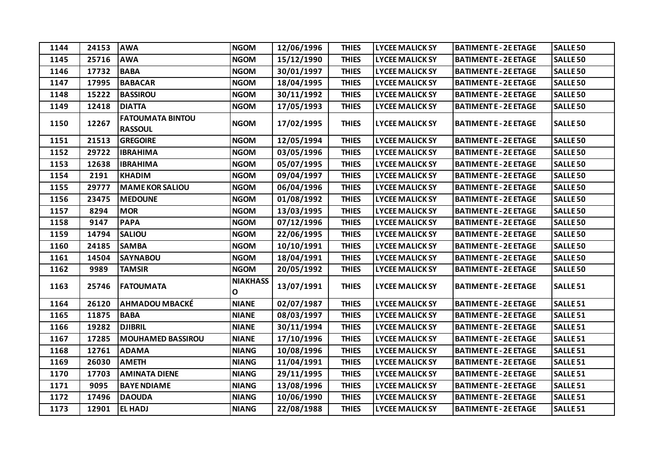| 1144 | 24153 | <b>AWA</b>                                | <b>NGOM</b>                     | 12/06/1996 | <b>THIES</b> | <b>LYCEE MALICK SY</b> | <b>BATIMENT E - 2E ETAGE</b> | <b>SALLE 50</b>     |
|------|-------|-------------------------------------------|---------------------------------|------------|--------------|------------------------|------------------------------|---------------------|
| 1145 | 25716 | <b>AWA</b>                                | <b>NGOM</b>                     | 15/12/1990 | <b>THIES</b> | <b>LYCEE MALICK SY</b> | <b>BATIMENT E - 2E ETAGE</b> | <b>SALLE 50</b>     |
| 1146 | 17732 | <b>BABA</b>                               | <b>NGOM</b>                     | 30/01/1997 | <b>THIES</b> | <b>LYCEE MALICK SY</b> | <b>BATIMENT E - 2E ETAGE</b> | <b>SALLE 50</b>     |
| 1147 | 17995 | <b>BABACAR</b>                            | <b>NGOM</b>                     | 18/04/1995 | <b>THIES</b> | <b>LYCEE MALICK SY</b> | <b>BATIMENT E - 2E ETAGE</b> | <b>SALLE 50</b>     |
| 1148 | 15222 | <b>BASSIROU</b>                           | <b>NGOM</b>                     | 30/11/1992 | <b>THIES</b> | <b>LYCEE MALICK SY</b> | <b>BATIMENT E - 2E ETAGE</b> | <b>SALLE 50</b>     |
| 1149 | 12418 | <b>DIATTA</b>                             | <b>NGOM</b>                     | 17/05/1993 | <b>THIES</b> | <b>LYCEE MALICK SY</b> | <b>BATIMENT E - 2E ETAGE</b> | <b>SALLE 50</b>     |
| 1150 | 12267 | <b>FATOUMATA BINTOU</b><br><b>RASSOUL</b> | <b>NGOM</b>                     | 17/02/1995 | <b>THIES</b> | <b>LYCEE MALICK SY</b> | <b>BATIMENT E - 2E ETAGE</b> | <b>SALLE 50</b>     |
| 1151 | 21513 | <b>GREGOIRE</b>                           | <b>NGOM</b>                     | 12/05/1994 | <b>THIES</b> | <b>LYCEE MALICK SY</b> | <b>BATIMENT E - 2E ETAGE</b> | <b>SALLE 50</b>     |
| 1152 | 29722 | <b>IBRAHIMA</b>                           | <b>NGOM</b>                     | 03/05/1996 | <b>THIES</b> | <b>LYCEE MALICK SY</b> | <b>BATIMENT E - 2E ETAGE</b> | <b>SALLE 50</b>     |
| 1153 | 12638 | <b>IBRAHIMA</b>                           | <b>NGOM</b>                     | 05/07/1995 | <b>THIES</b> | <b>LYCEE MALICK SY</b> | <b>BATIMENT E - 2E ETAGE</b> | <b>SALLE 50</b>     |
| 1154 | 2191  | <b>KHADIM</b>                             | <b>NGOM</b>                     | 09/04/1997 | <b>THIES</b> | <b>LYCEE MALICK SY</b> | <b>BATIMENT E - 2E ETAGE</b> | <b>SALLE 50</b>     |
| 1155 | 29777 | <b>MAME KOR SALIOU</b>                    | <b>NGOM</b>                     | 06/04/1996 | <b>THIES</b> | <b>LYCEE MALICK SY</b> | <b>BATIMENT E - 2E ETAGE</b> | <b>SALLE 50</b>     |
| 1156 | 23475 | <b>MEDOUNE</b>                            | <b>NGOM</b>                     | 01/08/1992 | <b>THIES</b> | <b>LYCEE MALICK SY</b> | <b>BATIMENT E - 2E ETAGE</b> | <b>SALLE 50</b>     |
| 1157 | 8294  | <b>MOR</b>                                | <b>NGOM</b>                     | 13/03/1995 | <b>THIES</b> | <b>LYCEE MALICK SY</b> | <b>BATIMENT E - 2E ETAGE</b> | <b>SALLE 50</b>     |
| 1158 | 9147  | <b>PAPA</b>                               | <b>NGOM</b>                     | 07/12/1996 | <b>THIES</b> | <b>LYCEE MALICK SY</b> | <b>BATIMENT E - 2E ETAGE</b> | <b>SALLE 50</b>     |
| 1159 | 14794 | <b>SALIOU</b>                             | <b>NGOM</b>                     | 22/06/1995 | <b>THIES</b> | <b>LYCEE MALICK SY</b> | <b>BATIMENT E - 2E ETAGE</b> | <b>SALLE 50</b>     |
| 1160 | 24185 | <b>SAMBA</b>                              | <b>NGOM</b>                     | 10/10/1991 | <b>THIES</b> | <b>LYCEE MALICK SY</b> | <b>BATIMENT E - 2E ETAGE</b> | <b>SALLE 50</b>     |
| 1161 | 14504 | <b>SAYNABOU</b>                           | <b>NGOM</b>                     | 18/04/1991 | <b>THIES</b> | <b>LYCEE MALICK SY</b> | <b>BATIMENT E - 2E ETAGE</b> | <b>SALLE 50</b>     |
| 1162 | 9989  | <b>TAMSIR</b>                             | <b>NGOM</b>                     | 20/05/1992 | <b>THIES</b> | <b>LYCEE MALICK SY</b> | <b>BATIMENT E - 2E ETAGE</b> | <b>SALLE 50</b>     |
| 1163 | 25746 | <b>FATOUMATA</b>                          | <b>NIAKHASS</b><br>$\mathbf{o}$ | 13/07/1991 | <b>THIES</b> | <b>LYCEE MALICK SY</b> | <b>BATIMENT E - 2E ETAGE</b> | SALLE <sub>51</sub> |
| 1164 | 26120 | <b>AHMADOU MBACKÉ</b>                     | <b>NIANE</b>                    | 02/07/1987 | <b>THIES</b> | <b>LYCEE MALICK SY</b> | <b>BATIMENT E - 2E ETAGE</b> | <b>SALLE 51</b>     |
| 1165 | 11875 | <b>BABA</b>                               | <b>NIANE</b>                    | 08/03/1997 | <b>THIES</b> | <b>LYCEE MALICK SY</b> | <b>BATIMENT E - 2E ETAGE</b> | <b>SALLE 51</b>     |
| 1166 | 19282 | <b>DJIBRIL</b>                            | <b>NIANE</b>                    | 30/11/1994 | <b>THIES</b> | <b>LYCEE MALICK SY</b> | <b>BATIMENT E - 2E ETAGE</b> | SALLE <sub>51</sub> |
| 1167 | 17285 | <b>MOUHAMED BASSIROU</b>                  | <b>NIANE</b>                    | 17/10/1996 | <b>THIES</b> | <b>LYCEE MALICK SY</b> | <b>BATIMENT E - 2E ETAGE</b> | SALLE <sub>51</sub> |
| 1168 | 12761 | <b>ADAMA</b>                              | <b>NIANG</b>                    | 10/08/1996 | <b>THIES</b> | <b>LYCEE MALICK SY</b> | <b>BATIMENT E - 2E ETAGE</b> | <b>SALLE 51</b>     |
| 1169 | 26030 | <b>AMETH</b>                              | <b>NIANG</b>                    | 11/04/1991 | <b>THIES</b> | <b>LYCEE MALICK SY</b> | <b>BATIMENT E - 2E ETAGE</b> | SALLE <sub>51</sub> |
| 1170 | 17703 | <b>AMINATA DIENE</b>                      | <b>NIANG</b>                    | 29/11/1995 | <b>THIES</b> | <b>LYCEE MALICK SY</b> | <b>BATIMENT E - 2E ETAGE</b> | <b>SALLE 51</b>     |
| 1171 | 9095  | <b>BAYE NDIAME</b>                        | <b>NIANG</b>                    | 13/08/1996 | <b>THIES</b> | <b>LYCEE MALICK SY</b> | <b>BATIMENT E - 2E ETAGE</b> | <b>SALLE 51</b>     |
| 1172 | 17496 | <b>DAOUDA</b>                             | <b>NIANG</b>                    | 10/06/1990 | <b>THIES</b> | <b>LYCEE MALICK SY</b> | <b>BATIMENT E - 2E ETAGE</b> | SALLE <sub>51</sub> |
| 1173 | 12901 | <b>EL HADJ</b>                            | <b>NIANG</b>                    | 22/08/1988 | <b>THIES</b> | <b>LYCEE MALICK SY</b> | <b>BATIMENT E - 2E ETAGE</b> | SALLE <sub>51</sub> |
|      |       |                                           |                                 |            |              |                        |                              |                     |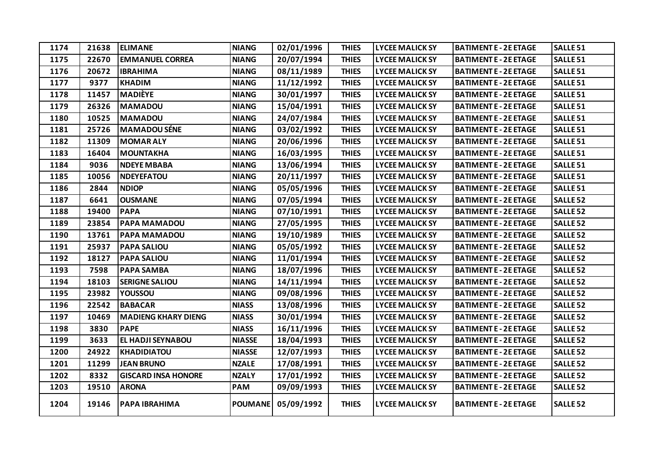| 1174 | 21638 | <b>ELIMANE</b>             | <b>NIANG</b>   | 02/01/1996 | <b>THIES</b> | <b>LYCEE MALICK SY</b> | <b>BATIMENT E - 2E ETAGE</b> | SALLE <sub>51</sub> |
|------|-------|----------------------------|----------------|------------|--------------|------------------------|------------------------------|---------------------|
| 1175 | 22670 | <b>EMMANUEL CORREA</b>     | <b>NIANG</b>   | 20/07/1994 | <b>THIES</b> | <b>LYCEE MALICK SY</b> | <b>BATIMENT E - 2E ETAGE</b> | <b>SALLE 51</b>     |
| 1176 | 20672 | <b>IBRAHIMA</b>            | <b>NIANG</b>   | 08/11/1989 | <b>THIES</b> | <b>LYCEE MALICK SY</b> | <b>BATIMENT E - 2E ETAGE</b> | <b>SALLE 51</b>     |
| 1177 | 9377  | <b>KHADIM</b>              | <b>NIANG</b>   | 11/12/1992 | <b>THIES</b> | <b>LYCEE MALICK SY</b> | <b>BATIMENT E - 2E ETAGE</b> | <b>SALLE 51</b>     |
| 1178 | 11457 | <b>MADIÈYE</b>             | <b>NIANG</b>   | 30/01/1997 | <b>THIES</b> | <b>LYCEE MALICK SY</b> | <b>BATIMENT E - 2E ETAGE</b> | SALLE <sub>51</sub> |
| 1179 | 26326 | <b>MAMADOU</b>             | <b>NIANG</b>   | 15/04/1991 | <b>THIES</b> | <b>LYCEE MALICK SY</b> | <b>BATIMENT E - 2E ETAGE</b> | <b>SALLE 51</b>     |
| 1180 | 10525 | <b>MAMADOU</b>             | <b>NIANG</b>   | 24/07/1984 | <b>THIES</b> | <b>LYCEE MALICK SY</b> | <b>BATIMENT E - 2E ETAGE</b> | <b>SALLE 51</b>     |
| 1181 | 25726 | <b>MAMADOU SÉNE</b>        | <b>NIANG</b>   | 03/02/1992 | <b>THIES</b> | <b>LYCEE MALICK SY</b> | <b>BATIMENT E - 2E ETAGE</b> | <b>SALLE 51</b>     |
| 1182 | 11309 | <b>MOMAR ALY</b>           | <b>NIANG</b>   | 20/06/1996 | <b>THIES</b> | <b>LYCEE MALICK SY</b> | <b>BATIMENT E - 2E ETAGE</b> | <b>SALLE 51</b>     |
| 1183 | 16404 | <b>MOUNTAKHA</b>           | <b>NIANG</b>   | 16/03/1995 | <b>THIES</b> | <b>LYCEE MALICK SY</b> | <b>BATIMENT E - 2E ETAGE</b> | <b>SALLE 51</b>     |
| 1184 | 9036  | <b>NDEYE MBABA</b>         | <b>NIANG</b>   | 13/06/1994 | <b>THIES</b> | <b>LYCEE MALICK SY</b> | <b>BATIMENT E - 2E ETAGE</b> | <b>SALLE 51</b>     |
| 1185 | 10056 | <b>NDEYEFATOU</b>          | <b>NIANG</b>   | 20/11/1997 | <b>THIES</b> | <b>LYCEE MALICK SY</b> | <b>BATIMENT E - 2E ETAGE</b> | <b>SALLE 51</b>     |
| 1186 | 2844  | <b>NDIOP</b>               | <b>NIANG</b>   | 05/05/1996 | <b>THIES</b> | <b>LYCEE MALICK SY</b> | <b>BATIMENT E - 2E ETAGE</b> | <b>SALLE 51</b>     |
| 1187 | 6641  | <b>OUSMANE</b>             | <b>NIANG</b>   | 07/05/1994 | <b>THIES</b> | <b>LYCEE MALICK SY</b> | <b>BATIMENT E - 2E ETAGE</b> | <b>SALLE 52</b>     |
| 1188 | 19400 | <b>PAPA</b>                | <b>NIANG</b>   | 07/10/1991 | <b>THIES</b> | <b>LYCEE MALICK SY</b> | <b>BATIMENT E - 2E ETAGE</b> | <b>SALLE 52</b>     |
| 1189 | 23854 | PAPA MAMADOU               | <b>NIANG</b>   | 27/05/1995 | <b>THIES</b> | <b>LYCEE MALICK SY</b> | <b>BATIMENT E - 2E ETAGE</b> | <b>SALLE 52</b>     |
| 1190 | 13761 | PAPA MAMADOU               | <b>NIANG</b>   | 19/10/1989 | <b>THIES</b> | <b>LYCEE MALICK SY</b> | <b>BATIMENT E - 2E ETAGE</b> | <b>SALLE 52</b>     |
| 1191 | 25937 | <b>PAPA SALIOU</b>         | <b>NIANG</b>   | 05/05/1992 | <b>THIES</b> | <b>LYCEE MALICK SY</b> | <b>BATIMENT E - 2E ETAGE</b> | <b>SALLE 52</b>     |
| 1192 | 18127 | <b>PAPA SALIOU</b>         | <b>NIANG</b>   | 11/01/1994 | <b>THIES</b> | <b>LYCEE MALICK SY</b> | <b>BATIMENT E - 2E ETAGE</b> | <b>SALLE 52</b>     |
| 1193 | 7598  | <b>PAPA SAMBA</b>          | <b>NIANG</b>   | 18/07/1996 | <b>THIES</b> | <b>LYCEE MALICK SY</b> | <b>BATIMENT E - 2E ETAGE</b> | <b>SALLE 52</b>     |
| 1194 | 18103 | <b>SERIGNE SALIOU</b>      | <b>NIANG</b>   | 14/11/1994 | <b>THIES</b> | <b>LYCEE MALICK SY</b> | <b>BATIMENT E - 2E ETAGE</b> | <b>SALLE 52</b>     |
| 1195 | 23982 | YOUSSOU                    | <b>NIANG</b>   | 09/08/1996 | <b>THIES</b> | <b>LYCEE MALICK SY</b> | <b>BATIMENT E - 2E ETAGE</b> | <b>SALLE 52</b>     |
| 1196 | 22542 | <b>BABACAR</b>             | <b>NIASS</b>   | 13/08/1996 | <b>THIES</b> | <b>LYCEE MALICK SY</b> | <b>BATIMENT E - 2E ETAGE</b> | <b>SALLE 52</b>     |
| 1197 | 10469 | <b>MADIENG KHARY DIENG</b> | <b>NIASS</b>   | 30/01/1994 | <b>THIES</b> | <b>LYCEE MALICK SY</b> | <b>BATIMENT E - 2E ETAGE</b> | <b>SALLE 52</b>     |
| 1198 | 3830  | <b>PAPE</b>                | <b>NIASS</b>   | 16/11/1996 | <b>THIES</b> | <b>LYCEE MALICK SY</b> | <b>BATIMENT E - 2E ETAGE</b> | <b>SALLE 52</b>     |
| 1199 | 3633  | <b>EL HADJI SEYNABOU</b>   | <b>NIASSE</b>  | 18/04/1993 | <b>THIES</b> | <b>LYCEE MALICK SY</b> | <b>BATIMENT E - 2E ETAGE</b> | <b>SALLE 52</b>     |
| 1200 | 24922 | <b>KHADIDIATOU</b>         | <b>NIASSE</b>  | 12/07/1993 | <b>THIES</b> | <b>LYCEE MALICK SY</b> | <b>BATIMENT E - 2E ETAGE</b> | <b>SALLE 52</b>     |
| 1201 | 11299 | <b>JEAN BRUNO</b>          | <b>NZALE</b>   | 17/08/1991 | <b>THIES</b> | <b>LYCEE MALICK SY</b> | <b>BATIMENT E - 2E ETAGE</b> | <b>SALLE 52</b>     |
| 1202 | 8332  | <b>GISCARD INSA HONORE</b> | <b>NZALY</b>   | 17/01/1992 | <b>THIES</b> | <b>LYCEE MALICK SY</b> | <b>BATIMENT E - 2E ETAGE</b> | <b>SALLE 52</b>     |
| 1203 | 19510 | <b>ARONA</b>               | <b>PAM</b>     | 09/09/1993 | <b>THIES</b> | <b>LYCEE MALICK SY</b> | <b>BATIMENT E - 2E ETAGE</b> | <b>SALLE 52</b>     |
| 1204 | 19146 | PAPA IBRAHIMA              | <b>POUMANE</b> | 05/09/1992 | <b>THIES</b> | <b>LYCEE MALICK SY</b> | <b>BATIMENT E - 2E ETAGE</b> | <b>SALLE 52</b>     |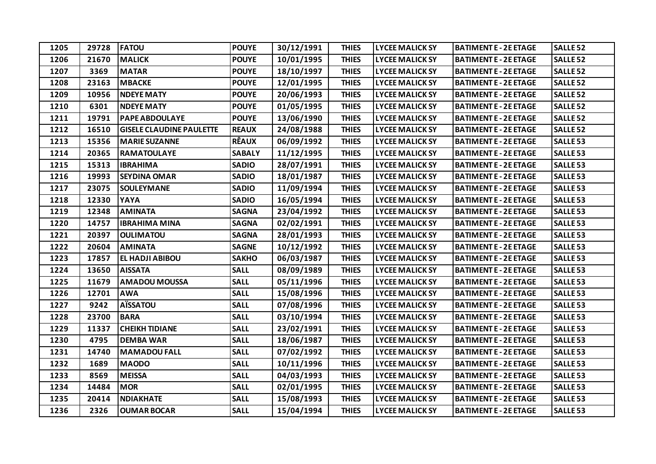| 1205 | 29728 | <b>FATOU</b>                    | <b>POUYE</b>  | 30/12/1991 | <b>THIES</b> | <b>LYCEE MALICK SY</b> | <b>BATIMENT E - 2E ETAGE</b> | <b>SALLE 52</b> |
|------|-------|---------------------------------|---------------|------------|--------------|------------------------|------------------------------|-----------------|
| 1206 | 21670 | <b>MALICK</b>                   | <b>POUYE</b>  | 10/01/1995 | <b>THIES</b> | <b>LYCEE MALICK SY</b> | <b>BATIMENT E - 2E ETAGE</b> | <b>SALLE 52</b> |
| 1207 | 3369  | <b>MATAR</b>                    | <b>POUYE</b>  | 18/10/1997 | <b>THIES</b> | <b>LYCEE MALICK SY</b> | <b>BATIMENT E - 2E ETAGE</b> | <b>SALLE 52</b> |
| 1208 | 23163 | <b>MBACKE</b>                   | <b>POUYE</b>  | 12/01/1995 | <b>THIES</b> | <b>LYCEE MALICK SY</b> | <b>BATIMENT E - 2E ETAGE</b> | <b>SALLE 52</b> |
| 1209 | 10956 | <b>NDEYE MATY</b>               | <b>POUYE</b>  | 20/06/1993 | <b>THIES</b> | <b>LYCEE MALICK SY</b> | <b>BATIMENT E - 2E ETAGE</b> | <b>SALLE 52</b> |
| 1210 | 6301  | <b>NDEYE MATY</b>               | <b>POUYE</b>  | 01/05/1995 | <b>THIES</b> | <b>LYCEE MALICK SY</b> | <b>BATIMENT E - 2E ETAGE</b> | <b>SALLE 52</b> |
| 1211 | 19791 | <b>PAPE ABDOULAYE</b>           | <b>POUYE</b>  | 13/06/1990 | <b>THIES</b> | <b>LYCEE MALICK SY</b> | <b>BATIMENT E - 2E ETAGE</b> | <b>SALLE 52</b> |
| 1212 | 16510 | <b>GISELE CLAUDINE PAULETTE</b> | <b>REAUX</b>  | 24/08/1988 | <b>THIES</b> | <b>LYCEE MALICK SY</b> | <b>BATIMENT E - 2E ETAGE</b> | <b>SALLE 52</b> |
| 1213 | 15356 | <b>MARIE SUZANNE</b>            | <b>RÊAUX</b>  | 06/09/1992 | <b>THIES</b> | <b>LYCEE MALICK SY</b> | <b>BATIMENT E - 2E ETAGE</b> | <b>SALLE 53</b> |
| 1214 | 20365 | <b>RAMATOULAYE</b>              | <b>SABALY</b> | 11/12/1995 | <b>THIES</b> | <b>LYCEE MALICK SY</b> | <b>BATIMENT E - 2E ETAGE</b> | <b>SALLE 53</b> |
| 1215 | 15313 | <b>IBRAHIMA</b>                 | <b>SADIO</b>  | 28/07/1991 | <b>THIES</b> | <b>LYCEE MALICK SY</b> | <b>BATIMENT E - 2E ETAGE</b> | <b>SALLE 53</b> |
| 1216 | 19993 | <b>SEYDINA OMAR</b>             | <b>SADIO</b>  | 18/01/1987 | <b>THIES</b> | <b>LYCEE MALICK SY</b> | <b>BATIMENT E - 2E ETAGE</b> | <b>SALLE 53</b> |
| 1217 | 23075 | <b>SOULEYMANE</b>               | <b>SADIO</b>  | 11/09/1994 | <b>THIES</b> | <b>LYCEE MALICK SY</b> | <b>BATIMENT E - 2E ETAGE</b> | <b>SALLE 53</b> |
| 1218 | 12330 | YAYA                            | <b>SADIO</b>  | 16/05/1994 | <b>THIES</b> | <b>LYCEE MALICK SY</b> | <b>BATIMENT E - 2E ETAGE</b> | <b>SALLE 53</b> |
| 1219 | 12348 | <b>AMINATA</b>                  | <b>SAGNA</b>  | 23/04/1992 | <b>THIES</b> | <b>LYCEE MALICK SY</b> | <b>BATIMENT E - 2E ETAGE</b> | <b>SALLE 53</b> |
| 1220 | 14757 | <b>IBRAHIMA MINA</b>            | <b>SAGNA</b>  | 02/02/1991 | <b>THIES</b> | <b>LYCEE MALICK SY</b> | <b>BATIMENT E - 2E ETAGE</b> | <b>SALLE 53</b> |
| 1221 | 20397 | <b>OULIMATOU</b>                | <b>SAGNA</b>  | 28/01/1993 | <b>THIES</b> | <b>LYCEE MALICK SY</b> | <b>BATIMENT E - 2E ETAGE</b> | <b>SALLE 53</b> |
| 1222 | 20604 | <b>AMINATA</b>                  | <b>SAGNE</b>  | 10/12/1992 | <b>THIES</b> | <b>LYCEE MALICK SY</b> | <b>BATIMENT E - 2E ETAGE</b> | <b>SALLE 53</b> |
| 1223 | 17857 | EL HADJI ABIBOU                 | <b>SAKHO</b>  | 06/03/1987 | <b>THIES</b> | <b>LYCEE MALICK SY</b> | <b>BATIMENT E - 2E ETAGE</b> | <b>SALLE 53</b> |
| 1224 | 13650 | <b>AISSATA</b>                  | <b>SALL</b>   | 08/09/1989 | <b>THIES</b> | <b>LYCEE MALICK SY</b> | <b>BATIMENT E - 2E ETAGE</b> | <b>SALLE 53</b> |
| 1225 | 11679 | <b>AMADOU MOUSSA</b>            | <b>SALL</b>   | 05/11/1996 | <b>THIES</b> | <b>LYCEE MALICK SY</b> | <b>BATIMENT E - 2E ETAGE</b> | <b>SALLE 53</b> |
| 1226 | 12701 | <b>AWA</b>                      | <b>SALL</b>   | 15/08/1996 | <b>THIES</b> | <b>LYCEE MALICK SY</b> | <b>BATIMENT E - 2E ETAGE</b> | <b>SALLE 53</b> |
| 1227 | 9242  | <b>AÏSSATOU</b>                 | <b>SALL</b>   | 07/08/1996 | <b>THIES</b> | <b>LYCEE MALICK SY</b> | <b>BATIMENT E - 2E ETAGE</b> | <b>SALLE 53</b> |
| 1228 | 23700 | <b>BARA</b>                     | <b>SALL</b>   | 03/10/1994 | <b>THIES</b> | <b>LYCEE MALICK SY</b> | <b>BATIMENT E - 2E ETAGE</b> | <b>SALLE 53</b> |
| 1229 | 11337 | <b>CHEIKH TIDIANE</b>           | <b>SALL</b>   | 23/02/1991 | <b>THIES</b> | <b>LYCEE MALICK SY</b> | <b>BATIMENT E - 2E ETAGE</b> | <b>SALLE 53</b> |
| 1230 | 4795  | <b>DEMBA WAR</b>                | <b>SALL</b>   | 18/06/1987 | <b>THIES</b> | <b>LYCEE MALICK SY</b> | <b>BATIMENT E - 2E ETAGE</b> | <b>SALLE 53</b> |
| 1231 | 14740 | <b>MAMADOU FALL</b>             | <b>SALL</b>   | 07/02/1992 | <b>THIES</b> | <b>LYCEE MALICK SY</b> | <b>BATIMENT E - 2E ETAGE</b> | <b>SALLE 53</b> |
| 1232 | 1689  | <b>MAODO</b>                    | <b>SALL</b>   | 10/11/1996 | <b>THIES</b> | <b>LYCEE MALICK SY</b> | <b>BATIMENT E - 2E ETAGE</b> | <b>SALLE 53</b> |
| 1233 | 8569  | <b>MEISSA</b>                   | <b>SALL</b>   | 04/03/1993 | <b>THIES</b> | <b>LYCEE MALICK SY</b> | <b>BATIMENT E - 2E ETAGE</b> | <b>SALLE 53</b> |
| 1234 | 14484 | <b>MOR</b>                      | <b>SALL</b>   | 02/01/1995 | <b>THIES</b> | <b>LYCEE MALICK SY</b> | <b>BATIMENT E - 2E ETAGE</b> | <b>SALLE 53</b> |
| 1235 | 20414 | <b>NDIAKHATE</b>                | <b>SALL</b>   | 15/08/1993 | <b>THIES</b> | <b>LYCEE MALICK SY</b> | <b>BATIMENT E - 2E ETAGE</b> | <b>SALLE 53</b> |
| 1236 | 2326  | <b>OUMAR BOCAR</b>              | <b>SALL</b>   | 15/04/1994 | <b>THIES</b> | <b>LYCEE MALICK SY</b> | <b>BATIMENT E - 2E ETAGE</b> | <b>SALLE 53</b> |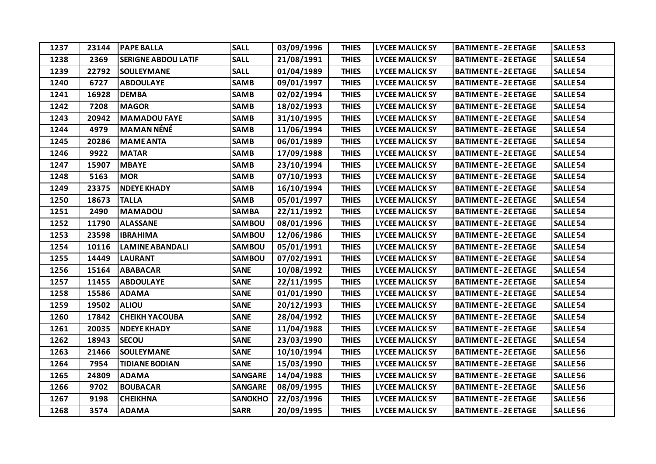| 1237 | 23144 | <b>PAPE BALLA</b>          | <b>SALL</b>    | 03/09/1996 | <b>THIES</b> | <b>LYCEE MALICK SY</b> | <b>BATIMENT E - 2E ETAGE</b> | <b>SALLE 53</b> |
|------|-------|----------------------------|----------------|------------|--------------|------------------------|------------------------------|-----------------|
| 1238 | 2369  | <b>SERIGNE ABDOU LATIF</b> | <b>SALL</b>    | 21/08/1991 | <b>THIES</b> | <b>LYCEE MALICK SY</b> | <b>BATIMENT E - 2E ETAGE</b> | <b>SALLE 54</b> |
| 1239 | 22792 | <b>SOULEYMANE</b>          | <b>SALL</b>    | 01/04/1989 | <b>THIES</b> | <b>LYCEE MALICK SY</b> | <b>BATIMENT E - 2E ETAGE</b> | <b>SALLE 54</b> |
| 1240 | 6727  | <b>ABDOULAYE</b>           | <b>SAMB</b>    | 09/01/1997 | <b>THIES</b> | <b>LYCEE MALICK SY</b> | <b>BATIMENT E - 2E ETAGE</b> | <b>SALLE 54</b> |
| 1241 | 16928 | <b>DEMBA</b>               | <b>SAMB</b>    | 02/02/1994 | <b>THIES</b> | <b>LYCEE MALICK SY</b> | <b>BATIMENT E - 2E ETAGE</b> | <b>SALLE 54</b> |
| 1242 | 7208  | <b>MAGOR</b>               | <b>SAMB</b>    | 18/02/1993 | <b>THIES</b> | <b>LYCEE MALICK SY</b> | <b>BATIMENT E - 2E ETAGE</b> | <b>SALLE 54</b> |
| 1243 | 20942 | <b>MAMADOU FAYE</b>        | <b>SAMB</b>    | 31/10/1995 | <b>THIES</b> | <b>LYCEE MALICK SY</b> | <b>BATIMENT E - 2E ETAGE</b> | <b>SALLE 54</b> |
| 1244 | 4979  | <b>MAMAN NÉNÉ</b>          | <b>SAMB</b>    | 11/06/1994 | <b>THIES</b> | <b>LYCEE MALICK SY</b> | <b>BATIMENT E - 2E ETAGE</b> | <b>SALLE 54</b> |
| 1245 | 20286 | <b>MAME ANTA</b>           | <b>SAMB</b>    | 06/01/1989 | <b>THIES</b> | <b>LYCEE MALICK SY</b> | <b>BATIMENT E - 2E ETAGE</b> | <b>SALLE 54</b> |
| 1246 | 9922  | <b>MATAR</b>               | <b>SAMB</b>    | 17/09/1988 | <b>THIES</b> | <b>LYCEE MALICK SY</b> | <b>BATIMENT E - 2E ETAGE</b> | <b>SALLE 54</b> |
| 1247 | 15907 | <b>MBAYE</b>               | <b>SAMB</b>    | 23/10/1994 | <b>THIES</b> | <b>LYCEE MALICK SY</b> | <b>BATIMENT E - 2E ETAGE</b> | <b>SALLE 54</b> |
| 1248 | 5163  | <b>MOR</b>                 | <b>SAMB</b>    | 07/10/1993 | <b>THIES</b> | <b>LYCEE MALICK SY</b> | <b>BATIMENT E - 2E ETAGE</b> | <b>SALLE 54</b> |
| 1249 | 23375 | <b>NDEYE KHADY</b>         | <b>SAMB</b>    | 16/10/1994 | <b>THIES</b> | <b>LYCEE MALICK SY</b> | <b>BATIMENT E - 2E ETAGE</b> | <b>SALLE 54</b> |
| 1250 | 18673 | <b>TALLA</b>               | <b>SAMB</b>    | 05/01/1997 | <b>THIES</b> | <b>LYCEE MALICK SY</b> | <b>BATIMENT E - 2E ETAGE</b> | <b>SALLE 54</b> |
| 1251 | 2490  | <b>MAMADOU</b>             | <b>SAMBA</b>   | 22/11/1992 | <b>THIES</b> | <b>LYCEE MALICK SY</b> | <b>BATIMENT E - 2E ETAGE</b> | <b>SALLE 54</b> |
| 1252 | 11790 | <b>ALASSANE</b>            | <b>SAMBOU</b>  | 08/01/1996 | <b>THIES</b> | <b>LYCEE MALICK SY</b> | <b>BATIMENT E - 2E ETAGE</b> | <b>SALLE 54</b> |
| 1253 | 23598 | <b>IBRAHIMA</b>            | <b>SAMBOU</b>  | 12/06/1986 | <b>THIES</b> | <b>LYCEE MALICK SY</b> | <b>BATIMENT E - 2E ETAGE</b> | <b>SALLE 54</b> |
| 1254 | 10116 | <b>LAMINE ABANDALI</b>     | <b>SAMBOU</b>  | 05/01/1991 | <b>THIES</b> | <b>LYCEE MALICK SY</b> | <b>BATIMENT E - 2E ETAGE</b> | <b>SALLE 54</b> |
| 1255 | 14449 | <b>LAURANT</b>             | SAMBOU         | 07/02/1991 | <b>THIES</b> | <b>LYCEE MALICK SY</b> | <b>BATIMENT E - 2E ETAGE</b> | <b>SALLE 54</b> |
| 1256 | 15164 | <b>ABABACAR</b>            | <b>SANE</b>    | 10/08/1992 | <b>THIES</b> | <b>LYCEE MALICK SY</b> | <b>BATIMENT E - 2E ETAGE</b> | <b>SALLE 54</b> |
| 1257 | 11455 | <b>ABDOULAYE</b>           | <b>SANE</b>    | 22/11/1995 | <b>THIES</b> | <b>LYCEE MALICK SY</b> | <b>BATIMENT E - 2E ETAGE</b> | <b>SALLE 54</b> |
| 1258 | 15586 | <b>ADAMA</b>               | <b>SANE</b>    | 01/01/1990 | <b>THIES</b> | <b>LYCEE MALICK SY</b> | <b>BATIMENT E - 2E ETAGE</b> | <b>SALLE 54</b> |
| 1259 | 19502 | <b>ALIOU</b>               | <b>SANE</b>    | 20/12/1993 | <b>THIES</b> | <b>LYCEE MALICK SY</b> | <b>BATIMENT E - 2E ETAGE</b> | <b>SALLE 54</b> |
| 1260 | 17842 | <b>CHEIKH YACOUBA</b>      | <b>SANE</b>    | 28/04/1992 | <b>THIES</b> | <b>LYCEE MALICK SY</b> | <b>BATIMENT E - 2E ETAGE</b> | <b>SALLE 54</b> |
| 1261 | 20035 | <b>NDEYE KHADY</b>         | <b>SANE</b>    | 11/04/1988 | <b>THIES</b> | <b>LYCEE MALICK SY</b> | <b>BATIMENT E - 2E ETAGE</b> | <b>SALLE 54</b> |
| 1262 | 18943 | <b>SECOU</b>               | <b>SANE</b>    | 23/03/1990 | <b>THIES</b> | <b>LYCEE MALICK SY</b> | <b>BATIMENT E - 2E ETAGE</b> | <b>SALLE 54</b> |
| 1263 | 21466 | <b>SOULEYMANE</b>          | <b>SANE</b>    | 10/10/1994 | <b>THIES</b> | <b>LYCEE MALICK SY</b> | <b>BATIMENT E - 2E ETAGE</b> | <b>SALLE 56</b> |
| 1264 | 7954  | <b>TIDIANE BODIAN</b>      | <b>SANE</b>    | 15/03/1990 | <b>THIES</b> | <b>LYCEE MALICK SY</b> | <b>BATIMENT E - 2E ETAGE</b> | <b>SALLE 56</b> |
| 1265 | 24809 | <b>ADAMA</b>               | <b>SANGARE</b> | 14/04/1988 | <b>THIES</b> | <b>LYCEE MALICK SY</b> | <b>BATIMENT E - 2E ETAGE</b> | <b>SALLE 56</b> |
| 1266 | 9702  | <b>BOUBACAR</b>            | <b>SANGARE</b> | 08/09/1995 | <b>THIES</b> | <b>LYCEE MALICK SY</b> | <b>BATIMENT E - 2E ETAGE</b> | <b>SALLE 56</b> |
| 1267 | 9198  | <b>CHEIKHNA</b>            | <b>SANOKHO</b> | 22/03/1996 | <b>THIES</b> | <b>LYCEE MALICK SY</b> | <b>BATIMENT E - 2E ETAGE</b> | <b>SALLE 56</b> |
| 1268 | 3574  | <b>ADAMA</b>               | <b>SARR</b>    | 20/09/1995 | <b>THIES</b> | <b>LYCEE MALICK SY</b> | <b>BATIMENT E - 2E ETAGE</b> | <b>SALLE 56</b> |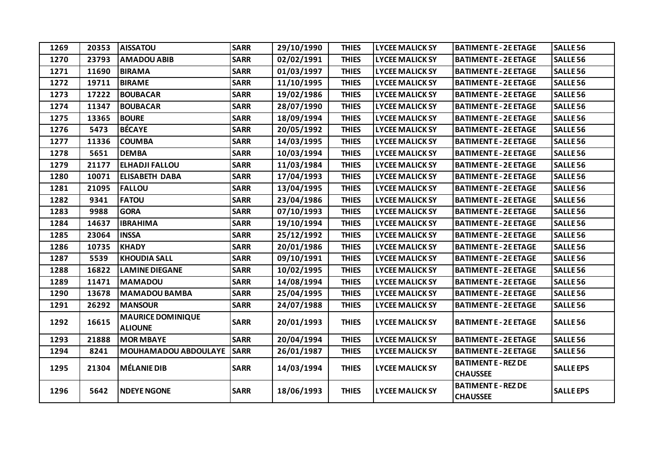| 1269 | 20353 | <b>AISSATOU</b>                            | <b>SARR</b> | 29/10/1990 | <b>THIES</b> | <b>LYCEE MALICK SY</b> | <b>BATIMENT E - 2E ETAGE</b>                  | <b>SALLE 56</b>  |
|------|-------|--------------------------------------------|-------------|------------|--------------|------------------------|-----------------------------------------------|------------------|
| 1270 | 23793 | <b>AMADOU ABIB</b>                         | <b>SARR</b> | 02/02/1991 | <b>THIES</b> | <b>LYCEE MALICK SY</b> | <b>BATIMENT E - 2E ETAGE</b>                  | <b>SALLE 56</b>  |
| 1271 | 11690 | <b>BIRAMA</b>                              | <b>SARR</b> | 01/03/1997 | <b>THIES</b> | <b>LYCEE MALICK SY</b> | <b>BATIMENT E - 2E ETAGE</b>                  | <b>SALLE 56</b>  |
| 1272 | 19711 | <b>BIRAME</b>                              | <b>SARR</b> | 11/10/1995 | <b>THIES</b> | <b>LYCEE MALICK SY</b> | <b>BATIMENT E - 2E ETAGE</b>                  | <b>SALLE 56</b>  |
| 1273 | 17222 | <b>BOUBACAR</b>                            | <b>SARR</b> | 19/02/1986 | <b>THIES</b> | <b>LYCEE MALICK SY</b> | <b>BATIMENT E - 2E ETAGE</b>                  | <b>SALLE 56</b>  |
| 1274 | 11347 | <b>BOUBACAR</b>                            | <b>SARR</b> | 28/07/1990 | <b>THIES</b> | <b>LYCEE MALICK SY</b> | <b>BATIMENT E - 2E ETAGE</b>                  | <b>SALLE 56</b>  |
| 1275 | 13365 | <b>BOURE</b>                               | <b>SARR</b> | 18/09/1994 | <b>THIES</b> | <b>LYCEE MALICK SY</b> | <b>BATIMENT E - 2E ETAGE</b>                  | <b>SALLE 56</b>  |
| 1276 | 5473  | <b>BÉCAYE</b>                              | <b>SARR</b> | 20/05/1992 | <b>THIES</b> | <b>LYCEE MALICK SY</b> | <b>BATIMENT E - 2E ETAGE</b>                  | <b>SALLE 56</b>  |
| 1277 | 11336 | <b>COUMBA</b>                              | <b>SARR</b> | 14/03/1995 | <b>THIES</b> | <b>LYCEE MALICK SY</b> | <b>BATIMENT E - 2E ETAGE</b>                  | <b>SALLE 56</b>  |
| 1278 | 5651  | <b>DEMBA</b>                               | <b>SARR</b> | 10/03/1994 | <b>THIES</b> | <b>LYCEE MALICK SY</b> | <b>BATIMENT E - 2E ETAGE</b>                  | <b>SALLE 56</b>  |
| 1279 | 21177 | <b>ELHADJI FALLOU</b>                      | <b>SARR</b> | 11/03/1984 | <b>THIES</b> | <b>LYCEE MALICK SY</b> | <b>BATIMENT E - 2E ETAGE</b>                  | <b>SALLE 56</b>  |
| 1280 | 10071 | <b>ELISABETH DABA</b>                      | <b>SARR</b> | 17/04/1993 | <b>THIES</b> | <b>LYCEE MALICK SY</b> | <b>BATIMENT E - 2E ETAGE</b>                  | <b>SALLE 56</b>  |
| 1281 | 21095 | <b>FALLOU</b>                              | <b>SARR</b> | 13/04/1995 | <b>THIES</b> | <b>LYCEE MALICK SY</b> | <b>BATIMENT E - 2E ETAGE</b>                  | <b>SALLE 56</b>  |
| 1282 | 9341  | <b>FATOU</b>                               | <b>SARR</b> | 23/04/1986 | <b>THIES</b> | <b>LYCEE MALICK SY</b> | <b>BATIMENT E - 2E ETAGE</b>                  | <b>SALLE 56</b>  |
| 1283 | 9988  | <b>GORA</b>                                | <b>SARR</b> | 07/10/1993 | <b>THIES</b> | <b>LYCEE MALICK SY</b> | <b>BATIMENT E - 2E ETAGE</b>                  | <b>SALLE 56</b>  |
| 1284 | 14637 | <b>IBRAHIMA</b>                            | <b>SARR</b> | 19/10/1994 | <b>THIES</b> | <b>LYCEE MALICK SY</b> | <b>BATIMENT E - 2E ETAGE</b>                  | <b>SALLE 56</b>  |
| 1285 | 23064 | <b>INSSA</b>                               | <b>SARR</b> | 25/12/1992 | <b>THIES</b> | <b>LYCEE MALICK SY</b> | <b>BATIMENT E - 2E ETAGE</b>                  | <b>SALLE 56</b>  |
| 1286 | 10735 | <b>KHADY</b>                               | <b>SARR</b> | 20/01/1986 | <b>THIES</b> | <b>LYCEE MALICK SY</b> | <b>BATIMENT E - 2E ETAGE</b>                  | <b>SALLE 56</b>  |
| 1287 | 5539  | <b>KHOUDIA SALL</b>                        | <b>SARR</b> | 09/10/1991 | <b>THIES</b> | <b>LYCEE MALICK SY</b> | <b>BATIMENT E - 2E ETAGE</b>                  | <b>SALLE 56</b>  |
| 1288 | 16822 | <b>LAMINE DIEGANE</b>                      | <b>SARR</b> | 10/02/1995 | <b>THIES</b> | <b>LYCEE MALICK SY</b> | <b>BATIMENT E - 2E ETAGE</b>                  | <b>SALLE 56</b>  |
| 1289 | 11471 | <b>MAMADOU</b>                             | <b>SARR</b> | 14/08/1994 | <b>THIES</b> | <b>LYCEE MALICK SY</b> | <b>BATIMENT E - 2E ETAGE</b>                  | <b>SALLE 56</b>  |
| 1290 | 13678 | <b>MAMADOU BAMBA</b>                       | <b>SARR</b> | 25/04/1995 | <b>THIES</b> | <b>LYCEE MALICK SY</b> | <b>BATIMENT E - 2E ETAGE</b>                  | <b>SALLE 56</b>  |
| 1291 | 26292 | <b>MANSOUR</b>                             | <b>SARR</b> | 24/07/1988 | <b>THIES</b> | <b>LYCEE MALICK SY</b> | <b>BATIMENT E - 2E ETAGE</b>                  | <b>SALLE 56</b>  |
| 1292 | 16615 | <b>MAURICE DOMINIQUE</b><br><b>ALIOUNE</b> | <b>SARR</b> | 20/01/1993 | <b>THIES</b> | <b>LYCEE MALICK SY</b> | <b>BATIMENT E - 2E ETAGE</b>                  | <b>SALLE 56</b>  |
| 1293 | 21888 | <b>MOR MBAYE</b>                           | <b>SARR</b> | 20/04/1994 | <b>THIES</b> | <b>LYCEE MALICK SY</b> | <b>BATIMENT E - 2E ETAGE</b>                  | <b>SALLE 56</b>  |
| 1294 | 8241  | <b>MOUHAMADOU ABDOULAYE</b>                | <b>SARR</b> | 26/01/1987 | <b>THIES</b> | <b>LYCEE MALICK SY</b> | <b>BATIMENT E - 2E ETAGE</b>                  | <b>SALLE 56</b>  |
| 1295 | 21304 | <b>MÉLANIE DIB</b>                         | <b>SARR</b> | 14/03/1994 | <b>THIES</b> | <b>LYCEE MALICK SY</b> | <b>BATIMENT E - REZ DE</b><br><b>CHAUSSEE</b> | <b>SALLE EPS</b> |
| 1296 | 5642  | <b>NDEYE NGONE</b>                         | <b>SARR</b> | 18/06/1993 | <b>THIES</b> | <b>LYCEE MALICK SY</b> | <b>BATIMENT E - REZ DE</b><br><b>CHAUSSEE</b> | <b>SALLE EPS</b> |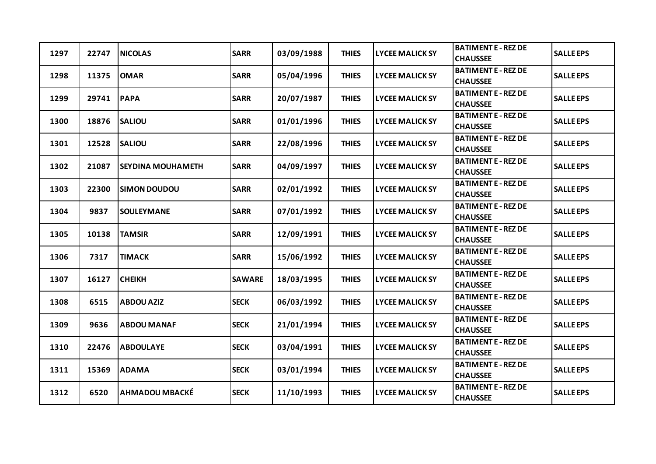| 1297 | 22747 | <b>NICOLAS</b>           | <b>SARR</b>   | 03/09/1988 | <b>THIES</b> | <b>LYCEE MALICK SY</b> | <b>BATIMENT E - REZ DE</b><br><b>CHAUSSEE</b> | <b>SALLE EPS</b> |
|------|-------|--------------------------|---------------|------------|--------------|------------------------|-----------------------------------------------|------------------|
| 1298 | 11375 | <b>OMAR</b>              | <b>SARR</b>   | 05/04/1996 | <b>THIES</b> | <b>LYCEE MALICK SY</b> | <b>BATIMENT E - REZ DE</b><br><b>CHAUSSEE</b> | <b>SALLE EPS</b> |
| 1299 | 29741 | <b>PAPA</b>              | <b>SARR</b>   | 20/07/1987 | <b>THIES</b> | <b>LYCEE MALICK SY</b> | <b>BATIMENT E - REZ DE</b><br><b>CHAUSSEE</b> | <b>SALLE EPS</b> |
| 1300 | 18876 | <b>SALIOU</b>            | <b>SARR</b>   | 01/01/1996 | <b>THIES</b> | <b>LYCEE MALICK SY</b> | <b>BATIMENT E - REZ DE</b><br><b>CHAUSSEE</b> | <b>SALLE EPS</b> |
| 1301 | 12528 | <b>SALIOU</b>            | <b>SARR</b>   | 22/08/1996 | <b>THIES</b> | <b>LYCEE MALICK SY</b> | <b>BATIMENT E - REZ DE</b><br><b>CHAUSSEE</b> | <b>SALLE EPS</b> |
| 1302 | 21087 | <b>SEYDINA MOUHAMETH</b> | <b>SARR</b>   | 04/09/1997 | <b>THIES</b> | <b>LYCEE MALICK SY</b> | <b>BATIMENT E - REZ DE</b><br><b>CHAUSSEE</b> | <b>SALLE EPS</b> |
| 1303 | 22300 | <b>SIMON DOUDOU</b>      | <b>SARR</b>   | 02/01/1992 | <b>THIES</b> | <b>LYCEE MALICK SY</b> | <b>BATIMENT E - REZ DE</b><br><b>CHAUSSEE</b> | <b>SALLE EPS</b> |
| 1304 | 9837  | <b>SOULEYMANE</b>        | <b>SARR</b>   | 07/01/1992 | <b>THIES</b> | <b>LYCEE MALICK SY</b> | <b>BATIMENT E - REZ DE</b><br><b>CHAUSSEE</b> | <b>SALLE EPS</b> |
| 1305 | 10138 | <b>TAMSIR</b>            | <b>SARR</b>   | 12/09/1991 | <b>THIES</b> | <b>LYCEE MALICK SY</b> | <b>BATIMENT E - REZ DE</b><br><b>CHAUSSEE</b> | <b>SALLE EPS</b> |
| 1306 | 7317  | <b>TIMACK</b>            | <b>SARR</b>   | 15/06/1992 | <b>THIES</b> | <b>LYCEE MALICK SY</b> | <b>BATIMENT E - REZ DE</b><br><b>CHAUSSEE</b> | <b>SALLE EPS</b> |
| 1307 | 16127 | <b>CHEIKH</b>            | <b>SAWARE</b> | 18/03/1995 | <b>THIES</b> | <b>LYCEE MALICK SY</b> | <b>BATIMENT E - REZ DE</b><br><b>CHAUSSEE</b> | <b>SALLE EPS</b> |
| 1308 | 6515  | <b>ABDOU AZIZ</b>        | <b>SECK</b>   | 06/03/1992 | <b>THIES</b> | <b>LYCEE MALICK SY</b> | <b>BATIMENT E - REZ DE</b><br><b>CHAUSSEE</b> | <b>SALLE EPS</b> |
| 1309 | 9636  | <b>ABDOU MANAF</b>       | <b>SECK</b>   | 21/01/1994 | <b>THIES</b> | <b>LYCEE MALICK SY</b> | <b>BATIMENT E - REZ DE</b><br><b>CHAUSSEE</b> | <b>SALLE EPS</b> |
| 1310 | 22476 | <b>ABDOULAYE</b>         | <b>SECK</b>   | 03/04/1991 | <b>THIES</b> | <b>LYCEE MALICK SY</b> | <b>BATIMENT E - REZ DE</b><br><b>CHAUSSEE</b> | <b>SALLE EPS</b> |
| 1311 | 15369 | <b>ADAMA</b>             | <b>SECK</b>   | 03/01/1994 | <b>THIES</b> | <b>LYCEE MALICK SY</b> | <b>BATIMENT E - REZ DE</b><br><b>CHAUSSEE</b> | <b>SALLE EPS</b> |
| 1312 | 6520  | <b>AHMADOU MBACKÉ</b>    | <b>SECK</b>   | 11/10/1993 | <b>THIES</b> | <b>LYCEE MALICK SY</b> | <b>BATIMENT E - REZ DE</b><br><b>CHAUSSEE</b> | <b>SALLE EPS</b> |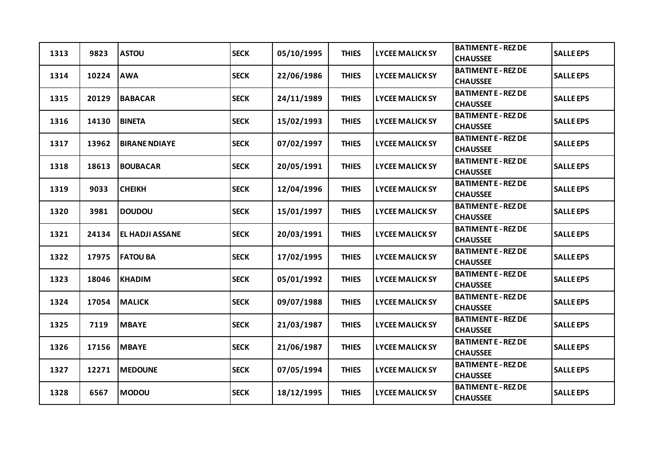| 1313 | 9823  | <b>ASTOU</b>           | <b>SECK</b> | 05/10/1995 | <b>THIES</b> | <b>LYCEE MALICK SY</b> | <b>BATIMENT E - REZ DE</b><br><b>CHAUSSEE</b> | <b>SALLE EPS</b> |
|------|-------|------------------------|-------------|------------|--------------|------------------------|-----------------------------------------------|------------------|
| 1314 | 10224 | <b>AWA</b>             | <b>SECK</b> | 22/06/1986 | <b>THIES</b> | <b>LYCEE MALICK SY</b> | <b>BATIMENT E - REZ DE</b><br><b>CHAUSSEE</b> | <b>SALLE EPS</b> |
| 1315 | 20129 | <b>BABACAR</b>         | <b>SECK</b> | 24/11/1989 | <b>THIES</b> | <b>LYCEE MALICK SY</b> | <b>BATIMENT E - REZ DE</b><br><b>CHAUSSEE</b> | <b>SALLE EPS</b> |
| 1316 | 14130 | <b>BINETA</b>          | <b>SECK</b> | 15/02/1993 | <b>THIES</b> | <b>LYCEE MALICK SY</b> | <b>BATIMENT E - REZ DE</b><br><b>CHAUSSEE</b> | <b>SALLE EPS</b> |
| 1317 | 13962 | <b>BIRANE NDIAYE</b>   | <b>SECK</b> | 07/02/1997 | <b>THIES</b> | <b>LYCEE MALICK SY</b> | <b>BATIMENT E - REZ DE</b><br><b>CHAUSSEE</b> | <b>SALLE EPS</b> |
| 1318 | 18613 | <b>BOUBACAR</b>        | <b>SECK</b> | 20/05/1991 | <b>THIES</b> | <b>LYCEE MALICK SY</b> | <b>BATIMENT E - REZ DE</b><br><b>CHAUSSEE</b> | <b>SALLE EPS</b> |
| 1319 | 9033  | <b>CHEIKH</b>          | <b>SECK</b> | 12/04/1996 | <b>THIES</b> | <b>LYCEE MALICK SY</b> | <b>BATIMENT E - REZ DE</b><br><b>CHAUSSEE</b> | <b>SALLE EPS</b> |
| 1320 | 3981  | <b>DOUDOU</b>          | <b>SECK</b> | 15/01/1997 | <b>THIES</b> | <b>LYCEE MALICK SY</b> | <b>BATIMENT E - REZ DE</b><br><b>CHAUSSEE</b> | <b>SALLE EPS</b> |
| 1321 | 24134 | <b>EL HADJI ASSANE</b> | <b>SECK</b> | 20/03/1991 | <b>THIES</b> | <b>LYCEE MALICK SY</b> | <b>BATIMENT E - REZ DE</b><br><b>CHAUSSEE</b> | <b>SALLE EPS</b> |
| 1322 | 17975 | <b>FATOU BA</b>        | <b>SECK</b> | 17/02/1995 | <b>THIES</b> | <b>LYCEE MALICK SY</b> | <b>BATIMENT E - REZ DE</b><br><b>CHAUSSEE</b> | <b>SALLE EPS</b> |
| 1323 | 18046 | <b>KHADIM</b>          | <b>SECK</b> | 05/01/1992 | <b>THIES</b> | <b>LYCEE MALICK SY</b> | <b>BATIMENT E - REZ DE</b><br><b>CHAUSSEE</b> | <b>SALLE EPS</b> |
| 1324 | 17054 | <b>MALICK</b>          | <b>SECK</b> | 09/07/1988 | <b>THIES</b> | <b>LYCEE MALICK SY</b> | <b>BATIMENT E - REZ DE</b><br><b>CHAUSSEE</b> | <b>SALLE EPS</b> |
| 1325 | 7119  | <b>MBAYE</b>           | <b>SECK</b> | 21/03/1987 | <b>THIES</b> | <b>LYCEE MALICK SY</b> | <b>BATIMENT E - REZ DE</b><br><b>CHAUSSEE</b> | <b>SALLE EPS</b> |
| 1326 | 17156 | <b>MBAYE</b>           | <b>SECK</b> | 21/06/1987 | <b>THIES</b> | <b>LYCEE MALICK SY</b> | <b>BATIMENT E - REZ DE</b><br><b>CHAUSSEE</b> | <b>SALLE EPS</b> |
| 1327 | 12271 | <b>MEDOUNE</b>         | <b>SECK</b> | 07/05/1994 | <b>THIES</b> | <b>LYCEE MALICK SY</b> | <b>BATIMENT E - REZ DE</b><br><b>CHAUSSEE</b> | <b>SALLE EPS</b> |
| 1328 | 6567  | <b>MODOU</b>           | <b>SECK</b> | 18/12/1995 | <b>THIES</b> | <b>LYCEE MALICK SY</b> | <b>BATIMENT E - REZ DE</b><br><b>CHAUSSEE</b> | <b>SALLE EPS</b> |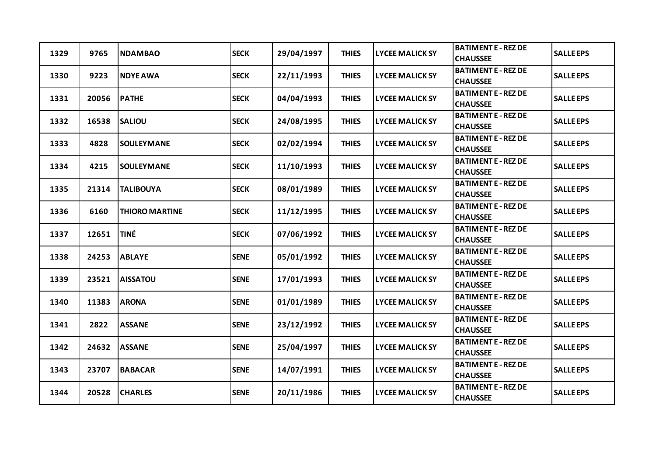| 1329 | 9765  | <b>NDAMBAO</b>        | <b>SECK</b> | 29/04/1997 | <b>THIES</b> | <b>LYCEE MALICK SY</b> | <b>BATIMENT E - REZ DE</b><br><b>CHAUSSEE</b> | <b>SALLE EPS</b> |
|------|-------|-----------------------|-------------|------------|--------------|------------------------|-----------------------------------------------|------------------|
| 1330 | 9223  | <b>NDYE AWA</b>       | <b>SECK</b> | 22/11/1993 | <b>THIES</b> | <b>LYCEE MALICK SY</b> | <b>BATIMENT E - REZ DE</b><br><b>CHAUSSEE</b> | <b>SALLE EPS</b> |
| 1331 | 20056 | <b>PATHE</b>          | <b>SECK</b> | 04/04/1993 | <b>THIES</b> | <b>LYCEE MALICK SY</b> | <b>BATIMENT E - REZ DE</b><br><b>CHAUSSEE</b> | <b>SALLE EPS</b> |
| 1332 | 16538 | <b>SALIOU</b>         | <b>SECK</b> | 24/08/1995 | <b>THIES</b> | <b>LYCEE MALICK SY</b> | <b>BATIMENT E - REZ DE</b><br><b>CHAUSSEE</b> | <b>SALLE EPS</b> |
| 1333 | 4828  | <b>SOULEYMANE</b>     | <b>SECK</b> | 02/02/1994 | <b>THIES</b> | <b>LYCEE MALICK SY</b> | <b>BATIMENT E - REZ DE</b><br><b>CHAUSSEE</b> | <b>SALLE EPS</b> |
| 1334 | 4215  | <b>SOULEYMANE</b>     | <b>SECK</b> | 11/10/1993 | <b>THIES</b> | <b>LYCEE MALICK SY</b> | <b>BATIMENT E - REZ DE</b><br><b>CHAUSSEE</b> | <b>SALLE EPS</b> |
| 1335 | 21314 | <b>TALIBOUYA</b>      | <b>SECK</b> | 08/01/1989 | <b>THIES</b> | <b>LYCEE MALICK SY</b> | <b>BATIMENT E - REZ DE</b><br><b>CHAUSSEE</b> | <b>SALLE EPS</b> |
| 1336 | 6160  | <b>THIORO MARTINE</b> | <b>SECK</b> | 11/12/1995 | <b>THIES</b> | <b>LYCEE MALICK SY</b> | <b>BATIMENT E - REZ DE</b><br><b>CHAUSSEE</b> | <b>SALLE EPS</b> |
| 1337 | 12651 | <b>TINÉ</b>           | <b>SECK</b> | 07/06/1992 | <b>THIES</b> | <b>LYCEE MALICK SY</b> | <b>BATIMENT E - REZ DE</b><br><b>CHAUSSEE</b> | <b>SALLE EPS</b> |
| 1338 | 24253 | <b>ABLAYE</b>         | <b>SENE</b> | 05/01/1992 | <b>THIES</b> | <b>LYCEE MALICK SY</b> | <b>BATIMENT E - REZ DE</b><br><b>CHAUSSEE</b> | <b>SALLE EPS</b> |
| 1339 | 23521 | <b>AISSATOU</b>       | <b>SENE</b> | 17/01/1993 | <b>THIES</b> | <b>LYCEE MALICK SY</b> | <b>BATIMENT E - REZ DE</b><br><b>CHAUSSEE</b> | <b>SALLE EPS</b> |
| 1340 | 11383 | <b>ARONA</b>          | <b>SENE</b> | 01/01/1989 | <b>THIES</b> | <b>LYCEE MALICK SY</b> | <b>BATIMENT E - REZ DE</b><br><b>CHAUSSEE</b> | <b>SALLE EPS</b> |
| 1341 | 2822  | <b>ASSANE</b>         | <b>SENE</b> | 23/12/1992 | <b>THIES</b> | <b>LYCEE MALICK SY</b> | <b>BATIMENT E - REZ DE</b><br><b>CHAUSSEE</b> | <b>SALLE EPS</b> |
| 1342 | 24632 | <b>ASSANE</b>         | <b>SENE</b> | 25/04/1997 | <b>THIES</b> | <b>LYCEE MALICK SY</b> | <b>BATIMENT E - REZ DE</b><br><b>CHAUSSEE</b> | <b>SALLE EPS</b> |
| 1343 | 23707 | <b>BABACAR</b>        | <b>SENE</b> | 14/07/1991 | <b>THIES</b> | <b>LYCEE MALICK SY</b> | <b>BATIMENT E - REZ DE</b><br><b>CHAUSSEE</b> | <b>SALLE EPS</b> |
| 1344 | 20528 | <b>CHARLES</b>        | <b>SENE</b> | 20/11/1986 | <b>THIES</b> | <b>LYCEE MALICK SY</b> | <b>BATIMENT E - REZ DE</b><br><b>CHAUSSEE</b> | <b>SALLE EPS</b> |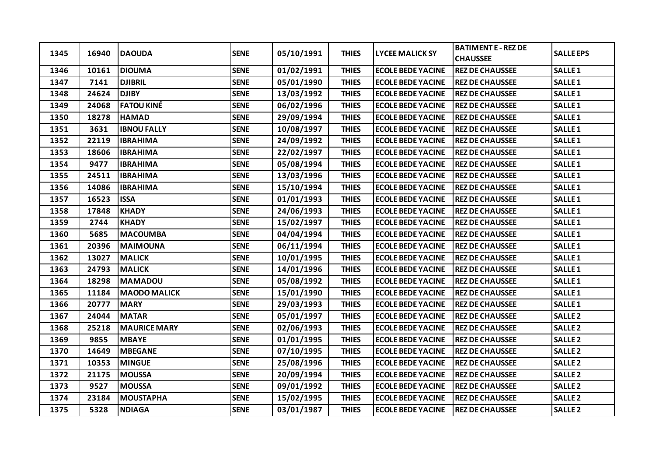| 1345 | 16940 | <b>DAOUDA</b>       | <b>SENE</b> | 05/10/1991 | <b>THIES</b> | <b>LYCEE MALICK SY</b>   | <b>BATIMENT E - REZ DE</b><br><b>CHAUSSEE</b> | <b>SALLE EPS</b>   |
|------|-------|---------------------|-------------|------------|--------------|--------------------------|-----------------------------------------------|--------------------|
| 1346 | 10161 | <b>DIOUMA</b>       | <b>SENE</b> | 01/02/1991 | <b>THIES</b> | <b>ECOLE BEDE YACINE</b> | <b>REZ DE CHAUSSEE</b>                        | SALLE <sub>1</sub> |
| 1347 | 7141  | <b>DJIBRIL</b>      | <b>SENE</b> | 05/01/1990 | <b>THIES</b> | <b>ECOLE BEDE YACINE</b> | <b>REZ DE CHAUSSEE</b>                        | <b>SALLE1</b>      |
| 1348 | 24624 | <b>DJIBY</b>        | <b>SENE</b> | 13/03/1992 | <b>THIES</b> | <b>ECOLE BEDE YACINE</b> | <b>REZ DE CHAUSSEE</b>                        | <b>SALLE1</b>      |
| 1349 | 24068 | <b>FATOU KINÉ</b>   | <b>SENE</b> | 06/02/1996 | <b>THIES</b> | <b>ECOLE BEDE YACINE</b> | <b>REZ DE CHAUSSEE</b>                        | <b>SALLE1</b>      |
| 1350 | 18278 | <b>HAMAD</b>        | <b>SENE</b> | 29/09/1994 | <b>THIES</b> | <b>ECOLE BEDE YACINE</b> | <b>REZ DE CHAUSSEE</b>                        | <b>SALLE1</b>      |
| 1351 | 3631  | <b>IBNOU FALLY</b>  | <b>SENE</b> | 10/08/1997 | <b>THIES</b> | <b>ECOLE BEDE YACINE</b> | <b>REZ DE CHAUSSEE</b>                        | <b>SALLE1</b>      |
| 1352 | 22119 | <b>IBRAHIMA</b>     | <b>SENE</b> | 24/09/1992 | <b>THIES</b> | <b>ECOLE BEDE YACINE</b> | <b>REZ DE CHAUSSEE</b>                        | <b>SALLE1</b>      |
| 1353 | 18606 | <b>IBRAHIMA</b>     | <b>SENE</b> | 22/02/1997 | <b>THIES</b> | <b>ECOLE BEDE YACINE</b> | <b>REZ DE CHAUSSEE</b>                        | <b>SALLE1</b>      |
| 1354 | 9477  | <b>IBRAHIMA</b>     | <b>SENE</b> | 05/08/1994 | <b>THIES</b> | <b>ECOLE BEDE YACINE</b> | <b>REZ DE CHAUSSEE</b>                        | <b>SALLE1</b>      |
| 1355 | 24511 | <b>IBRAHIMA</b>     | <b>SENE</b> | 13/03/1996 | <b>THIES</b> | <b>ECOLE BEDE YACINE</b> | <b>REZ DE CHAUSSEE</b>                        | SALLE <sub>1</sub> |
| 1356 | 14086 | <b>IBRAHIMA</b>     | <b>SENE</b> | 15/10/1994 | <b>THIES</b> | <b>ECOLE BEDE YACINE</b> | <b>REZ DE CHAUSSEE</b>                        | <b>SALLE1</b>      |
| 1357 | 16523 | <b>ISSA</b>         | <b>SENE</b> | 01/01/1993 | <b>THIES</b> | <b>ECOLE BEDE YACINE</b> | <b>REZ DE CHAUSSEE</b>                        | <b>SALLE1</b>      |
| 1358 | 17848 | <b>KHADY</b>        | <b>SENE</b> | 24/06/1993 | <b>THIES</b> | <b>ECOLE BEDE YACINE</b> | <b>REZ DE CHAUSSEE</b>                        | <b>SALLE1</b>      |
| 1359 | 2744  | <b>KHADY</b>        | <b>SENE</b> | 15/02/1997 | <b>THIES</b> | <b>ECOLE BEDE YACINE</b> | <b>REZ DE CHAUSSEE</b>                        | <b>SALLE1</b>      |
| 1360 | 5685  | <b>MACOUMBA</b>     | <b>SENE</b> | 04/04/1994 | <b>THIES</b> | <b>ECOLE BEDE YACINE</b> | <b>REZ DE CHAUSSEE</b>                        | <b>SALLE1</b>      |
| 1361 | 20396 | <b>MAIMOUNA</b>     | <b>SENE</b> | 06/11/1994 | <b>THIES</b> | <b>ECOLE BEDE YACINE</b> | <b>REZ DE CHAUSSEE</b>                        | SALLE <sub>1</sub> |
| 1362 | 13027 | <b>MALICK</b>       | <b>SENE</b> | 10/01/1995 | <b>THIES</b> | <b>ECOLE BEDE YACINE</b> | <b>REZ DE CHAUSSEE</b>                        | <b>SALLE 1</b>     |
| 1363 | 24793 | <b>MALICK</b>       | <b>SENE</b> | 14/01/1996 | <b>THIES</b> | <b>ECOLE BEDE YACINE</b> | <b>REZ DE CHAUSSEE</b>                        | <b>SALLE1</b>      |
| 1364 | 18298 | <b>MAMADOU</b>      | <b>SENE</b> | 05/08/1992 | <b>THIES</b> | <b>ECOLE BEDE YACINE</b> | <b>REZ DE CHAUSSEE</b>                        | SALLE <sub>1</sub> |
| 1365 | 11184 | <b>MAODO MALICK</b> | <b>SENE</b> | 15/01/1990 | <b>THIES</b> | <b>ECOLE BEDE YACINE</b> | <b>REZ DE CHAUSSEE</b>                        | <b>SALLE1</b>      |
| 1366 | 20777 | <b>MARY</b>         | <b>SENE</b> | 29/03/1993 | <b>THIES</b> | <b>ECOLE BEDE YACINE</b> | <b>REZ DE CHAUSSEE</b>                        | <b>SALLE1</b>      |
| 1367 | 24044 | <b>MATAR</b>        | <b>SENE</b> | 05/01/1997 | <b>THIES</b> | <b>ECOLE BEDE YACINE</b> | <b>REZ DE CHAUSSEE</b>                        | <b>SALLE 2</b>     |
| 1368 | 25218 | <b>MAURICE MARY</b> | <b>SENE</b> | 02/06/1993 | <b>THIES</b> | <b>ECOLE BEDE YACINE</b> | <b>REZ DE CHAUSSEE</b>                        | <b>SALLE 2</b>     |
| 1369 | 9855  | <b>MBAYE</b>        | <b>SENE</b> | 01/01/1995 | <b>THIES</b> | <b>ECOLE BEDE YACINE</b> | <b>REZ DE CHAUSSEE</b>                        | <b>SALLE 2</b>     |
| 1370 | 14649 | <b>MBEGANE</b>      | <b>SENE</b> | 07/10/1995 | <b>THIES</b> | <b>ECOLE BEDE YACINE</b> | <b>REZ DE CHAUSSEE</b>                        | <b>SALLE 2</b>     |
| 1371 | 10353 | <b>MINGUE</b>       | <b>SENE</b> | 25/08/1996 | <b>THIES</b> | <b>ECOLE BEDE YACINE</b> | <b>REZ DE CHAUSSEE</b>                        | <b>SALLE 2</b>     |
| 1372 | 21175 | <b>MOUSSA</b>       | <b>SENE</b> | 20/09/1994 | <b>THIES</b> | <b>ECOLE BEDE YACINE</b> | <b>REZ DE CHAUSSEE</b>                        | <b>SALLE 2</b>     |
| 1373 | 9527  | <b>MOUSSA</b>       | <b>SENE</b> | 09/01/1992 | <b>THIES</b> | <b>ECOLE BEDE YACINE</b> | <b>REZ DE CHAUSSEE</b>                        | <b>SALLE 2</b>     |
| 1374 | 23184 | <b>MOUSTAPHA</b>    | <b>SENE</b> | 15/02/1995 | <b>THIES</b> | <b>ECOLE BEDE YACINE</b> | <b>REZ DE CHAUSSEE</b>                        | <b>SALLE 2</b>     |
| 1375 | 5328  | <b>NDIAGA</b>       | <b>SENE</b> | 03/01/1987 | <b>THIES</b> | <b>ECOLE BEDE YACINE</b> | <b>REZ DE CHAUSSEE</b>                        | <b>SALLE 2</b>     |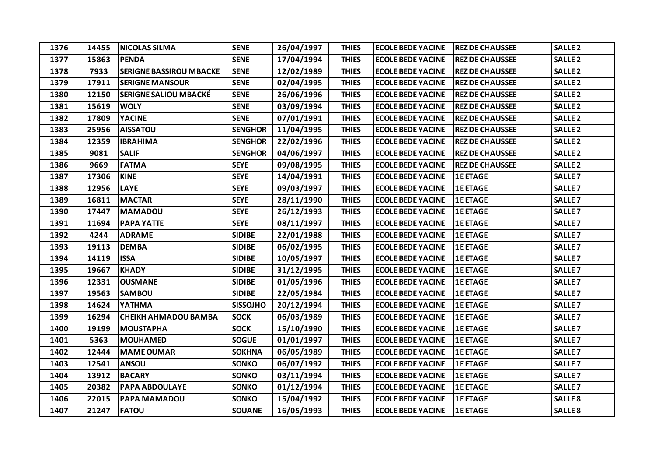| 1376 | 14455 | <b>NICOLAS SILMA</b>           | <b>SENE</b>     | 26/04/1997 | <b>THIES</b> | <b>ECOLE BEDE YACINE</b> | <b>REZ DE CHAUSSEE</b> | <b>SALLE 2</b>     |
|------|-------|--------------------------------|-----------------|------------|--------------|--------------------------|------------------------|--------------------|
| 1377 | 15863 | <b>PENDA</b>                   | <b>SENE</b>     | 17/04/1994 | <b>THIES</b> | <b>ECOLE BEDE YACINE</b> | <b>REZ DE CHAUSSEE</b> | <b>SALLE 2</b>     |
| 1378 | 7933  | <b>SERIGNE BASSIROU MBACKE</b> | <b>SENE</b>     | 12/02/1989 | <b>THIES</b> | <b>ECOLE BEDE YACINE</b> | <b>REZ DE CHAUSSEE</b> | <b>SALLE 2</b>     |
| 1379 | 17911 | <b>SERIGNE MANSOUR</b>         | <b>SENE</b>     | 02/04/1995 | <b>THIES</b> | <b>ECOLE BEDE YACINE</b> | <b>REZ DE CHAUSSEE</b> | <b>SALLE 2</b>     |
| 1380 | 12150 | <b>SERIGNE SALIOU MBACKÉ</b>   | <b>SENE</b>     | 26/06/1996 | <b>THIES</b> | <b>ECOLE BEDE YACINE</b> | <b>REZ DE CHAUSSEE</b> | <b>SALLE 2</b>     |
| 1381 | 15619 | <b>WOLY</b>                    | <b>SENE</b>     | 03/09/1994 | <b>THIES</b> | <b>ECOLE BEDE YACINE</b> | <b>REZ DE CHAUSSEE</b> | <b>SALLE 2</b>     |
| 1382 | 17809 | <b>YACINE</b>                  | <b>SENE</b>     | 07/01/1991 | <b>THIES</b> | <b>ECOLE BEDE YACINE</b> | <b>REZ DE CHAUSSEE</b> | <b>SALLE 2</b>     |
| 1383 | 25956 | <b>AISSATOU</b>                | <b>SENGHOR</b>  | 11/04/1995 | <b>THIES</b> | <b>ECOLE BEDE YACINE</b> | <b>REZ DE CHAUSSEE</b> | <b>SALLE 2</b>     |
| 1384 | 12359 | <b>IBRAHIMA</b>                | <b>SENGHOR</b>  | 22/02/1996 | <b>THIES</b> | <b>ECOLE BEDE YACINE</b> | <b>REZ DE CHAUSSEE</b> | <b>SALLE 2</b>     |
| 1385 | 9081  | <b>SALIF</b>                   | <b>SENGHOR</b>  | 04/06/1997 | <b>THIES</b> | <b>ECOLE BEDE YACINE</b> | <b>REZ DE CHAUSSEE</b> | <b>SALLE 2</b>     |
| 1386 | 9669  | <b>FATMA</b>                   | <b>SEYE</b>     | 09/08/1995 | <b>THIES</b> | <b>ECOLE BEDE YACINE</b> | <b>REZ DE CHAUSSEE</b> | <b>SALLE 2</b>     |
| 1387 | 17306 | <b>KINE</b>                    | <b>SEYE</b>     | 14/04/1991 | <b>THIES</b> | <b>ECOLE BEDE YACINE</b> | <b>1E ETAGE</b>        | SALLE <sub>7</sub> |
| 1388 | 12956 | <b>LAYE</b>                    | <b>SEYE</b>     | 09/03/1997 | <b>THIES</b> | <b>ECOLE BEDE YACINE</b> | <b>1E ETAGE</b>        | SALLE <sub>7</sub> |
| 1389 | 16811 | <b>MACTAR</b>                  | <b>SEYE</b>     | 28/11/1990 | <b>THIES</b> | <b>ECOLE BEDE YACINE</b> | <b>1E ETAGE</b>        | SALLE <sub>7</sub> |
| 1390 | 17447 | <b>MAMADOU</b>                 | <b>SEYE</b>     | 26/12/1993 | <b>THIES</b> | <b>ECOLE BEDE YACINE</b> | <b>1E ETAGE</b>        | SALLE <sub>7</sub> |
| 1391 | 11694 | <b>PAPA YATTE</b>              | <b>SEYE</b>     | 08/11/1997 | <b>THIES</b> | <b>ECOLE BEDE YACINE</b> | <b>1E ETAGE</b>        | SALLE <sub>7</sub> |
| 1392 | 4244  | <b>ADRAME</b>                  | <b>SIDIBE</b>   | 22/01/1988 | <b>THIES</b> | <b>ECOLE BEDE YACINE</b> | <b>1E ETAGE</b>        | SALLE <sub>7</sub> |
| 1393 | 19113 | <b>DEMBA</b>                   | <b>SIDIBE</b>   | 06/02/1995 | <b>THIES</b> | <b>ECOLE BEDE YACINE</b> | <b>1E ETAGE</b>        | <b>SALLE 7</b>     |
| 1394 | 14119 | <b>ISSA</b>                    | <b>SIDIBE</b>   | 10/05/1997 | <b>THIES</b> | <b>ECOLE BEDE YACINE</b> | <b>1E ETAGE</b>        | SALLE <sub>7</sub> |
| 1395 | 19667 | <b>KHADY</b>                   | <b>SIDIBE</b>   | 31/12/1995 | <b>THIES</b> | <b>ECOLE BEDE YACINE</b> | <b>1E ETAGE</b>        | SALLE <sub>7</sub> |
| 1396 | 12331 | <b>OUSMANE</b>                 | <b>SIDIBE</b>   | 01/05/1996 | <b>THIES</b> | <b>ECOLE BEDE YACINE</b> | <b>1E ETAGE</b>        | SALLE <sub>7</sub> |
| 1397 | 19563 | <b>SAMBOU</b>                  | <b>SIDIBE</b>   | 22/05/1984 | <b>THIES</b> | <b>ECOLE BEDE YACINE</b> | <b>1E ETAGE</b>        | SALLE <sub>7</sub> |
| 1398 | 14624 | YATHMA                         | <b>SISSOJHO</b> | 20/12/1994 | <b>THIES</b> | <b>ECOLE BEDE YACINE</b> | <b>1E ETAGE</b>        | SALLE <sub>7</sub> |
| 1399 | 16294 | <b>CHEIKH AHMADOU BAMBA</b>    | <b>SOCK</b>     | 06/03/1989 | <b>THIES</b> | <b>ECOLE BEDE YACINE</b> | <b>1E ETAGE</b>        | <b>SALLE 7</b>     |
| 1400 | 19199 | <b>MOUSTAPHA</b>               | <b>SOCK</b>     | 15/10/1990 | <b>THIES</b> | <b>ECOLE BEDE YACINE</b> | <b>1E ETAGE</b>        | SALLE <sub>7</sub> |
| 1401 | 5363  | <b>MOUHAMED</b>                | <b>SOGUE</b>    | 01/01/1997 | <b>THIES</b> | <b>ECOLE BEDE YACINE</b> | <b>1E ETAGE</b>        | SALLE <sub>7</sub> |
| 1402 | 12444 | <b>MAME OUMAR</b>              | <b>SOKHNA</b>   | 06/05/1989 | <b>THIES</b> | <b>ECOLE BEDE YACINE</b> | <b>1E ETAGE</b>        | SALLE <sub>7</sub> |
| 1403 | 12541 | <b>ANSOU</b>                   | <b>SONKO</b>    | 06/07/1992 | <b>THIES</b> | <b>ECOLE BEDE YACINE</b> | <b>1E ETAGE</b>        | <b>SALLE 7</b>     |
| 1404 | 13912 | <b>BACARY</b>                  | <b>SONKO</b>    | 03/11/1994 | <b>THIES</b> | <b>ECOLE BEDE YACINE</b> | <b>1E ETAGE</b>        | SALLE <sub>7</sub> |
| 1405 | 20382 | <b>PAPA ABDOULAYE</b>          | <b>SONKO</b>    | 01/12/1994 | <b>THIES</b> | <b>ECOLE BEDE YACINE</b> | <b>1E ETAGE</b>        | <b>SALLE 7</b>     |
| 1406 | 22015 | PAPA MAMADOU                   | <b>SONKO</b>    | 15/04/1992 | <b>THIES</b> | <b>ECOLE BEDE YACINE</b> | <b>1E ETAGE</b>        | <b>SALLE 8</b>     |
| 1407 | 21247 | <b>FATOU</b>                   | <b>SOUANE</b>   | 16/05/1993 | <b>THIES</b> | <b>ECOLE BEDE YACINE</b> | <b>1E ETAGE</b>        | SALLE <sub>8</sub> |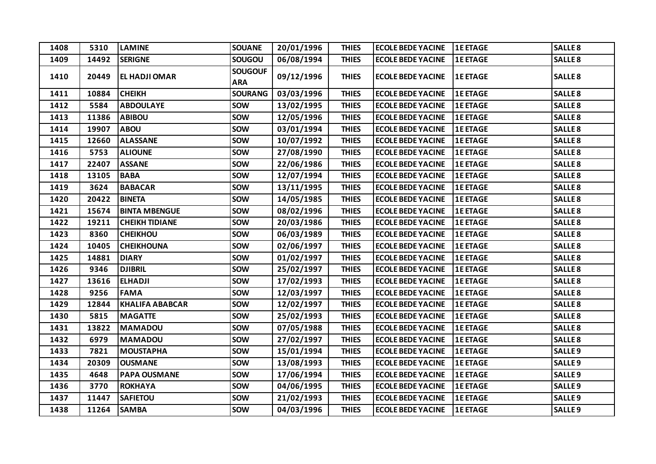| 1408 | 5310  | <b>LAMINE</b>          | <b>SOUANE</b>                | 20/01/1996 | <b>THIES</b> | <b>ECOLE BEDE YACINE</b> | <b>1E ETAGE</b> | SALLE <sub>8</sub> |
|------|-------|------------------------|------------------------------|------------|--------------|--------------------------|-----------------|--------------------|
| 1409 | 14492 | <b>SERIGNE</b>         | <b>SOUGOU</b>                | 06/08/1994 | <b>THIES</b> | <b>ECOLE BEDE YACINE</b> | <b>1E ETAGE</b> | <b>SALLE 8</b>     |
| 1410 | 20449 | <b>EL HADJI OMAR</b>   | <b>SOUGOUF</b><br><b>ARA</b> | 09/12/1996 | <b>THIES</b> | <b>ECOLE BEDE YACINE</b> | <b>1E ETAGE</b> | <b>SALLE 8</b>     |
| 1411 | 10884 | <b>CHEIKH</b>          | <b>SOURANG</b>               | 03/03/1996 | <b>THIES</b> | <b>ECOLE BEDE YACINE</b> | <b>1E ETAGE</b> | <b>SALLE 8</b>     |
| 1412 | 5584  | <b>ABDOULAYE</b>       | <b>SOW</b>                   | 13/02/1995 | <b>THIES</b> | <b>ECOLE BEDE YACINE</b> | <b>1E ETAGE</b> | SALLE <sub>8</sub> |
| 1413 | 11386 | <b>ABIBOU</b>          | <b>SOW</b>                   | 12/05/1996 | <b>THIES</b> | <b>ECOLE BEDE YACINE</b> | <b>1E ETAGE</b> | <b>SALLE 8</b>     |
| 1414 | 19907 | <b>ABOU</b>            | <b>SOW</b>                   | 03/01/1994 | <b>THIES</b> | <b>ECOLE BEDE YACINE</b> | <b>1E ETAGE</b> | <b>SALLE 8</b>     |
| 1415 | 12660 | <b>ALASSANE</b>        | <b>SOW</b>                   | 10/07/1992 | <b>THIES</b> | <b>ECOLE BEDE YACINE</b> | <b>1E ETAGE</b> | SALLE <sub>8</sub> |
| 1416 | 5753  | <b>ALIOUNE</b>         | <b>SOW</b>                   | 27/08/1990 | <b>THIES</b> | <b>ECOLE BEDE YACINE</b> | <b>1E ETAGE</b> | <b>SALLE 8</b>     |
| 1417 | 22407 | <b>ASSANE</b>          | <b>SOW</b>                   | 22/06/1986 | <b>THIES</b> | <b>ECOLE BEDE YACINE</b> | <b>1E ETAGE</b> | <b>SALLE 8</b>     |
| 1418 | 13105 | <b>BABA</b>            | <b>SOW</b>                   | 12/07/1994 | <b>THIES</b> | <b>ECOLE BEDE YACINE</b> | <b>1E ETAGE</b> | <b>SALLE 8</b>     |
| 1419 | 3624  | <b>BABACAR</b>         | <b>SOW</b>                   | 13/11/1995 | <b>THIES</b> | <b>ECOLE BEDE YACINE</b> | <b>1E ETAGE</b> | <b>SALLE 8</b>     |
| 1420 | 20422 | <b>BINETA</b>          | <b>SOW</b>                   | 14/05/1985 | <b>THIES</b> | <b>ECOLE BEDE YACINE</b> | <b>1E ETAGE</b> | <b>SALLE 8</b>     |
| 1421 | 15674 | <b>BINTA MBENGUE</b>   | <b>SOW</b>                   | 08/02/1996 | <b>THIES</b> | <b>ECOLE BEDE YACINE</b> | <b>1E ETAGE</b> | SALLE <sub>8</sub> |
| 1422 | 19211 | <b>CHEIKH TIDIANE</b>  | <b>SOW</b>                   | 20/03/1986 | <b>THIES</b> | <b>ECOLE BEDE YACINE</b> | <b>1E ETAGE</b> | <b>SALLE 8</b>     |
| 1423 | 8360  | <b>CHEIKHOU</b>        | <b>SOW</b>                   | 06/03/1989 | <b>THIES</b> | <b>ECOLE BEDE YACINE</b> | <b>1E ETAGE</b> | <b>SALLE 8</b>     |
| 1424 | 10405 | <b>CHEIKHOUNA</b>      | <b>SOW</b>                   | 02/06/1997 | <b>THIES</b> | <b>ECOLE BEDE YACINE</b> | <b>1E ETAGE</b> | SALLE <sub>8</sub> |
| 1425 | 14881 | <b>DIARY</b>           | <b>SOW</b>                   | 01/02/1997 | <b>THIES</b> | <b>ECOLE BEDE YACINE</b> | <b>1E ETAGE</b> | <b>SALLE 8</b>     |
| 1426 | 9346  | <b>DJIBRIL</b>         | <b>SOW</b>                   | 25/02/1997 | <b>THIES</b> | <b>ECOLE BEDE YACINE</b> | <b>1E ETAGE</b> | <b>SALLE 8</b>     |
| 1427 | 13616 | <b>ELHADJI</b>         | <b>SOW</b>                   | 17/02/1993 | <b>THIES</b> | <b>ECOLE BEDE YACINE</b> | <b>1E ETAGE</b> | SALLE <sub>8</sub> |
| 1428 | 9256  | <b>FAMA</b>            | <b>SOW</b>                   | 12/03/1997 | <b>THIES</b> | <b>ECOLE BEDE YACINE</b> | <b>1E ETAGE</b> | <b>SALLE 8</b>     |
| 1429 | 12844 | <b>KHALIFA ABABCAR</b> | <b>SOW</b>                   | 12/02/1997 | <b>THIES</b> | <b>ECOLE BEDE YACINE</b> | <b>1E ETAGE</b> | <b>SALLE 8</b>     |
| 1430 | 5815  | <b>MAGATTE</b>         | <b>SOW</b>                   | 25/02/1993 | <b>THIES</b> | <b>ECOLE BEDE YACINE</b> | <b>1E ETAGE</b> | SALLE <sub>8</sub> |
| 1431 | 13822 | <b>MAMADOU</b>         | <b>SOW</b>                   | 07/05/1988 | <b>THIES</b> | <b>ECOLE BEDE YACINE</b> | <b>1E ETAGE</b> | <b>SALLE 8</b>     |
| 1432 | 6979  | <b>MAMADOU</b>         | <b>SOW</b>                   | 27/02/1997 | <b>THIES</b> | <b>ECOLE BEDE YACINE</b> | <b>1E ETAGE</b> | <b>SALLE 8</b>     |
| 1433 | 7821  | <b>MOUSTAPHA</b>       | <b>SOW</b>                   | 15/01/1994 | <b>THIES</b> | <b>ECOLE BEDE YACINE</b> | <b>1E ETAGE</b> | SALLE <sub>9</sub> |
| 1434 | 20309 | <b>OUSMANE</b>         | <b>SOW</b>                   | 13/08/1993 | <b>THIES</b> | <b>ECOLE BEDE YACINE</b> | <b>1E ETAGE</b> | <b>SALLE 9</b>     |
| 1435 | 4648  | <b>PAPA OUSMANE</b>    | <b>SOW</b>                   | 17/06/1994 | <b>THIES</b> | <b>ECOLE BEDE YACINE</b> | <b>1E ETAGE</b> | <b>SALLE 9</b>     |
| 1436 | 3770  | <b>ROKHAYA</b>         | <b>SOW</b>                   | 04/06/1995 | <b>THIES</b> | <b>ECOLE BEDE YACINE</b> | <b>1E ETAGE</b> | SALLE <sub>9</sub> |
| 1437 | 11447 | <b>SAFIETOU</b>        | <b>SOW</b>                   | 21/02/1993 | <b>THIES</b> | <b>ECOLE BEDE YACINE</b> | <b>1E ETAGE</b> | SALLE <sub>9</sub> |
| 1438 | 11264 | <b>SAMBA</b>           | <b>SOW</b>                   | 04/03/1996 | <b>THIES</b> | <b>ECOLE BEDE YACINE</b> | <b>1E ETAGE</b> | SALLE <sub>9</sub> |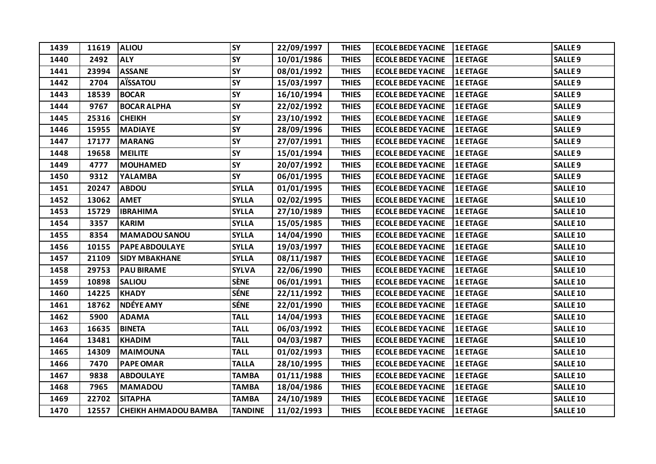| 1439 | 11619 | <b>ALIOU</b>                | <b>SY</b>      | 22/09/1997 | <b>THIES</b> | <b>ECOLE BEDE YACINE</b> | <b>1E ETAGE</b> | <b>SALLE 9</b>     |
|------|-------|-----------------------------|----------------|------------|--------------|--------------------------|-----------------|--------------------|
| 1440 | 2492  | <b>ALY</b>                  | <b>SY</b>      | 10/01/1986 | <b>THIES</b> | <b>ECOLE BEDE YACINE</b> | <b>1E ETAGE</b> | SALLE <sub>9</sub> |
| 1441 | 23994 | <b>ASSANE</b>               | <b>SY</b>      | 08/01/1992 | <b>THIES</b> | <b>ECOLE BEDE YACINE</b> | <b>1E ETAGE</b> | SALLE <sub>9</sub> |
| 1442 | 2704  | <b>AÏSSATOU</b>             | <b>SY</b>      | 15/03/1997 | <b>THIES</b> | <b>ECOLE BEDE YACINE</b> | <b>1E ETAGE</b> | SALLE <sub>9</sub> |
| 1443 | 18539 | <b>BOCAR</b>                | <b>SY</b>      | 16/10/1994 | <b>THIES</b> | <b>ECOLE BEDE YACINE</b> | <b>1E ETAGE</b> | SALLE <sub>9</sub> |
| 1444 | 9767  | <b>BOCAR ALPHA</b>          | <b>SY</b>      | 22/02/1992 | <b>THIES</b> | <b>ECOLE BEDE YACINE</b> | <b>1E ETAGE</b> | <b>SALLE 9</b>     |
| 1445 | 25316 | <b>CHEIKH</b>               | <b>SY</b>      | 23/10/1992 | <b>THIES</b> | <b>ECOLE BEDE YACINE</b> | <b>1E ETAGE</b> | <b>SALLE 9</b>     |
| 1446 | 15955 | <b>MADIAYE</b>              | <b>SY</b>      | 28/09/1996 | <b>THIES</b> | <b>ECOLE BEDE YACINE</b> | <b>1E ETAGE</b> | SALLE <sub>9</sub> |
| 1447 | 17177 | <b>MARANG</b>               | <b>SY</b>      | 27/07/1991 | <b>THIES</b> | <b>ECOLE BEDE YACINE</b> | <b>1E ETAGE</b> | SALLE <sub>9</sub> |
| 1448 | 19658 | <b>MEILITE</b>              | <b>SY</b>      | 15/01/1994 | <b>THIES</b> | <b>ECOLE BEDE YACINE</b> | <b>1E ETAGE</b> | SALLE <sub>9</sub> |
| 1449 | 4777  | <b>MOUHAMED</b>             | <b>SY</b>      | 20/07/1992 | <b>THIES</b> | <b>ECOLE BEDE YACINE</b> | <b>1E ETAGE</b> | SALLE <sub>9</sub> |
| 1450 | 9312  | <b>YALAMBA</b>              | <b>SY</b>      | 06/01/1995 | <b>THIES</b> | <b>ECOLE BEDE YACINE</b> | <b>1E ETAGE</b> | <b>SALLE 9</b>     |
| 1451 | 20247 | <b>ABDOU</b>                | <b>SYLLA</b>   | 01/01/1995 | <b>THIES</b> | <b>ECOLE BEDE YACINE</b> | <b>1E ETAGE</b> | <b>SALLE 10</b>    |
| 1452 | 13062 | <b>AMET</b>                 | <b>SYLLA</b>   | 02/02/1995 | <b>THIES</b> | <b>ECOLE BEDE YACINE</b> | <b>1E ETAGE</b> | <b>SALLE 10</b>    |
| 1453 | 15729 | <b>IBRAHIMA</b>             | <b>SYLLA</b>   | 27/10/1989 | <b>THIES</b> | <b>ECOLE BEDE YACINE</b> | <b>1E ETAGE</b> | <b>SALLE 10</b>    |
| 1454 | 3357  | <b>KARIM</b>                | <b>SYLLA</b>   | 15/05/1985 | <b>THIES</b> | <b>ECOLE BEDE YACINE</b> | <b>1E ETAGE</b> | <b>SALLE 10</b>    |
| 1455 | 8354  | <b>MAMADOU SANOU</b>        | <b>SYLLA</b>   | 14/04/1990 | <b>THIES</b> | <b>ECOLE BEDE YACINE</b> | <b>1E ETAGE</b> | <b>SALLE 10</b>    |
| 1456 | 10155 | <b>PAPE ABDOULAYE</b>       | <b>SYLLA</b>   | 19/03/1997 | <b>THIES</b> | <b>ECOLE BEDE YACINE</b> | <b>1E ETAGE</b> | <b>SALLE 10</b>    |
| 1457 | 21109 | <b>SIDY MBAKHANE</b>        | <b>SYLLA</b>   | 08/11/1987 | <b>THIES</b> | <b>ECOLE BEDE YACINE</b> | <b>1E ETAGE</b> | <b>SALLE 10</b>    |
| 1458 | 29753 | <b>PAU BIRAME</b>           | <b>SYLVA</b>   | 22/06/1990 | <b>THIES</b> | <b>ECOLE BEDE YACINE</b> | <b>1E ETAGE</b> | <b>SALLE 10</b>    |
| 1459 | 10898 | <b>SALIOU</b>               | <b>SÈNE</b>    | 06/01/1991 | <b>THIES</b> | <b>ECOLE BEDE YACINE</b> | <b>1E ETAGE</b> | <b>SALLE 10</b>    |
| 1460 | 14225 | <b>KHADY</b>                | <b>SÉNE</b>    | 22/11/1992 | <b>THIES</b> | <b>ECOLE BEDE YACINE</b> | <b>1E ETAGE</b> | <b>SALLE 10</b>    |
| 1461 | 18762 | <b>NDÉYE AMY</b>            | <b>SÉNE</b>    | 22/01/1990 | <b>THIES</b> | <b>ECOLE BEDE YACINE</b> | <b>1E ETAGE</b> | <b>SALLE 10</b>    |
| 1462 | 5900  | <b>ADAMA</b>                | <b>TALL</b>    | 14/04/1993 | <b>THIES</b> | <b>ECOLE BEDE YACINE</b> | <b>1E ETAGE</b> | <b>SALLE 10</b>    |
| 1463 | 16635 | <b>BINETA</b>               | <b>TALL</b>    | 06/03/1992 | <b>THIES</b> | <b>ECOLE BEDE YACINE</b> | <b>1E ETAGE</b> | <b>SALLE 10</b>    |
| 1464 | 13481 | <b>KHADIM</b>               | <b>TALL</b>    | 04/03/1987 | <b>THIES</b> | <b>ECOLE BEDE YACINE</b> | <b>1E ETAGE</b> | <b>SALLE 10</b>    |
| 1465 | 14309 | <b>MAIMOUNA</b>             | <b>TALL</b>    | 01/02/1993 | <b>THIES</b> | <b>ECOLE BEDE YACINE</b> | <b>1E ETAGE</b> | <b>SALLE 10</b>    |
| 1466 | 7470  | <b>PAPE OMAR</b>            | <b>TALLA</b>   | 28/10/1995 | <b>THIES</b> | <b>ECOLE BEDE YACINE</b> | <b>1E ETAGE</b> | <b>SALLE 10</b>    |
| 1467 | 9838  | <b>ABDOULAYE</b>            | <b>TAMBA</b>   | 01/11/1988 | <b>THIES</b> | <b>ECOLE BEDE YACINE</b> | <b>1E ETAGE</b> | <b>SALLE 10</b>    |
| 1468 | 7965  | <b>MAMADOU</b>              | <b>TAMBA</b>   | 18/04/1986 | <b>THIES</b> | <b>ECOLE BEDE YACINE</b> | <b>1E ETAGE</b> | <b>SALLE 10</b>    |
| 1469 | 22702 | <b>SITAPHA</b>              | <b>TAMBA</b>   | 24/10/1989 | <b>THIES</b> | <b>ECOLE BEDE YACINE</b> | <b>1E ETAGE</b> | <b>SALLE 10</b>    |
| 1470 | 12557 | <b>CHEIKH AHMADOU BAMBA</b> | <b>TANDINE</b> | 11/02/1993 | <b>THIES</b> | <b>ECOLE BEDE YACINE</b> | <b>1E ETAGE</b> | <b>SALLE 10</b>    |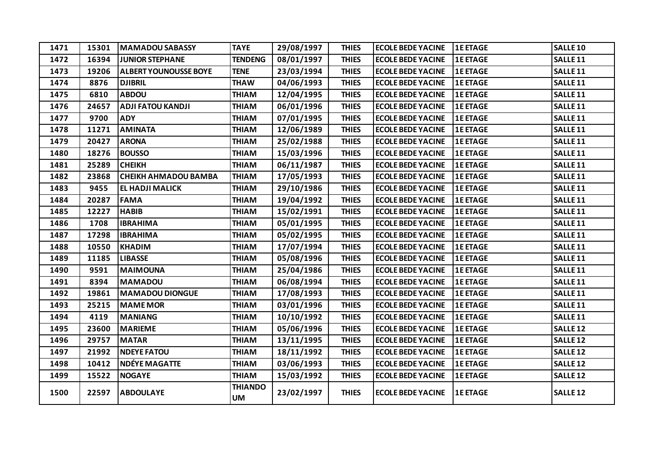| 1471 | 15301 | <b>MAMADOU SABASSY</b>       | <b>TAYE</b>                 | 29/08/1997 | <b>THIES</b> | <b>ECOLE BEDE YACINE</b> | <b>1E ETAGE</b> | <b>SALLE 10</b>     |
|------|-------|------------------------------|-----------------------------|------------|--------------|--------------------------|-----------------|---------------------|
| 1472 | 16394 | <b>JUNIOR STEPHANE</b>       | <b>TENDENG</b>              | 08/01/1997 | <b>THIES</b> | <b>ECOLE BEDE YACINE</b> | <b>1E ETAGE</b> | SALLE <sub>11</sub> |
| 1473 | 19206 | <b>ALBERT YOUNOUSSE BOYE</b> | <b>TENE</b>                 | 23/03/1994 | <b>THIES</b> | <b>ECOLE BEDE YACINE</b> | <b>1E ETAGE</b> | SALLE <sub>11</sub> |
| 1474 | 8876  | <b>DJIBRIL</b>               | <b>THAW</b>                 | 04/06/1993 | <b>THIES</b> | <b>ECOLE BEDE YACINE</b> | <b>1E ETAGE</b> | SALLE <sub>11</sub> |
| 1475 | 6810  | <b>ABDOU</b>                 | <b>THIAM</b>                | 12/04/1995 | <b>THIES</b> | <b>ECOLE BEDE YACINE</b> | <b>1E ETAGE</b> | SALLE <sub>11</sub> |
| 1476 | 24657 | <b>ADJI FATOU KANDJI</b>     | <b>THIAM</b>                | 06/01/1996 | <b>THIES</b> | <b>ECOLE BEDE YACINE</b> | <b>1E ETAGE</b> | SALLE <sub>11</sub> |
| 1477 | 9700  | <b>ADY</b>                   | <b>THIAM</b>                | 07/01/1995 | <b>THIES</b> | <b>ECOLE BEDE YACINE</b> | <b>1E ETAGE</b> | SALLE <sub>11</sub> |
| 1478 | 11271 | <b>AMINATA</b>               | <b>THIAM</b>                | 12/06/1989 | <b>THIES</b> | <b>ECOLE BEDE YACINE</b> | <b>1E ETAGE</b> | SALLE <sub>11</sub> |
| 1479 | 20427 | <b>ARONA</b>                 | <b>THIAM</b>                | 25/02/1988 | <b>THIES</b> | <b>ECOLE BEDE YACINE</b> | <b>1E ETAGE</b> | SALLE <sub>11</sub> |
| 1480 | 18276 | <b>BOUSSO</b>                | <b>THIAM</b>                | 15/03/1996 | <b>THIES</b> | <b>ECOLE BEDE YACINE</b> | <b>1E ETAGE</b> | SALLE <sub>11</sub> |
| 1481 | 25289 | <b>CHEIKH</b>                | <b>THIAM</b>                | 06/11/1987 | <b>THIES</b> | <b>ECOLE BEDE YACINE</b> | <b>1E ETAGE</b> | SALLE <sub>11</sub> |
| 1482 | 23868 | <b>CHEIKH AHMADOU BAMBA</b>  | <b>THIAM</b>                | 17/05/1993 | <b>THIES</b> | <b>ECOLE BEDE YACINE</b> | <b>1E ETAGE</b> | SALLE <sub>11</sub> |
| 1483 | 9455  | <b>EL HADJI MALICK</b>       | <b>THIAM</b>                | 29/10/1986 | <b>THIES</b> | <b>ECOLE BEDE YACINE</b> | <b>1E ETAGE</b> | SALLE <sub>11</sub> |
| 1484 | 20287 | <b>FAMA</b>                  | <b>THIAM</b>                | 19/04/1992 | <b>THIES</b> | <b>ECOLE BEDE YACINE</b> | <b>1E ETAGE</b> | SALLE <sub>11</sub> |
| 1485 | 12227 | <b>HABIB</b>                 | <b>THIAM</b>                | 15/02/1991 | <b>THIES</b> | <b>ECOLE BEDE YACINE</b> | <b>1E ETAGE</b> | SALLE <sub>11</sub> |
| 1486 | 1708  | <b>IBRAHIMA</b>              | <b>THIAM</b>                | 05/01/1995 | <b>THIES</b> | <b>ECOLE BEDE YACINE</b> | <b>1E ETAGE</b> | SALLE <sub>11</sub> |
| 1487 | 17298 | <b>IBRAHIMA</b>              | <b>THIAM</b>                | 05/02/1995 | <b>THIES</b> | <b>ECOLE BEDE YACINE</b> | <b>1E ETAGE</b> | SALLE <sub>11</sub> |
| 1488 | 10550 | <b>KHADIM</b>                | <b>THIAM</b>                | 17/07/1994 | <b>THIES</b> | <b>ECOLE BEDE YACINE</b> | <b>1E ETAGE</b> | SALLE <sub>11</sub> |
| 1489 | 11185 | <b>LIBASSE</b>               | <b>THIAM</b>                | 05/08/1996 | <b>THIES</b> | <b>ECOLE BEDE YACINE</b> | <b>1E ETAGE</b> | SALLE <sub>11</sub> |
| 1490 | 9591  | <b>MAIMOUNA</b>              | <b>THIAM</b>                | 25/04/1986 | <b>THIES</b> | <b>ECOLE BEDE YACINE</b> | <b>1E ETAGE</b> | SALLE <sub>11</sub> |
| 1491 | 8394  | <b>MAMADOU</b>               | <b>THIAM</b>                | 06/08/1994 | <b>THIES</b> | <b>ECOLE BEDE YACINE</b> | <b>1E ETAGE</b> | SALLE <sub>11</sub> |
| 1492 | 19861 | <b>MAMADOU DIONGUE</b>       | <b>THIAM</b>                | 17/08/1993 | <b>THIES</b> | <b>ECOLE BEDE YACINE</b> | <b>1E ETAGE</b> | SALLE <sub>11</sub> |
| 1493 | 25215 | <b>MAME MOR</b>              | <b>THIAM</b>                | 03/01/1996 | <b>THIES</b> | <b>ECOLE BEDE YACINE</b> | <b>1E ETAGE</b> | SALLE <sub>11</sub> |
| 1494 | 4119  | <b>MANIANG</b>               | <b>THIAM</b>                | 10/10/1992 | <b>THIES</b> | <b>ECOLE BEDE YACINE</b> | <b>1E ETAGE</b> | SALLE <sub>11</sub> |
| 1495 | 23600 | <b>MARIEME</b>               | <b>THIAM</b>                | 05/06/1996 | <b>THIES</b> | <b>ECOLE BEDE YACINE</b> | <b>1E ETAGE</b> | <b>SALLE 12</b>     |
| 1496 | 29757 | <b>MATAR</b>                 | <b>THIAM</b>                | 13/11/1995 | <b>THIES</b> | <b>ECOLE BEDE YACINE</b> | <b>1E ETAGE</b> | SALLE <sub>12</sub> |
| 1497 | 21992 | <b>NDEYE FATOU</b>           | <b>THIAM</b>                | 18/11/1992 | <b>THIES</b> | <b>ECOLE BEDE YACINE</b> | <b>1E ETAGE</b> | <b>SALLE 12</b>     |
| 1498 | 10412 | <b>NDÉYE MAGATTE</b>         | <b>THIAM</b>                | 03/06/1993 | <b>THIES</b> | <b>ECOLE BEDE YACINE</b> | <b>1E ETAGE</b> | <b>SALLE 12</b>     |
| 1499 | 15522 | <b>NOGAYE</b>                | <b>THIAM</b>                | 15/03/1992 | <b>THIES</b> | <b>ECOLE BEDE YACINE</b> | <b>1E ETAGE</b> | SALLE <sub>12</sub> |
| 1500 | 22597 | <b>ABDOULAYE</b>             | <b>THIANDO</b><br><b>UM</b> | 23/02/1997 | <b>THIES</b> | <b>ECOLE BEDE YACINE</b> | <b>1E ETAGE</b> | <b>SALLE 12</b>     |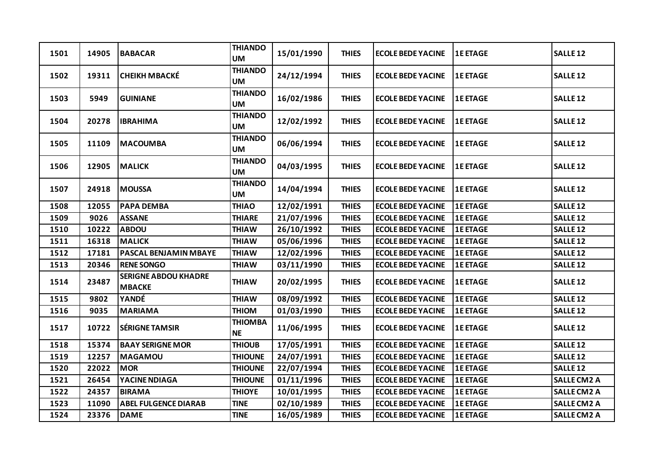| 1501 | 14905 | <b>BABACAR</b>                               | <b>THIANDO</b><br><b>UM</b> | 15/01/1990 | <b>THIES</b> | <b>ECOLE BEDE YACINE</b> | <b>1E ETAGE</b> | <b>SALLE 12</b>     |
|------|-------|----------------------------------------------|-----------------------------|------------|--------------|--------------------------|-----------------|---------------------|
| 1502 | 19311 | <b>CHEIKH MBACKÉ</b>                         | <b>THIANDO</b><br><b>UM</b> | 24/12/1994 | <b>THIES</b> | <b>ECOLE BEDE YACINE</b> | <b>1E ETAGE</b> | SALLE <sub>12</sub> |
| 1503 | 5949  | <b>GUINIANE</b>                              | <b>THIANDO</b><br><b>UM</b> | 16/02/1986 | <b>THIES</b> | <b>ECOLE BEDE YACINE</b> | <b>1E ETAGE</b> | SALLE <sub>12</sub> |
| 1504 | 20278 | <b>IBRAHIMA</b>                              | <b>THIANDO</b><br><b>UM</b> | 12/02/1992 | <b>THIES</b> | <b>ECOLE BEDE YACINE</b> | <b>1E ETAGE</b> | SALLE <sub>12</sub> |
| 1505 | 11109 | <b>MACOUMBA</b>                              | <b>THIANDO</b><br><b>UM</b> | 06/06/1994 | <b>THIES</b> | <b>ECOLE BEDE YACINE</b> | <b>1E ETAGE</b> | SALLE <sub>12</sub> |
| 1506 | 12905 | <b>MALICK</b>                                | <b>THIANDO</b><br><b>UM</b> | 04/03/1995 | <b>THIES</b> | <b>ECOLE BEDE YACINE</b> | <b>1E ETAGE</b> | SALLE <sub>12</sub> |
| 1507 | 24918 | <b>MOUSSA</b>                                | <b>THIANDO</b><br>UM        | 14/04/1994 | <b>THIES</b> | <b>ECOLE BEDE YACINE</b> | <b>1E ETAGE</b> | <b>SALLE 12</b>     |
| 1508 | 12055 | <b>PAPA DEMBA</b>                            | <b>THIAO</b>                | 12/02/1991 | <b>THIES</b> | <b>ECOLE BEDE YACINE</b> | <b>1E ETAGE</b> | <b>SALLE 12</b>     |
| 1509 | 9026  | <b>ASSANE</b>                                | <b>THIARE</b>               | 21/07/1996 | <b>THIES</b> | <b>ECOLE BEDE YACINE</b> | <b>1E ETAGE</b> | SALLE <sub>12</sub> |
| 1510 | 10222 | <b>ABDOU</b>                                 | <b>THIAW</b>                | 26/10/1992 | <b>THIES</b> | <b>ECOLE BEDE YACINE</b> | <b>1E ETAGE</b> | SALLE <sub>12</sub> |
| 1511 | 16318 | <b>MALICK</b>                                | <b>THIAW</b>                | 05/06/1996 | <b>THIES</b> | <b>ECOLE BEDE YACINE</b> | <b>1E ETAGE</b> | <b>SALLE 12</b>     |
| 1512 | 17181 | <b>PASCAL BENJAMIN MBAYE</b>                 | <b>THIAW</b>                | 12/02/1996 | <b>THIES</b> | <b>ECOLE BEDE YACINE</b> | <b>1E ETAGE</b> | <b>SALLE 12</b>     |
| 1513 | 20346 | <b>RENE SONGO</b>                            | <b>THIAW</b>                | 03/11/1990 | <b>THIES</b> | <b>ECOLE BEDE YACINE</b> | <b>1E ETAGE</b> | SALLE <sub>12</sub> |
| 1514 | 23487 | <b>SERIGNE ABDOU KHADRE</b><br><b>MBACKE</b> | <b>THIAW</b>                | 20/02/1995 | <b>THIES</b> | <b>ECOLE BEDE YACINE</b> | <b>1E ETAGE</b> | SALLE <sub>12</sub> |
| 1515 | 9802  | YANDÉ                                        | <b>THIAW</b>                | 08/09/1992 | <b>THIES</b> | <b>ECOLE BEDE YACINE</b> | <b>1E ETAGE</b> | <b>SALLE 12</b>     |
| 1516 | 9035  | <b>MARIAMA</b>                               | <b>NOIHT</b>                | 01/03/1990 | <b>THIES</b> | <b>ECOLE BEDE YACINE</b> | <b>1E ETAGE</b> | SALLE <sub>12</sub> |
| 1517 | 10722 | <b>SÉRIGNE TAMSIR</b>                        | <b>THIOMBA</b><br><b>NE</b> | 11/06/1995 | <b>THIES</b> | <b>ECOLE BEDE YACINE</b> | <b>1E ETAGE</b> | <b>SALLE 12</b>     |
| 1518 | 15374 | <b>BAAY SERIGNE MOR</b>                      | <b>THIOUB</b>               | 17/05/1991 | <b>THIES</b> | <b>ECOLE BEDE YACINE</b> | <b>1E ETAGE</b> | SALLE <sub>12</sub> |
| 1519 | 12257 | <b>MAGAMOU</b>                               | <b>THIOUNE</b>              | 24/07/1991 | <b>THIES</b> | <b>ECOLE BEDE YACINE</b> | <b>1E ETAGE</b> | SALLE <sub>12</sub> |
| 1520 | 22022 | <b>MOR</b>                                   | <b>THIOUNE</b>              | 22/07/1994 | <b>THIES</b> | <b>ECOLE BEDE YACINE</b> | <b>1E ETAGE</b> | <b>SALLE 12</b>     |
| 1521 | 26454 | YACINE NDIAGA                                | <b>THIOUNE</b>              | 01/11/1996 | <b>THIES</b> | <b>ECOLE BEDE YACINE</b> | <b>1E ETAGE</b> | <b>SALLE CM2 A</b>  |
| 1522 | 24357 | <b>BIRAMA</b>                                | <b>THIOYE</b>               | 10/01/1995 | <b>THIES</b> | <b>ECOLE BEDE YACINE</b> | <b>1E ETAGE</b> | <b>SALLE CM2 A</b>  |
| 1523 | 11090 | <b>ABEL FULGENCE DIARAB</b>                  | <b>TINE</b>                 | 02/10/1989 | <b>THIES</b> | <b>ECOLE BEDE YACINE</b> | <b>1E ETAGE</b> | <b>SALLE CM2 A</b>  |
| 1524 | 23376 | <b>DAME</b>                                  | <b>TINE</b>                 | 16/05/1989 | <b>THIES</b> | <b>ECOLE BEDE YACINE</b> | <b>1E ETAGE</b> | <b>SALLE CM2 A</b>  |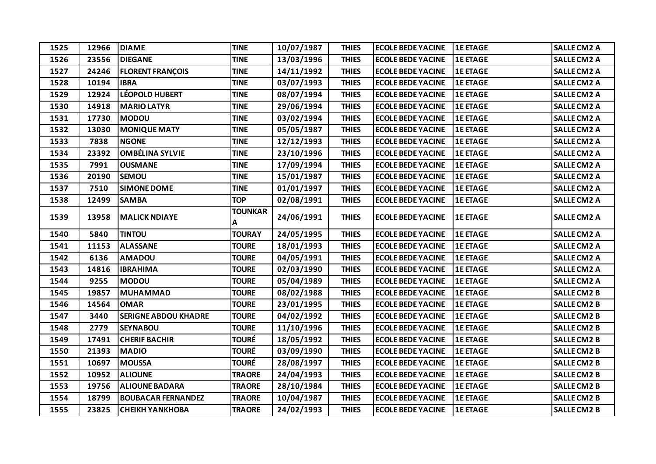| 1525 | 12966 | <b>DIAME</b>                | <b>TINE</b>         | 10/07/1987 | <b>THIES</b> | <b>ECOLE BEDE YACINE</b> | <b>1E ETAGE</b> | <b>SALLE CM2 A</b> |
|------|-------|-----------------------------|---------------------|------------|--------------|--------------------------|-----------------|--------------------|
| 1526 | 23556 | <b>DIEGANE</b>              | <b>TINE</b>         | 13/03/1996 | <b>THIES</b> | <b>ECOLE BEDE YACINE</b> | <b>1E ETAGE</b> | <b>SALLE CM2 A</b> |
| 1527 | 24246 | <b>FLORENT FRANÇOIS</b>     | <b>TINE</b>         | 14/11/1992 | <b>THIES</b> | <b>ECOLE BEDE YACINE</b> | <b>1E ETAGE</b> | <b>SALLE CM2 A</b> |
| 1528 | 10194 | <b>IBRA</b>                 | <b>TINE</b>         | 03/07/1993 | <b>THIES</b> | <b>ECOLE BEDE YACINE</b> | <b>1E ETAGE</b> | <b>SALLE CM2 A</b> |
| 1529 | 12924 | <b>LÉOPOLD HUBERT</b>       | <b>TINE</b>         | 08/07/1994 | <b>THIES</b> | <b>ECOLE BEDE YACINE</b> | <b>1E ETAGE</b> | <b>SALLE CM2 A</b> |
| 1530 | 14918 | <b>MARIO LATYR</b>          | <b>TINE</b>         | 29/06/1994 | <b>THIES</b> | <b>ECOLE BEDE YACINE</b> | <b>1E ETAGE</b> | <b>SALLE CM2 A</b> |
| 1531 | 17730 | <b>MODOU</b>                | <b>TINE</b>         | 03/02/1994 | <b>THIES</b> | <b>ECOLE BEDE YACINE</b> | <b>1E ETAGE</b> | <b>SALLE CM2 A</b> |
| 1532 | 13030 | <b>MONIQUE MATY</b>         | <b>TINE</b>         | 05/05/1987 | <b>THIES</b> | <b>ECOLE BEDE YACINE</b> | <b>1E ETAGE</b> | <b>SALLE CM2 A</b> |
| 1533 | 7838  | <b>NGONE</b>                | <b>TINE</b>         | 12/12/1993 | <b>THIES</b> | <b>ECOLE BEDE YACINE</b> | <b>1E ETAGE</b> | <b>SALLE CM2 A</b> |
| 1534 | 23392 | <b>OMBÉLINA SYLVIE</b>      | <b>TINE</b>         | 23/10/1996 | <b>THIES</b> | <b>ECOLE BEDE YACINE</b> | <b>1E ETAGE</b> | <b>SALLE CM2 A</b> |
| 1535 | 7991  | <b>OUSMANE</b>              | <b>TINE</b>         | 17/09/1994 | <b>THIES</b> | <b>ECOLE BEDE YACINE</b> | <b>1E ETAGE</b> | <b>SALLE CM2 A</b> |
| 1536 | 20190 | <b>SEMOU</b>                | <b>TINE</b>         | 15/01/1987 | <b>THIES</b> | <b>ECOLE BEDE YACINE</b> | <b>1E ETAGE</b> | <b>SALLE CM2 A</b> |
| 1537 | 7510  | <b>SIMONE DOME</b>          | <b>TINE</b>         | 01/01/1997 | <b>THIES</b> | <b>ECOLE BEDE YACINE</b> | <b>1E ETAGE</b> | <b>SALLE CM2 A</b> |
| 1538 | 12499 | <b>SAMBA</b>                | <b>TOP</b>          | 02/08/1991 | <b>THIES</b> | <b>ECOLE BEDE YACINE</b> | <b>1E ETAGE</b> | <b>SALLE CM2 A</b> |
| 1539 | 13958 | <b>MALICK NDIAYE</b>        | <b>TOUNKAR</b><br>А | 24/06/1991 | <b>THIES</b> | <b>ECOLE BEDE YACINE</b> | <b>1E ETAGE</b> | <b>SALLE CM2 A</b> |
| 1540 | 5840  | <b>TINTOU</b>               | <b>TOURAY</b>       | 24/05/1995 | <b>THIES</b> | <b>ECOLE BEDE YACINE</b> | <b>1E ETAGE</b> | <b>SALLE CM2 A</b> |
| 1541 | 11153 | <b>ALASSANE</b>             | <b>TOURE</b>        | 18/01/1993 | <b>THIES</b> | <b>ECOLE BEDE YACINE</b> | <b>1E ETAGE</b> | <b>SALLE CM2 A</b> |
| 1542 | 6136  | <b>AMADOU</b>               | <b>TOURE</b>        | 04/05/1991 | <b>THIES</b> | <b>ECOLE BEDE YACINE</b> | <b>1E ETAGE</b> | <b>SALLE CM2 A</b> |
| 1543 | 14816 | <b>IBRAHIMA</b>             | <b>TOURE</b>        | 02/03/1990 | <b>THIES</b> | <b>ECOLE BEDE YACINE</b> | <b>1E ETAGE</b> | <b>SALLE CM2 A</b> |
| 1544 | 9255  | <b>MODOU</b>                | <b>TOURE</b>        | 05/04/1989 | <b>THIES</b> | <b>ECOLE BEDE YACINE</b> | <b>1E ETAGE</b> | <b>SALLE CM2 A</b> |
| 1545 | 19857 | <b>MUHAMMAD</b>             | <b>TOURE</b>        | 08/02/1988 | <b>THIES</b> | <b>ECOLE BEDE YACINE</b> | <b>1E ETAGE</b> | <b>SALLE CM2 B</b> |
| 1546 | 14564 | <b>OMAR</b>                 | <b>TOURE</b>        | 23/01/1995 | <b>THIES</b> | <b>ECOLE BEDE YACINE</b> | <b>1E ETAGE</b> | <b>SALLE CM2 B</b> |
| 1547 | 3440  | <b>SERIGNE ABDOU KHADRE</b> | <b>TOURE</b>        | 04/02/1992 | <b>THIES</b> | <b>ECOLE BEDE YACINE</b> | <b>1E ETAGE</b> | <b>SALLE CM2 B</b> |
| 1548 | 2779  | <b>SEYNABOU</b>             | <b>TOURE</b>        | 11/10/1996 | <b>THIES</b> | <b>ECOLE BEDE YACINE</b> | <b>1E ETAGE</b> | <b>SALLE CM2 B</b> |
| 1549 | 17491 | <b>CHERIF BACHIR</b>        | <b>TOURÉ</b>        | 18/05/1992 | <b>THIES</b> | <b>ECOLE BEDE YACINE</b> | <b>1E ETAGE</b> | <b>SALLE CM2 B</b> |
| 1550 | 21393 | <b>MADIO</b>                | <b>TOURÉ</b>        | 03/09/1990 | <b>THIES</b> | <b>ECOLE BEDE YACINE</b> | <b>1E ETAGE</b> | <b>SALLE CM2 B</b> |
| 1551 | 10697 | <b>MOUSSA</b>               | <b>TOURÉ</b>        | 28/08/1997 | <b>THIES</b> | <b>ECOLE BEDE YACINE</b> | <b>1E ETAGE</b> | <b>SALLE CM2 B</b> |
| 1552 | 10952 | <b>ALIOUNE</b>              | <b>TRAORE</b>       | 24/04/1993 | <b>THIES</b> | <b>ECOLE BEDE YACINE</b> | <b>1E ETAGE</b> | <b>SALLE CM2 B</b> |
| 1553 | 19756 | <b>ALIOUNE BADARA</b>       | <b>TRAORE</b>       | 28/10/1984 | <b>THIES</b> | <b>ECOLE BEDE YACINE</b> | <b>1E ETAGE</b> | <b>SALLE CM2 B</b> |
| 1554 | 18799 | <b>BOUBACAR FERNANDEZ</b>   | <b>TRAORE</b>       | 10/04/1987 | <b>THIES</b> | <b>ECOLE BEDE YACINE</b> | <b>1E ETAGE</b> | <b>SALLE CM2 B</b> |
| 1555 | 23825 | <b>CHEIKH YANKHOBA</b>      | <b>TRAORE</b>       | 24/02/1993 | <b>THIES</b> | <b>ECOLE BEDE YACINE</b> | <b>1E ETAGE</b> | <b>SALLE CM2 B</b> |